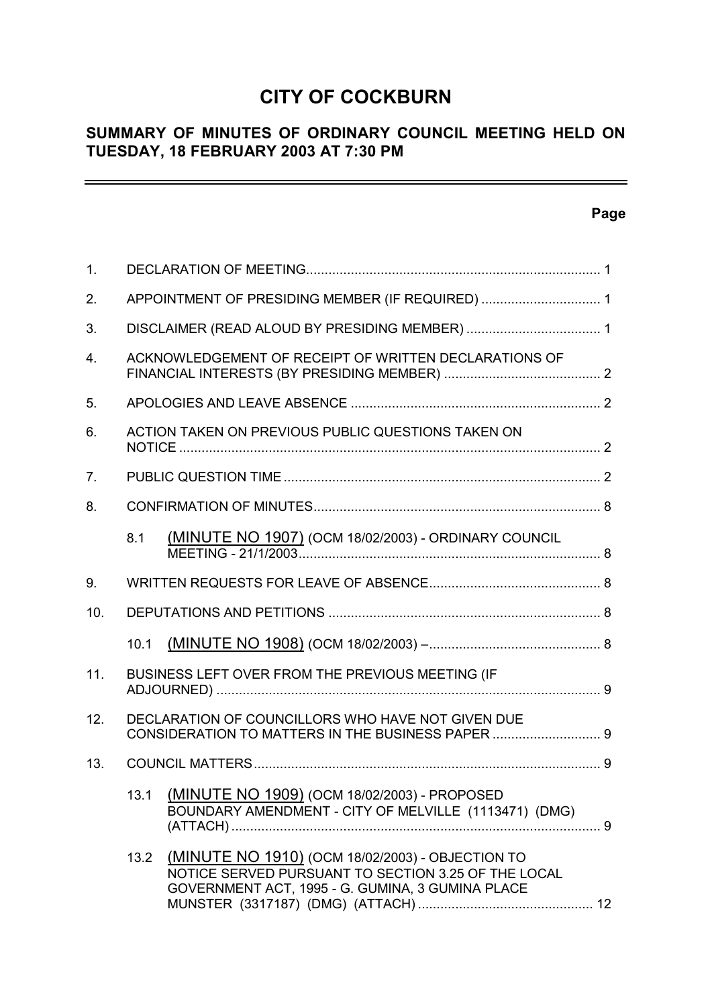# **CITY OF COCKBURN**

# **SUMMARY OF MINUTES OF ORDINARY COUNCIL MEETING HELD ON TUESDAY, 18 FEBRUARY 2003 AT 7:30 PM**

# **Page**

 $\equiv$ 

| 1.             |      |                                                                                                                                                             |  |
|----------------|------|-------------------------------------------------------------------------------------------------------------------------------------------------------------|--|
| 2.             |      | APPOINTMENT OF PRESIDING MEMBER (IF REQUIRED)  1                                                                                                            |  |
| 3.             |      |                                                                                                                                                             |  |
| 4.             |      | ACKNOWLEDGEMENT OF RECEIPT OF WRITTEN DECLARATIONS OF                                                                                                       |  |
| 5.             |      |                                                                                                                                                             |  |
| 6.             |      | ACTION TAKEN ON PREVIOUS PUBLIC QUESTIONS TAKEN ON                                                                                                          |  |
| 7 <sub>1</sub> |      |                                                                                                                                                             |  |
| 8.             |      |                                                                                                                                                             |  |
|                | 8.1  | (MINUTE NO 1907) (OCM 18/02/2003) - ORDINARY COUNCIL                                                                                                        |  |
| 9.             |      |                                                                                                                                                             |  |
| 10.            |      |                                                                                                                                                             |  |
|                | 10.1 |                                                                                                                                                             |  |
| 11.            |      | BUSINESS LEFT OVER FROM THE PREVIOUS MEETING (IF                                                                                                            |  |
| 12.            |      | DECLARATION OF COUNCILLORS WHO HAVE NOT GIVEN DUE<br>CONSIDERATION TO MATTERS IN THE BUSINESS PAPER  9                                                      |  |
| 13.            |      |                                                                                                                                                             |  |
|                |      | 13.1 (MINUTE NO 1909) (OCM 18/02/2003) - PROPOSED<br>BOUNDARY AMENDMENT - CITY OF MELVILLE (1113471) (DMG)                                                  |  |
|                | 13.2 | (MINUTE NO 1910) (OCM 18/02/2003) - OBJECTION TO<br>NOTICE SERVED PURSUANT TO SECTION 3.25 OF THE LOCAL<br>GOVERNMENT ACT, 1995 - G. GUMINA, 3 GUMINA PLACE |  |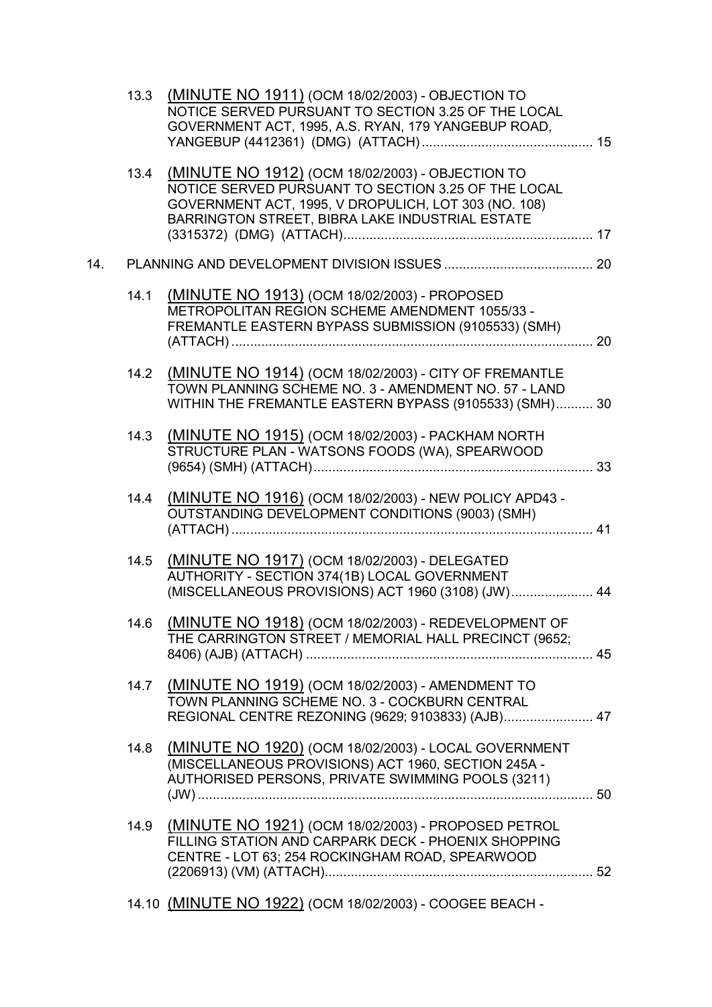|     | 13.3 | (MINUTE NO 1911) (OCM 18/02/2003) - OBJECTION TO<br>NOTICE SERVED PURSUANT TO SECTION 3.25 OF THE LOCAL<br>GOVERNMENT ACT, 1995, A.S. RYAN, 179 YANGEBUP ROAD,                                                     |  |
|-----|------|--------------------------------------------------------------------------------------------------------------------------------------------------------------------------------------------------------------------|--|
|     | 13.4 | (MINUTE NO 1912) (OCM 18/02/2003) - OBJECTION TO<br>NOTICE SERVED PURSUANT TO SECTION 3.25 OF THE LOCAL<br>GOVERNMENT ACT, 1995, V DROPULICH, LOT 303 (NO. 108)<br>BARRINGTON STREET, BIBRA LAKE INDUSTRIAL ESTATE |  |
| 14. |      |                                                                                                                                                                                                                    |  |
|     | 14.1 | (MINUTE NO 1913) (OCM 18/02/2003) - PROPOSED<br>METROPOLITAN REGION SCHEME AMENDMENT 1055/33 -<br>FREMANTLE EASTERN BYPASS SUBMISSION (9105533) (SMH)                                                              |  |
|     | 14.2 | (MINUTE NO 1914) (OCM 18/02/2003) - CITY OF FREMANTLE<br>TOWN PLANNING SCHEME NO. 3 - AMENDMENT NO. 57 - LAND<br>WITHIN THE FREMANTLE EASTERN BYPASS (9105533) (SMH) 30                                            |  |
|     |      | 14.3 (MINUTE NO 1915) (OCM 18/02/2003) - PACKHAM NORTH<br>STRUCTURE PLAN - WATSONS FOODS (WA), SPEARWOOD                                                                                                           |  |
|     | 14.4 | (MINUTE NO 1916) (OCM 18/02/2003) - NEW POLICY APD43 -<br>OUTSTANDING DEVELOPMENT CONDITIONS (9003) (SMH)                                                                                                          |  |
|     | 14.5 | (MINUTE NO 1917) (OCM 18/02/2003) - DELEGATED<br>AUTHORITY - SECTION 374(1B) LOCAL GOVERNMENT<br>(MISCELLANEOUS PROVISIONS) ACT 1960 (3108) (JW) 44                                                                |  |
|     |      | 14.6 (MINUTE NO 1918) (OCM 18/02/2003) - REDEVELOPMENT OF<br>THE CARRINGTON STREET / MEMORIAL HALL PRECINCT (9652;                                                                                                 |  |
|     |      | 14.7 (MINUTE NO 1919) (OCM 18/02/2003) - AMENDMENT TO<br>TOWN PLANNING SCHEME NO. 3 - COCKBURN CENTRAL<br>REGIONAL CENTRE REZONING (9629; 9103833) (AJB) 47                                                        |  |
|     | 14.8 | (MINUTE NO 1920) (OCM 18/02/2003) - LOCAL GOVERNMENT<br>(MISCELLANEOUS PROVISIONS) ACT 1960, SECTION 245A -<br>AUTHORISED PERSONS, PRIVATE SWIMMING POOLS (3211)                                                   |  |
|     | 14.9 | (MINUTE NO 1921) (OCM 18/02/2003) - PROPOSED PETROL<br>FILLING STATION AND CARPARK DECK - PHOENIX SHOPPING<br>CENTRE - LOT 63; 254 ROCKINGHAM ROAD, SPEARWOOD                                                      |  |
|     |      | 14.10 (MINUTE NO 1922) (OCM 18/02/2003) - COOGEE BEACH -                                                                                                                                                           |  |
|     |      |                                                                                                                                                                                                                    |  |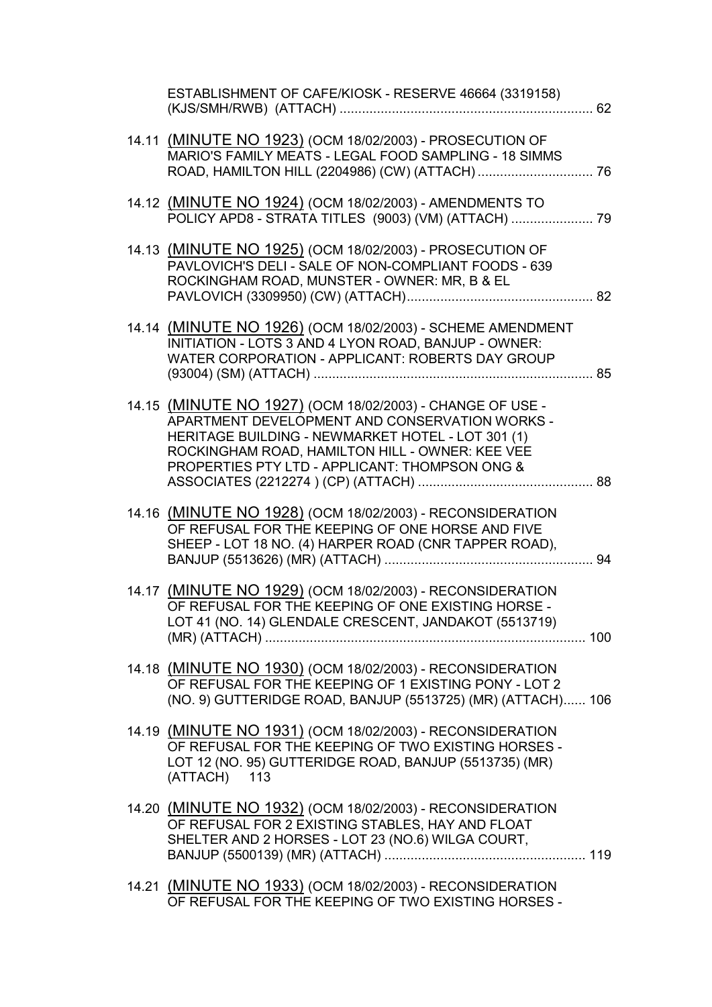| ESTABLISHMENT OF CAFE/KIOSK - RESERVE 46664 (3319158)                                                                                                                                                                                                                 |  |
|-----------------------------------------------------------------------------------------------------------------------------------------------------------------------------------------------------------------------------------------------------------------------|--|
| 14.11 (MINUTE NO 1923) (OCM 18/02/2003) - PROSECUTION OF<br>MARIO'S FAMILY MEATS - LEGAL FOOD SAMPLING - 18 SIMMS                                                                                                                                                     |  |
| 14.12 (MINUTE NO 1924) (OCM 18/02/2003) - AMENDMENTS TO<br>POLICY APD8 - STRATA TITLES (9003) (VM) (ATTACH)  79                                                                                                                                                       |  |
| 14.13 (MINUTE NO 1925) (OCM 18/02/2003) - PROSECUTION OF<br>PAVLOVICH'S DELI - SALE OF NON-COMPLIANT FOODS - 639<br>ROCKINGHAM ROAD, MUNSTER - OWNER: MR, B & EL                                                                                                      |  |
| 14.14 (MINUTE NO 1926) (OCM 18/02/2003) - SCHEME AMENDMENT<br>INITIATION - LOTS 3 AND 4 LYON ROAD, BANJUP - OWNER:<br>WATER CORPORATION - APPLICANT: ROBERTS DAY GROUP                                                                                                |  |
| 14.15 (MINUTE NO 1927) (OCM 18/02/2003) - CHANGE OF USE -<br>APARTMENT DEVELOPMENT AND CONSERVATION WORKS -<br>HERITAGE BUILDING - NEWMARKET HOTEL - LOT 301 (1)<br>ROCKINGHAM ROAD, HAMILTON HILL - OWNER: KEE VEE<br>PROPERTIES PTY LTD - APPLICANT: THOMPSON ONG & |  |
| 14.16 (MINUTE NO 1928) (OCM 18/02/2003) - RECONSIDERATION<br>OF REFUSAL FOR THE KEEPING OF ONE HORSE AND FIVE<br>SHEEP - LOT 18 NO. (4) HARPER ROAD (CNR TAPPER ROAD),                                                                                                |  |
| 14.17 (MINUTE NO 1929) (OCM 18/02/2003) - RECONSIDERATION<br>OF REFUSAL FOR THE KEEPING OF ONE EXISTING HORSE -<br>LOT 41 (NO. 14) GLENDALE CRESCENT, JANDAKOT (5513719)                                                                                              |  |
| 14.18 (MINUTE NO 1930) (OCM 18/02/2003) - RECONSIDERATION<br>OF REFUSAL FOR THE KEEPING OF 1 EXISTING PONY - LOT 2<br>(NO. 9) GUTTERIDGE ROAD, BANJUP (5513725) (MR) (ATTACH) 106                                                                                     |  |
| 14.19 (MINUTE NO 1931) (OCM 18/02/2003) - RECONSIDERATION<br>OF REFUSAL FOR THE KEEPING OF TWO EXISTING HORSES -<br>LOT 12 (NO. 95) GUTTERIDGE ROAD, BANJUP (5513735) (MR)<br>(ATTACH) 113                                                                            |  |
| 14.20 (MINUTE NO 1932) (OCM 18/02/2003) - RECONSIDERATION<br>OF REFUSAL FOR 2 EXISTING STABLES, HAY AND FLOAT<br>SHELTER AND 2 HORSES - LOT 23 (NO.6) WILGA COURT,                                                                                                    |  |
| 14.21 (MINUTE NO 1933) (OCM 18/02/2003) - RECONSIDERATION<br>OF REFUSAL FOR THE KEEPING OF TWO EXISTING HORSES -                                                                                                                                                      |  |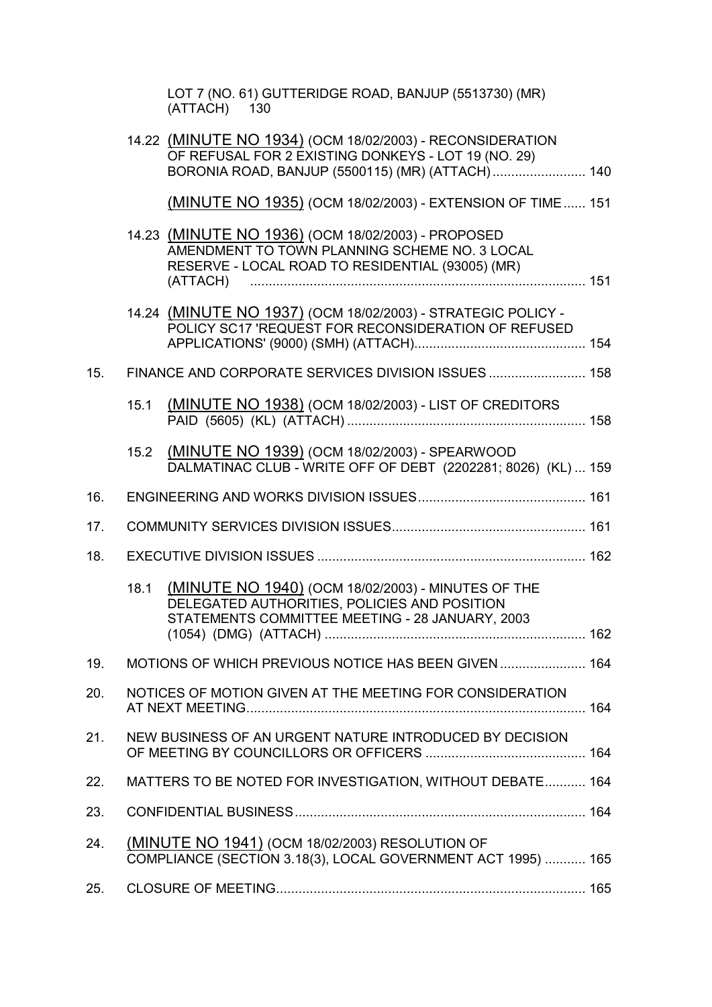|     |      | LOT 7 (NO. 61) GUTTERIDGE ROAD, BANJUP (5513730) (MR)<br>(ATTACH) 130                                                                                                |  |
|-----|------|----------------------------------------------------------------------------------------------------------------------------------------------------------------------|--|
|     |      | 14.22 (MINUTE NO 1934) (OCM 18/02/2003) - RECONSIDERATION<br>OF REFUSAL FOR 2 EXISTING DONKEYS - LOT 19 (NO. 29)<br>BORONIA ROAD, BANJUP (5500115) (MR) (ATTACH) 140 |  |
|     |      | (MINUTE NO 1935) (OCM 18/02/2003) - EXTENSION OF TIME 151                                                                                                            |  |
|     |      | 14.23 (MINUTE NO 1936) (OCM 18/02/2003) - PROPOSED<br>AMENDMENT TO TOWN PLANNING SCHEME NO. 3 LOCAL<br>RESERVE - LOCAL ROAD TO RESIDENTIAL (93005) (MR)              |  |
|     |      | 14.24 (MINUTE NO 1937) (OCM 18/02/2003) - STRATEGIC POLICY -<br>POLICY SC17 'REQUEST FOR RECONSIDERATION OF REFUSED                                                  |  |
| 15. |      | FINANCE AND CORPORATE SERVICES DIVISION ISSUES  158                                                                                                                  |  |
|     | 15.1 | (MINUTE NO 1938) (OCM 18/02/2003) - LIST OF CREDITORS                                                                                                                |  |
|     | 15.2 | (MINUTE NO 1939) (OCM 18/02/2003) - SPEARWOOD<br>DALMATINAC CLUB - WRITE OFF OF DEBT (2202281; 8026) (KL) 159                                                        |  |
| 16. |      |                                                                                                                                                                      |  |
| 17. |      |                                                                                                                                                                      |  |
| 18. |      |                                                                                                                                                                      |  |
|     | 18.1 | (MINUTE NO 1940) (OCM 18/02/2003) - MINUTES OF THE<br>DELEGATED AUTHORITIES, POLICIES AND POSITION<br>STATEMENTS COMMITTEE MEETING - 28 JANUARY, 2003                |  |
| 19. |      | MOTIONS OF WHICH PREVIOUS NOTICE HAS BEEN GIVEN  164                                                                                                                 |  |
| 20. |      | NOTICES OF MOTION GIVEN AT THE MEETING FOR CONSIDERATION                                                                                                             |  |
| 21. |      | NEW BUSINESS OF AN URGENT NATURE INTRODUCED BY DECISION                                                                                                              |  |
| 22. |      | MATTERS TO BE NOTED FOR INVESTIGATION, WITHOUT DEBATE 164                                                                                                            |  |
| 23. |      |                                                                                                                                                                      |  |
| 24. |      | (MINUTE NO 1941) (OCM 18/02/2003) RESOLUTION OF<br>COMPLIANCE (SECTION 3.18(3), LOCAL GOVERNMENT ACT 1995)  165                                                      |  |
| 25. |      |                                                                                                                                                                      |  |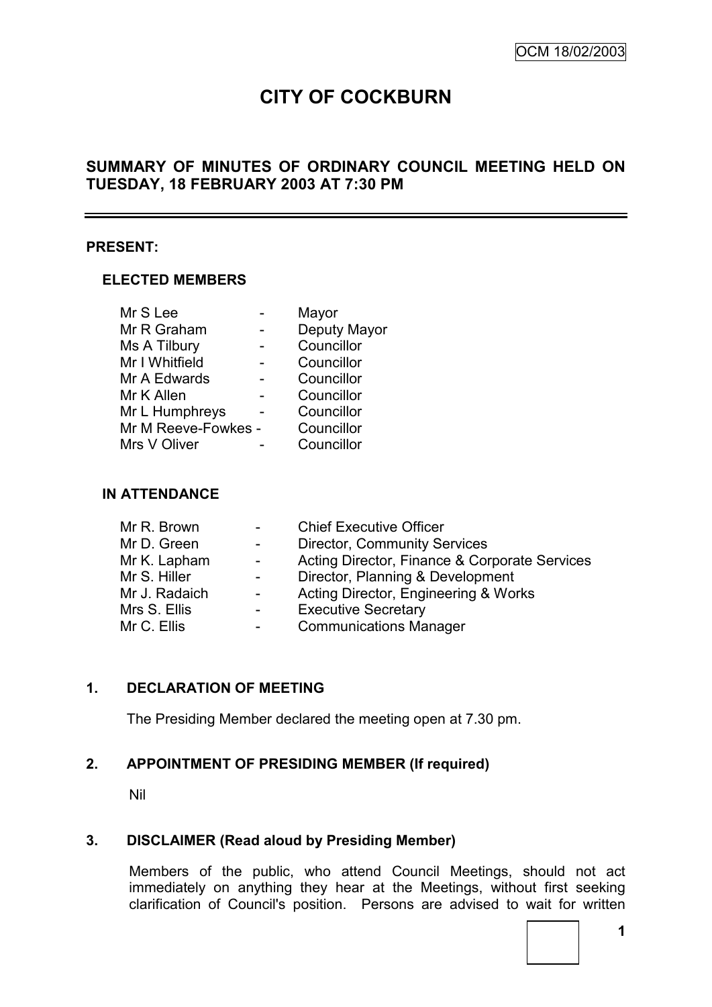# **CITY OF COCKBURN**

# **SUMMARY OF MINUTES OF ORDINARY COUNCIL MEETING HELD ON TUESDAY, 18 FEBRUARY 2003 AT 7:30 PM**

## **PRESENT:**

#### **ELECTED MEMBERS**

| Mr S Lee            | Mayor        |
|---------------------|--------------|
| Mr R Graham         | Deputy Mayor |
| Ms A Tilbury        | Councillor   |
| Mr I Whitfield      | Councillor   |
| Mr A Edwards        | Councillor   |
| Mr K Allen          | Councillor   |
| Mr L Humphreys      | Councillor   |
| Mr M Reeve-Fowkes - | Councillor   |
| Mrs V Oliver        | Councillor   |

#### **IN ATTENDANCE**

|                  | <b>Chief Executive Officer</b>                |
|------------------|-----------------------------------------------|
| $\sim$ 100 $\mu$ | <b>Director, Community Services</b>           |
| $\sim$ 100 $\mu$ | Acting Director, Finance & Corporate Services |
| $\sim 100$       | Director, Planning & Development              |
|                  | Acting Director, Engineering & Works          |
|                  | <b>Executive Secretary</b>                    |
|                  | <b>Communications Manager</b>                 |
|                  |                                               |

# **1. DECLARATION OF MEETING**

The Presiding Member declared the meeting open at 7.30 pm.

## **2. APPOINTMENT OF PRESIDING MEMBER (If required)**

Nil

## **3. DISCLAIMER (Read aloud by Presiding Member)**

Members of the public, who attend Council Meetings, should not act immediately on anything they hear at the Meetings, without first seeking clarification of Council's position. Persons are advised to wait for written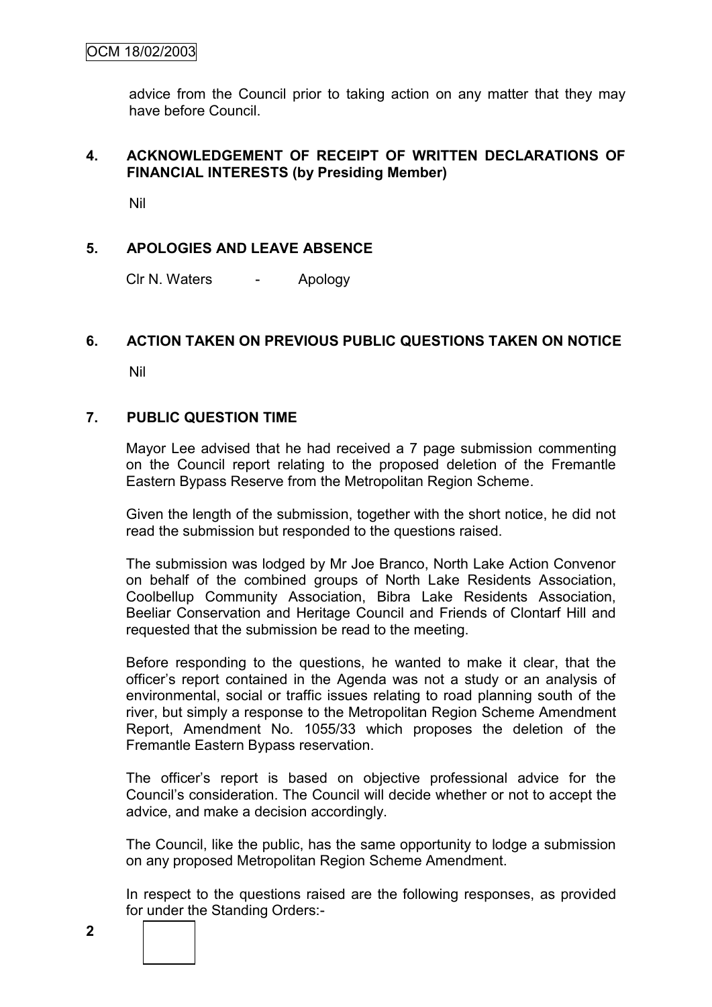advice from the Council prior to taking action on any matter that they may have before Council.

## **4. ACKNOWLEDGEMENT OF RECEIPT OF WRITTEN DECLARATIONS OF FINANCIAL INTERESTS (by Presiding Member)**

Nil

# **5. APOLOGIES AND LEAVE ABSENCE**

Clr N. Waters - Apology

## **6. ACTION TAKEN ON PREVIOUS PUBLIC QUESTIONS TAKEN ON NOTICE**

Nil

## **7. PUBLIC QUESTION TIME**

Mayor Lee advised that he had received a 7 page submission commenting on the Council report relating to the proposed deletion of the Fremantle Eastern Bypass Reserve from the Metropolitan Region Scheme.

Given the length of the submission, together with the short notice, he did not read the submission but responded to the questions raised.

The submission was lodged by Mr Joe Branco, North Lake Action Convenor on behalf of the combined groups of North Lake Residents Association, Coolbellup Community Association, Bibra Lake Residents Association, Beeliar Conservation and Heritage Council and Friends of Clontarf Hill and requested that the submission be read to the meeting.

Before responding to the questions, he wanted to make it clear, that the officer"s report contained in the Agenda was not a study or an analysis of environmental, social or traffic issues relating to road planning south of the river, but simply a response to the Metropolitan Region Scheme Amendment Report, Amendment No. 1055/33 which proposes the deletion of the Fremantle Eastern Bypass reservation.

The officer"s report is based on objective professional advice for the Council"s consideration. The Council will decide whether or not to accept the advice, and make a decision accordingly.

The Council, like the public, has the same opportunity to lodge a submission on any proposed Metropolitan Region Scheme Amendment.

In respect to the questions raised are the following responses, as provided for under the Standing Orders:-

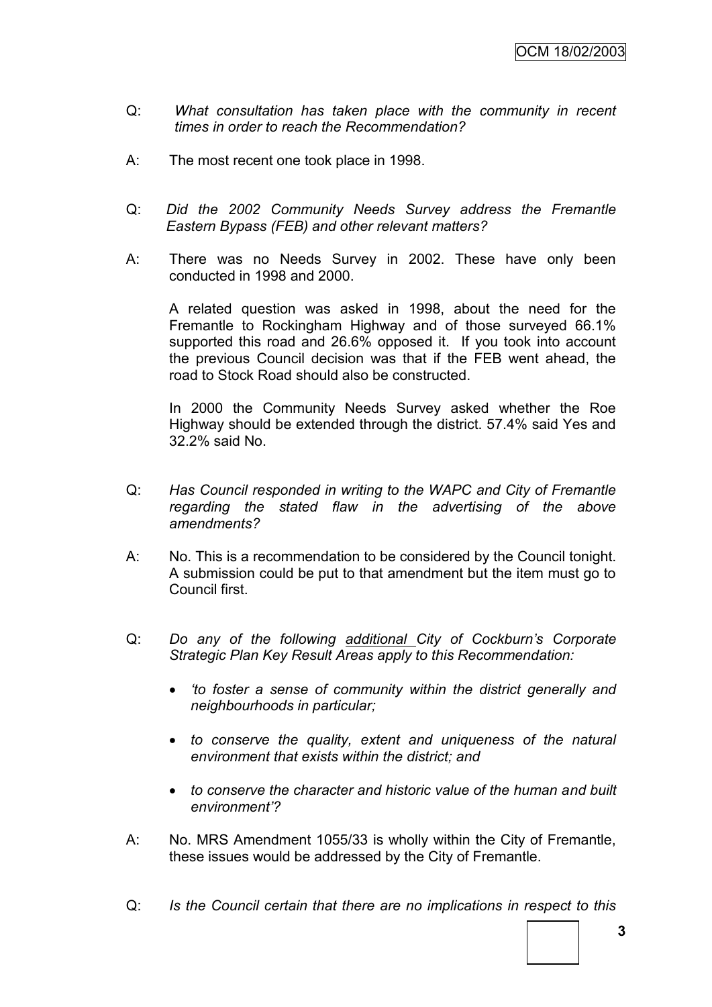- Q: *What consultation has taken place with the community in recent times in order to reach the Recommendation?*
- A: The most recent one took place in 1998.
- Q: *Did the 2002 Community Needs Survey address the Fremantle Eastern Bypass (FEB) and other relevant matters?*
- A: There was no Needs Survey in 2002. These have only been conducted in 1998 and 2000.

A related question was asked in 1998, about the need for the Fremantle to Rockingham Highway and of those surveyed 66.1% supported this road and 26.6% opposed it. If you took into account the previous Council decision was that if the FEB went ahead, the road to Stock Road should also be constructed.

In 2000 the Community Needs Survey asked whether the Roe Highway should be extended through the district. 57.4% said Yes and 32.2% said No.

- Q: *Has Council responded in writing to the WAPC and City of Fremantle regarding the stated flaw in the advertising of the above amendments?*
- A: No. This is a recommendation to be considered by the Council tonight. A submission could be put to that amendment but the item must go to Council first.
- Q: *Do any of the following additional City of Cockburn's Corporate Strategic Plan Key Result Areas apply to this Recommendation:*
	- *‗to foster a sense of community within the district generally and neighbourhoods in particular;*
	- *to conserve the quality, extent and uniqueness of the natural environment that exists within the district; and*
	- *to conserve the character and historic value of the human and built environment'?*
- A: No. MRS Amendment 1055/33 is wholly within the City of Fremantle, these issues would be addressed by the City of Fremantle.
- Q: *Is the Council certain that there are no implications in respect to this*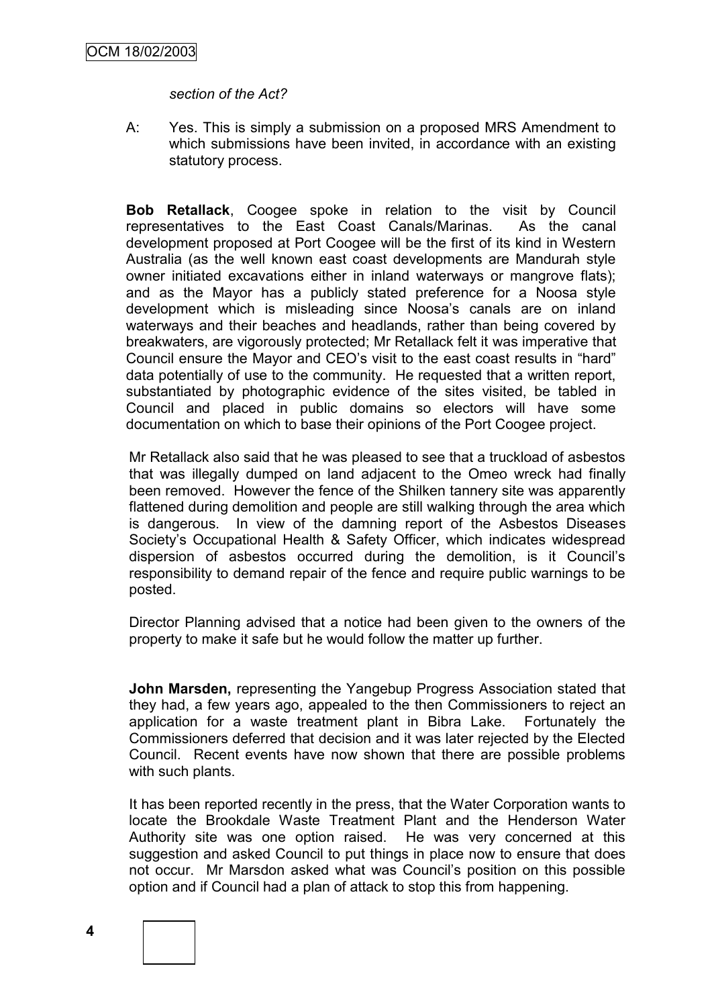*section of the Act?*

A: Yes. This is simply a submission on a proposed MRS Amendment to which submissions have been invited, in accordance with an existing statutory process.

**Bob Retallack**, Coogee spoke in relation to the visit by Council representatives to the East Coast Canals/Marinas. As the canal development proposed at Port Coogee will be the first of its kind in Western Australia (as the well known east coast developments are Mandurah style owner initiated excavations either in inland waterways or mangrove flats); and as the Mayor has a publicly stated preference for a Noosa style development which is misleading since Noosa's canals are on inland waterways and their beaches and headlands, rather than being covered by breakwaters, are vigorously protected; Mr Retallack felt it was imperative that Council ensure the Mayor and CEO"s visit to the east coast results in "hard" data potentially of use to the community. He requested that a written report, substantiated by photographic evidence of the sites visited, be tabled in Council and placed in public domains so electors will have some documentation on which to base their opinions of the Port Coogee project.

Mr Retallack also said that he was pleased to see that a truckload of asbestos that was illegally dumped on land adjacent to the Omeo wreck had finally been removed. However the fence of the Shilken tannery site was apparently flattened during demolition and people are still walking through the area which is dangerous. In view of the damning report of the Asbestos Diseases Society"s Occupational Health & Safety Officer, which indicates widespread dispersion of asbestos occurred during the demolition, is it Council"s responsibility to demand repair of the fence and require public warnings to be posted.

Director Planning advised that a notice had been given to the owners of the property to make it safe but he would follow the matter up further.

**John Marsden,** representing the Yangebup Progress Association stated that they had, a few years ago, appealed to the then Commissioners to reject an application for a waste treatment plant in Bibra Lake. Fortunately the Commissioners deferred that decision and it was later rejected by the Elected Council. Recent events have now shown that there are possible problems with such plants.

It has been reported recently in the press, that the Water Corporation wants to locate the Brookdale Waste Treatment Plant and the Henderson Water Authority site was one option raised. He was very concerned at this suggestion and asked Council to put things in place now to ensure that does not occur. Mr Marsdon asked what was Council"s position on this possible option and if Council had a plan of attack to stop this from happening.



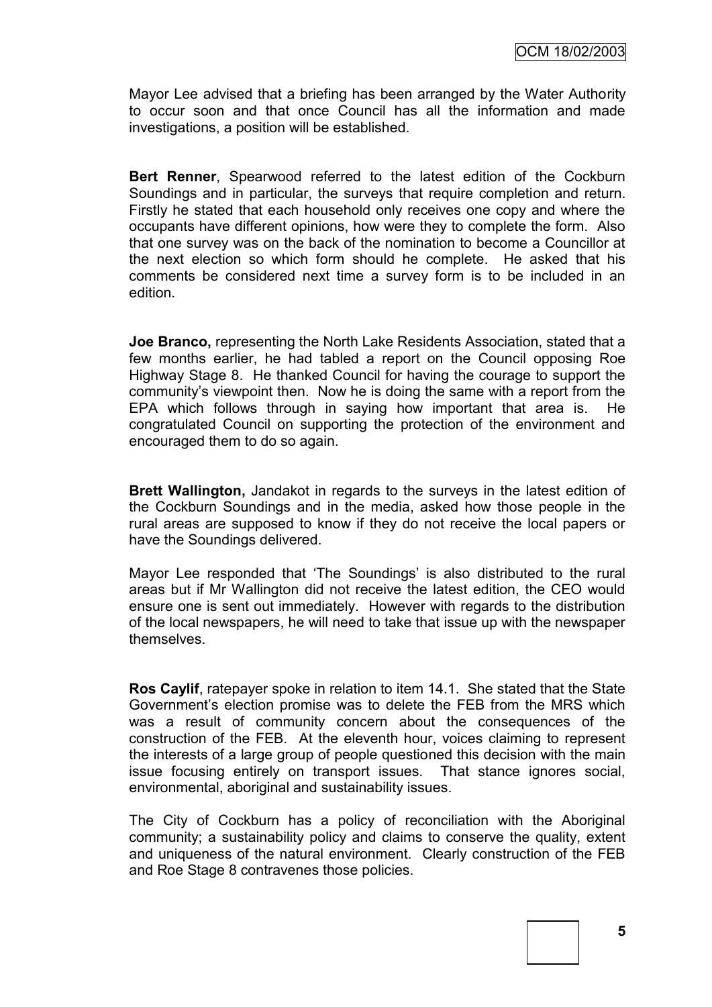Mayor Lee advised that a briefing has been arranged by the Water Authority to occur soon and that once Council has all the information and made investigations, a position will be established.

**Bert Renner**, Spearwood referred to the latest edition of the Cockburn Soundings and in particular, the surveys that require completion and return. Firstly he stated that each household only receives one copy and where the occupants have different opinions, how were they to complete the form. Also that one survey was on the back of the nomination to become a Councillor at the next election so which form should he complete. He asked that his comments be considered next time a survey form is to be included in an edition.

**Joe Branco,** representing the North Lake Residents Association, stated that a few months earlier, he had tabled a report on the Council opposing Roe Highway Stage 8. He thanked Council for having the courage to support the community"s viewpoint then. Now he is doing the same with a report from the EPA which follows through in saying how important that area is. He congratulated Council on supporting the protection of the environment and encouraged them to do so again.

**Brett Wallington,** Jandakot in regards to the surveys in the latest edition of the Cockburn Soundings and in the media, asked how those people in the rural areas are supposed to know if they do not receive the local papers or have the Soundings delivered.

Mayor Lee responded that "The Soundings" is also distributed to the rural areas but if Mr Wallington did not receive the latest edition, the CEO would ensure one is sent out immediately. However with regards to the distribution of the local newspapers, he will need to take that issue up with the newspaper themselves.

**Ros Caylif**, ratepayer spoke in relation to item 14.1. She stated that the State Government"s election promise was to delete the FEB from the MRS which was a result of community concern about the consequences of the construction of the FEB. At the eleventh hour, voices claiming to represent the interests of a large group of people questioned this decision with the main issue focusing entirely on transport issues. That stance ignores social, environmental, aboriginal and sustainability issues.

The City of Cockburn has a policy of reconciliation with the Aboriginal community; a sustainability policy and claims to conserve the quality, extent and uniqueness of the natural environment. Clearly construction of the FEB and Roe Stage 8 contravenes those policies.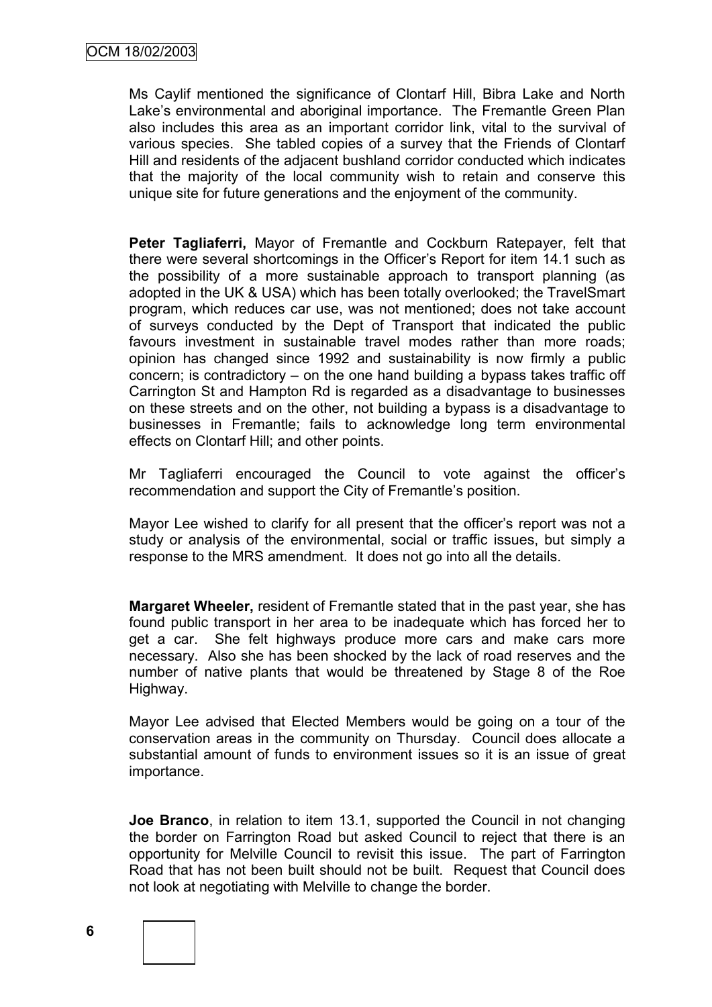Ms Caylif mentioned the significance of Clontarf Hill, Bibra Lake and North Lake's environmental and aboriginal importance. The Fremantle Green Plan also includes this area as an important corridor link, vital to the survival of various species. She tabled copies of a survey that the Friends of Clontarf Hill and residents of the adjacent bushland corridor conducted which indicates that the majority of the local community wish to retain and conserve this unique site for future generations and the enjoyment of the community.

**Peter Tagliaferri,** Mayor of Fremantle and Cockburn Ratepayer, felt that there were several shortcomings in the Officer"s Report for item 14.1 such as the possibility of a more sustainable approach to transport planning (as adopted in the UK & USA) which has been totally overlooked; the TravelSmart program, which reduces car use, was not mentioned; does not take account of surveys conducted by the Dept of Transport that indicated the public favours investment in sustainable travel modes rather than more roads; opinion has changed since 1992 and sustainability is now firmly a public concern; is contradictory – on the one hand building a bypass takes traffic off Carrington St and Hampton Rd is regarded as a disadvantage to businesses on these streets and on the other, not building a bypass is a disadvantage to businesses in Fremantle; fails to acknowledge long term environmental effects on Clontarf Hill; and other points.

Mr Tagliaferri encouraged the Council to vote against the officer"s recommendation and support the City of Fremantle"s position.

Mayor Lee wished to clarify for all present that the officer"s report was not a study or analysis of the environmental, social or traffic issues, but simply a response to the MRS amendment. It does not go into all the details.

**Margaret Wheeler,** resident of Fremantle stated that in the past year, she has found public transport in her area to be inadequate which has forced her to get a car. She felt highways produce more cars and make cars more necessary. Also she has been shocked by the lack of road reserves and the number of native plants that would be threatened by Stage 8 of the Roe Highway.

Mayor Lee advised that Elected Members would be going on a tour of the conservation areas in the community on Thursday. Council does allocate a substantial amount of funds to environment issues so it is an issue of great importance.

**Joe Branco**, in relation to item 13.1, supported the Council in not changing the border on Farrington Road but asked Council to reject that there is an opportunity for Melville Council to revisit this issue. The part of Farrington Road that has not been built should not be built. Request that Council does not look at negotiating with Melville to change the border.

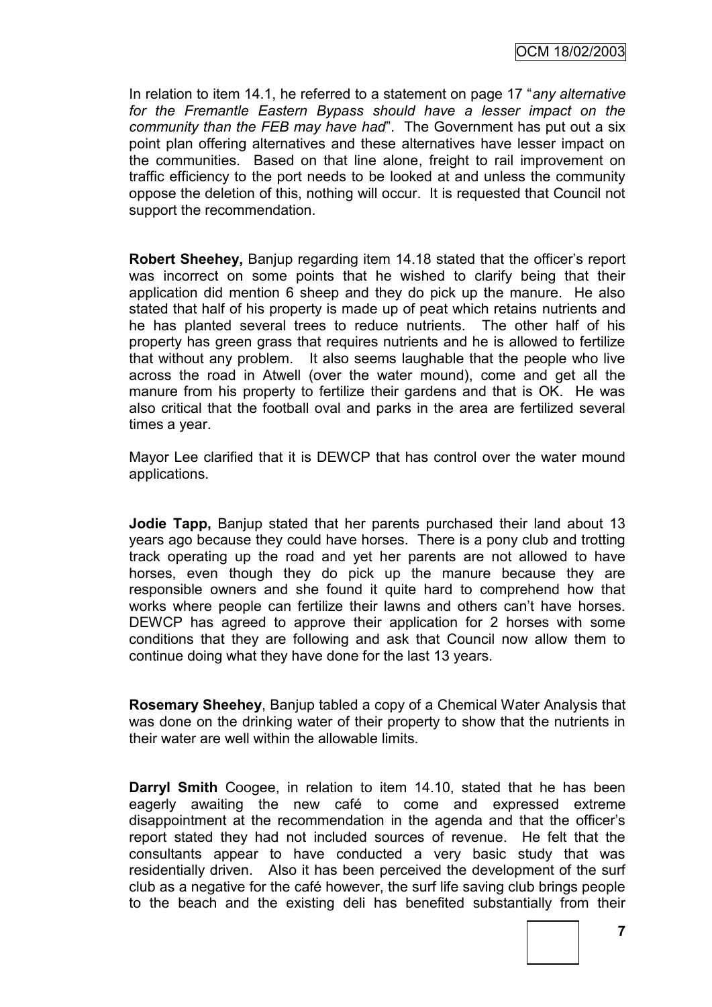OCM 18/02/2003

In relation to item 14.1, he referred to a statement on page 17 "*any alternative for the Fremantle Eastern Bypass should have a lesser impact on the community than the FEB may have had*". The Government has put out a six point plan offering alternatives and these alternatives have lesser impact on the communities. Based on that line alone, freight to rail improvement on traffic efficiency to the port needs to be looked at and unless the community oppose the deletion of this, nothing will occur. It is requested that Council not support the recommendation.

**Robert Sheehey, Banjup regarding item 14.18 stated that the officer's report** was incorrect on some points that he wished to clarify being that their application did mention 6 sheep and they do pick up the manure. He also stated that half of his property is made up of peat which retains nutrients and he has planted several trees to reduce nutrients. The other half of his property has green grass that requires nutrients and he is allowed to fertilize that without any problem. It also seems laughable that the people who live across the road in Atwell (over the water mound), come and get all the manure from his property to fertilize their gardens and that is OK. He was also critical that the football oval and parks in the area are fertilized several times a year.

Mayor Lee clarified that it is DEWCP that has control over the water mound applications.

**Jodie Tapp,** Banjup stated that her parents purchased their land about 13 years ago because they could have horses. There is a pony club and trotting track operating up the road and yet her parents are not allowed to have horses, even though they do pick up the manure because they are responsible owners and she found it quite hard to comprehend how that works where people can fertilize their lawns and others can"t have horses. DEWCP has agreed to approve their application for 2 horses with some conditions that they are following and ask that Council now allow them to continue doing what they have done for the last 13 years.

**Rosemary Sheehey**, Banjup tabled a copy of a Chemical Water Analysis that was done on the drinking water of their property to show that the nutrients in their water are well within the allowable limits.

**Darryl Smith** Coogee, in relation to item 14.10, stated that he has been eagerly awaiting the new café to come and expressed extreme disappointment at the recommendation in the agenda and that the officer"s report stated they had not included sources of revenue. He felt that the consultants appear to have conducted a very basic study that was residentially driven. Also it has been perceived the development of the surf club as a negative for the café however, the surf life saving club brings people to the beach and the existing deli has benefited substantially from their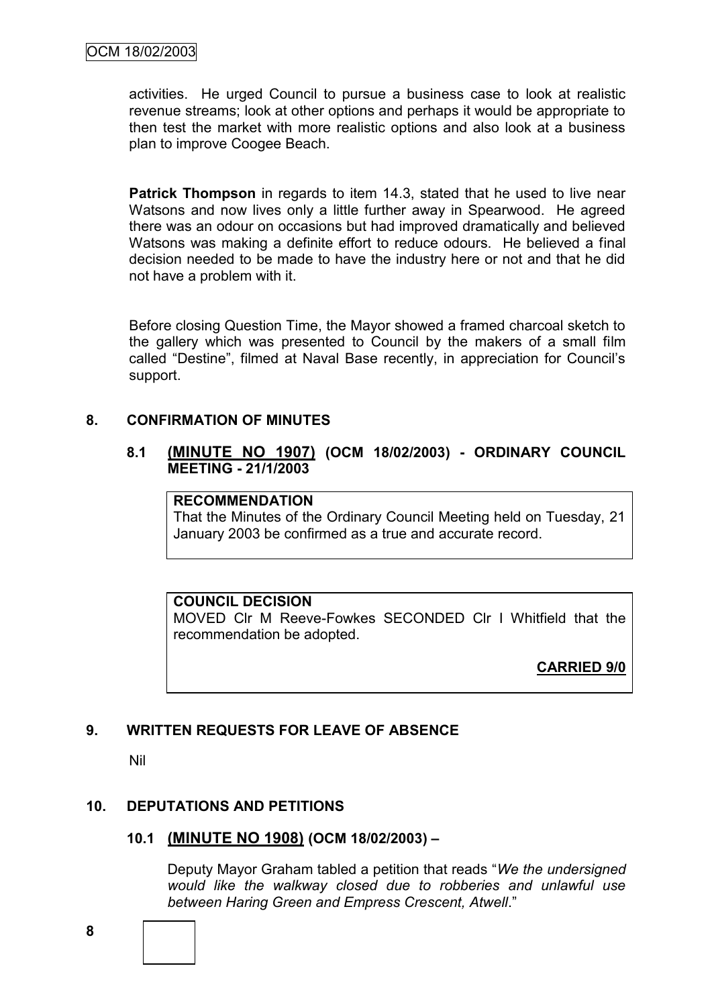activities. He urged Council to pursue a business case to look at realistic revenue streams; look at other options and perhaps it would be appropriate to then test the market with more realistic options and also look at a business plan to improve Coogee Beach.

**Patrick Thompson** in regards to item 14.3, stated that he used to live near Watsons and now lives only a little further away in Spearwood. He agreed there was an odour on occasions but had improved dramatically and believed Watsons was making a definite effort to reduce odours. He believed a final decision needed to be made to have the industry here or not and that he did not have a problem with it.

Before closing Question Time, the Mayor showed a framed charcoal sketch to the gallery which was presented to Council by the makers of a small film called "Destine", filmed at Naval Base recently, in appreciation for Council"s support.

## **8. CONFIRMATION OF MINUTES**

#### **8.1 (MINUTE NO 1907) (OCM 18/02/2003) - ORDINARY COUNCIL MEETING - 21/1/2003**

## **RECOMMENDATION**

That the Minutes of the Ordinary Council Meeting held on Tuesday, 21 January 2003 be confirmed as a true and accurate record.

## **COUNCIL DECISION**

MOVED Clr M Reeve-Fowkes SECONDED Clr I Whitfield that the recommendation be adopted.

**CARRIED 9/0**

## **9. WRITTEN REQUESTS FOR LEAVE OF ABSENCE**

Nil

## **10. DEPUTATIONS AND PETITIONS**

## **10.1 (MINUTE NO 1908) (OCM 18/02/2003) –**

Deputy Mayor Graham tabled a petition that reads "*We the undersigned would like the walkway closed due to robberies and unlawful use between Haring Green and Empress Crescent, Atwell*."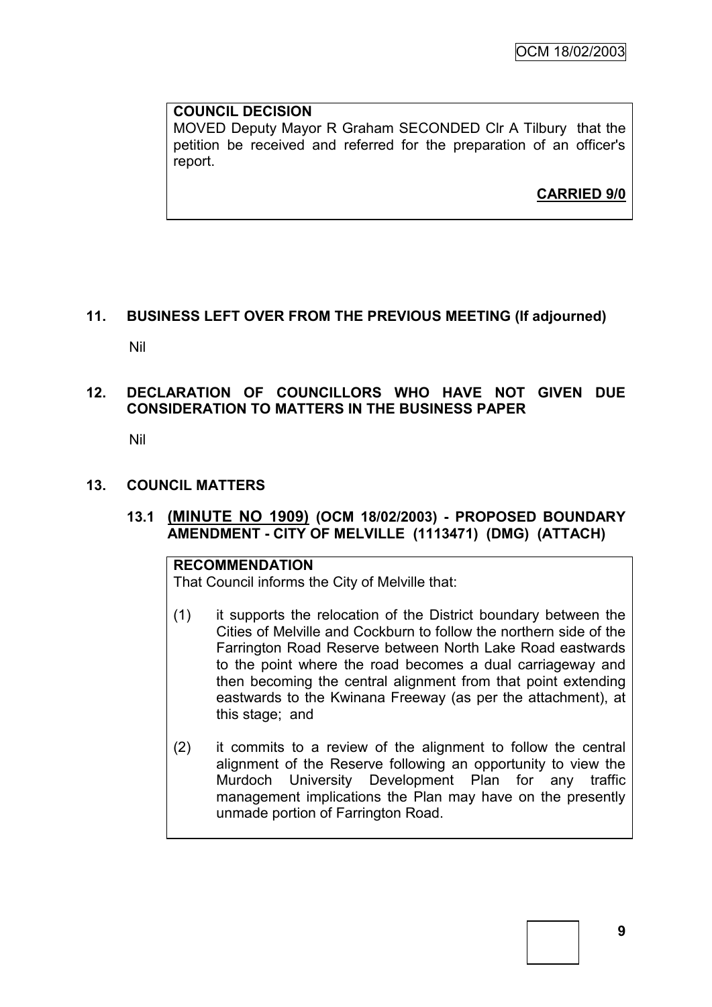## **COUNCIL DECISION**

MOVED Deputy Mayor R Graham SECONDED Clr A Tilbury that the petition be received and referred for the preparation of an officer's report.

**CARRIED 9/0**

# **11. BUSINESS LEFT OVER FROM THE PREVIOUS MEETING (If adjourned)**

Nil

## **12. DECLARATION OF COUNCILLORS WHO HAVE NOT GIVEN DUE CONSIDERATION TO MATTERS IN THE BUSINESS PAPER**

Nil

## **13. COUNCIL MATTERS**

## **13.1 (MINUTE NO 1909) (OCM 18/02/2003) - PROPOSED BOUNDARY AMENDMENT - CITY OF MELVILLE (1113471) (DMG) (ATTACH)**

## **RECOMMENDATION**

That Council informs the City of Melville that:

- (1) it supports the relocation of the District boundary between the Cities of Melville and Cockburn to follow the northern side of the Farrington Road Reserve between North Lake Road eastwards to the point where the road becomes a dual carriageway and then becoming the central alignment from that point extending eastwards to the Kwinana Freeway (as per the attachment), at this stage; and
- (2) it commits to a review of the alignment to follow the central alignment of the Reserve following an opportunity to view the Murdoch University Development Plan for any traffic management implications the Plan may have on the presently unmade portion of Farrington Road.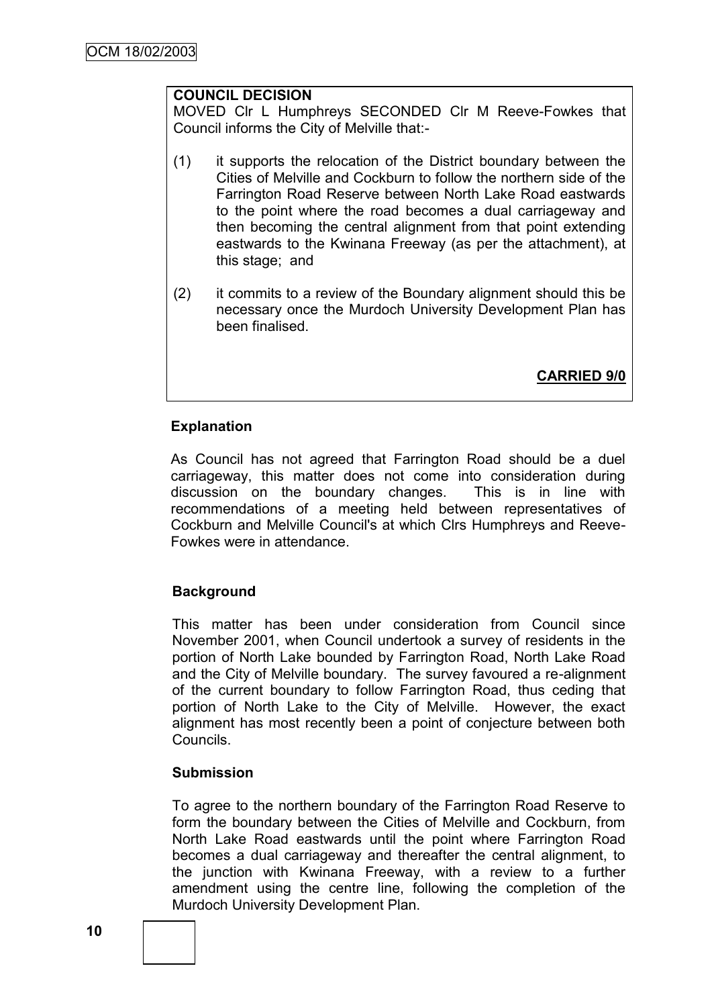#### **COUNCIL DECISION**

MOVED Clr L Humphreys SECONDED Clr M Reeve-Fowkes that Council informs the City of Melville that:-

- (1) it supports the relocation of the District boundary between the Cities of Melville and Cockburn to follow the northern side of the Farrington Road Reserve between North Lake Road eastwards to the point where the road becomes a dual carriageway and then becoming the central alignment from that point extending eastwards to the Kwinana Freeway (as per the attachment), at this stage; and
- (2) it commits to a review of the Boundary alignment should this be necessary once the Murdoch University Development Plan has been finalised.

**CARRIED 9/0**

#### **Explanation**

As Council has not agreed that Farrington Road should be a duel carriageway, this matter does not come into consideration during discussion on the boundary changes. This is in line with recommendations of a meeting held between representatives of Cockburn and Melville Council's at which Clrs Humphreys and Reeve-Fowkes were in attendance.

## **Background**

This matter has been under consideration from Council since November 2001, when Council undertook a survey of residents in the portion of North Lake bounded by Farrington Road, North Lake Road and the City of Melville boundary. The survey favoured a re-alignment of the current boundary to follow Farrington Road, thus ceding that portion of North Lake to the City of Melville. However, the exact alignment has most recently been a point of conjecture between both Councils.

#### **Submission**

To agree to the northern boundary of the Farrington Road Reserve to form the boundary between the Cities of Melville and Cockburn, from North Lake Road eastwards until the point where Farrington Road becomes a dual carriageway and thereafter the central alignment, to the junction with Kwinana Freeway, with a review to a further amendment using the centre line, following the completion of the Murdoch University Development Plan.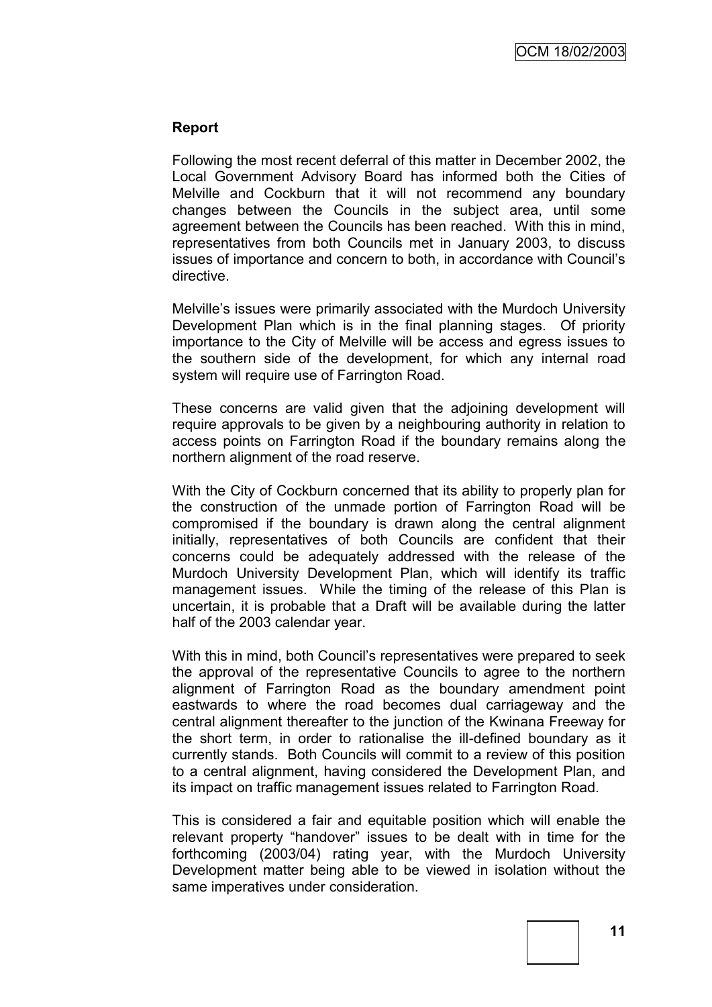#### **Report**

Following the most recent deferral of this matter in December 2002, the Local Government Advisory Board has informed both the Cities of Melville and Cockburn that it will not recommend any boundary changes between the Councils in the subject area, until some agreement between the Councils has been reached. With this in mind, representatives from both Councils met in January 2003, to discuss issues of importance and concern to both, in accordance with Council"s directive.

Melville"s issues were primarily associated with the Murdoch University Development Plan which is in the final planning stages. Of priority importance to the City of Melville will be access and egress issues to the southern side of the development, for which any internal road system will require use of Farrington Road.

These concerns are valid given that the adjoining development will require approvals to be given by a neighbouring authority in relation to access points on Farrington Road if the boundary remains along the northern alignment of the road reserve.

With the City of Cockburn concerned that its ability to properly plan for the construction of the unmade portion of Farrington Road will be compromised if the boundary is drawn along the central alignment initially, representatives of both Councils are confident that their concerns could be adequately addressed with the release of the Murdoch University Development Plan, which will identify its traffic management issues. While the timing of the release of this Plan is uncertain, it is probable that a Draft will be available during the latter half of the 2003 calendar year.

With this in mind, both Council's representatives were prepared to seek the approval of the representative Councils to agree to the northern alignment of Farrington Road as the boundary amendment point eastwards to where the road becomes dual carriageway and the central alignment thereafter to the junction of the Kwinana Freeway for the short term, in order to rationalise the ill-defined boundary as it currently stands. Both Councils will commit to a review of this position to a central alignment, having considered the Development Plan, and its impact on traffic management issues related to Farrington Road.

This is considered a fair and equitable position which will enable the relevant property "handover" issues to be dealt with in time for the forthcoming (2003/04) rating year, with the Murdoch University Development matter being able to be viewed in isolation without the same imperatives under consideration.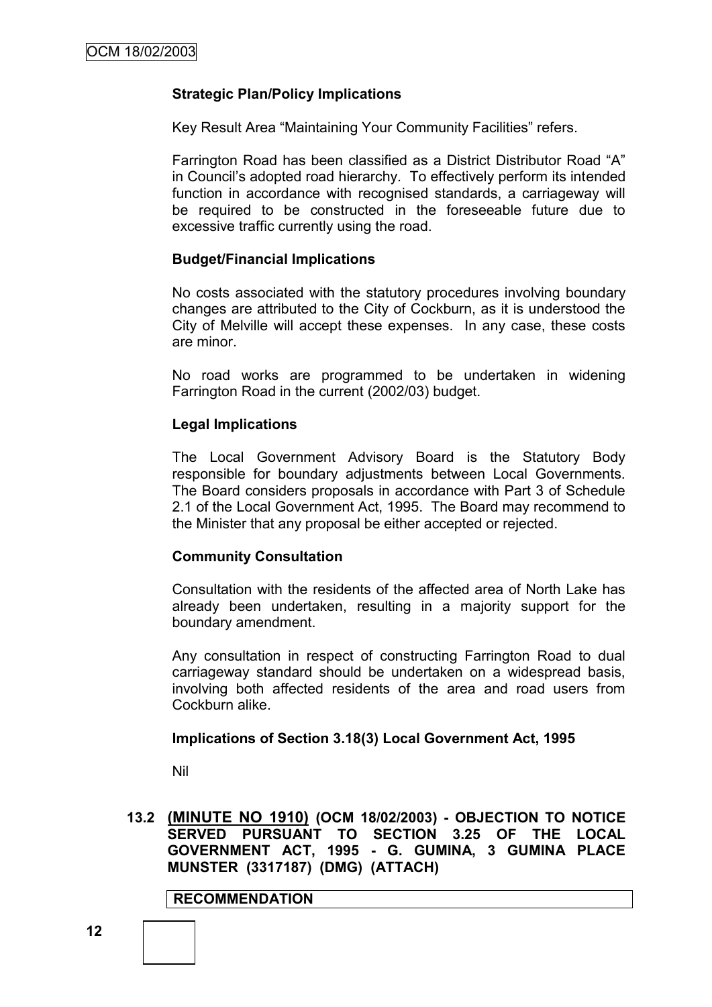#### **Strategic Plan/Policy Implications**

Key Result Area "Maintaining Your Community Facilities" refers.

Farrington Road has been classified as a District Distributor Road "A" in Council"s adopted road hierarchy. To effectively perform its intended function in accordance with recognised standards, a carriageway will be required to be constructed in the foreseeable future due to excessive traffic currently using the road.

#### **Budget/Financial Implications**

No costs associated with the statutory procedures involving boundary changes are attributed to the City of Cockburn, as it is understood the City of Melville will accept these expenses. In any case, these costs are minor.

No road works are programmed to be undertaken in widening Farrington Road in the current (2002/03) budget.

#### **Legal Implications**

The Local Government Advisory Board is the Statutory Body responsible for boundary adjustments between Local Governments. The Board considers proposals in accordance with Part 3 of Schedule 2.1 of the Local Government Act, 1995. The Board may recommend to the Minister that any proposal be either accepted or rejected.

#### **Community Consultation**

Consultation with the residents of the affected area of North Lake has already been undertaken, resulting in a majority support for the boundary amendment.

Any consultation in respect of constructing Farrington Road to dual carriageway standard should be undertaken on a widespread basis, involving both affected residents of the area and road users from Cockburn alike.

#### **Implications of Section 3.18(3) Local Government Act, 1995**

Nil

**13.2 (MINUTE NO 1910) (OCM 18/02/2003) - OBJECTION TO NOTICE SERVED PURSUANT TO SECTION 3.25 OF THE LOCAL GOVERNMENT ACT, 1995 - G. GUMINA, 3 GUMINA PLACE MUNSTER (3317187) (DMG) (ATTACH)**

**RECOMMENDATION**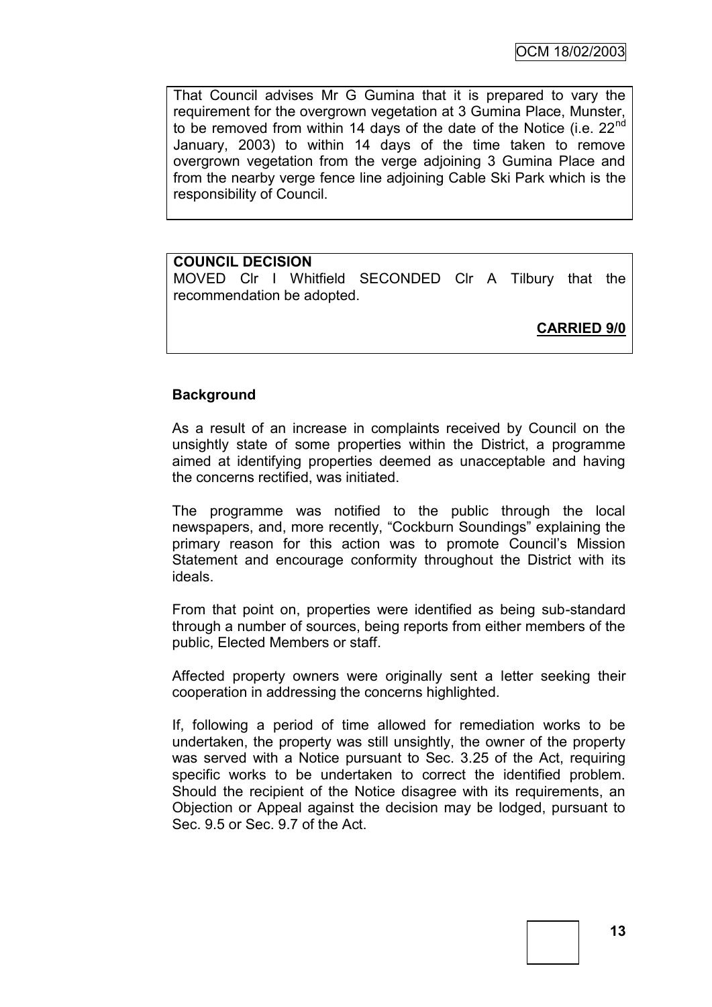That Council advises Mr G Gumina that it is prepared to vary the requirement for the overgrown vegetation at 3 Gumina Place, Munster, to be removed from within 14 days of the date of the Notice (i.e.  $22<sup>nd</sup>$ January, 2003) to within 14 days of the time taken to remove overgrown vegetation from the verge adjoining 3 Gumina Place and from the nearby verge fence line adjoining Cable Ski Park which is the responsibility of Council.

## **COUNCIL DECISION**

MOVED Clr I Whitfield SECONDED Clr A Tilbury that the recommendation be adopted.

**CARRIED 9/0**

## **Background**

As a result of an increase in complaints received by Council on the unsightly state of some properties within the District, a programme aimed at identifying properties deemed as unacceptable and having the concerns rectified, was initiated.

The programme was notified to the public through the local newspapers, and, more recently, "Cockburn Soundings" explaining the primary reason for this action was to promote Council"s Mission Statement and encourage conformity throughout the District with its ideals.

From that point on, properties were identified as being sub-standard through a number of sources, being reports from either members of the public, Elected Members or staff.

Affected property owners were originally sent a letter seeking their cooperation in addressing the concerns highlighted.

If, following a period of time allowed for remediation works to be undertaken, the property was still unsightly, the owner of the property was served with a Notice pursuant to Sec. 3.25 of the Act, requiring specific works to be undertaken to correct the identified problem. Should the recipient of the Notice disagree with its requirements, an Objection or Appeal against the decision may be lodged, pursuant to Sec. 9.5 or Sec. 9.7 of the Act.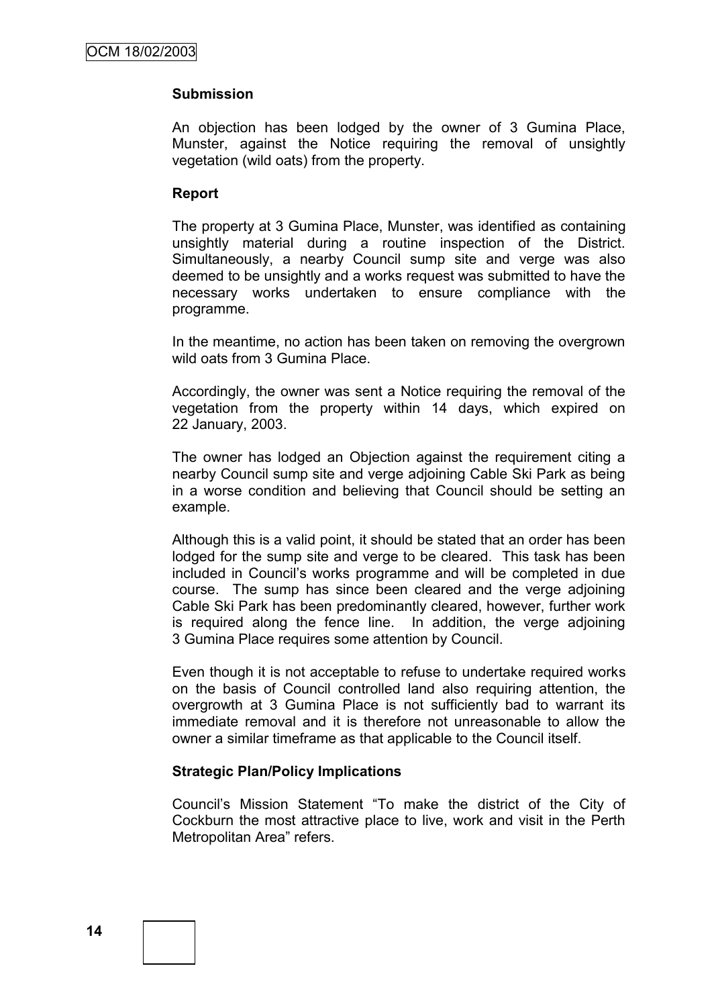## **Submission**

An objection has been lodged by the owner of 3 Gumina Place, Munster, against the Notice requiring the removal of unsightly vegetation (wild oats) from the property.

#### **Report**

The property at 3 Gumina Place, Munster, was identified as containing unsightly material during a routine inspection of the District. Simultaneously, a nearby Council sump site and verge was also deemed to be unsightly and a works request was submitted to have the necessary works undertaken to ensure compliance with the programme.

In the meantime, no action has been taken on removing the overgrown wild oats from 3 Gumina Place.

Accordingly, the owner was sent a Notice requiring the removal of the vegetation from the property within 14 days, which expired on 22 January, 2003.

The owner has lodged an Objection against the requirement citing a nearby Council sump site and verge adjoining Cable Ski Park as being in a worse condition and believing that Council should be setting an example.

Although this is a valid point, it should be stated that an order has been lodged for the sump site and verge to be cleared. This task has been included in Council"s works programme and will be completed in due course. The sump has since been cleared and the verge adjoining Cable Ski Park has been predominantly cleared, however, further work is required along the fence line. In addition, the verge adjoining 3 Gumina Place requires some attention by Council.

Even though it is not acceptable to refuse to undertake required works on the basis of Council controlled land also requiring attention, the overgrowth at 3 Gumina Place is not sufficiently bad to warrant its immediate removal and it is therefore not unreasonable to allow the owner a similar timeframe as that applicable to the Council itself.

## **Strategic Plan/Policy Implications**

Council"s Mission Statement "To make the district of the City of Cockburn the most attractive place to live, work and visit in the Perth Metropolitan Area" refers.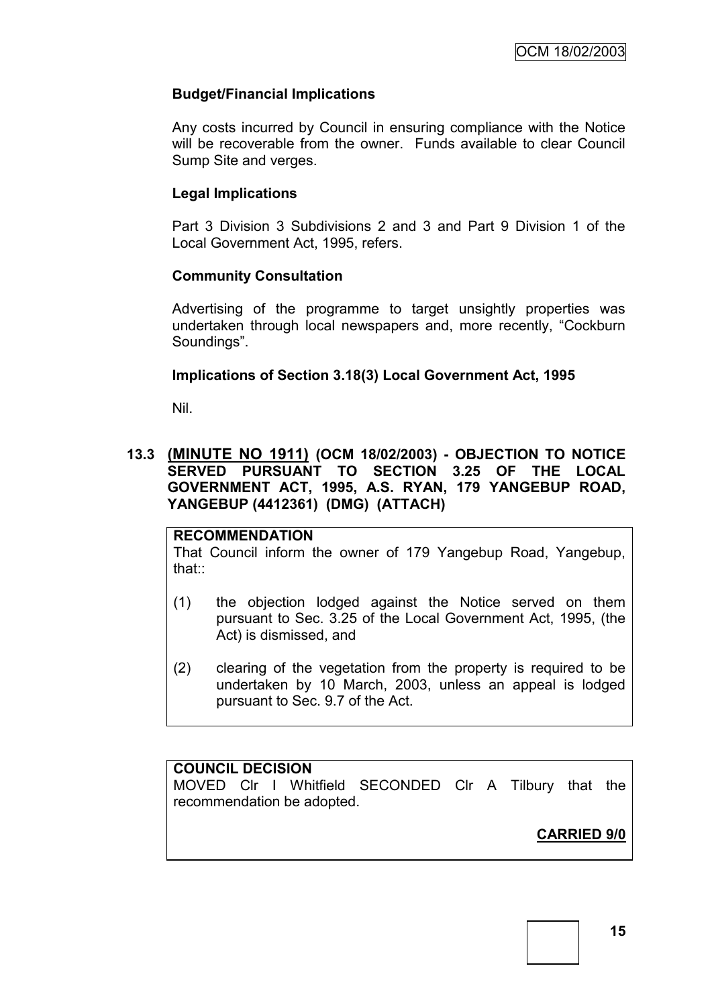## **Budget/Financial Implications**

Any costs incurred by Council in ensuring compliance with the Notice will be recoverable from the owner. Funds available to clear Council Sump Site and verges.

## **Legal Implications**

Part 3 Division 3 Subdivisions 2 and 3 and Part 9 Division 1 of the Local Government Act, 1995, refers.

## **Community Consultation**

Advertising of the programme to target unsightly properties was undertaken through local newspapers and, more recently, "Cockburn Soundings".

## **Implications of Section 3.18(3) Local Government Act, 1995**

Nil.

## **13.3 (MINUTE NO 1911) (OCM 18/02/2003) - OBJECTION TO NOTICE SERVED PURSUANT TO SECTION 3.25 OF THE LOCAL GOVERNMENT ACT, 1995, A.S. RYAN, 179 YANGEBUP ROAD, YANGEBUP (4412361) (DMG) (ATTACH)**

## **RECOMMENDATION**

That Council inform the owner of 179 Yangebup Road, Yangebup, that::

- (1) the objection lodged against the Notice served on them pursuant to Sec. 3.25 of the Local Government Act, 1995, (the Act) is dismissed, and
- (2) clearing of the vegetation from the property is required to be undertaken by 10 March, 2003, unless an appeal is lodged pursuant to Sec. 9.7 of the Act.

## **COUNCIL DECISION**

MOVED Clr I Whitfield SECONDED Clr A Tilbury that the recommendation be adopted.

**CARRIED 9/0**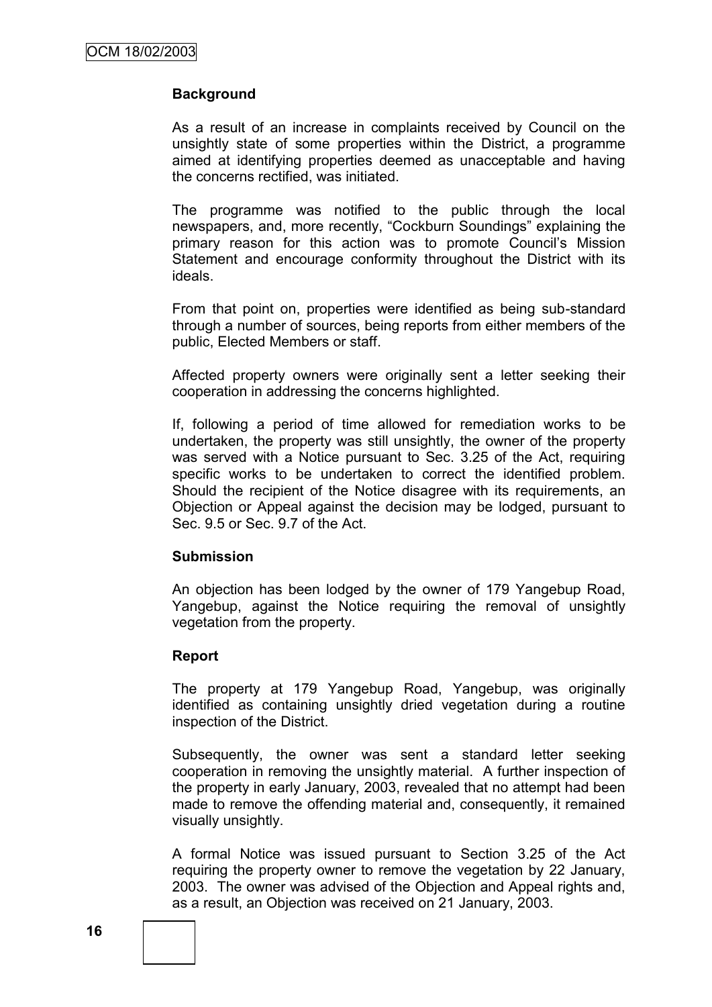## **Background**

As a result of an increase in complaints received by Council on the unsightly state of some properties within the District, a programme aimed at identifying properties deemed as unacceptable and having the concerns rectified, was initiated.

The programme was notified to the public through the local newspapers, and, more recently, "Cockburn Soundings" explaining the primary reason for this action was to promote Council"s Mission Statement and encourage conformity throughout the District with its ideals.

From that point on, properties were identified as being sub-standard through a number of sources, being reports from either members of the public, Elected Members or staff.

Affected property owners were originally sent a letter seeking their cooperation in addressing the concerns highlighted.

If, following a period of time allowed for remediation works to be undertaken, the property was still unsightly, the owner of the property was served with a Notice pursuant to Sec. 3.25 of the Act, requiring specific works to be undertaken to correct the identified problem. Should the recipient of the Notice disagree with its requirements, an Objection or Appeal against the decision may be lodged, pursuant to Sec. 9.5 or Sec. 9.7 of the Act.

#### **Submission**

An objection has been lodged by the owner of 179 Yangebup Road, Yangebup, against the Notice requiring the removal of unsightly vegetation from the property.

## **Report**

The property at 179 Yangebup Road, Yangebup, was originally identified as containing unsightly dried vegetation during a routine inspection of the District.

Subsequently, the owner was sent a standard letter seeking cooperation in removing the unsightly material. A further inspection of the property in early January, 2003, revealed that no attempt had been made to remove the offending material and, consequently, it remained visually unsightly.

A formal Notice was issued pursuant to Section 3.25 of the Act requiring the property owner to remove the vegetation by 22 January, 2003. The owner was advised of the Objection and Appeal rights and, as a result, an Objection was received on 21 January, 2003.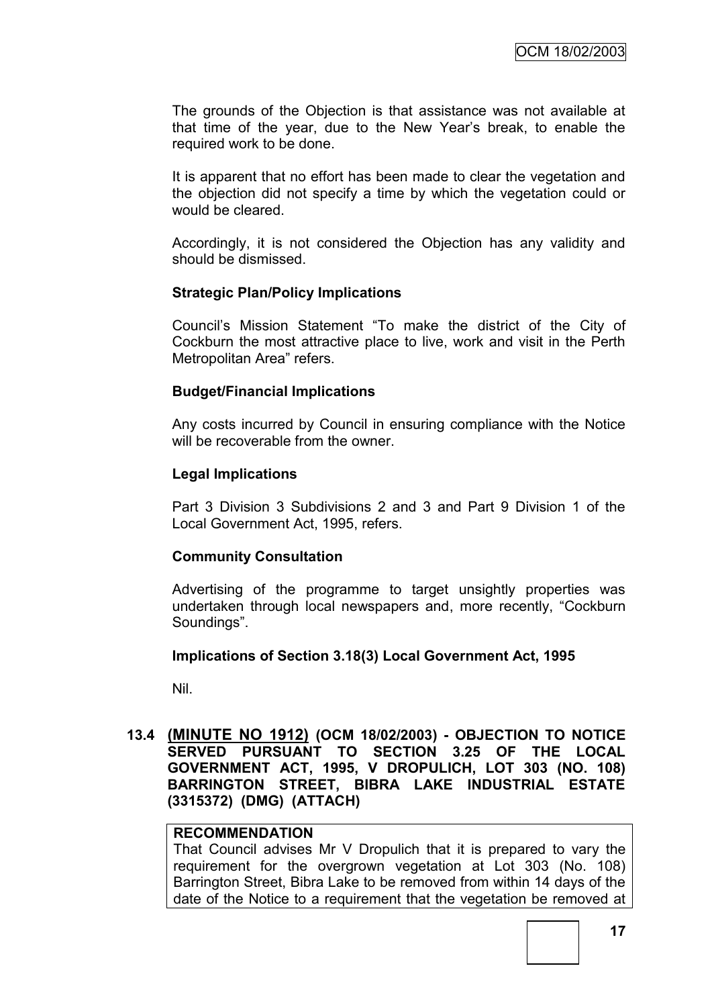The grounds of the Objection is that assistance was not available at that time of the year, due to the New Year"s break, to enable the required work to be done.

It is apparent that no effort has been made to clear the vegetation and the objection did not specify a time by which the vegetation could or would be cleared.

Accordingly, it is not considered the Objection has any validity and should be dismissed.

#### **Strategic Plan/Policy Implications**

Council"s Mission Statement "To make the district of the City of Cockburn the most attractive place to live, work and visit in the Perth Metropolitan Area" refers.

#### **Budget/Financial Implications**

Any costs incurred by Council in ensuring compliance with the Notice will be recoverable from the owner.

#### **Legal Implications**

Part 3 Division 3 Subdivisions 2 and 3 and Part 9 Division 1 of the Local Government Act, 1995, refers.

#### **Community Consultation**

Advertising of the programme to target unsightly properties was undertaken through local newspapers and, more recently, "Cockburn Soundings".

#### **Implications of Section 3.18(3) Local Government Act, 1995**

Nil.

#### **13.4 (MINUTE NO 1912) (OCM 18/02/2003) - OBJECTION TO NOTICE SERVED PURSUANT TO SECTION 3.25 OF THE LOCAL GOVERNMENT ACT, 1995, V DROPULICH, LOT 303 (NO. 108) BARRINGTON STREET, BIBRA LAKE INDUSTRIAL ESTATE (3315372) (DMG) (ATTACH)**

# **RECOMMENDATION**

That Council advises Mr V Dropulich that it is prepared to vary the requirement for the overgrown vegetation at Lot 303 (No. 108) Barrington Street, Bibra Lake to be removed from within 14 days of the date of the Notice to a requirement that the vegetation be removed at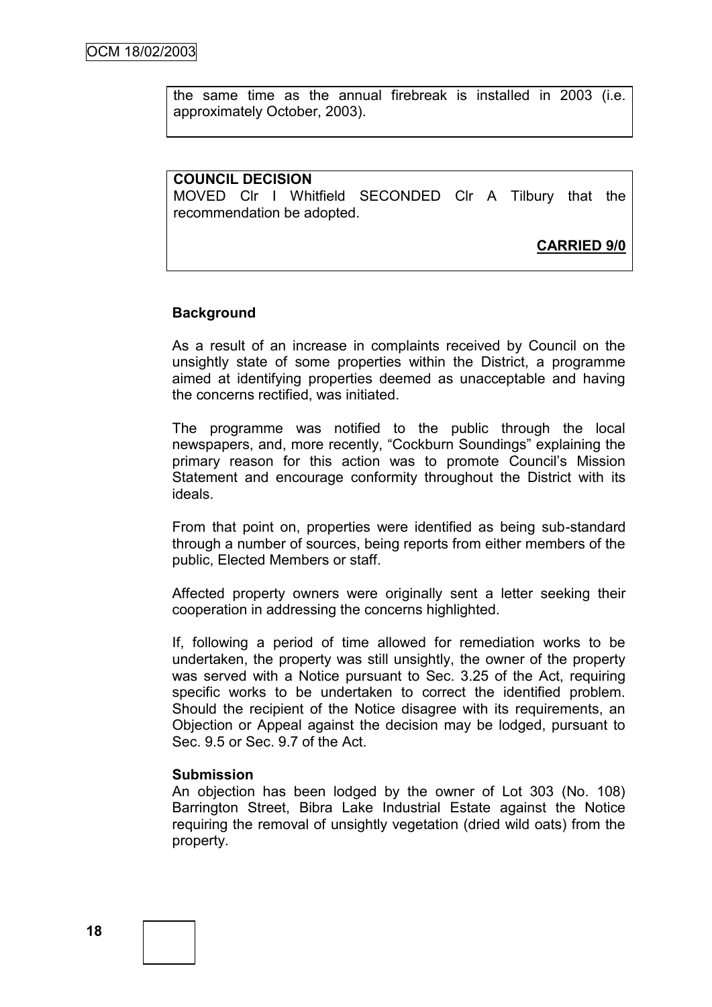the same time as the annual firebreak is installed in 2003 (i.e. approximately October, 2003).

#### **COUNCIL DECISION**

MOVED Clr I Whitfield SECONDED Clr A Tilbury that the recommendation be adopted.

**CARRIED 9/0**

#### **Background**

As a result of an increase in complaints received by Council on the unsightly state of some properties within the District, a programme aimed at identifying properties deemed as unacceptable and having the concerns rectified, was initiated.

The programme was notified to the public through the local newspapers, and, more recently, "Cockburn Soundings" explaining the primary reason for this action was to promote Council"s Mission Statement and encourage conformity throughout the District with its ideals.

From that point on, properties were identified as being sub-standard through a number of sources, being reports from either members of the public, Elected Members or staff.

Affected property owners were originally sent a letter seeking their cooperation in addressing the concerns highlighted.

If, following a period of time allowed for remediation works to be undertaken, the property was still unsightly, the owner of the property was served with a Notice pursuant to Sec. 3.25 of the Act, requiring specific works to be undertaken to correct the identified problem. Should the recipient of the Notice disagree with its requirements, an Objection or Appeal against the decision may be lodged, pursuant to Sec. 9.5 or Sec. 9.7 of the Act.

#### **Submission**

An objection has been lodged by the owner of Lot 303 (No. 108) Barrington Street, Bibra Lake Industrial Estate against the Notice requiring the removal of unsightly vegetation (dried wild oats) from the property.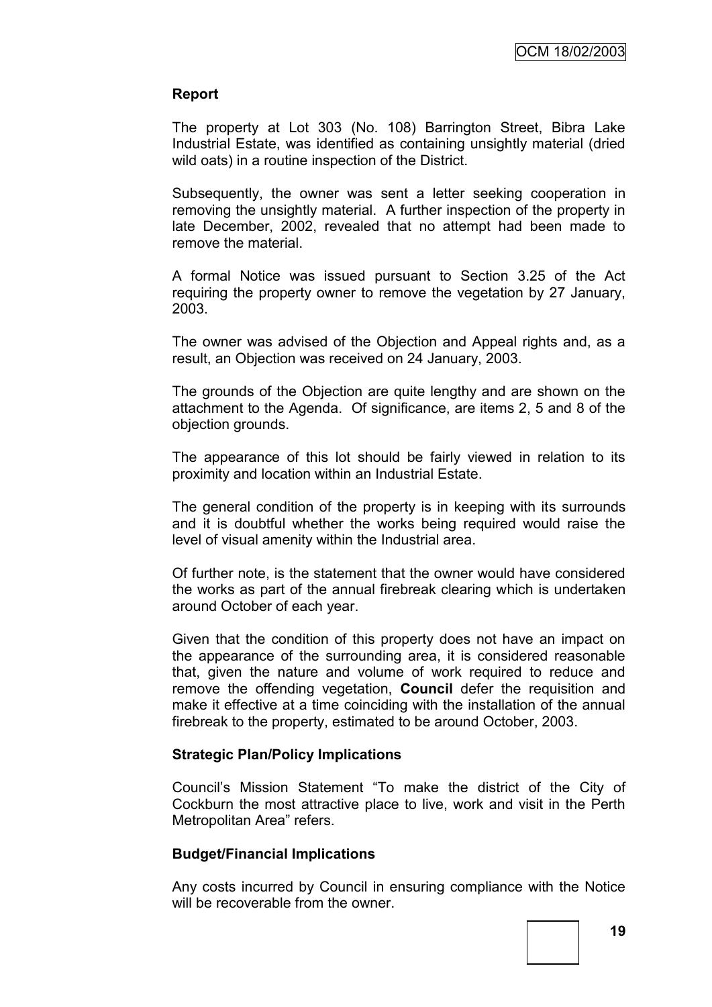## **Report**

The property at Lot 303 (No. 108) Barrington Street, Bibra Lake Industrial Estate, was identified as containing unsightly material (dried wild oats) in a routine inspection of the District.

Subsequently, the owner was sent a letter seeking cooperation in removing the unsightly material. A further inspection of the property in late December, 2002, revealed that no attempt had been made to remove the material.

A formal Notice was issued pursuant to Section 3.25 of the Act requiring the property owner to remove the vegetation by 27 January, 2003.

The owner was advised of the Objection and Appeal rights and, as a result, an Objection was received on 24 January, 2003.

The grounds of the Objection are quite lengthy and are shown on the attachment to the Agenda. Of significance, are items 2, 5 and 8 of the objection grounds.

The appearance of this lot should be fairly viewed in relation to its proximity and location within an Industrial Estate.

The general condition of the property is in keeping with its surrounds and it is doubtful whether the works being required would raise the level of visual amenity within the Industrial area.

Of further note, is the statement that the owner would have considered the works as part of the annual firebreak clearing which is undertaken around October of each year.

Given that the condition of this property does not have an impact on the appearance of the surrounding area, it is considered reasonable that, given the nature and volume of work required to reduce and remove the offending vegetation, **Council** defer the requisition and make it effective at a time coinciding with the installation of the annual firebreak to the property, estimated to be around October, 2003.

#### **Strategic Plan/Policy Implications**

Council"s Mission Statement "To make the district of the City of Cockburn the most attractive place to live, work and visit in the Perth Metropolitan Area" refers.

#### **Budget/Financial Implications**

Any costs incurred by Council in ensuring compliance with the Notice will be recoverable from the owner.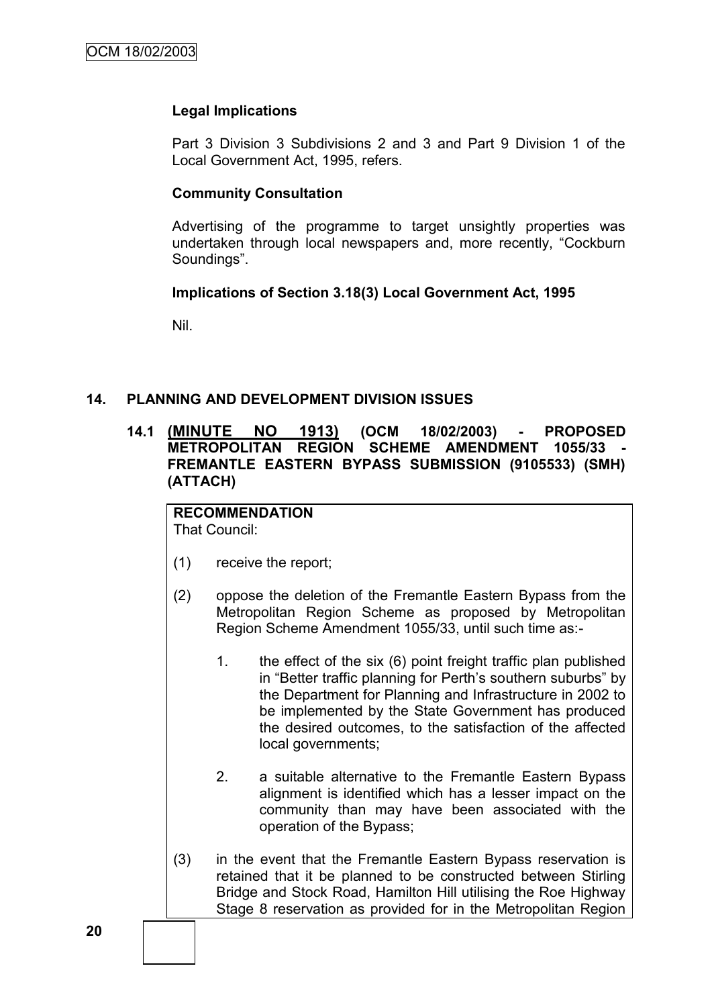#### **Legal Implications**

Part 3 Division 3 Subdivisions 2 and 3 and Part 9 Division 1 of the Local Government Act, 1995, refers.

#### **Community Consultation**

Advertising of the programme to target unsightly properties was undertaken through local newspapers and, more recently, "Cockburn Soundings".

#### **Implications of Section 3.18(3) Local Government Act, 1995**

Nil.

## **14. PLANNING AND DEVELOPMENT DIVISION ISSUES**

**14.1 (MINUTE NO 1913) (OCM 18/02/2003) - PROPOSED METROPOLITAN REGION SCHEME AMENDMENT 1055/33 FREMANTLE EASTERN BYPASS SUBMISSION (9105533) (SMH) (ATTACH)**

# **RECOMMENDATION**

That Council:

- (1) receive the report;
- (2) oppose the deletion of the Fremantle Eastern Bypass from the Metropolitan Region Scheme as proposed by Metropolitan Region Scheme Amendment 1055/33, until such time as:-
	- 1. the effect of the six (6) point freight traffic plan published in "Better traffic planning for Perth's southern suburbs" by the Department for Planning and Infrastructure in 2002 to be implemented by the State Government has produced the desired outcomes, to the satisfaction of the affected local governments;
	- 2. a suitable alternative to the Fremantle Eastern Bypass alignment is identified which has a lesser impact on the community than may have been associated with the operation of the Bypass;
- (3) in the event that the Fremantle Eastern Bypass reservation is retained that it be planned to be constructed between Stirling Bridge and Stock Road, Hamilton Hill utilising the Roe Highway Stage 8 reservation as provided for in the Metropolitan Region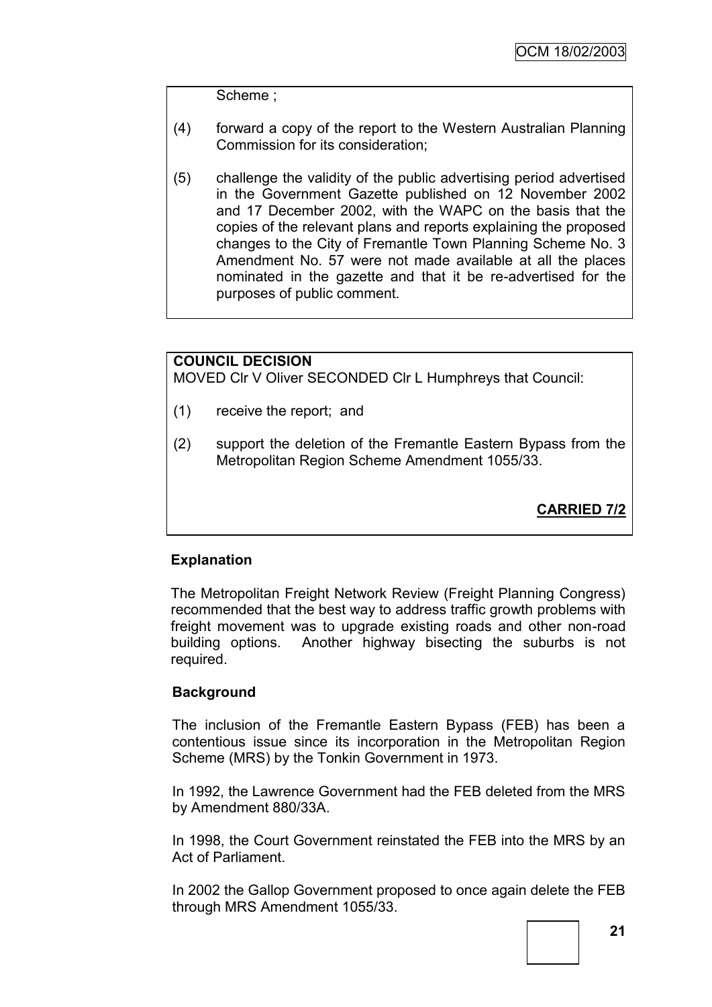Scheme ;

- (4) forward a copy of the report to the Western Australian Planning Commission for its consideration;
- (5) challenge the validity of the public advertising period advertised in the Government Gazette published on 12 November 2002 and 17 December 2002, with the WAPC on the basis that the copies of the relevant plans and reports explaining the proposed changes to the City of Fremantle Town Planning Scheme No. 3 Amendment No. 57 were not made available at all the places nominated in the gazette and that it be re-advertised for the purposes of public comment.

## **COUNCIL DECISION**

MOVED Clr V Oliver SECONDED Clr L Humphreys that Council:

- (1) receive the report; and
- (2) support the deletion of the Fremantle Eastern Bypass from the Metropolitan Region Scheme Amendment 1055/33.

**CARRIED 7/2**

# **Explanation**

The Metropolitan Freight Network Review (Freight Planning Congress) recommended that the best way to address traffic growth problems with freight movement was to upgrade existing roads and other non-road building options. Another highway bisecting the suburbs is not required.

## **Background**

The inclusion of the Fremantle Eastern Bypass (FEB) has been a contentious issue since its incorporation in the Metropolitan Region Scheme (MRS) by the Tonkin Government in 1973.

In 1992, the Lawrence Government had the FEB deleted from the MRS by Amendment 880/33A.

In 1998, the Court Government reinstated the FEB into the MRS by an Act of Parliament.

In 2002 the Gallop Government proposed to once again delete the FEB through MRS Amendment 1055/33.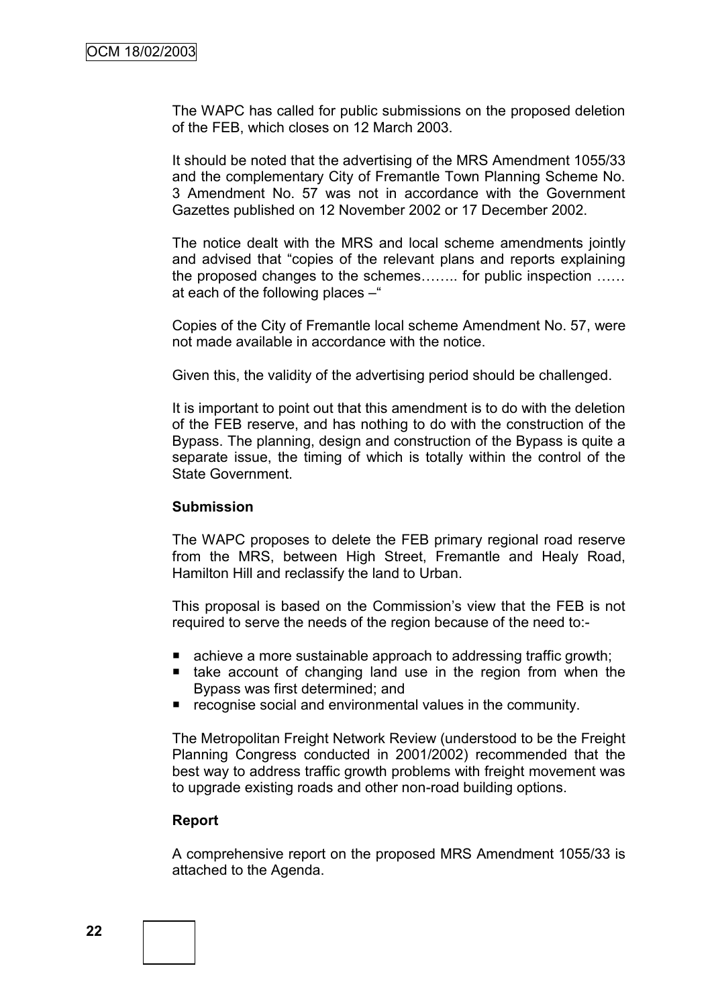The WAPC has called for public submissions on the proposed deletion of the FEB, which closes on 12 March 2003.

It should be noted that the advertising of the MRS Amendment 1055/33 and the complementary City of Fremantle Town Planning Scheme No. 3 Amendment No. 57 was not in accordance with the Government Gazettes published on 12 November 2002 or 17 December 2002.

The notice dealt with the MRS and local scheme amendments jointly and advised that "copies of the relevant plans and reports explaining the proposed changes to the schemes…….. for public inspection …… at each of the following places –"

Copies of the City of Fremantle local scheme Amendment No. 57, were not made available in accordance with the notice.

Given this, the validity of the advertising period should be challenged.

It is important to point out that this amendment is to do with the deletion of the FEB reserve, and has nothing to do with the construction of the Bypass. The planning, design and construction of the Bypass is quite a separate issue, the timing of which is totally within the control of the State Government.

#### **Submission**

The WAPC proposes to delete the FEB primary regional road reserve from the MRS, between High Street, Fremantle and Healy Road, Hamilton Hill and reclassify the land to Urban.

This proposal is based on the Commission"s view that the FEB is not required to serve the needs of the region because of the need to:-

- achieve a more sustainable approach to addressing traffic growth;
- $\blacksquare$  take account of changing land use in the region from when the Bypass was first determined; and
- **F** recognise social and environmental values in the community.

The Metropolitan Freight Network Review (understood to be the Freight Planning Congress conducted in 2001/2002) recommended that the best way to address traffic growth problems with freight movement was to upgrade existing roads and other non-road building options.

#### **Report**

A comprehensive report on the proposed MRS Amendment 1055/33 is attached to the Agenda.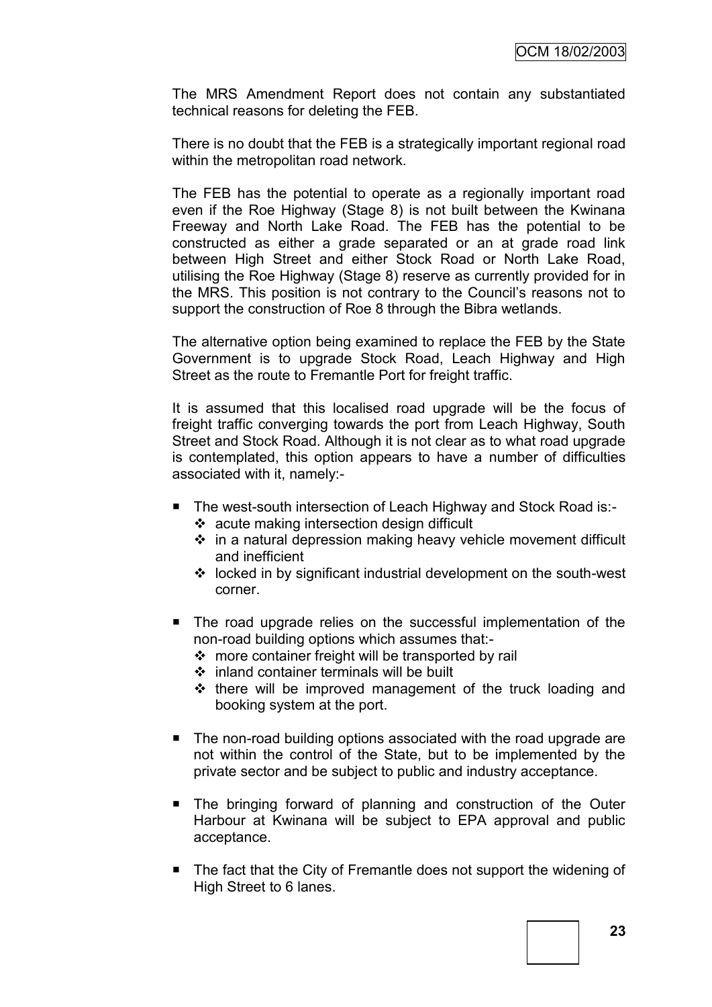The MRS Amendment Report does not contain any substantiated technical reasons for deleting the FEB.

There is no doubt that the FEB is a strategically important regional road within the metropolitan road network.

The FEB has the potential to operate as a regionally important road even if the Roe Highway (Stage 8) is not built between the Kwinana Freeway and North Lake Road. The FEB has the potential to be constructed as either a grade separated or an at grade road link between High Street and either Stock Road or North Lake Road, utilising the Roe Highway (Stage 8) reserve as currently provided for in the MRS. This position is not contrary to the Council"s reasons not to support the construction of Roe 8 through the Bibra wetlands.

The alternative option being examined to replace the FEB by the State Government is to upgrade Stock Road, Leach Highway and High Street as the route to Fremantle Port for freight traffic.

It is assumed that this localised road upgrade will be the focus of freight traffic converging towards the port from Leach Highway, South Street and Stock Road. Although it is not clear as to what road upgrade is contemplated, this option appears to have a number of difficulties associated with it, namely:-

- The west-south intersection of Leach Highway and Stock Road is:
	- acute making intersection design difficult
	- $\div$  in a natural depression making heavy vehicle movement difficult and inefficient
	- $\cdot$  locked in by significant industrial development on the south-west corner.
- The road upgrade relies on the successful implementation of the non-road building options which assumes that:-
	- $\cdot$  more container freight will be transported by rail
	- $\div$  inland container terminals will be built
	- $\div$  there will be improved management of the truck loading and booking system at the port.
- The non-road building options associated with the road upgrade are not within the control of the State, but to be implemented by the private sector and be subject to public and industry acceptance.
- The bringing forward of planning and construction of the Outer Harbour at Kwinana will be subject to EPA approval and public acceptance.
- The fact that the City of Fremantle does not support the widening of High Street to 6 lanes.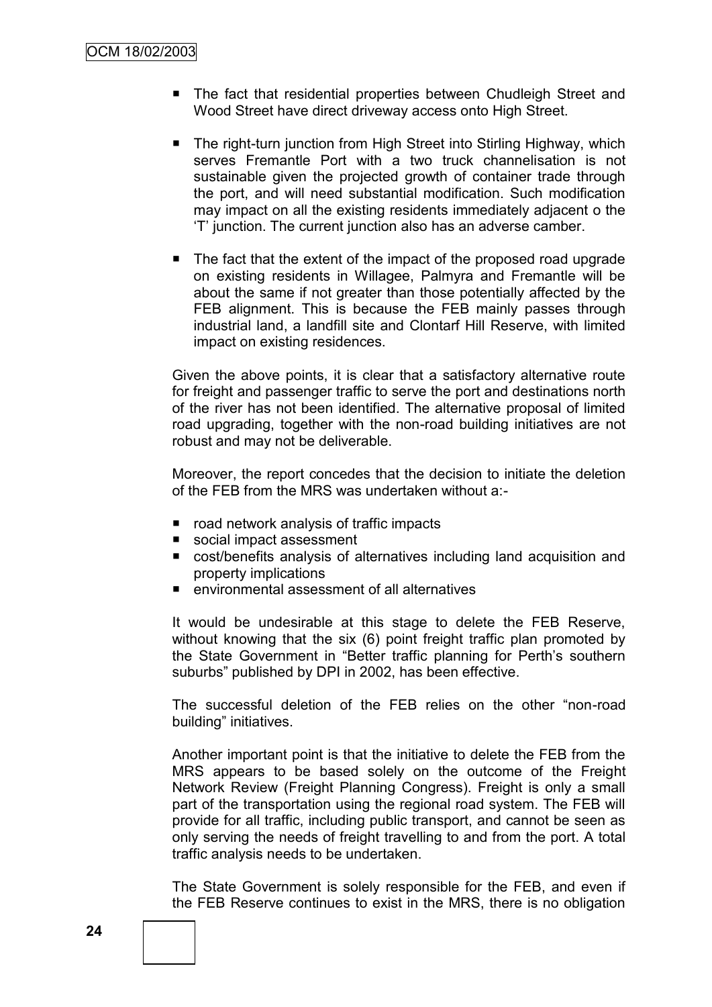- The fact that residential properties between Chudleigh Street and Wood Street have direct driveway access onto High Street.
- The right-turn junction from High Street into Stirling Highway, which serves Fremantle Port with a two truck channelisation is not sustainable given the projected growth of container trade through the port, and will need substantial modification. Such modification may impact on all the existing residents immediately adjacent o the "T" junction. The current junction also has an adverse camber.
- The fact that the extent of the impact of the proposed road upgrade on existing residents in Willagee, Palmyra and Fremantle will be about the same if not greater than those potentially affected by the FEB alignment. This is because the FEB mainly passes through industrial land, a landfill site and Clontarf Hill Reserve, with limited impact on existing residences.

Given the above points, it is clear that a satisfactory alternative route for freight and passenger traffic to serve the port and destinations north of the river has not been identified. The alternative proposal of limited road upgrading, together with the non-road building initiatives are not robust and may not be deliverable.

Moreover, the report concedes that the decision to initiate the deletion of the FEB from the MRS was undertaken without a:-

- road network analysis of traffic impacts
- social impact assessment
- cost/benefits analysis of alternatives including land acquisition and property implications
- environmental assessment of all alternatives

It would be undesirable at this stage to delete the FEB Reserve, without knowing that the six (6) point freight traffic plan promoted by the State Government in "Better traffic planning for Perth's southern suburbs" published by DPI in 2002, has been effective.

The successful deletion of the FEB relies on the other "non-road building" initiatives.

Another important point is that the initiative to delete the FEB from the MRS appears to be based solely on the outcome of the Freight Network Review (Freight Planning Congress). Freight is only a small part of the transportation using the regional road system. The FEB will provide for all traffic, including public transport, and cannot be seen as only serving the needs of freight travelling to and from the port. A total traffic analysis needs to be undertaken.

The State Government is solely responsible for the FEB, and even if the FEB Reserve continues to exist in the MRS, there is no obligation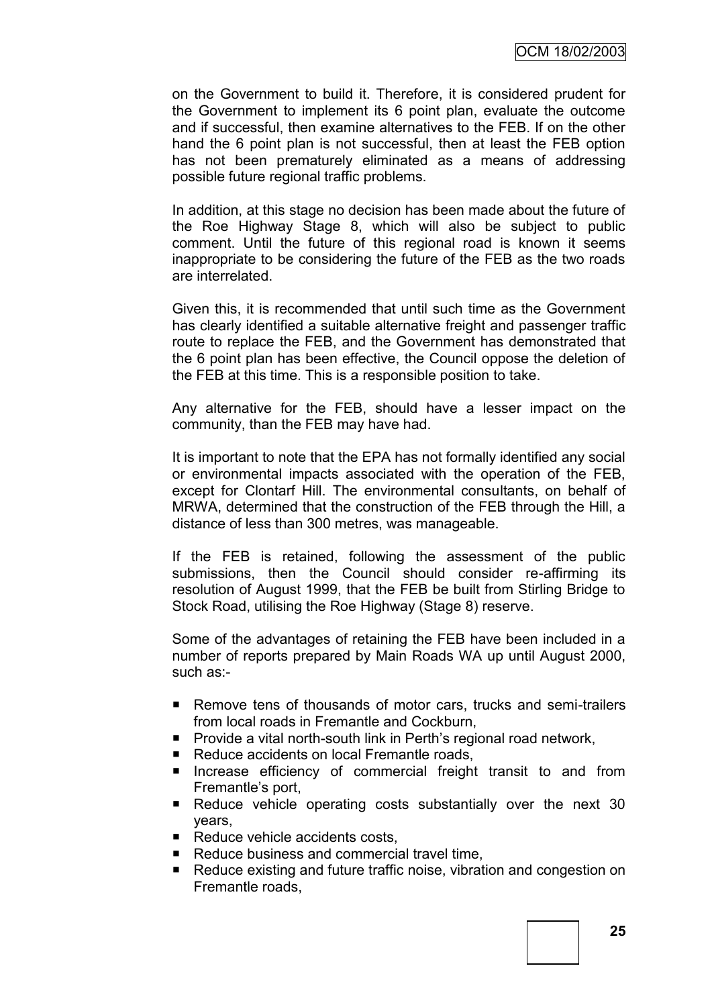on the Government to build it. Therefore, it is considered prudent for the Government to implement its 6 point plan, evaluate the outcome and if successful, then examine alternatives to the FEB. If on the other hand the 6 point plan is not successful, then at least the FEB option has not been prematurely eliminated as a means of addressing possible future regional traffic problems.

In addition, at this stage no decision has been made about the future of the Roe Highway Stage 8, which will also be subject to public comment. Until the future of this regional road is known it seems inappropriate to be considering the future of the FEB as the two roads are interrelated.

Given this, it is recommended that until such time as the Government has clearly identified a suitable alternative freight and passenger traffic route to replace the FEB, and the Government has demonstrated that the 6 point plan has been effective, the Council oppose the deletion of the FEB at this time. This is a responsible position to take.

Any alternative for the FEB, should have a lesser impact on the community, than the FEB may have had.

It is important to note that the EPA has not formally identified any social or environmental impacts associated with the operation of the FEB, except for Clontarf Hill. The environmental consultants, on behalf of MRWA, determined that the construction of the FEB through the Hill, a distance of less than 300 metres, was manageable.

If the FEB is retained, following the assessment of the public submissions, then the Council should consider re-affirming its resolution of August 1999, that the FEB be built from Stirling Bridge to Stock Road, utilising the Roe Highway (Stage 8) reserve.

Some of the advantages of retaining the FEB have been included in a number of reports prepared by Main Roads WA up until August 2000, such as:-

- Remove tens of thousands of motor cars, trucks and semi-trailers from local roads in Fremantle and Cockburn,
- **Provide a vital north-south link in Perth's regional road network,**
- Reduce accidents on local Fremantle roads,
- **Increase efficiency of commercial freight transit to and from** Fremantle"s port,
- Reduce vehicle operating costs substantially over the next 30 years,
- Reduce vehicle accidents costs,
- Reduce business and commercial travel time,
- Reduce existing and future traffic noise, vibration and congestion on Fremantle roads,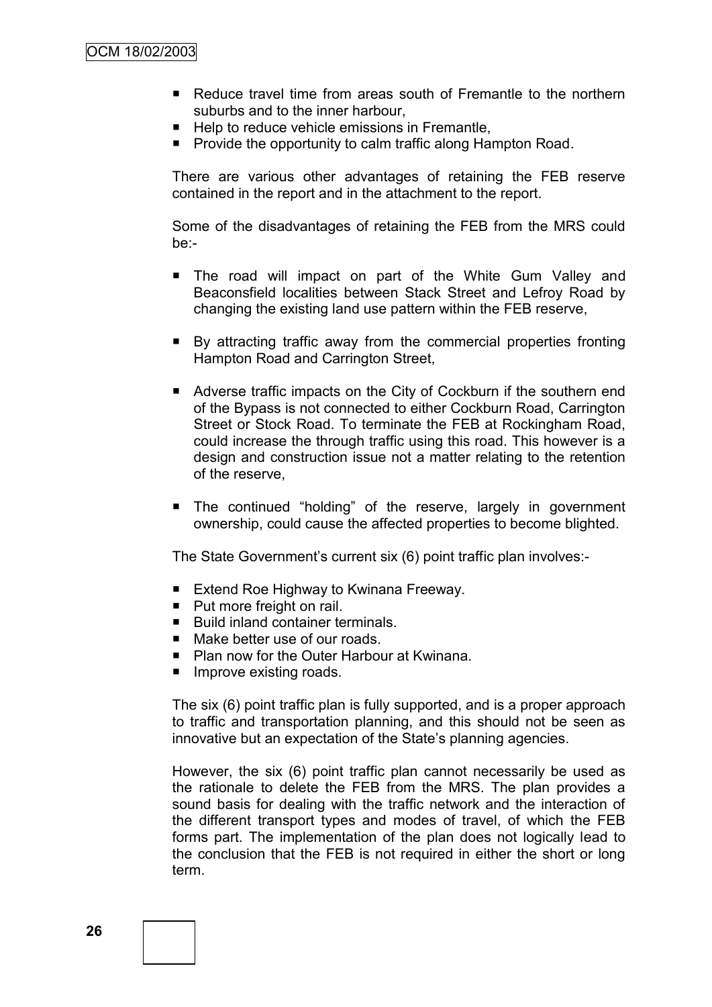- Reduce travel time from areas south of Fremantle to the northern suburbs and to the inner harbour,
- Help to reduce vehicle emissions in Fremantle,
- **Provide the opportunity to calm traffic along Hampton Road.**

There are various other advantages of retaining the FEB reserve contained in the report and in the attachment to the report.

Some of the disadvantages of retaining the FEB from the MRS could be:-

- The road will impact on part of the White Gum Valley and Beaconsfield localities between Stack Street and Lefroy Road by changing the existing land use pattern within the FEB reserve,
- By attracting traffic away from the commercial properties fronting Hampton Road and Carrington Street,
- Adverse traffic impacts on the City of Cockburn if the southern end of the Bypass is not connected to either Cockburn Road, Carrington Street or Stock Road. To terminate the FEB at Rockingham Road, could increase the through traffic using this road. This however is a design and construction issue not a matter relating to the retention of the reserve,
- **The continued "holding" of the reserve, largely in government** ownership, could cause the affected properties to become blighted.

The State Government"s current six (6) point traffic plan involves:-

- Extend Roe Highway to Kwinana Freeway.
- Put more freight on rail.
- Build inland container terminals.
- Make better use of our roads
- Plan now for the Outer Harbour at Kwinana.
- $\blacksquare$  Improve existing roads.

The six (6) point traffic plan is fully supported, and is a proper approach to traffic and transportation planning, and this should not be seen as innovative but an expectation of the State's planning agencies.

However, the six (6) point traffic plan cannot necessarily be used as the rationale to delete the FEB from the MRS. The plan provides a sound basis for dealing with the traffic network and the interaction of the different transport types and modes of travel, of which the FEB forms part. The implementation of the plan does not logically lead to the conclusion that the FEB is not required in either the short or long term.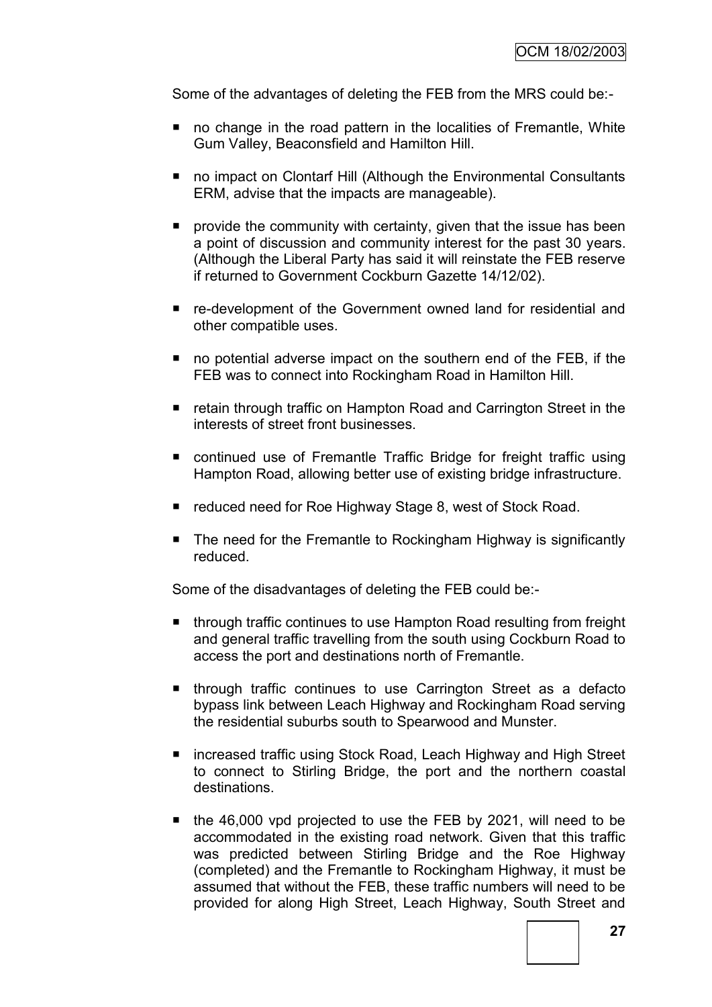Some of the advantages of deleting the FEB from the MRS could be:-

- no change in the road pattern in the localities of Fremantle, White Gum Valley, Beaconsfield and Hamilton Hill.
- no impact on Clontarf Hill (Although the Environmental Consultants ERM, advise that the impacts are manageable).
- **P** provide the community with certainty, given that the issue has been a point of discussion and community interest for the past 30 years. (Although the Liberal Party has said it will reinstate the FEB reserve if returned to Government Cockburn Gazette 14/12/02).
- re-development of the Government owned land for residential and other compatible uses.
- no potential adverse impact on the southern end of the FEB, if the FEB was to connect into Rockingham Road in Hamilton Hill.
- retain through traffic on Hampton Road and Carrington Street in the interests of street front businesses.
- continued use of Fremantle Traffic Bridge for freight traffic using Hampton Road, allowing better use of existing bridge infrastructure.
- reduced need for Roe Highway Stage 8, west of Stock Road.
- The need for the Fremantle to Rockingham Highway is significantly reduced.

Some of the disadvantages of deleting the FEB could be:-

- through traffic continues to use Hampton Road resulting from freight and general traffic travelling from the south using Cockburn Road to access the port and destinations north of Fremantle.
- **Inter-** through traffic continues to use Carrington Street as a defacto bypass link between Leach Highway and Rockingham Road serving the residential suburbs south to Spearwood and Munster.
- increased traffic using Stock Road, Leach Highway and High Street to connect to Stirling Bridge, the port and the northern coastal destinations.
- the 46,000 vpd projected to use the FEB by 2021, will need to be accommodated in the existing road network. Given that this traffic was predicted between Stirling Bridge and the Roe Highway (completed) and the Fremantle to Rockingham Highway, it must be assumed that without the FEB, these traffic numbers will need to be provided for along High Street, Leach Highway, South Street and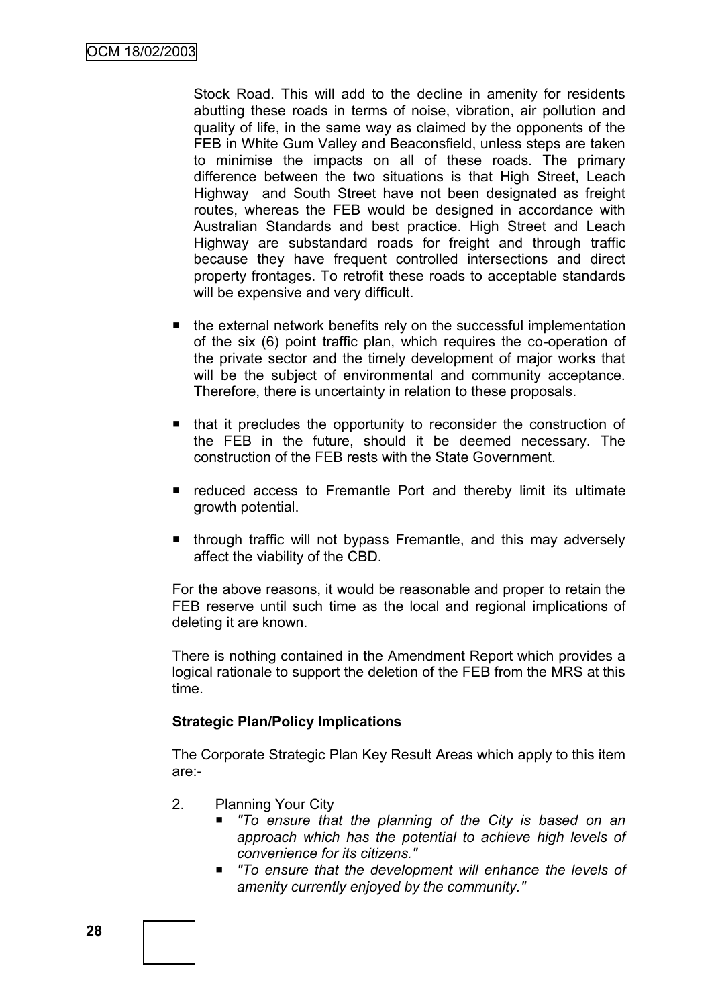Stock Road. This will add to the decline in amenity for residents abutting these roads in terms of noise, vibration, air pollution and quality of life, in the same way as claimed by the opponents of the FEB in White Gum Valley and Beaconsfield, unless steps are taken to minimise the impacts on all of these roads. The primary difference between the two situations is that High Street, Leach Highway and South Street have not been designated as freight routes, whereas the FEB would be designed in accordance with Australian Standards and best practice. High Street and Leach Highway are substandard roads for freight and through traffic because they have frequent controlled intersections and direct property frontages. To retrofit these roads to acceptable standards will be expensive and very difficult.

- $\blacksquare$  the external network benefits rely on the successful implementation of the six (6) point traffic plan, which requires the co-operation of the private sector and the timely development of major works that will be the subject of environmental and community acceptance. Therefore, there is uncertainty in relation to these proposals.
- that it precludes the opportunity to reconsider the construction of the FEB in the future, should it be deemed necessary. The construction of the FEB rests with the State Government.
- **F** reduced access to Fremantle Port and thereby limit its ultimate growth potential.
- **through traffic will not bypass Fremantle, and this may adversely** affect the viability of the CBD.

For the above reasons, it would be reasonable and proper to retain the FEB reserve until such time as the local and regional implications of deleting it are known.

There is nothing contained in the Amendment Report which provides a logical rationale to support the deletion of the FEB from the MRS at this time.

## **Strategic Plan/Policy Implications**

The Corporate Strategic Plan Key Result Areas which apply to this item are:-

- 2. Planning Your City
	- *"To ensure that the planning of the City is based on an approach which has the potential to achieve high levels of convenience for its citizens."*
	- *"To ensure that the development will enhance the levels of amenity currently enjoyed by the community."*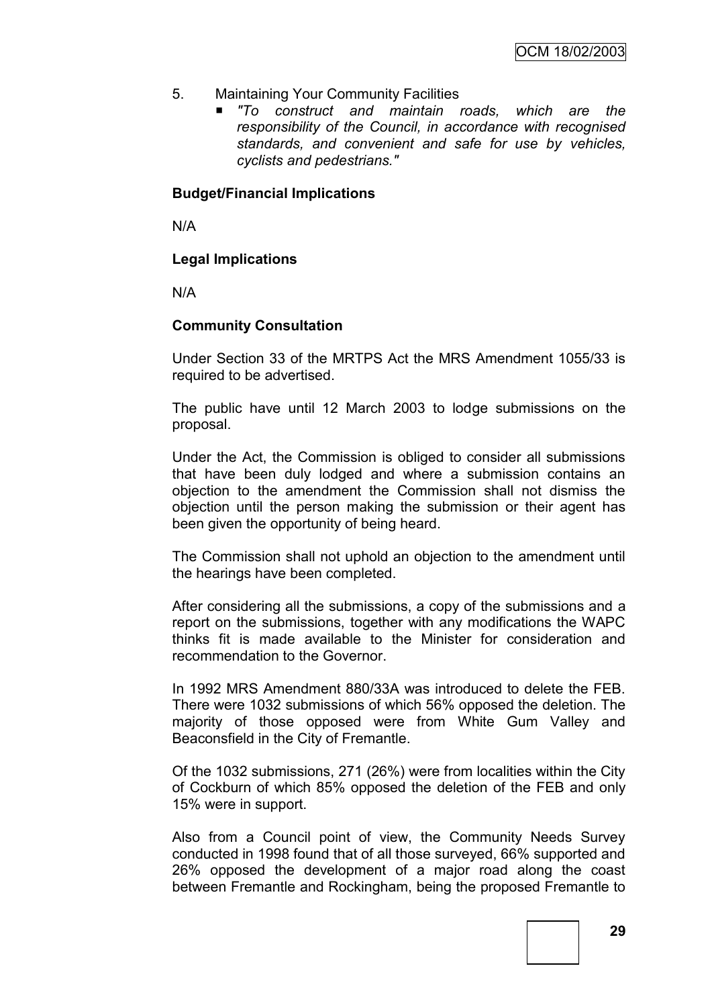- 5. Maintaining Your Community Facilities
	- *"To construct and maintain roads, which are the responsibility of the Council, in accordance with recognised standards, and convenient and safe for use by vehicles, cyclists and pedestrians."*

#### **Budget/Financial Implications**

N/A

## **Legal Implications**

N/A

## **Community Consultation**

Under Section 33 of the MRTPS Act the MRS Amendment 1055/33 is required to be advertised.

The public have until 12 March 2003 to lodge submissions on the proposal.

Under the Act, the Commission is obliged to consider all submissions that have been duly lodged and where a submission contains an objection to the amendment the Commission shall not dismiss the objection until the person making the submission or their agent has been given the opportunity of being heard.

The Commission shall not uphold an objection to the amendment until the hearings have been completed.

After considering all the submissions, a copy of the submissions and a report on the submissions, together with any modifications the WAPC thinks fit is made available to the Minister for consideration and recommendation to the Governor.

In 1992 MRS Amendment 880/33A was introduced to delete the FEB. There were 1032 submissions of which 56% opposed the deletion. The majority of those opposed were from White Gum Valley and Beaconsfield in the City of Fremantle.

Of the 1032 submissions, 271 (26%) were from localities within the City of Cockburn of which 85% opposed the deletion of the FEB and only 15% were in support.

Also from a Council point of view, the Community Needs Survey conducted in 1998 found that of all those surveyed, 66% supported and 26% opposed the development of a major road along the coast between Fremantle and Rockingham, being the proposed Fremantle to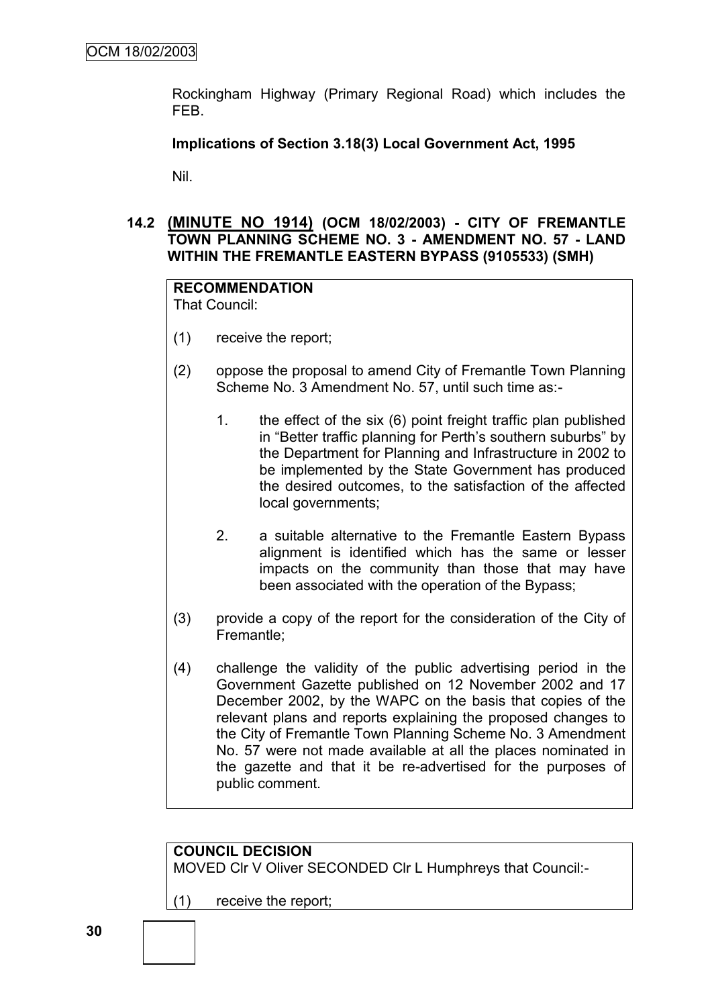Rockingham Highway (Primary Regional Road) which includes the FEB.

#### **Implications of Section 3.18(3) Local Government Act, 1995**

Nil.

## **14.2 (MINUTE NO 1914) (OCM 18/02/2003) - CITY OF FREMANTLE TOWN PLANNING SCHEME NO. 3 - AMENDMENT NO. 57 - LAND WITHIN THE FREMANTLE EASTERN BYPASS (9105533) (SMH)**

# **RECOMMENDATION**

That Council:

- (1) receive the report;
- (2) oppose the proposal to amend City of Fremantle Town Planning Scheme No. 3 Amendment No. 57, until such time as:-
	- 1. the effect of the six (6) point freight traffic plan published in "Better traffic planning for Perth's southern suburbs" by the Department for Planning and Infrastructure in 2002 to be implemented by the State Government has produced the desired outcomes, to the satisfaction of the affected local governments;
	- 2. a suitable alternative to the Fremantle Eastern Bypass alignment is identified which has the same or lesser impacts on the community than those that may have been associated with the operation of the Bypass;
- (3) provide a copy of the report for the consideration of the City of Fremantle;
- (4) challenge the validity of the public advertising period in the Government Gazette published on 12 November 2002 and 17 December 2002, by the WAPC on the basis that copies of the relevant plans and reports explaining the proposed changes to the City of Fremantle Town Planning Scheme No. 3 Amendment No. 57 were not made available at all the places nominated in the gazette and that it be re-advertised for the purposes of public comment.



(1) receive the report;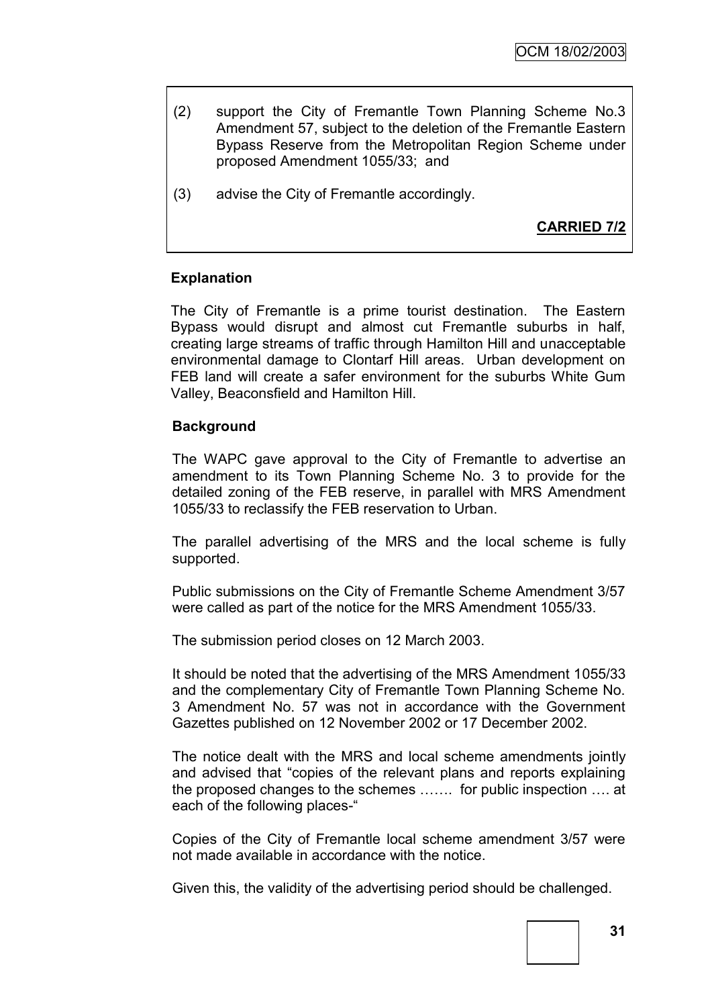- (2) support the City of Fremantle Town Planning Scheme No.3 Amendment 57, subject to the deletion of the Fremantle Eastern Bypass Reserve from the Metropolitan Region Scheme under proposed Amendment 1055/33; and
- (3) advise the City of Fremantle accordingly.

**CARRIED 7/2**

## **Explanation**

The City of Fremantle is a prime tourist destination. The Eastern Bypass would disrupt and almost cut Fremantle suburbs in half, creating large streams of traffic through Hamilton Hill and unacceptable environmental damage to Clontarf Hill areas. Urban development on FEB land will create a safer environment for the suburbs White Gum Valley, Beaconsfield and Hamilton Hill.

#### **Background**

The WAPC gave approval to the City of Fremantle to advertise an amendment to its Town Planning Scheme No. 3 to provide for the detailed zoning of the FEB reserve, in parallel with MRS Amendment 1055/33 to reclassify the FEB reservation to Urban.

The parallel advertising of the MRS and the local scheme is fully supported.

Public submissions on the City of Fremantle Scheme Amendment 3/57 were called as part of the notice for the MRS Amendment 1055/33.

The submission period closes on 12 March 2003.

It should be noted that the advertising of the MRS Amendment 1055/33 and the complementary City of Fremantle Town Planning Scheme No. 3 Amendment No. 57 was not in accordance with the Government Gazettes published on 12 November 2002 or 17 December 2002.

The notice dealt with the MRS and local scheme amendments jointly and advised that "copies of the relevant plans and reports explaining the proposed changes to the schemes ……. for public inspection …. at each of the following places-"

Copies of the City of Fremantle local scheme amendment 3/57 were not made available in accordance with the notice.

Given this, the validity of the advertising period should be challenged.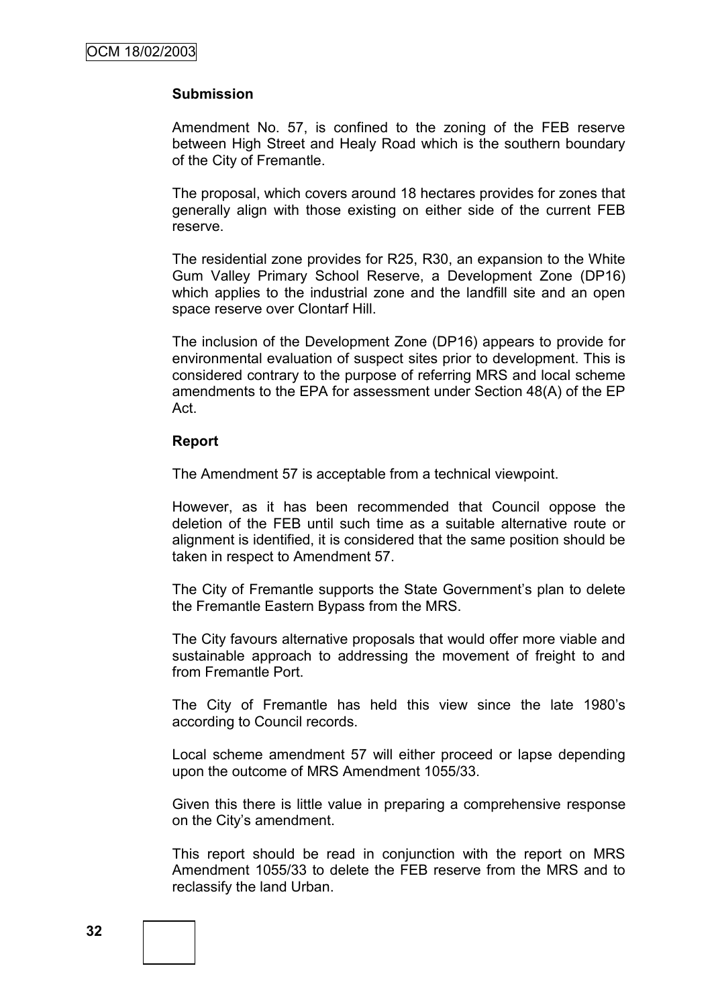#### **Submission**

Amendment No. 57, is confined to the zoning of the FEB reserve between High Street and Healy Road which is the southern boundary of the City of Fremantle.

The proposal, which covers around 18 hectares provides for zones that generally align with those existing on either side of the current FEB reserve.

The residential zone provides for R25, R30, an expansion to the White Gum Valley Primary School Reserve, a Development Zone (DP16) which applies to the industrial zone and the landfill site and an open space reserve over Clontarf Hill.

The inclusion of the Development Zone (DP16) appears to provide for environmental evaluation of suspect sites prior to development. This is considered contrary to the purpose of referring MRS and local scheme amendments to the EPA for assessment under Section 48(A) of the EP Act.

#### **Report**

The Amendment 57 is acceptable from a technical viewpoint.

However, as it has been recommended that Council oppose the deletion of the FEB until such time as a suitable alternative route or alignment is identified, it is considered that the same position should be taken in respect to Amendment 57.

The City of Fremantle supports the State Government"s plan to delete the Fremantle Eastern Bypass from the MRS.

The City favours alternative proposals that would offer more viable and sustainable approach to addressing the movement of freight to and from Fremantle Port.

The City of Fremantle has held this view since the late 1980"s according to Council records.

Local scheme amendment 57 will either proceed or lapse depending upon the outcome of MRS Amendment 1055/33.

Given this there is little value in preparing a comprehensive response on the City"s amendment.

This report should be read in conjunction with the report on MRS Amendment 1055/33 to delete the FEB reserve from the MRS and to reclassify the land Urban.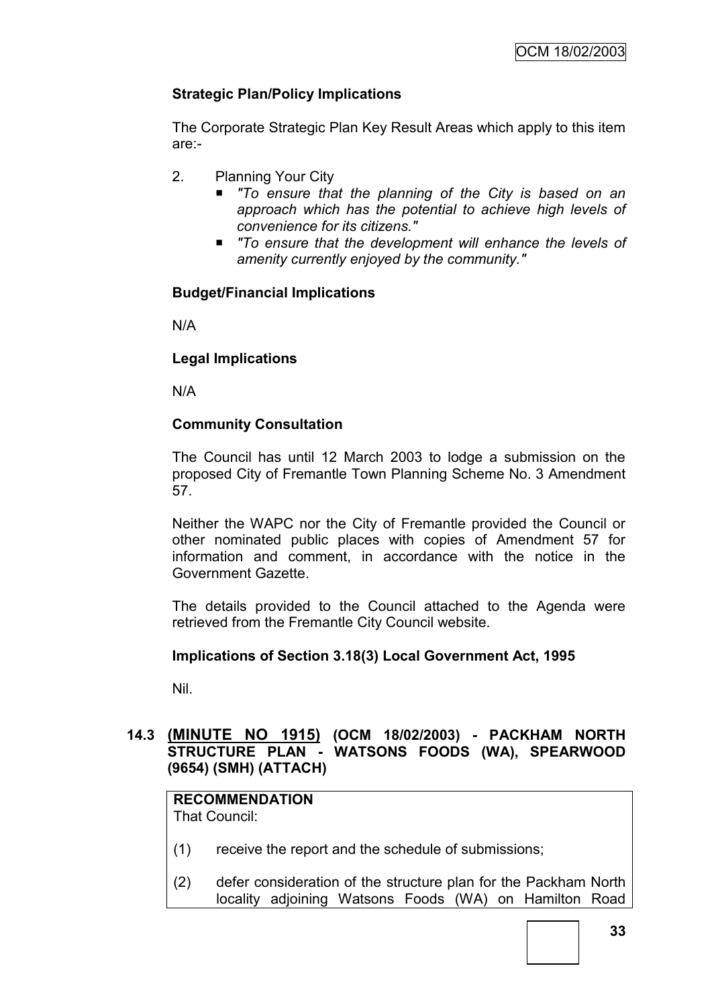## **Strategic Plan/Policy Implications**

The Corporate Strategic Plan Key Result Areas which apply to this item are:-

- 2. Planning Your City
	- *"To ensure that the planning of the City is based on an approach which has the potential to achieve high levels of convenience for its citizens."*
	- To ensure that the development will enhance the levels of *amenity currently enjoyed by the community."*

## **Budget/Financial Implications**

N/A

#### **Legal Implications**

N/A

## **Community Consultation**

The Council has until 12 March 2003 to lodge a submission on the proposed City of Fremantle Town Planning Scheme No. 3 Amendment 57.

Neither the WAPC nor the City of Fremantle provided the Council or other nominated public places with copies of Amendment 57 for information and comment, in accordance with the notice in the Government Gazette.

The details provided to the Council attached to the Agenda were retrieved from the Fremantle City Council website.

#### **Implications of Section 3.18(3) Local Government Act, 1995**

Nil.

#### **14.3 (MINUTE NO 1915) (OCM 18/02/2003) - PACKHAM NORTH STRUCTURE PLAN - WATSONS FOODS (WA), SPEARWOOD (9654) (SMH) (ATTACH)**

# **RECOMMENDATION**

That Council:

- (1) receive the report and the schedule of submissions;
- (2) defer consideration of the structure plan for the Packham North locality adjoining Watsons Foods (WA) on Hamilton Road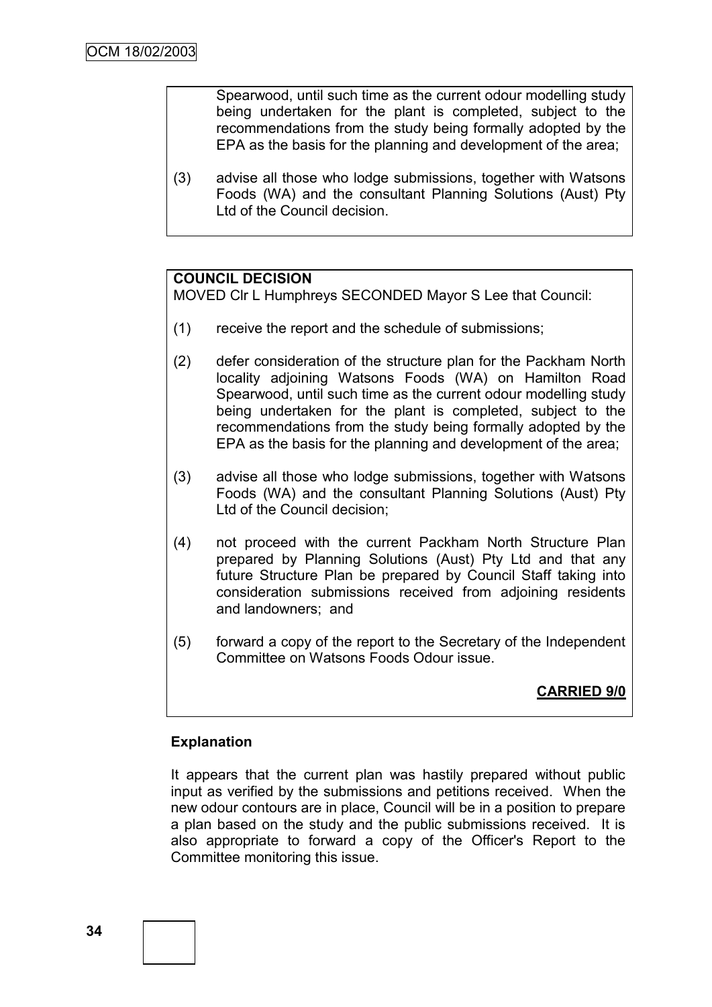Spearwood, until such time as the current odour modelling study being undertaken for the plant is completed, subject to the recommendations from the study being formally adopted by the EPA as the basis for the planning and development of the area;

(3) advise all those who lodge submissions, together with Watsons Foods (WA) and the consultant Planning Solutions (Aust) Pty Ltd of the Council decision.

#### **COUNCIL DECISION**

MOVED Clr L Humphreys SECONDED Mayor S Lee that Council:

- (1) receive the report and the schedule of submissions;
- (2) defer consideration of the structure plan for the Packham North locality adjoining Watsons Foods (WA) on Hamilton Road Spearwood, until such time as the current odour modelling study being undertaken for the plant is completed, subject to the recommendations from the study being formally adopted by the EPA as the basis for the planning and development of the area;
- (3) advise all those who lodge submissions, together with Watsons Foods (WA) and the consultant Planning Solutions (Aust) Pty Ltd of the Council decision;
- (4) not proceed with the current Packham North Structure Plan prepared by Planning Solutions (Aust) Pty Ltd and that any future Structure Plan be prepared by Council Staff taking into consideration submissions received from adjoining residents and landowners; and
- (5) forward a copy of the report to the Secretary of the Independent Committee on Watsons Foods Odour issue.

# **CARRIED 9/0**

#### **Explanation**

It appears that the current plan was hastily prepared without public input as verified by the submissions and petitions received. When the new odour contours are in place, Council will be in a position to prepare a plan based on the study and the public submissions received. It is also appropriate to forward a copy of the Officer's Report to the Committee monitoring this issue.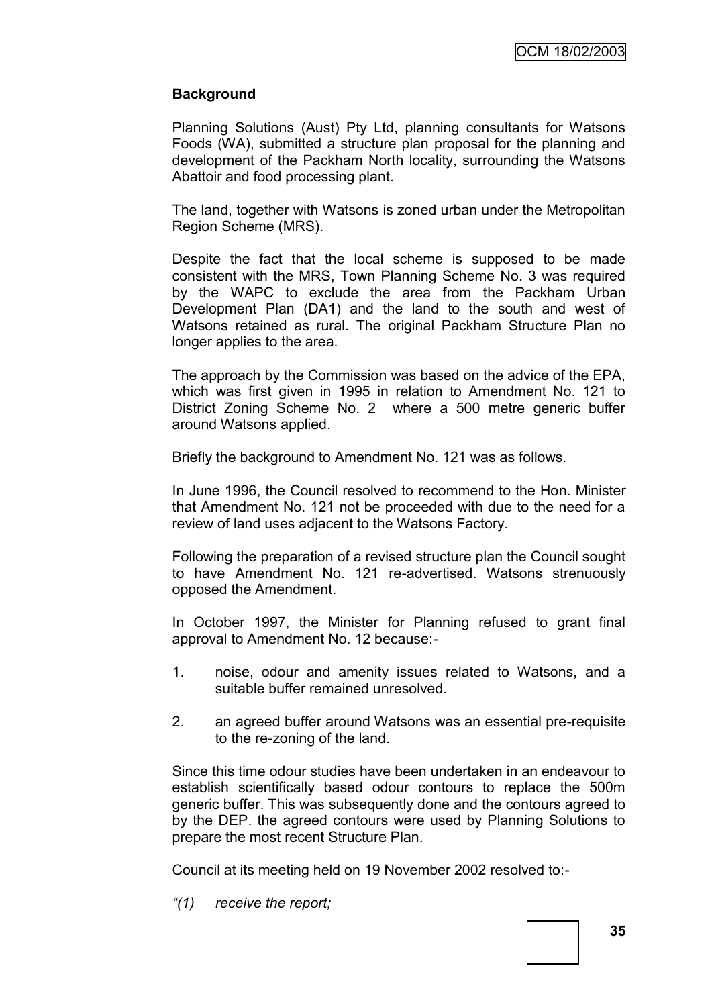### **Background**

Planning Solutions (Aust) Pty Ltd, planning consultants for Watsons Foods (WA), submitted a structure plan proposal for the planning and development of the Packham North locality, surrounding the Watsons Abattoir and food processing plant.

The land, together with Watsons is zoned urban under the Metropolitan Region Scheme (MRS).

Despite the fact that the local scheme is supposed to be made consistent with the MRS, Town Planning Scheme No. 3 was required by the WAPC to exclude the area from the Packham Urban Development Plan (DA1) and the land to the south and west of Watsons retained as rural. The original Packham Structure Plan no longer applies to the area.

The approach by the Commission was based on the advice of the EPA, which was first given in 1995 in relation to Amendment No. 121 to District Zoning Scheme No. 2 where a 500 metre generic buffer around Watsons applied.

Briefly the background to Amendment No. 121 was as follows.

In June 1996, the Council resolved to recommend to the Hon. Minister that Amendment No. 121 not be proceeded with due to the need for a review of land uses adjacent to the Watsons Factory.

Following the preparation of a revised structure plan the Council sought to have Amendment No. 121 re-advertised. Watsons strenuously opposed the Amendment.

In October 1997, the Minister for Planning refused to grant final approval to Amendment No. 12 because:-

- 1. noise, odour and amenity issues related to Watsons, and a suitable buffer remained unresolved.
- 2. an agreed buffer around Watsons was an essential pre-requisite to the re-zoning of the land.

Since this time odour studies have been undertaken in an endeavour to establish scientifically based odour contours to replace the 500m generic buffer. This was subsequently done and the contours agreed to by the DEP. the agreed contours were used by Planning Solutions to prepare the most recent Structure Plan.

Council at its meeting held on 19 November 2002 resolved to:-

*―(1) receive the report;*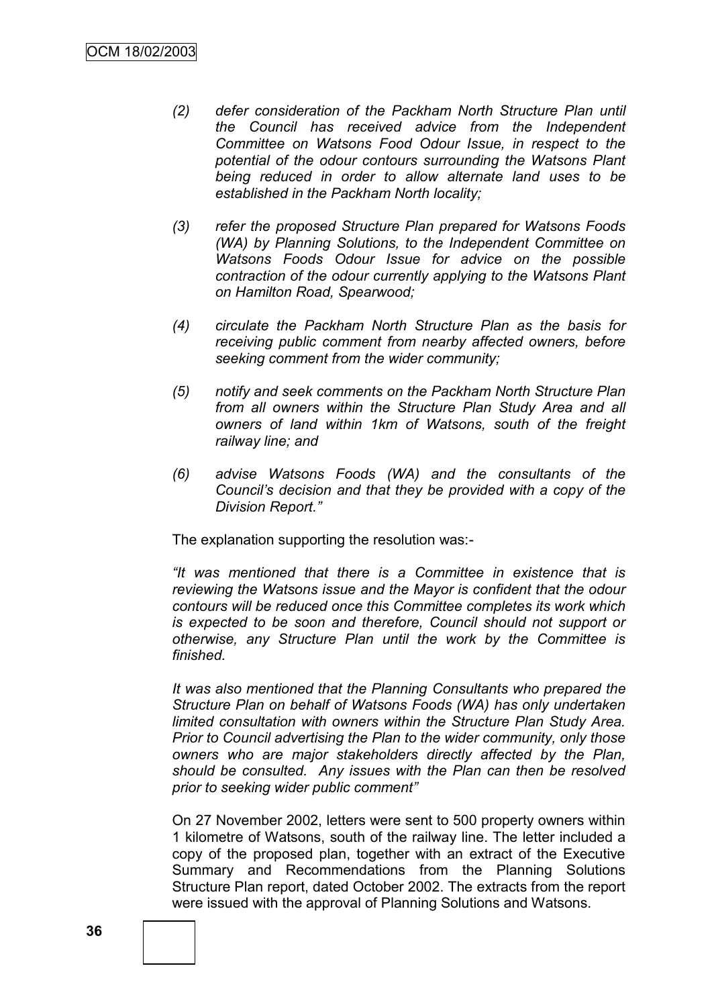- *(2) defer consideration of the Packham North Structure Plan until the Council has received advice from the Independent Committee on Watsons Food Odour Issue, in respect to the potential of the odour contours surrounding the Watsons Plant being reduced in order to allow alternate land uses to be established in the Packham North locality;*
- *(3) refer the proposed Structure Plan prepared for Watsons Foods (WA) by Planning Solutions, to the Independent Committee on Watsons Foods Odour Issue for advice on the possible contraction of the odour currently applying to the Watsons Plant on Hamilton Road, Spearwood;*
- *(4) circulate the Packham North Structure Plan as the basis for receiving public comment from nearby affected owners, before seeking comment from the wider community;*
- *(5) notify and seek comments on the Packham North Structure Plan from all owners within the Structure Plan Study Area and all owners of land within 1km of Watsons, south of the freight railway line; and*
- *(6) advise Watsons Foods (WA) and the consultants of the Council's decision and that they be provided with a copy of the Division Report.‖*

The explanation supporting the resolution was:-

*―It was mentioned that there is a Committee in existence that is reviewing the Watsons issue and the Mayor is confident that the odour contours will be reduced once this Committee completes its work which is expected to be soon and therefore, Council should not support or otherwise, any Structure Plan until the work by the Committee is finished.*

*It was also mentioned that the Planning Consultants who prepared the Structure Plan on behalf of Watsons Foods (WA) has only undertaken limited consultation with owners within the Structure Plan Study Area. Prior to Council advertising the Plan to the wider community, only those owners who are major stakeholders directly affected by the Plan, should be consulted. Any issues with the Plan can then be resolved prior to seeking wider public comment‖*

On 27 November 2002, letters were sent to 500 property owners within 1 kilometre of Watsons, south of the railway line. The letter included a copy of the proposed plan, together with an extract of the Executive Summary and Recommendations from the Planning Solutions Structure Plan report, dated October 2002. The extracts from the report were issued with the approval of Planning Solutions and Watsons.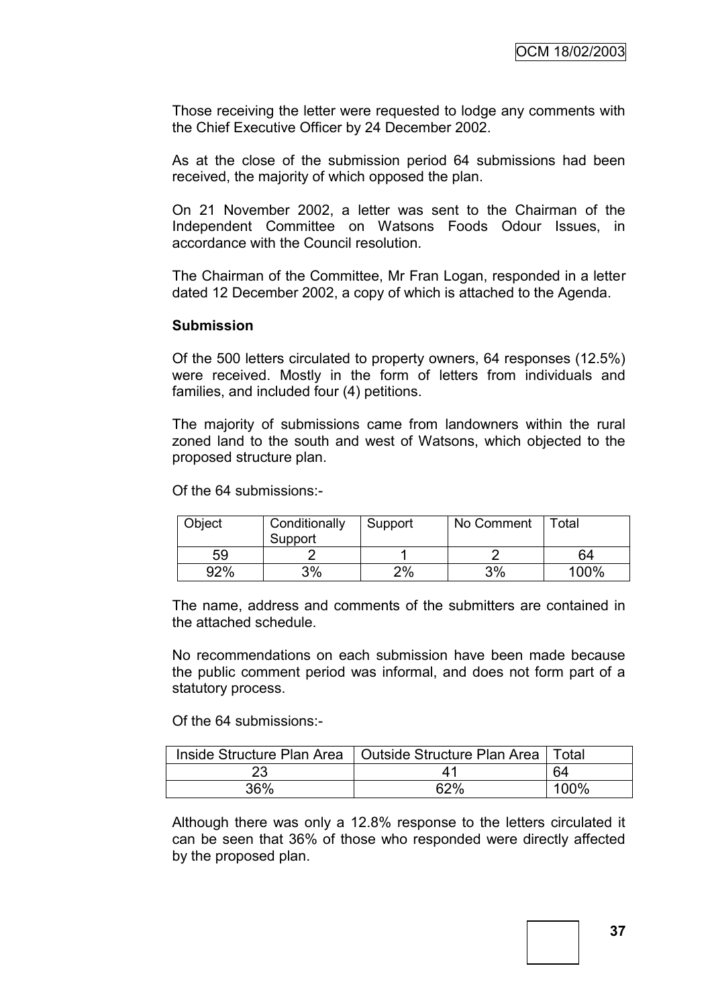Those receiving the letter were requested to lodge any comments with the Chief Executive Officer by 24 December 2002.

As at the close of the submission period 64 submissions had been received, the majority of which opposed the plan.

On 21 November 2002, a letter was sent to the Chairman of the Independent Committee on Watsons Foods Odour Issues, in accordance with the Council resolution.

The Chairman of the Committee, Mr Fran Logan, responded in a letter dated 12 December 2002, a copy of which is attached to the Agenda.

#### **Submission**

Of the 500 letters circulated to property owners, 64 responses (12.5%) were received. Mostly in the form of letters from individuals and families, and included four (4) petitions.

The majority of submissions came from landowners within the rural zoned land to the south and west of Watsons, which objected to the proposed structure plan.

Of the 64 submissions:-

| Object | Conditionally<br>Support | Support | No Comment | $\tau$ <sub>otal</sub> |
|--------|--------------------------|---------|------------|------------------------|
| 59     |                          |         |            | 64                     |
| 92%    | 3%                       | 2%      | 3%         | 100%                   |

The name, address and comments of the submitters are contained in the attached schedule.

No recommendations on each submission have been made because the public comment period was informal, and does not form part of a statutory process.

Of the 64 submissions:-

|     | Inside Structure Plan Area   Outside Structure Plan Area | ⊟ Total |
|-----|----------------------------------------------------------|---------|
| 23  |                                                          | 64      |
| 36% | 62%                                                      | 100%    |

Although there was only a 12.8% response to the letters circulated it can be seen that 36% of those who responded were directly affected by the proposed plan.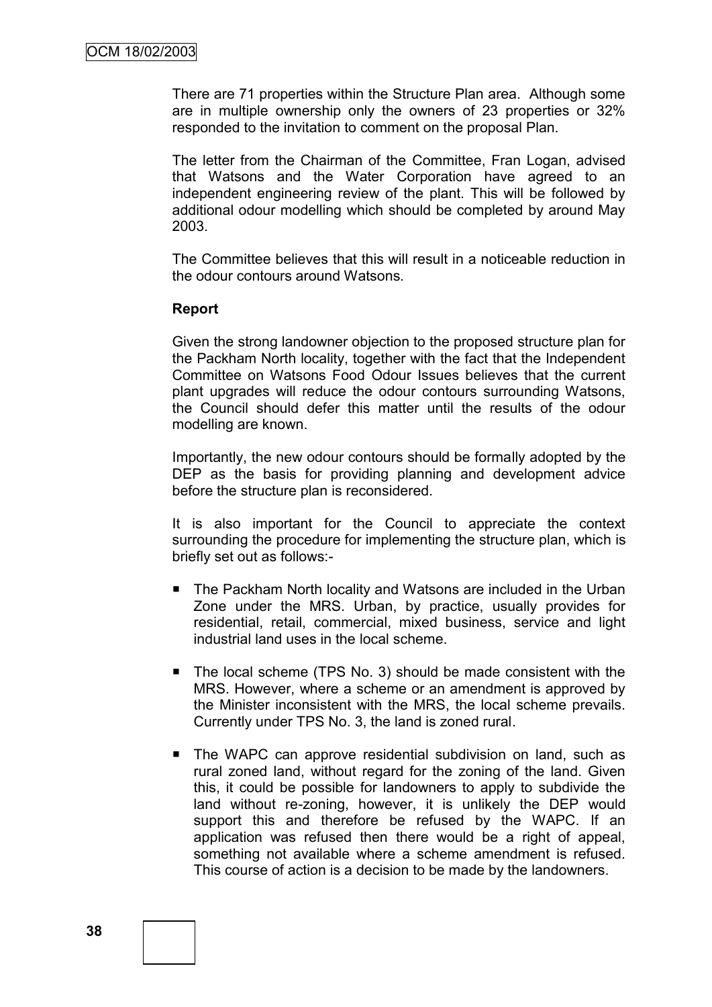There are 71 properties within the Structure Plan area. Although some are in multiple ownership only the owners of 23 properties or 32% responded to the invitation to comment on the proposal Plan.

The letter from the Chairman of the Committee, Fran Logan, advised that Watsons and the Water Corporation have agreed to an independent engineering review of the plant. This will be followed by additional odour modelling which should be completed by around May 2003.

The Committee believes that this will result in a noticeable reduction in the odour contours around Watsons.

#### **Report**

Given the strong landowner objection to the proposed structure plan for the Packham North locality, together with the fact that the Independent Committee on Watsons Food Odour Issues believes that the current plant upgrades will reduce the odour contours surrounding Watsons, the Council should defer this matter until the results of the odour modelling are known.

Importantly, the new odour contours should be formally adopted by the DEP as the basis for providing planning and development advice before the structure plan is reconsidered.

It is also important for the Council to appreciate the context surrounding the procedure for implementing the structure plan, which is briefly set out as follows:-

- The Packham North locality and Watsons are included in the Urban Zone under the MRS. Urban, by practice, usually provides for residential, retail, commercial, mixed business, service and light industrial land uses in the local scheme.
- The local scheme (TPS No. 3) should be made consistent with the MRS. However, where a scheme or an amendment is approved by the Minister inconsistent with the MRS, the local scheme prevails. Currently under TPS No. 3, the land is zoned rural.
- The WAPC can approve residential subdivision on land, such as rural zoned land, without regard for the zoning of the land. Given this, it could be possible for landowners to apply to subdivide the land without re-zoning, however, it is unlikely the DEP would support this and therefore be refused by the WAPC. If an application was refused then there would be a right of appeal, something not available where a scheme amendment is refused. This course of action is a decision to be made by the landowners.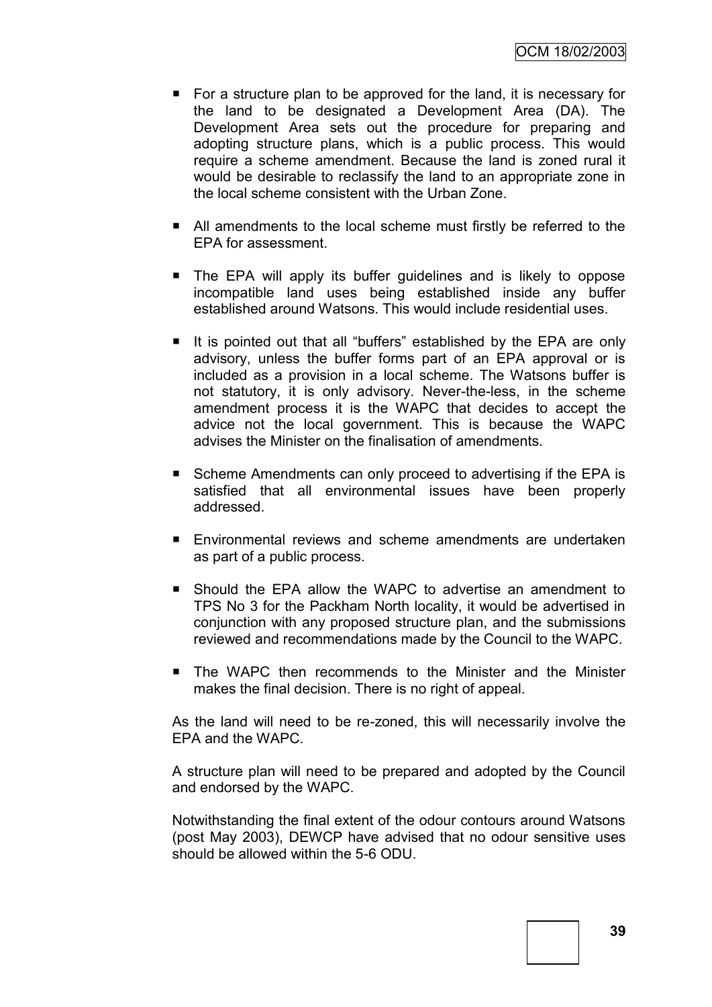- $\blacksquare$  For a structure plan to be approved for the land, it is necessary for the land to be designated a Development Area (DA). The Development Area sets out the procedure for preparing and adopting structure plans, which is a public process. This would require a scheme amendment. Because the land is zoned rural it would be desirable to reclassify the land to an appropriate zone in the local scheme consistent with the Urban Zone.
- All amendments to the local scheme must firstly be referred to the EPA for assessment.
- The EPA will apply its buffer guidelines and is likely to oppose incompatible land uses being established inside any buffer established around Watsons. This would include residential uses.
- It is pointed out that all "buffers" established by the EPA are only advisory, unless the buffer forms part of an EPA approval or is included as a provision in a local scheme. The Watsons buffer is not statutory, it is only advisory. Never-the-less, in the scheme amendment process it is the WAPC that decides to accept the advice not the local government. This is because the WAPC advises the Minister on the finalisation of amendments.
- Scheme Amendments can only proceed to advertising if the EPA is satisfied that all environmental issues have been properly addressed.
- Environmental reviews and scheme amendments are undertaken as part of a public process.
- Should the EPA allow the WAPC to advertise an amendment to TPS No 3 for the Packham North locality, it would be advertised in conjunction with any proposed structure plan, and the submissions reviewed and recommendations made by the Council to the WAPC.
- The WAPC then recommends to the Minister and the Minister makes the final decision. There is no right of appeal.

As the land will need to be re-zoned, this will necessarily involve the EPA and the WAPC.

A structure plan will need to be prepared and adopted by the Council and endorsed by the WAPC.

Notwithstanding the final extent of the odour contours around Watsons (post May 2003), DEWCP have advised that no odour sensitive uses should be allowed within the 5-6 ODU.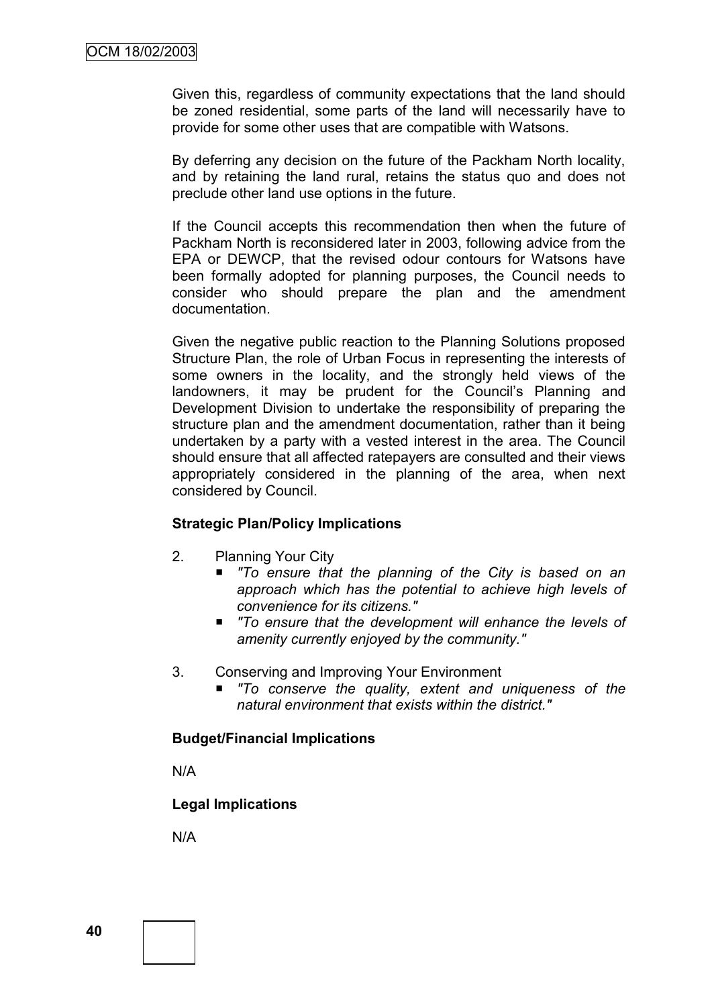Given this, regardless of community expectations that the land should be zoned residential, some parts of the land will necessarily have to provide for some other uses that are compatible with Watsons.

By deferring any decision on the future of the Packham North locality, and by retaining the land rural, retains the status quo and does not preclude other land use options in the future.

If the Council accepts this recommendation then when the future of Packham North is reconsidered later in 2003, following advice from the EPA or DEWCP, that the revised odour contours for Watsons have been formally adopted for planning purposes, the Council needs to consider who should prepare the plan and the amendment documentation.

Given the negative public reaction to the Planning Solutions proposed Structure Plan, the role of Urban Focus in representing the interests of some owners in the locality, and the strongly held views of the landowners, it may be prudent for the Council's Planning and Development Division to undertake the responsibility of preparing the structure plan and the amendment documentation, rather than it being undertaken by a party with a vested interest in the area. The Council should ensure that all affected ratepayers are consulted and their views appropriately considered in the planning of the area, when next considered by Council.

#### **Strategic Plan/Policy Implications**

- 2. Planning Your City
	- *"To ensure that the planning of the City is based on an approach which has the potential to achieve high levels of convenience for its citizens."*
	- *"To ensure that the development will enhance the levels of amenity currently enjoyed by the community."*
- 3. Conserving and Improving Your Environment
	- *"To conserve the quality, extent and uniqueness of the natural environment that exists within the district."*

#### **Budget/Financial Implications**

N/A

#### **Legal Implications**

N/A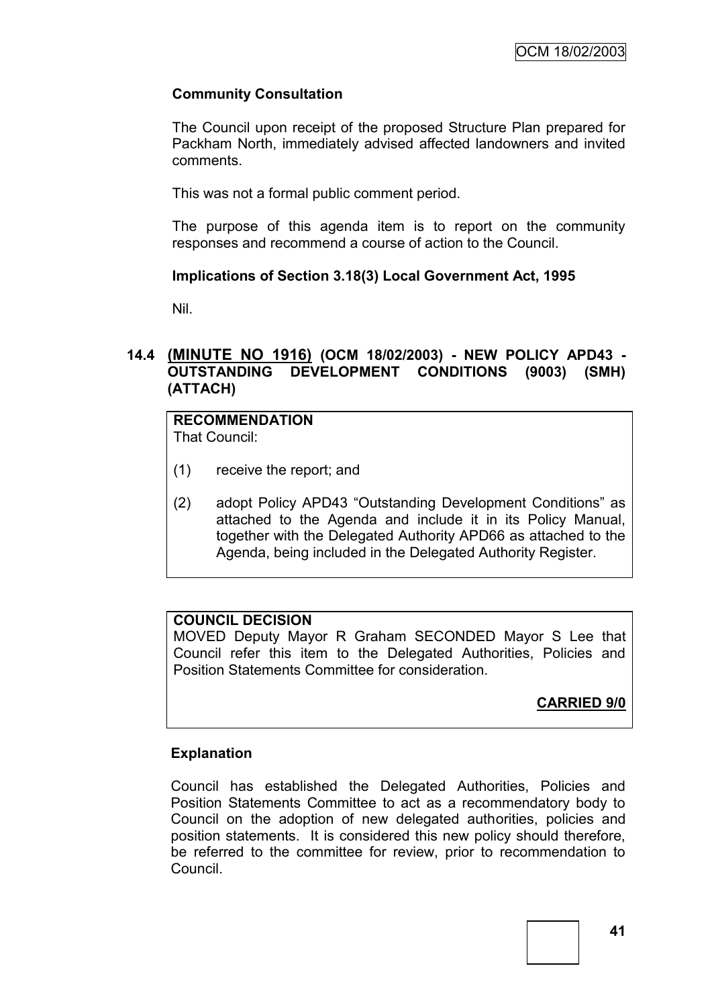## **Community Consultation**

The Council upon receipt of the proposed Structure Plan prepared for Packham North, immediately advised affected landowners and invited comments.

This was not a formal public comment period.

The purpose of this agenda item is to report on the community responses and recommend a course of action to the Council.

#### **Implications of Section 3.18(3) Local Government Act, 1995**

Nil.

## **14.4 (MINUTE NO 1916) (OCM 18/02/2003) - NEW POLICY APD43 - OUTSTANDING DEVELOPMENT CONDITIONS (9003) (SMH) (ATTACH)**

# **RECOMMENDATION**

That Council:

- (1) receive the report; and
- (2) adopt Policy APD43 "Outstanding Development Conditions" as attached to the Agenda and include it in its Policy Manual, together with the Delegated Authority APD66 as attached to the Agenda, being included in the Delegated Authority Register.

#### **COUNCIL DECISION**

MOVED Deputy Mayor R Graham SECONDED Mayor S Lee that Council refer this item to the Delegated Authorities, Policies and Position Statements Committee for consideration.

# **CARRIED 9/0**

#### **Explanation**

Council has established the Delegated Authorities, Policies and Position Statements Committee to act as a recommendatory body to Council on the adoption of new delegated authorities, policies and position statements. It is considered this new policy should therefore, be referred to the committee for review, prior to recommendation to Council.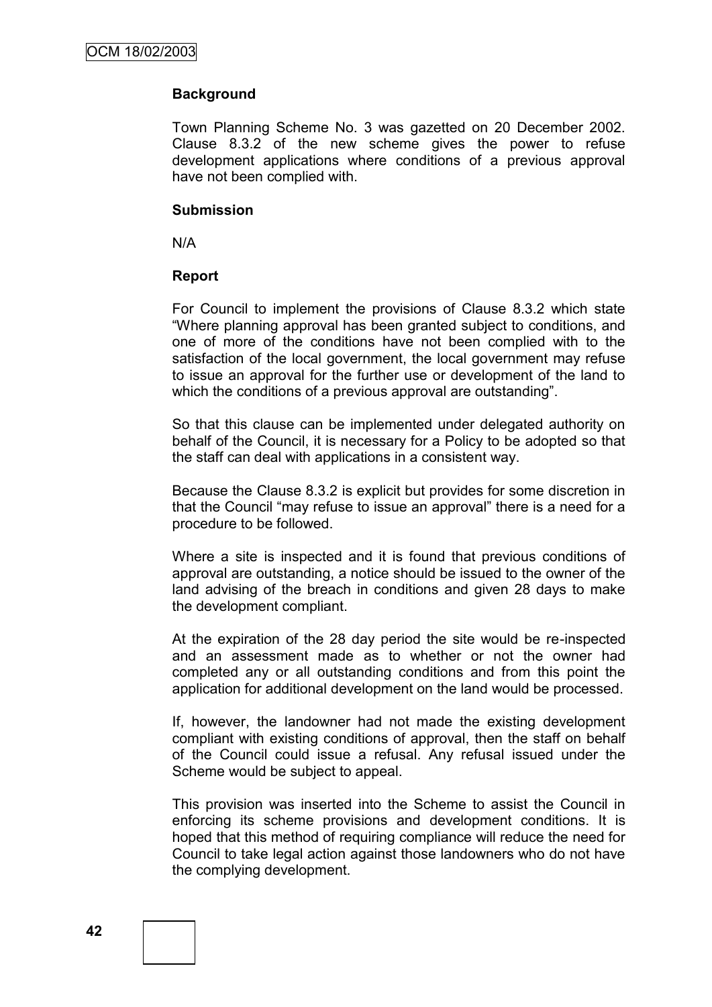## **Background**

Town Planning Scheme No. 3 was gazetted on 20 December 2002. Clause 8.3.2 of the new scheme gives the power to refuse development applications where conditions of a previous approval have not been complied with.

#### **Submission**

N/A

#### **Report**

For Council to implement the provisions of Clause 8.3.2 which state "Where planning approval has been granted subject to conditions, and one of more of the conditions have not been complied with to the satisfaction of the local government, the local government may refuse to issue an approval for the further use or development of the land to which the conditions of a previous approval are outstanding".

So that this clause can be implemented under delegated authority on behalf of the Council, it is necessary for a Policy to be adopted so that the staff can deal with applications in a consistent way.

Because the Clause 8.3.2 is explicit but provides for some discretion in that the Council "may refuse to issue an approval" there is a need for a procedure to be followed.

Where a site is inspected and it is found that previous conditions of approval are outstanding, a notice should be issued to the owner of the land advising of the breach in conditions and given 28 days to make the development compliant.

At the expiration of the 28 day period the site would be re-inspected and an assessment made as to whether or not the owner had completed any or all outstanding conditions and from this point the application for additional development on the land would be processed.

If, however, the landowner had not made the existing development compliant with existing conditions of approval, then the staff on behalf of the Council could issue a refusal. Any refusal issued under the Scheme would be subject to appeal.

This provision was inserted into the Scheme to assist the Council in enforcing its scheme provisions and development conditions. It is hoped that this method of requiring compliance will reduce the need for Council to take legal action against those landowners who do not have the complying development.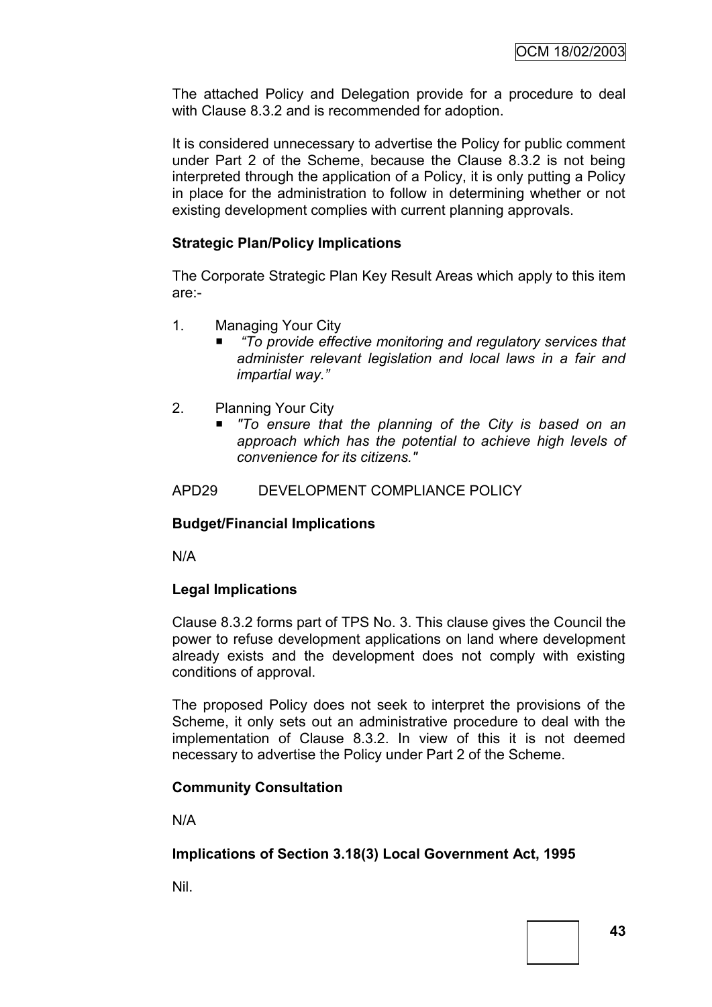The attached Policy and Delegation provide for a procedure to deal with Clause 8.3.2 and is recommended for adoption.

It is considered unnecessary to advertise the Policy for public comment under Part 2 of the Scheme, because the Clause 8.3.2 is not being interpreted through the application of a Policy, it is only putting a Policy in place for the administration to follow in determining whether or not existing development complies with current planning approvals.

## **Strategic Plan/Policy Implications**

The Corporate Strategic Plan Key Result Areas which apply to this item are:-

- 1. Managing Your City
	- *―To provide effective monitoring and regulatory services that administer relevant legislation and local laws in a fair and impartial way.‖*
- 2. Planning Your City
	- *"To ensure that the planning of the City is based on an approach which has the potential to achieve high levels of convenience for its citizens."*

#### APD29 DEVELOPMENT COMPLIANCE POLICY

#### **Budget/Financial Implications**

N/A

#### **Legal Implications**

Clause 8.3.2 forms part of TPS No. 3. This clause gives the Council the power to refuse development applications on land where development already exists and the development does not comply with existing conditions of approval.

The proposed Policy does not seek to interpret the provisions of the Scheme, it only sets out an administrative procedure to deal with the implementation of Clause 8.3.2. In view of this it is not deemed necessary to advertise the Policy under Part 2 of the Scheme.

#### **Community Consultation**

N/A

#### **Implications of Section 3.18(3) Local Government Act, 1995**

Nil.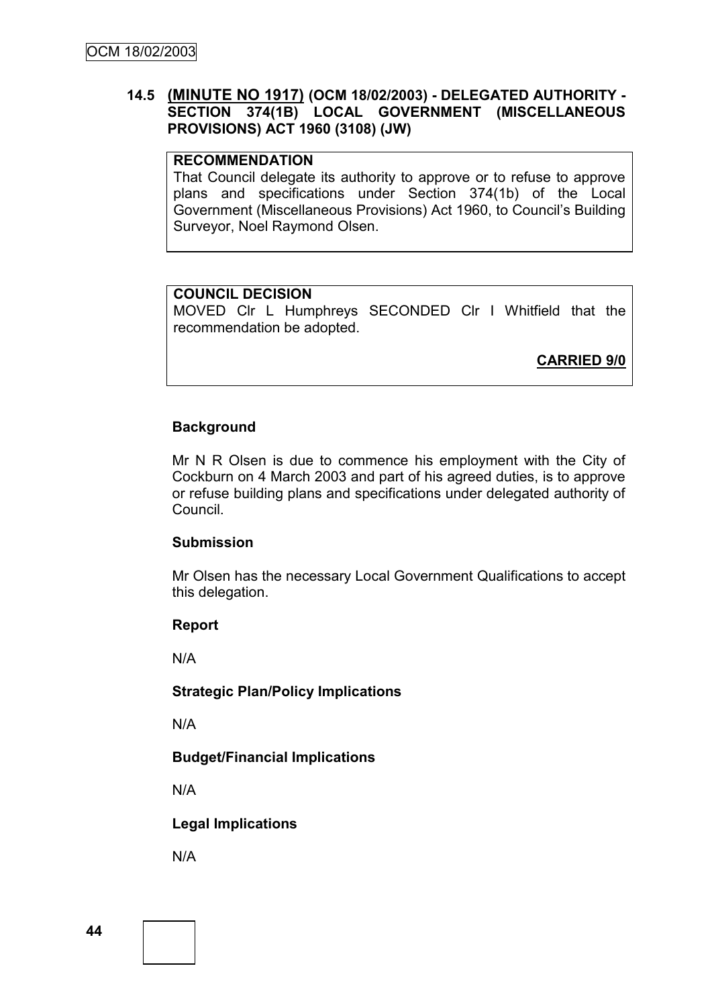## **14.5 (MINUTE NO 1917) (OCM 18/02/2003) - DELEGATED AUTHORITY - SECTION 374(1B) LOCAL GOVERNMENT (MISCELLANEOUS PROVISIONS) ACT 1960 (3108) (JW)**

## **RECOMMENDATION**

That Council delegate its authority to approve or to refuse to approve plans and specifications under Section 374(1b) of the Local Government (Miscellaneous Provisions) Act 1960, to Council"s Building Surveyor, Noel Raymond Olsen.

#### **COUNCIL DECISION**

MOVED Clr L Humphreys SECONDED Clr I Whitfield that the recommendation be adopted.

**CARRIED 9/0**

#### **Background**

Mr N R Olsen is due to commence his employment with the City of Cockburn on 4 March 2003 and part of his agreed duties, is to approve or refuse building plans and specifications under delegated authority of Council.

#### **Submission**

Mr Olsen has the necessary Local Government Qualifications to accept this delegation.

#### **Report**

N/A

#### **Strategic Plan/Policy Implications**

N/A

#### **Budget/Financial Implications**

N/A

#### **Legal Implications**

N/A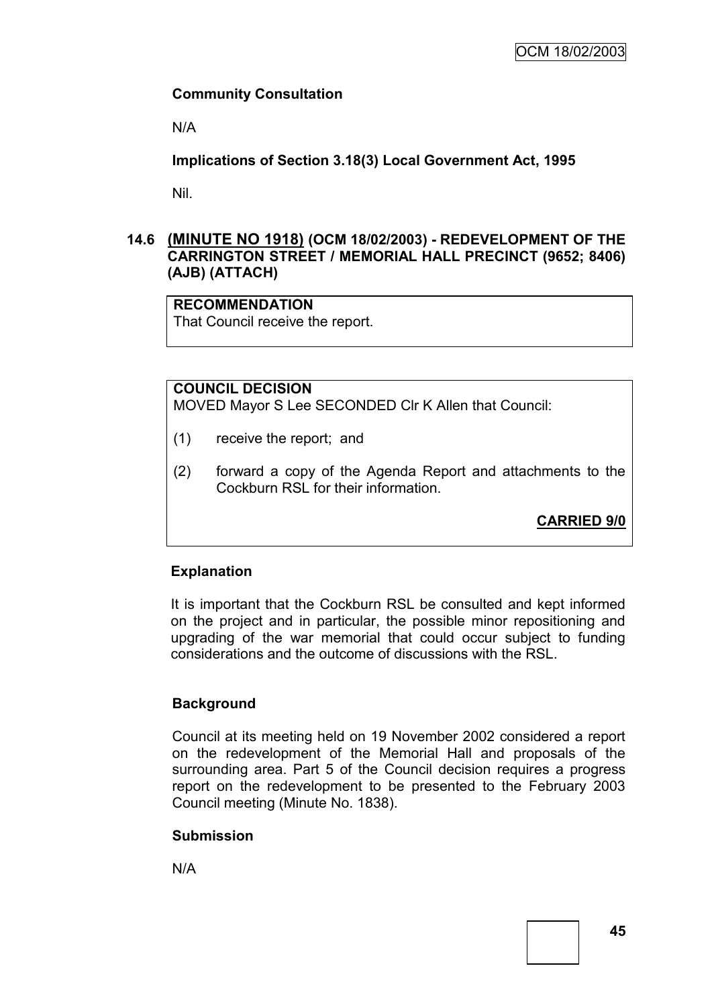## **Community Consultation**

N/A

**Implications of Section 3.18(3) Local Government Act, 1995**

Nil.

## **14.6 (MINUTE NO 1918) (OCM 18/02/2003) - REDEVELOPMENT OF THE CARRINGTON STREET / MEMORIAL HALL PRECINCT (9652; 8406) (AJB) (ATTACH)**

#### **RECOMMENDATION**

That Council receive the report.

## **COUNCIL DECISION**

MOVED Mayor S Lee SECONDED Clr K Allen that Council:

- (1) receive the report; and
- (2) forward a copy of the Agenda Report and attachments to the Cockburn RSL for their information.

**CARRIED 9/0**

#### **Explanation**

It is important that the Cockburn RSL be consulted and kept informed on the project and in particular, the possible minor repositioning and upgrading of the war memorial that could occur subject to funding considerations and the outcome of discussions with the RSL.

#### **Background**

Council at its meeting held on 19 November 2002 considered a report on the redevelopment of the Memorial Hall and proposals of the surrounding area. Part 5 of the Council decision requires a progress report on the redevelopment to be presented to the February 2003 Council meeting (Minute No. 1838).

#### **Submission**

N/A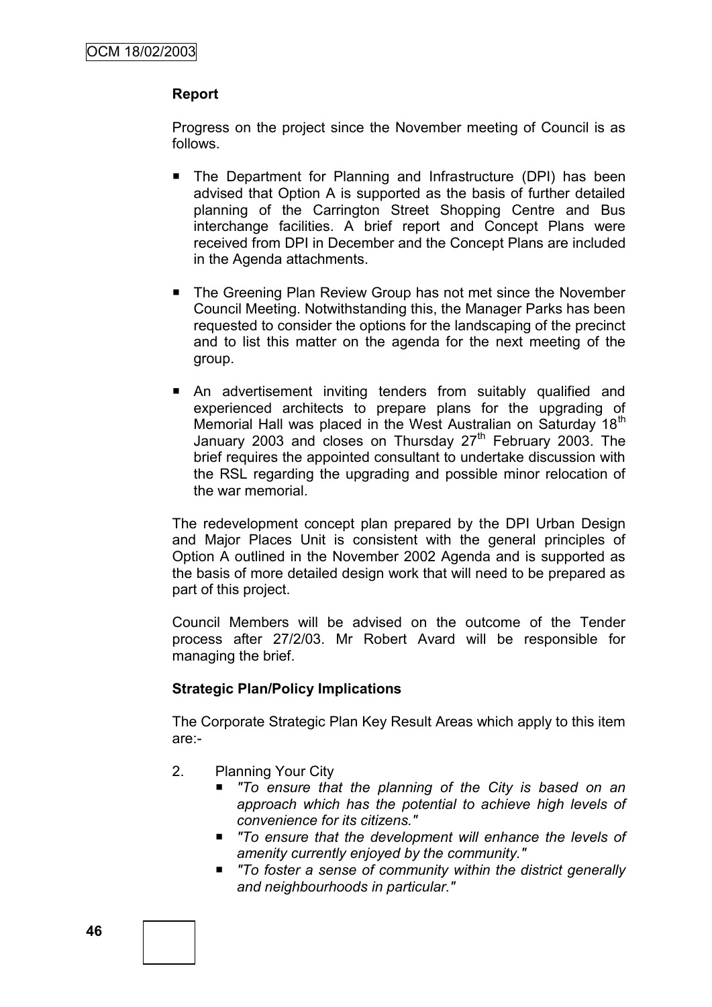#### **Report**

Progress on the project since the November meeting of Council is as follows.

- The Department for Planning and Infrastructure (DPI) has been advised that Option A is supported as the basis of further detailed planning of the Carrington Street Shopping Centre and Bus interchange facilities. A brief report and Concept Plans were received from DPI in December and the Concept Plans are included in the Agenda attachments.
- The Greening Plan Review Group has not met since the November Council Meeting. Notwithstanding this, the Manager Parks has been requested to consider the options for the landscaping of the precinct and to list this matter on the agenda for the next meeting of the group.
- An advertisement inviting tenders from suitably qualified and experienced architects to prepare plans for the upgrading of Memorial Hall was placed in the West Australian on Saturday 18<sup>th</sup> January 2003 and closes on Thursday 27<sup>th</sup> February 2003. The brief requires the appointed consultant to undertake discussion with the RSL regarding the upgrading and possible minor relocation of the war memorial.

The redevelopment concept plan prepared by the DPI Urban Design and Major Places Unit is consistent with the general principles of Option A outlined in the November 2002 Agenda and is supported as the basis of more detailed design work that will need to be prepared as part of this project.

Council Members will be advised on the outcome of the Tender process after 27/2/03. Mr Robert Avard will be responsible for managing the brief.

#### **Strategic Plan/Policy Implications**

The Corporate Strategic Plan Key Result Areas which apply to this item are:-

- 2. Planning Your City
	- *"To ensure that the planning of the City is based on an approach which has the potential to achieve high levels of convenience for its citizens."*
	- *"To ensure that the development will enhance the levels of amenity currently enjoyed by the community."*
	- *"To foster a sense of community within the district generally and neighbourhoods in particular."*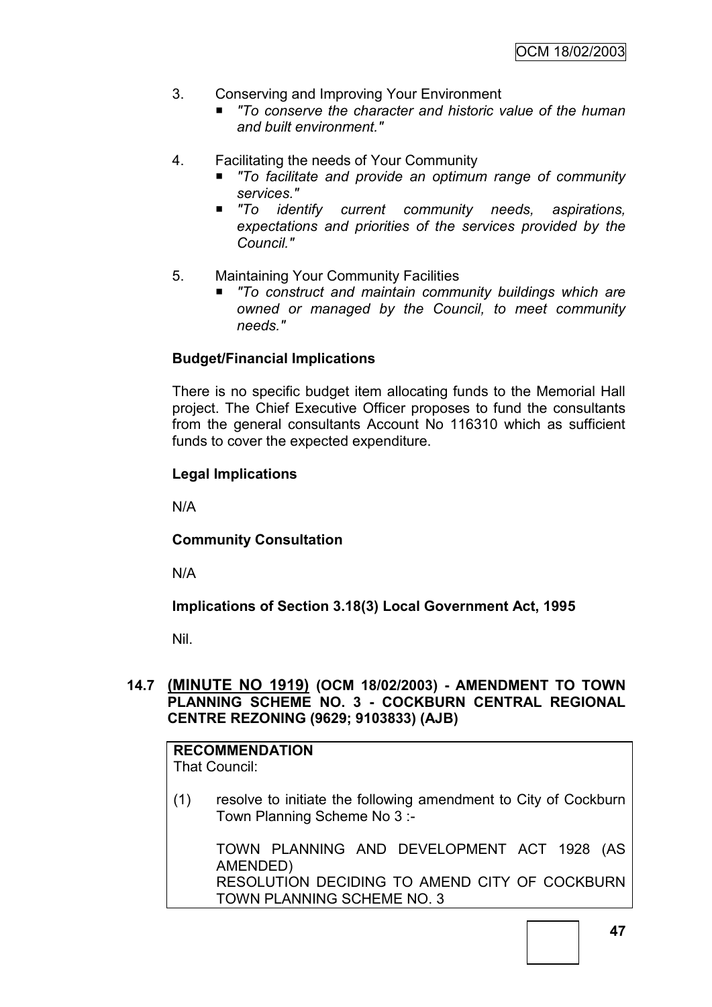- 3. Conserving and Improving Your Environment
	- To conserve the character and historic value of the human *and built environment."*
- 4. Facilitating the needs of Your Community
	- *"To facilitate and provide an optimum range of community services."*
	- "To *identify current community needs, aspirations, expectations and priorities of the services provided by the Council."*
- 5. Maintaining Your Community Facilities
	- *"To construct and maintain community buildings which are owned or managed by the Council, to meet community needs."*

#### **Budget/Financial Implications**

There is no specific budget item allocating funds to the Memorial Hall project. The Chief Executive Officer proposes to fund the consultants from the general consultants Account No 116310 which as sufficient funds to cover the expected expenditure.

#### **Legal Implications**

N/A

**Community Consultation**

N/A

**Implications of Section 3.18(3) Local Government Act, 1995**

Nil.

### **14.7 (MINUTE NO 1919) (OCM 18/02/2003) - AMENDMENT TO TOWN PLANNING SCHEME NO. 3 - COCKBURN CENTRAL REGIONAL CENTRE REZONING (9629; 9103833) (AJB)**

# **RECOMMENDATION**

- That Council:
- (1) resolve to initiate the following amendment to City of Cockburn Town Planning Scheme No 3 :-

TOWN PLANNING AND DEVELOPMENT ACT 1928 (AS AMENDED) RESOLUTION DECIDING TO AMEND CITY OF COCKBURN TOWN PLANNING SCHEME NO. 3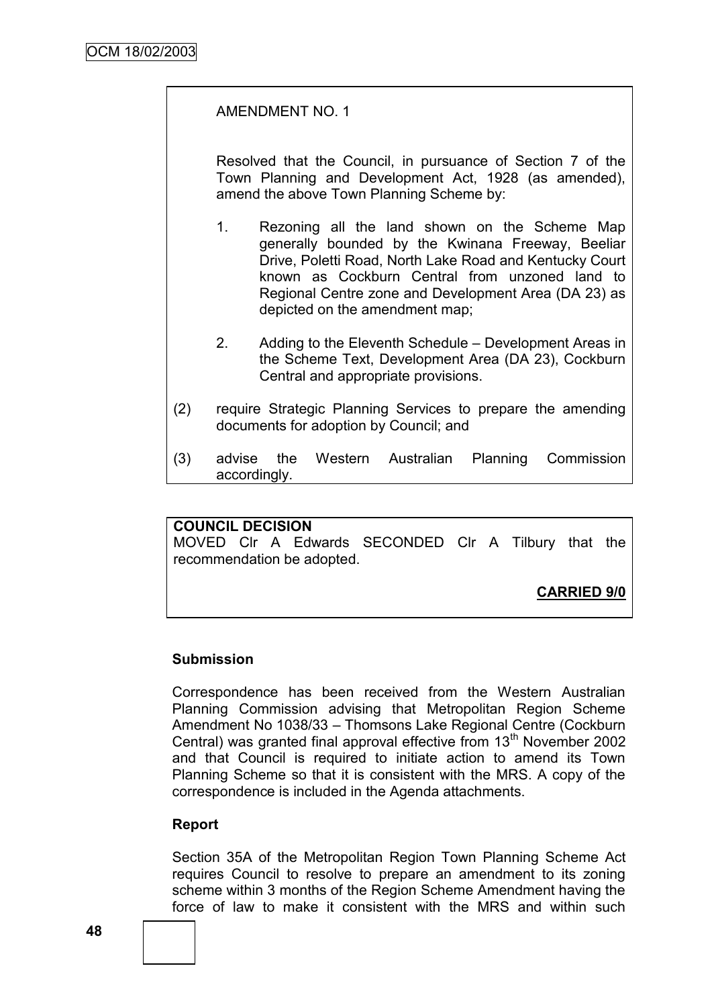#### AMENDMENT NO. 1

Resolved that the Council, in pursuance of Section 7 of the Town Planning and Development Act, 1928 (as amended), amend the above Town Planning Scheme by:

- 1. Rezoning all the land shown on the Scheme Map generally bounded by the Kwinana Freeway, Beeliar Drive, Poletti Road, North Lake Road and Kentucky Court known as Cockburn Central from unzoned land to Regional Centre zone and Development Area (DA 23) as depicted on the amendment map;
- 2. Adding to the Eleventh Schedule Development Areas in the Scheme Text, Development Area (DA 23), Cockburn Central and appropriate provisions.
- (2) require Strategic Planning Services to prepare the amending documents for adoption by Council; and
- (3) advise the Western Australian Planning Commission accordingly.

#### **COUNCIL DECISION**

MOVED Clr A Edwards SECONDED Clr A Tilbury that the recommendation be adopted.

#### **CARRIED 9/0**

#### **Submission**

Correspondence has been received from the Western Australian Planning Commission advising that Metropolitan Region Scheme Amendment No 1038/33 – Thomsons Lake Regional Centre (Cockburn Central) was granted final approval effective from  $13<sup>th</sup>$  November 2002 and that Council is required to initiate action to amend its Town Planning Scheme so that it is consistent with the MRS. A copy of the correspondence is included in the Agenda attachments.

#### **Report**

Section 35A of the Metropolitan Region Town Planning Scheme Act requires Council to resolve to prepare an amendment to its zoning scheme within 3 months of the Region Scheme Amendment having the force of law to make it consistent with the MRS and within such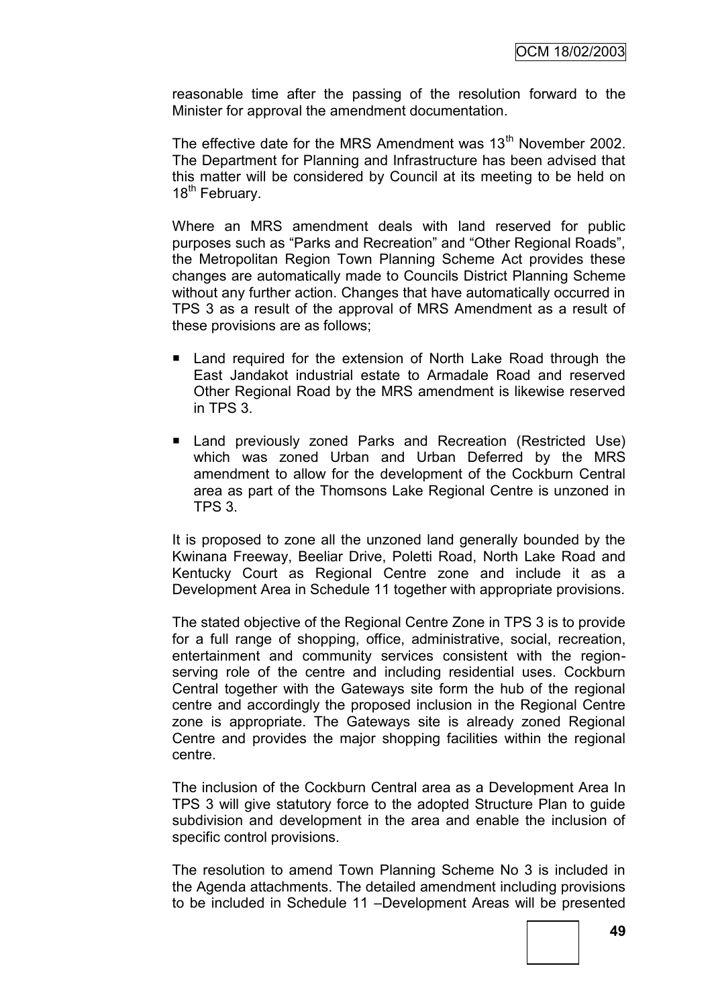reasonable time after the passing of the resolution forward to the Minister for approval the amendment documentation.

The effective date for the MRS Amendment was 13<sup>th</sup> November 2002. The Department for Planning and Infrastructure has been advised that this matter will be considered by Council at its meeting to be held on 18<sup>th</sup> February.

Where an MRS amendment deals with land reserved for public purposes such as "Parks and Recreation" and "Other Regional Roads", the Metropolitan Region Town Planning Scheme Act provides these changes are automatically made to Councils District Planning Scheme without any further action. Changes that have automatically occurred in TPS 3 as a result of the approval of MRS Amendment as a result of these provisions are as follows;

- Land required for the extension of North Lake Road through the East Jandakot industrial estate to Armadale Road and reserved Other Regional Road by the MRS amendment is likewise reserved in TPS 3.
- Land previously zoned Parks and Recreation (Restricted Use) which was zoned Urban and Urban Deferred by the MRS amendment to allow for the development of the Cockburn Central area as part of the Thomsons Lake Regional Centre is unzoned in TPS 3.

It is proposed to zone all the unzoned land generally bounded by the Kwinana Freeway, Beeliar Drive, Poletti Road, North Lake Road and Kentucky Court as Regional Centre zone and include it as a Development Area in Schedule 11 together with appropriate provisions.

The stated objective of the Regional Centre Zone in TPS 3 is to provide for a full range of shopping, office, administrative, social, recreation, entertainment and community services consistent with the regionserving role of the centre and including residential uses. Cockburn Central together with the Gateways site form the hub of the regional centre and accordingly the proposed inclusion in the Regional Centre zone is appropriate. The Gateways site is already zoned Regional Centre and provides the major shopping facilities within the regional centre.

The inclusion of the Cockburn Central area as a Development Area In TPS 3 will give statutory force to the adopted Structure Plan to guide subdivision and development in the area and enable the inclusion of specific control provisions.

The resolution to amend Town Planning Scheme No 3 is included in the Agenda attachments. The detailed amendment including provisions to be included in Schedule 11 –Development Areas will be presented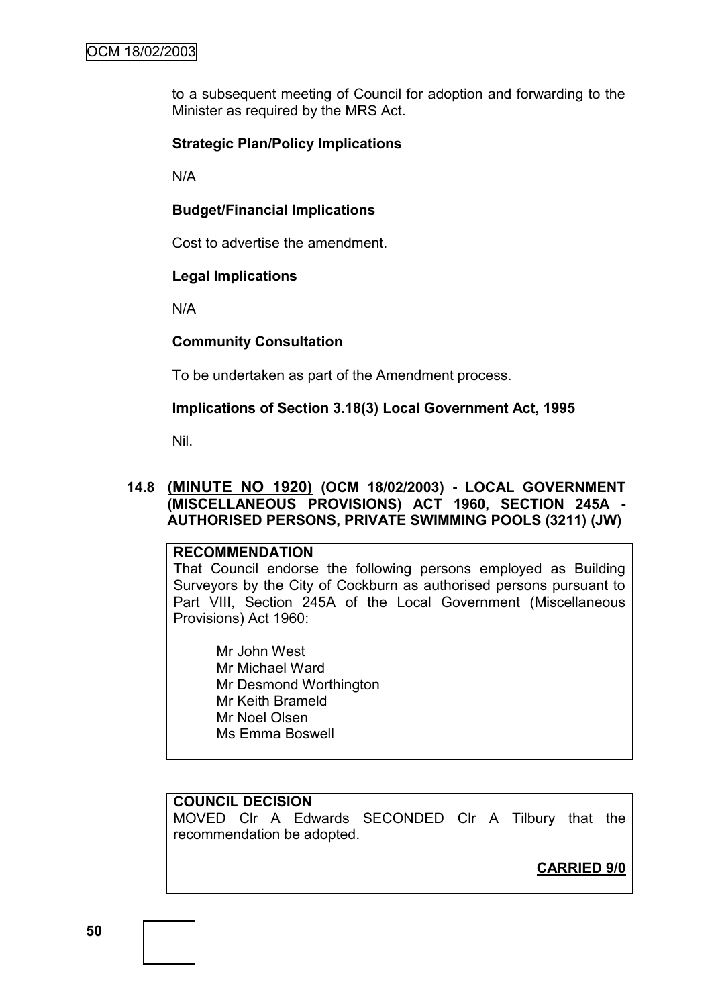to a subsequent meeting of Council for adoption and forwarding to the Minister as required by the MRS Act.

#### **Strategic Plan/Policy Implications**

N/A

#### **Budget/Financial Implications**

Cost to advertise the amendment.

#### **Legal Implications**

N/A

#### **Community Consultation**

To be undertaken as part of the Amendment process.

#### **Implications of Section 3.18(3) Local Government Act, 1995**

Nil.

#### **14.8 (MINUTE NO 1920) (OCM 18/02/2003) - LOCAL GOVERNMENT (MISCELLANEOUS PROVISIONS) ACT 1960, SECTION 245A - AUTHORISED PERSONS, PRIVATE SWIMMING POOLS (3211) (JW)**

#### **RECOMMENDATION**

That Council endorse the following persons employed as Building Surveyors by the City of Cockburn as authorised persons pursuant to Part VIII, Section 245A of the Local Government (Miscellaneous Provisions) Act 1960:

Mr John West Mr Michael Ward Mr Desmond Worthington Mr Keith Brameld Mr Noel Olsen Ms Emma Boswell

#### **COUNCIL DECISION**

MOVED Clr A Edwards SECONDED Clr A Tilbury that the recommendation be adopted.

## **CARRIED 9/0**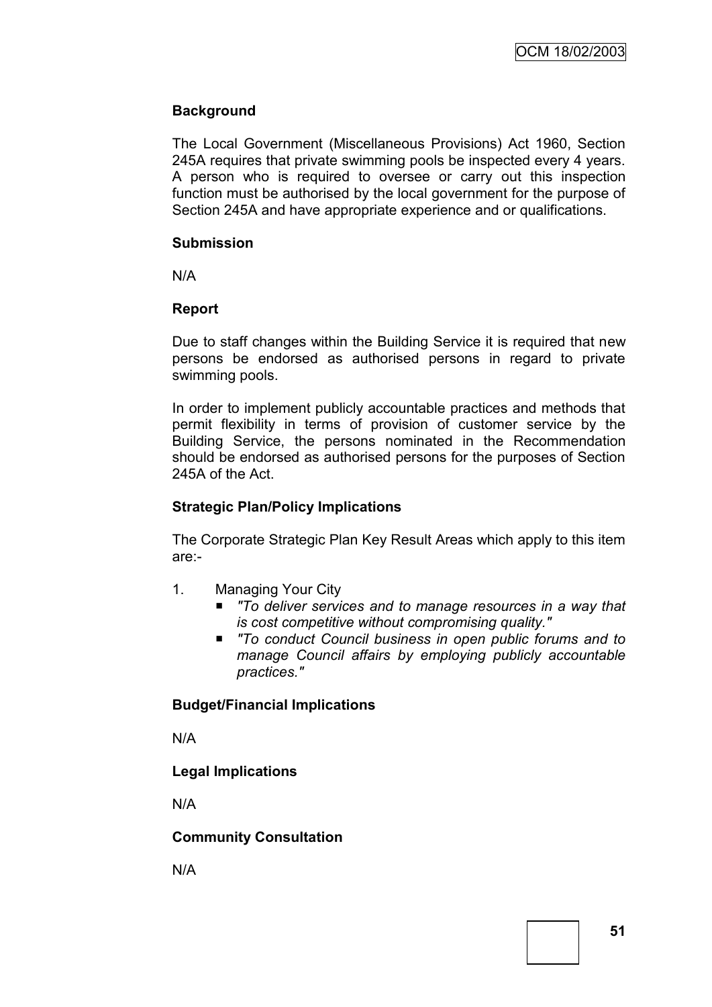## **Background**

The Local Government (Miscellaneous Provisions) Act 1960, Section 245A requires that private swimming pools be inspected every 4 years. A person who is required to oversee or carry out this inspection function must be authorised by the local government for the purpose of Section 245A and have appropriate experience and or qualifications.

#### **Submission**

N/A

#### **Report**

Due to staff changes within the Building Service it is required that new persons be endorsed as authorised persons in regard to private swimming pools.

In order to implement publicly accountable practices and methods that permit flexibility in terms of provision of customer service by the Building Service, the persons nominated in the Recommendation should be endorsed as authorised persons for the purposes of Section 245A of the Act.

#### **Strategic Plan/Policy Implications**

The Corporate Strategic Plan Key Result Areas which apply to this item are:-

- 1. Managing Your City
	- To deliver services and to manage resources in a way that *is cost competitive without compromising quality."*
	- *"To conduct Council business in open public forums and to manage Council affairs by employing publicly accountable practices."*

#### **Budget/Financial Implications**

N/A

#### **Legal Implications**

N/A

#### **Community Consultation**

N/A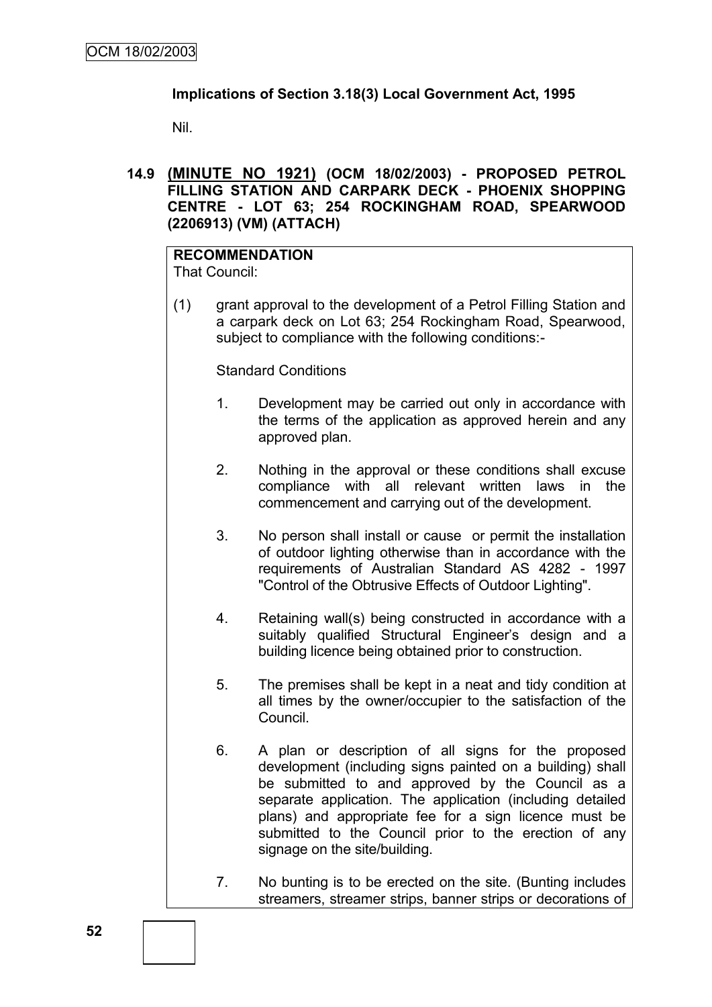#### **Implications of Section 3.18(3) Local Government Act, 1995**

Nil.

**14.9 (MINUTE NO 1921) (OCM 18/02/2003) - PROPOSED PETROL FILLING STATION AND CARPARK DECK - PHOENIX SHOPPING CENTRE - LOT 63; 254 ROCKINGHAM ROAD, SPEARWOOD (2206913) (VM) (ATTACH)**

# **RECOMMENDATION**

That Council:

(1) grant approval to the development of a Petrol Filling Station and a carpark deck on Lot 63; 254 Rockingham Road, Spearwood, subject to compliance with the following conditions:-

Standard Conditions

- 1. Development may be carried out only in accordance with the terms of the application as approved herein and any approved plan.
- 2. Nothing in the approval or these conditions shall excuse compliance with all relevant written laws in the commencement and carrying out of the development.
- 3. No person shall install or cause or permit the installation of outdoor lighting otherwise than in accordance with the requirements of Australian Standard AS 4282 - 1997 "Control of the Obtrusive Effects of Outdoor Lighting".
- 4. Retaining wall(s) being constructed in accordance with a suitably qualified Structural Engineer's design and a building licence being obtained prior to construction.
- 5. The premises shall be kept in a neat and tidy condition at all times by the owner/occupier to the satisfaction of the Council.
- 6. A plan or description of all signs for the proposed development (including signs painted on a building) shall be submitted to and approved by the Council as a separate application. The application (including detailed plans) and appropriate fee for a sign licence must be submitted to the Council prior to the erection of any signage on the site/building.
- 7. No bunting is to be erected on the site. (Bunting includes streamers, streamer strips, banner strips or decorations of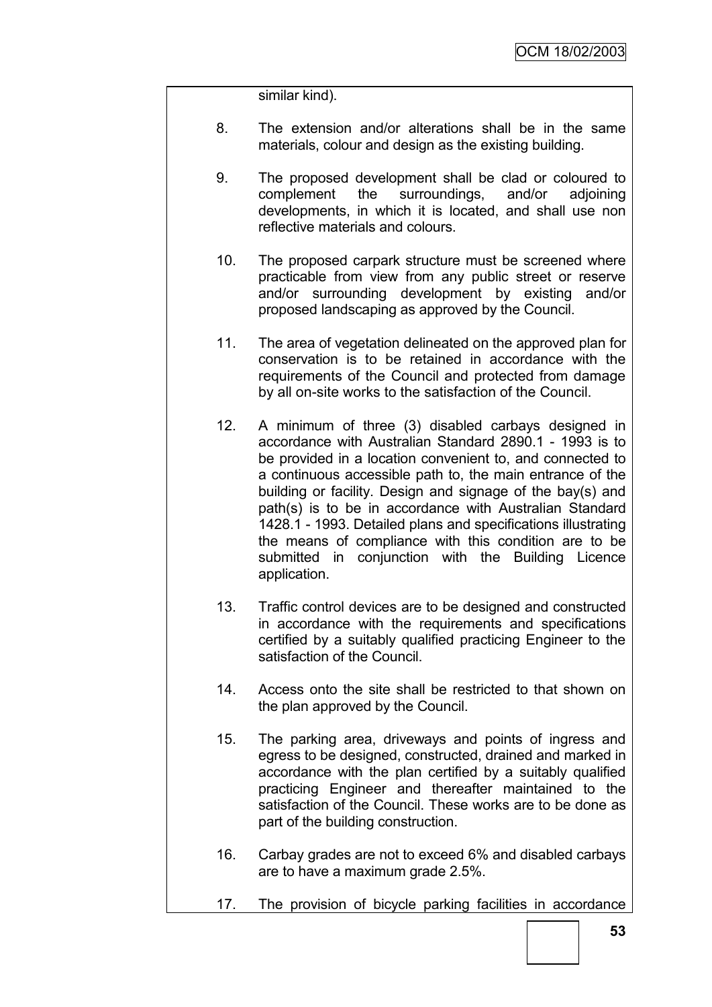similar kind).

- 8. The extension and/or alterations shall be in the same materials, colour and design as the existing building.
- 9. The proposed development shall be clad or coloured to complement the surroundings, and/or adjoining developments, in which it is located, and shall use non reflective materials and colours.
- 10. The proposed carpark structure must be screened where practicable from view from any public street or reserve and/or surrounding development by existing and/or proposed landscaping as approved by the Council.
- 11. The area of vegetation delineated on the approved plan for conservation is to be retained in accordance with the requirements of the Council and protected from damage by all on-site works to the satisfaction of the Council.
- 12. A minimum of three (3) disabled carbays designed in accordance with Australian Standard 2890.1 - 1993 is to be provided in a location convenient to, and connected to a continuous accessible path to, the main entrance of the building or facility. Design and signage of the bay(s) and path(s) is to be in accordance with Australian Standard 1428.1 - 1993. Detailed plans and specifications illustrating the means of compliance with this condition are to be submitted in conjunction with the Building Licence application.
- 13. Traffic control devices are to be designed and constructed in accordance with the requirements and specifications certified by a suitably qualified practicing Engineer to the satisfaction of the Council.
- 14. Access onto the site shall be restricted to that shown on the plan approved by the Council.
- 15. The parking area, driveways and points of ingress and egress to be designed, constructed, drained and marked in accordance with the plan certified by a suitably qualified practicing Engineer and thereafter maintained to the satisfaction of the Council. These works are to be done as part of the building construction.
- 16. Carbay grades are not to exceed 6% and disabled carbays are to have a maximum grade 2.5%.
- 17. The provision of bicycle parking facilities in accordance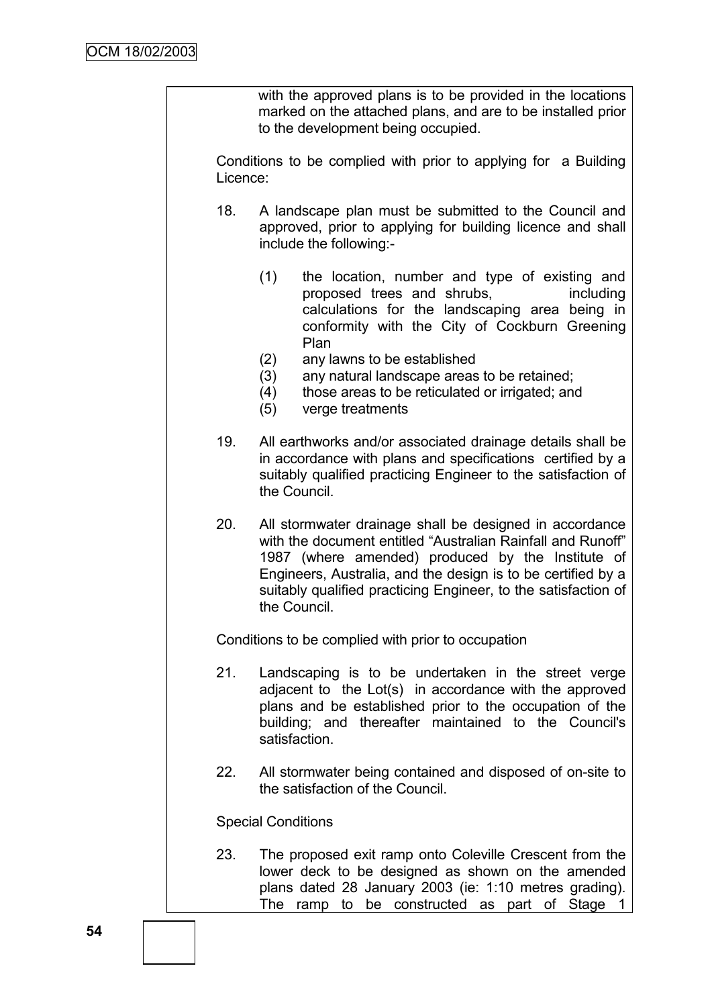with the approved plans is to be provided in the locations marked on the attached plans, and are to be installed prior to the development being occupied.

Conditions to be complied with prior to applying for a Building Licence:

- 18. A landscape plan must be submitted to the Council and approved, prior to applying for building licence and shall include the following:-
	- (1) the location, number and type of existing and proposed trees and shrubs, including calculations for the landscaping area being in conformity with the City of Cockburn Greening Plan
	- (2) any lawns to be established
	- (3) any natural landscape areas to be retained;
	- (4) those areas to be reticulated or irrigated; and
	- (5) verge treatments
- 19. All earthworks and/or associated drainage details shall be in accordance with plans and specifications certified by a suitably qualified practicing Engineer to the satisfaction of the Council.
- 20. All stormwater drainage shall be designed in accordance with the document entitled "Australian Rainfall and Runoff" 1987 (where amended) produced by the Institute of Engineers, Australia, and the design is to be certified by a suitably qualified practicing Engineer, to the satisfaction of the Council.

Conditions to be complied with prior to occupation

- 21. Landscaping is to be undertaken in the street verge adjacent to the Lot(s) in accordance with the approved plans and be established prior to the occupation of the building; and thereafter maintained to the Council's satisfaction.
- 22. All stormwater being contained and disposed of on-site to the satisfaction of the Council.

Special Conditions

23. The proposed exit ramp onto Coleville Crescent from the lower deck to be designed as shown on the amended plans dated 28 January 2003 (ie: 1:10 metres grading). The ramp to be constructed as part of Stage 1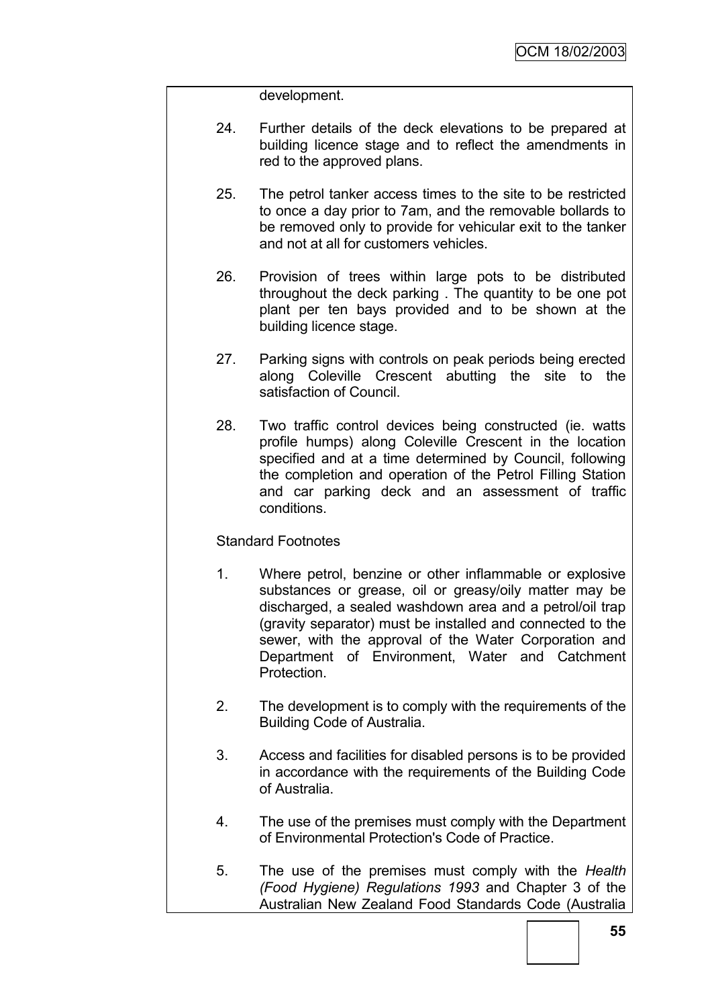development.

- 24. Further details of the deck elevations to be prepared at building licence stage and to reflect the amendments in red to the approved plans.
- 25. The petrol tanker access times to the site to be restricted to once a day prior to 7am, and the removable bollards to be removed only to provide for vehicular exit to the tanker and not at all for customers vehicles.
- 26. Provision of trees within large pots to be distributed throughout the deck parking . The quantity to be one pot plant per ten bays provided and to be shown at the building licence stage.
- 27. Parking signs with controls on peak periods being erected along Coleville Crescent abutting the site to the satisfaction of Council.
- 28. Two traffic control devices being constructed (ie. watts profile humps) along Coleville Crescent in the location specified and at a time determined by Council, following the completion and operation of the Petrol Filling Station and car parking deck and an assessment of traffic conditions.

#### Standard Footnotes

- 1. Where petrol, benzine or other inflammable or explosive substances or grease, oil or greasy/oily matter may be discharged, a sealed washdown area and a petrol/oil trap (gravity separator) must be installed and connected to the sewer, with the approval of the Water Corporation and Department of Environment, Water and Catchment Protection.
- 2. The development is to comply with the requirements of the Building Code of Australia.
- 3. Access and facilities for disabled persons is to be provided in accordance with the requirements of the Building Code of Australia.
- 4. The use of the premises must comply with the Department of Environmental Protection's Code of Practice.
- 5. The use of the premises must comply with the *Health (Food Hygiene) Regulations 1993* and Chapter 3 of the Australian New Zealand Food Standards Code (Australia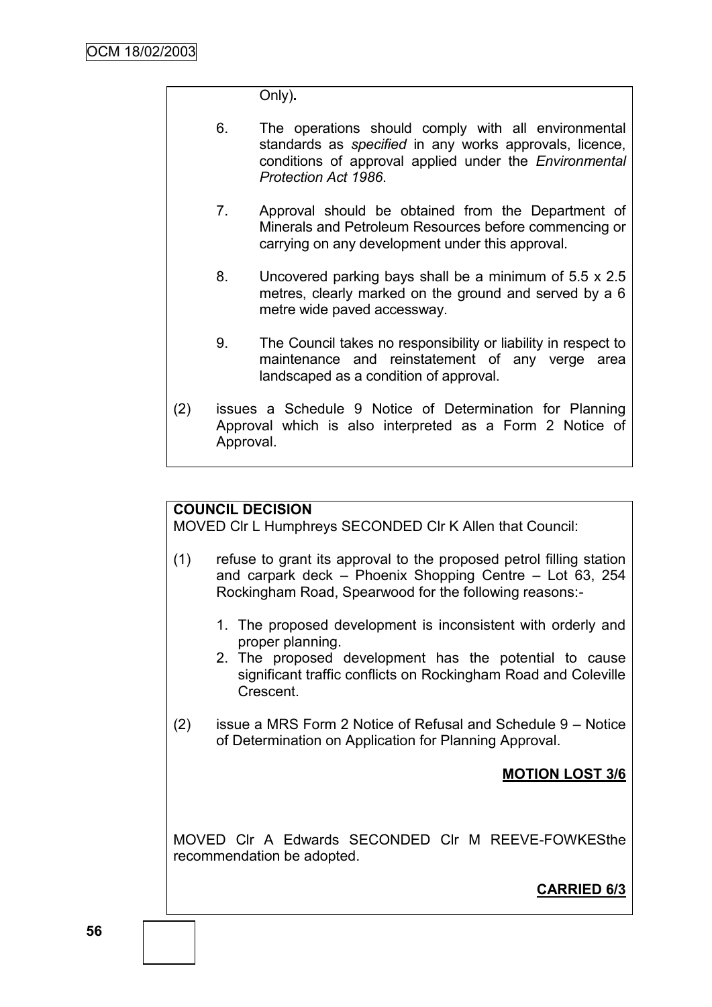Only)**.**

- 6. The operations should comply with all environmental standards as *specified* in any works approvals, licence, conditions of approval applied under the *Environmental Protection Act 1986*.
- 7. Approval should be obtained from the Department of Minerals and Petroleum Resources before commencing or carrying on any development under this approval.
- 8. Uncovered parking bays shall be a minimum of 5.5 x 2.5 metres, clearly marked on the ground and served by a 6 metre wide paved accessway.
- 9. The Council takes no responsibility or liability in respect to maintenance and reinstatement of any verge area landscaped as a condition of approval.
- (2) issues a Schedule 9 Notice of Determination for Planning Approval which is also interpreted as a Form 2 Notice of Approval.

## **COUNCIL DECISION**

MOVED Clr L Humphreys SECONDED Clr K Allen that Council:

- (1) refuse to grant its approval to the proposed petrol filling station and carpark deck – Phoenix Shopping Centre – Lot 63, 254 Rockingham Road, Spearwood for the following reasons:-
	- 1. The proposed development is inconsistent with orderly and proper planning.
	- 2. The proposed development has the potential to cause significant traffic conflicts on Rockingham Road and Coleville Crescent.
- (2) issue a MRS Form 2 Notice of Refusal and Schedule 9 Notice of Determination on Application for Planning Approval.

## **MOTION LOST 3/6**

MOVED Clr A Edwards SECONDED Clr M REEVE-FOWKESthe recommendation be adopted.

## **CARRIED 6/3**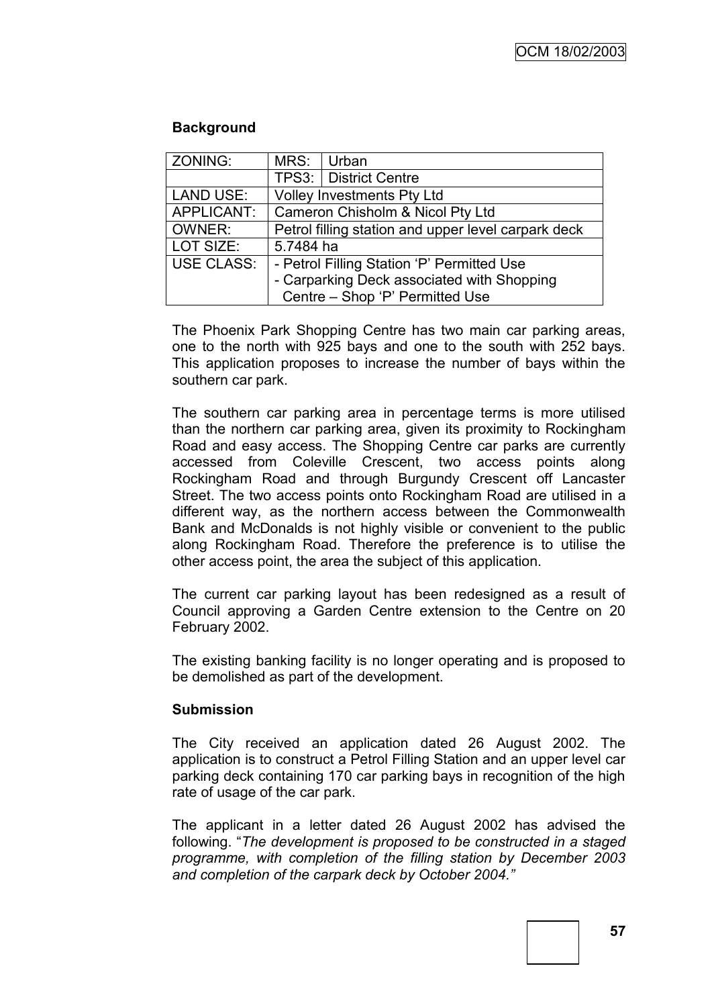#### **Background**

| ZONING:           | MRS:      | Urban                                               |
|-------------------|-----------|-----------------------------------------------------|
|                   |           | TPS3:   District Centre                             |
| <b>LAND USE:</b>  |           | <b>Volley Investments Pty Ltd</b>                   |
| APPLICANT:        |           | Cameron Chisholm & Nicol Pty Ltd                    |
| <b>OWNER:</b>     |           | Petrol filling station and upper level carpark deck |
| LOT SIZE:         | 5.7484 ha |                                                     |
| <b>USE CLASS:</b> |           | - Petrol Filling Station 'P' Permitted Use          |
|                   |           | - Carparking Deck associated with Shopping          |
|                   |           | Centre - Shop 'P' Permitted Use                     |

The Phoenix Park Shopping Centre has two main car parking areas, one to the north with 925 bays and one to the south with 252 bays. This application proposes to increase the number of bays within the southern car park.

The southern car parking area in percentage terms is more utilised than the northern car parking area, given its proximity to Rockingham Road and easy access. The Shopping Centre car parks are currently accessed from Coleville Crescent, two access points along Rockingham Road and through Burgundy Crescent off Lancaster Street. The two access points onto Rockingham Road are utilised in a different way, as the northern access between the Commonwealth Bank and McDonalds is not highly visible or convenient to the public along Rockingham Road. Therefore the preference is to utilise the other access point, the area the subject of this application.

The current car parking layout has been redesigned as a result of Council approving a Garden Centre extension to the Centre on 20 February 2002.

The existing banking facility is no longer operating and is proposed to be demolished as part of the development.

#### **Submission**

The City received an application dated 26 August 2002. The application is to construct a Petrol Filling Station and an upper level car parking deck containing 170 car parking bays in recognition of the high rate of usage of the car park.

The applicant in a letter dated 26 August 2002 has advised the following. "*The development is proposed to be constructed in a staged programme, with completion of the filling station by December 2003 and completion of the carpark deck by October 2004.‖*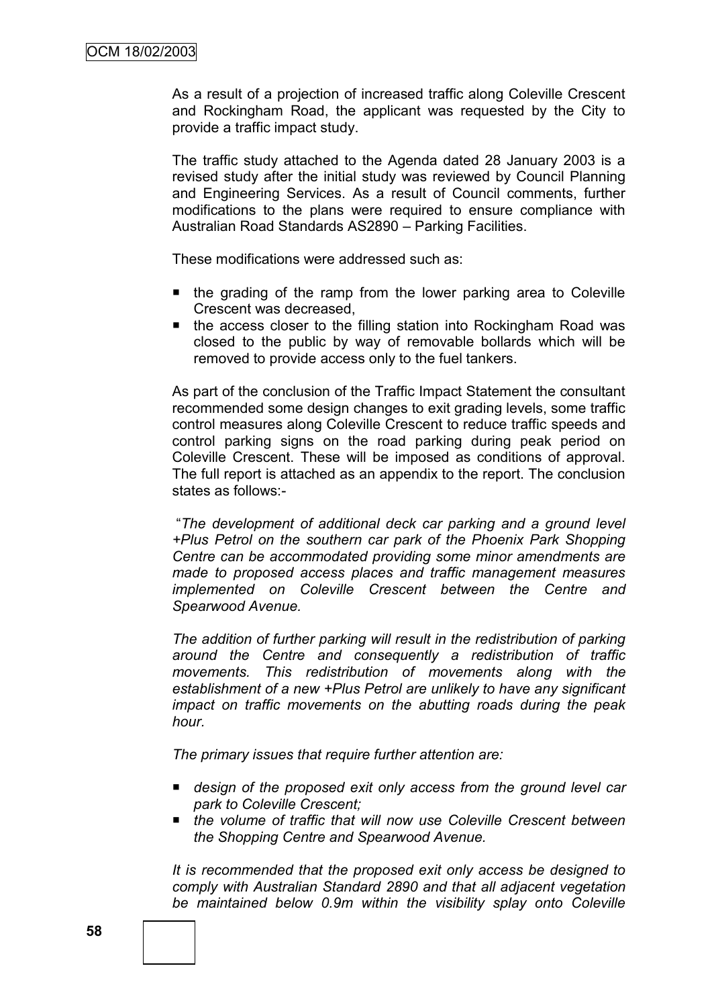As a result of a projection of increased traffic along Coleville Crescent and Rockingham Road, the applicant was requested by the City to provide a traffic impact study.

The traffic study attached to the Agenda dated 28 January 2003 is a revised study after the initial study was reviewed by Council Planning and Engineering Services. As a result of Council comments, further modifications to the plans were required to ensure compliance with Australian Road Standards AS2890 – Parking Facilities.

These modifications were addressed such as:

- the grading of the ramp from the lower parking area to Coleville Crescent was decreased,
- $\blacksquare$  the access closer to the filling station into Rockingham Road was closed to the public by way of removable bollards which will be removed to provide access only to the fuel tankers.

As part of the conclusion of the Traffic Impact Statement the consultant recommended some design changes to exit grading levels, some traffic control measures along Coleville Crescent to reduce traffic speeds and control parking signs on the road parking during peak period on Coleville Crescent. These will be imposed as conditions of approval. The full report is attached as an appendix to the report. The conclusion states as follows:-

"*The development of additional deck car parking and a ground level +Plus Petrol on the southern car park of the Phoenix Park Shopping Centre can be accommodated providing some minor amendments are made to proposed access places and traffic management measures implemented on Coleville Crescent between the Centre and Spearwood Avenue.*

*The addition of further parking will result in the redistribution of parking around the Centre and consequently a redistribution of traffic movements. This redistribution of movements along with the establishment of a new +Plus Petrol are unlikely to have any significant impact on traffic movements on the abutting roads during the peak hour.*

*The primary issues that require further attention are:*

- *design of the proposed exit only access from the ground level car park to Coleville Crescent;*
- the volume of traffic that will now use Coleville Crescent between *the Shopping Centre and Spearwood Avenue.*

*It is recommended that the proposed exit only access be designed to comply with Australian Standard 2890 and that all adjacent vegetation be maintained below 0.9m within the visibility splay onto Coleville*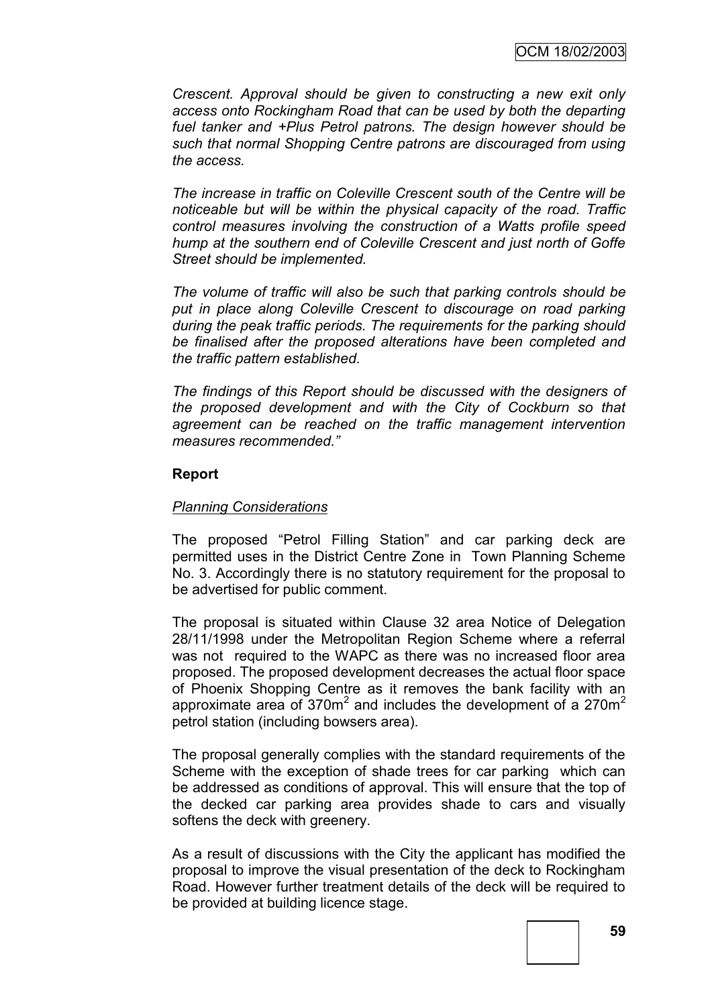*Crescent. Approval should be given to constructing a new exit only access onto Rockingham Road that can be used by both the departing fuel tanker and +Plus Petrol patrons. The design however should be such that normal Shopping Centre patrons are discouraged from using the access.*

*The increase in traffic on Coleville Crescent south of the Centre will be noticeable but will be within the physical capacity of the road. Traffic control measures involving the construction of a Watts profile speed hump at the southern end of Coleville Crescent and just north of Goffe Street should be implemented.*

*The volume of traffic will also be such that parking controls should be put in place along Coleville Crescent to discourage on road parking during the peak traffic periods. The requirements for the parking should be finalised after the proposed alterations have been completed and the traffic pattern established.*

*The findings of this Report should be discussed with the designers of the proposed development and with the City of Cockburn so that agreement can be reached on the traffic management intervention measures recommended.‖*

## **Report**

#### *Planning Considerations*

The proposed "Petrol Filling Station" and car parking deck are permitted uses in the District Centre Zone in Town Planning Scheme No. 3. Accordingly there is no statutory requirement for the proposal to be advertised for public comment.

The proposal is situated within Clause 32 area Notice of Delegation 28/11/1998 under the Metropolitan Region Scheme where a referral was not required to the WAPC as there was no increased floor area proposed. The proposed development decreases the actual floor space of Phoenix Shopping Centre as it removes the bank facility with an approximate area of  $370m^2$  and includes the development of a 270m<sup>2</sup> petrol station (including bowsers area).

The proposal generally complies with the standard requirements of the Scheme with the exception of shade trees for car parking which can be addressed as conditions of approval. This will ensure that the top of the decked car parking area provides shade to cars and visually softens the deck with greenery.

As a result of discussions with the City the applicant has modified the proposal to improve the visual presentation of the deck to Rockingham Road. However further treatment details of the deck will be required to be provided at building licence stage.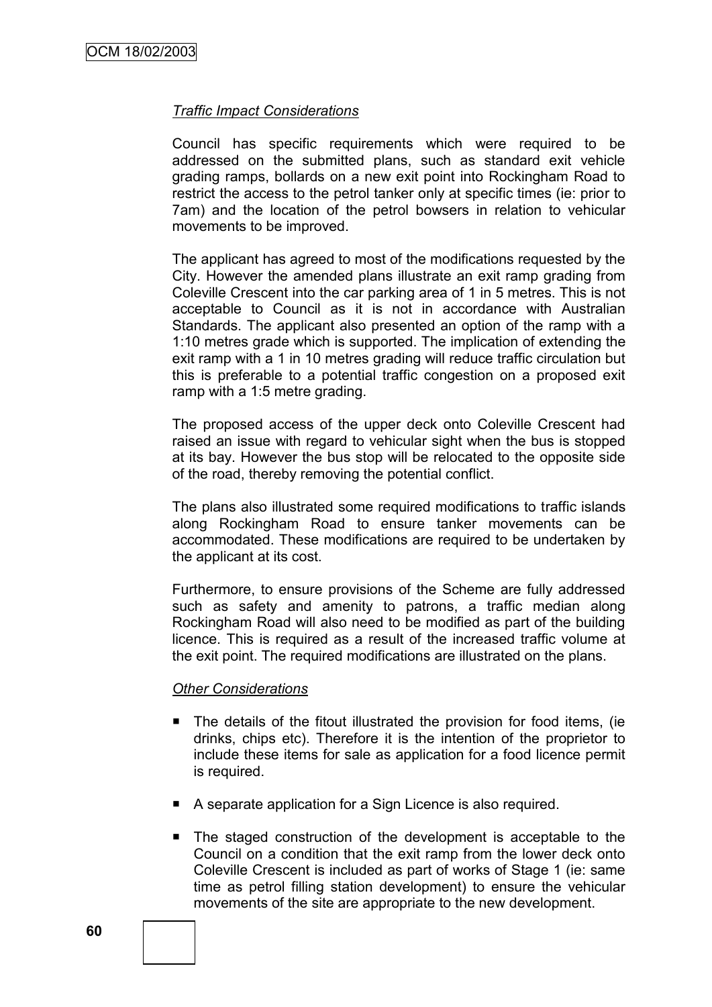#### *Traffic Impact Considerations*

Council has specific requirements which were required to be addressed on the submitted plans, such as standard exit vehicle grading ramps, bollards on a new exit point into Rockingham Road to restrict the access to the petrol tanker only at specific times (ie: prior to 7am) and the location of the petrol bowsers in relation to vehicular movements to be improved.

The applicant has agreed to most of the modifications requested by the City. However the amended plans illustrate an exit ramp grading from Coleville Crescent into the car parking area of 1 in 5 metres. This is not acceptable to Council as it is not in accordance with Australian Standards. The applicant also presented an option of the ramp with a 1:10 metres grade which is supported. The implication of extending the exit ramp with a 1 in 10 metres grading will reduce traffic circulation but this is preferable to a potential traffic congestion on a proposed exit ramp with a 1:5 metre grading.

The proposed access of the upper deck onto Coleville Crescent had raised an issue with regard to vehicular sight when the bus is stopped at its bay. However the bus stop will be relocated to the opposite side of the road, thereby removing the potential conflict.

The plans also illustrated some required modifications to traffic islands along Rockingham Road to ensure tanker movements can be accommodated. These modifications are required to be undertaken by the applicant at its cost.

Furthermore, to ensure provisions of the Scheme are fully addressed such as safety and amenity to patrons, a traffic median along Rockingham Road will also need to be modified as part of the building licence. This is required as a result of the increased traffic volume at the exit point. The required modifications are illustrated on the plans.

#### *Other Considerations*

- The details of the fitout illustrated the provision for food items, (ie drinks, chips etc). Therefore it is the intention of the proprietor to include these items for sale as application for a food licence permit is required.
- A separate application for a Sign Licence is also required.
- The staged construction of the development is acceptable to the Council on a condition that the exit ramp from the lower deck onto Coleville Crescent is included as part of works of Stage 1 (ie: same time as petrol filling station development) to ensure the vehicular movements of the site are appropriate to the new development.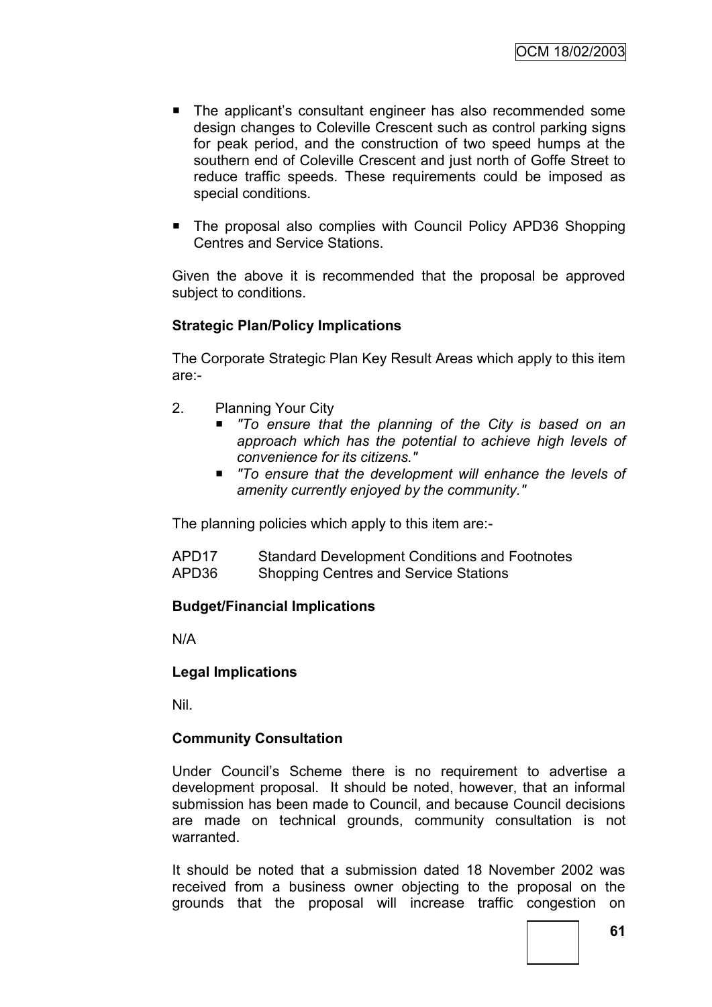- The applicant's consultant engineer has also recommended some design changes to Coleville Crescent such as control parking signs for peak period, and the construction of two speed humps at the southern end of Coleville Crescent and just north of Goffe Street to reduce traffic speeds. These requirements could be imposed as special conditions.
- The proposal also complies with Council Policy APD36 Shopping Centres and Service Stations.

Given the above it is recommended that the proposal be approved subject to conditions.

#### **Strategic Plan/Policy Implications**

The Corporate Strategic Plan Key Result Areas which apply to this item are:-

- 2. Planning Your City
	- *"To ensure that the planning of the City is based on an approach which has the potential to achieve high levels of convenience for its citizens."*
	- *"To ensure that the development will enhance the levels of amenity currently enjoyed by the community."*

The planning policies which apply to this item are:-

| APD17 | <b>Standard Development Conditions and Footnotes</b> |
|-------|------------------------------------------------------|
| APD36 | <b>Shopping Centres and Service Stations</b>         |

#### **Budget/Financial Implications**

N/A

#### **Legal Implications**

Nil.

#### **Community Consultation**

Under Council"s Scheme there is no requirement to advertise a development proposal. It should be noted, however, that an informal submission has been made to Council, and because Council decisions are made on technical grounds, community consultation is not warranted.

It should be noted that a submission dated 18 November 2002 was received from a business owner objecting to the proposal on the grounds that the proposal will increase traffic congestion on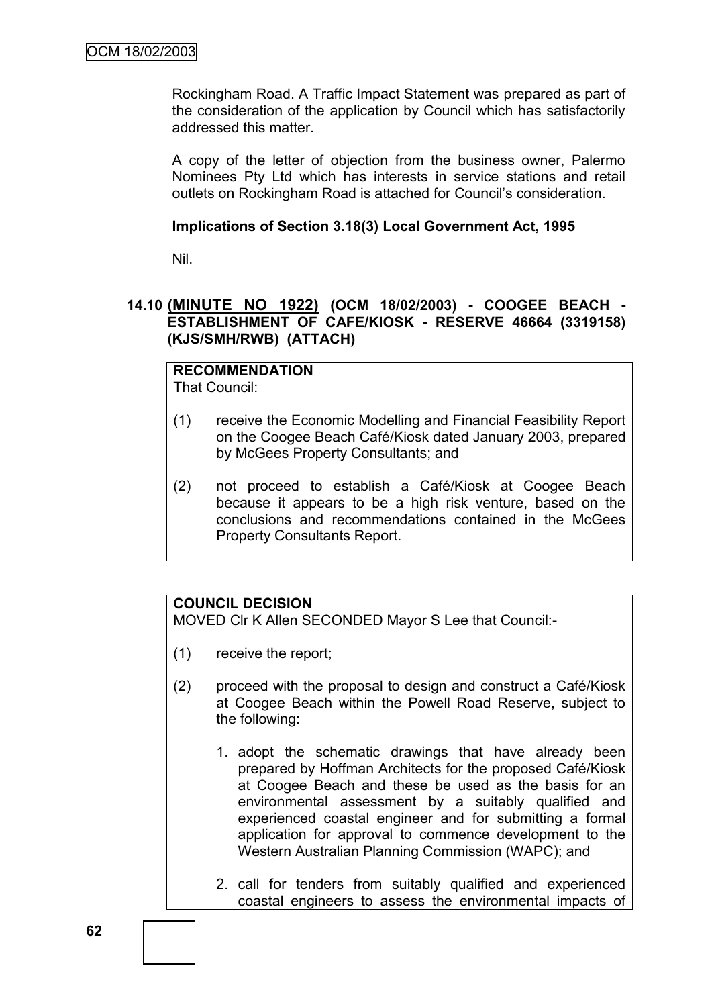Rockingham Road. A Traffic Impact Statement was prepared as part of the consideration of the application by Council which has satisfactorily addressed this matter.

A copy of the letter of objection from the business owner, Palermo Nominees Pty Ltd which has interests in service stations and retail outlets on Rockingham Road is attached for Council"s consideration.

#### **Implications of Section 3.18(3) Local Government Act, 1995**

Nil.

## **14.10 (MINUTE NO 1922) (OCM 18/02/2003) - COOGEE BEACH - ESTABLISHMENT OF CAFE/KIOSK - RESERVE 46664 (3319158) (KJS/SMH/RWB) (ATTACH)**

#### **RECOMMENDATION** That Council:

- (1) receive the Economic Modelling and Financial Feasibility Report on the Coogee Beach Café/Kiosk dated January 2003, prepared by McGees Property Consultants; and
- (2) not proceed to establish a Café/Kiosk at Coogee Beach because it appears to be a high risk venture, based on the conclusions and recommendations contained in the McGees Property Consultants Report.

# **COUNCIL DECISION**

MOVED Clr K Allen SECONDED Mayor S Lee that Council:-

- (1) receive the report;
- (2) proceed with the proposal to design and construct a Café/Kiosk at Coogee Beach within the Powell Road Reserve, subject to the following:
	- 1. adopt the schematic drawings that have already been prepared by Hoffman Architects for the proposed Café/Kiosk at Coogee Beach and these be used as the basis for an environmental assessment by a suitably qualified and experienced coastal engineer and for submitting a formal application for approval to commence development to the Western Australian Planning Commission (WAPC); and
	- 2. call for tenders from suitably qualified and experienced coastal engineers to assess the environmental impacts of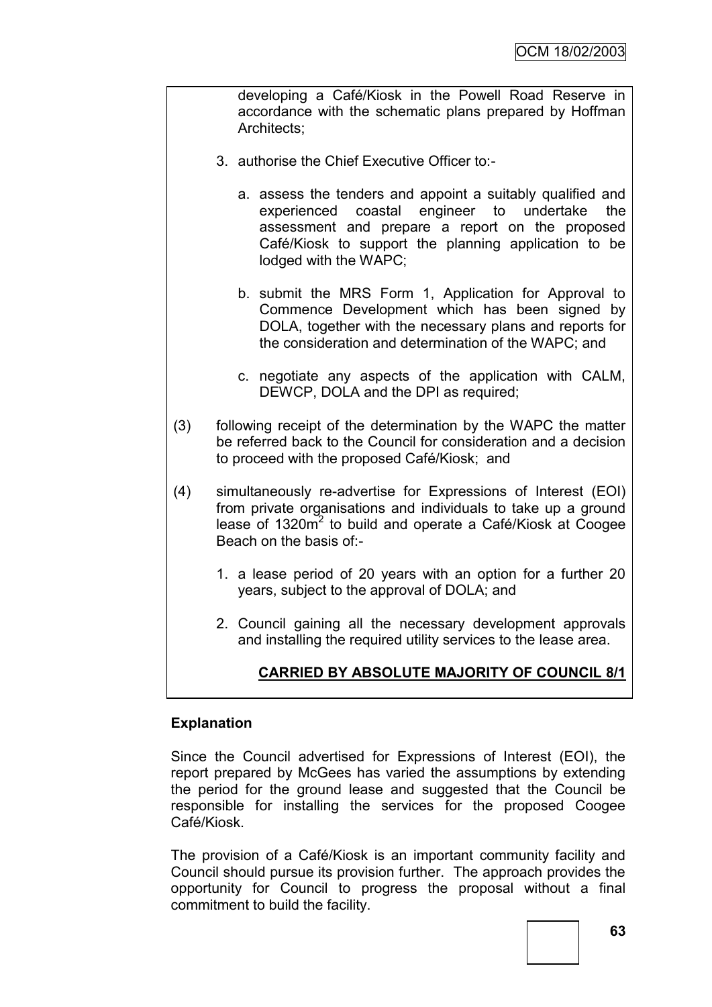developing a Café/Kiosk in the Powell Road Reserve in accordance with the schematic plans prepared by Hoffman Architects;

- 3. authorise the Chief Executive Officer to:
	- a. assess the tenders and appoint a suitably qualified and experienced coastal engineer to undertake the assessment and prepare a report on the proposed Café/Kiosk to support the planning application to be lodged with the WAPC;
	- b. submit the MRS Form 1, Application for Approval to Commence Development which has been signed by DOLA, together with the necessary plans and reports for the consideration and determination of the WAPC; and
	- c. negotiate any aspects of the application with CALM, DEWCP, DOLA and the DPI as required;
- (3) following receipt of the determination by the WAPC the matter be referred back to the Council for consideration and a decision to proceed with the proposed Café/Kiosk; and
- (4) simultaneously re-advertise for Expressions of Interest (EOI) from private organisations and individuals to take up a ground lease of 1320 $m^2$  to build and operate a Café/Kiosk at Coogee Beach on the basis of:-
	- 1. a lease period of 20 years with an option for a further 20 years, subject to the approval of DOLA; and
	- 2. Council gaining all the necessary development approvals and installing the required utility services to the lease area.

# **CARRIED BY ABSOLUTE MAJORITY OF COUNCIL 8/1**

#### **Explanation**

Since the Council advertised for Expressions of Interest (EOI), the report prepared by McGees has varied the assumptions by extending the period for the ground lease and suggested that the Council be responsible for installing the services for the proposed Coogee Café/Kiosk.

The provision of a Café/Kiosk is an important community facility and Council should pursue its provision further. The approach provides the opportunity for Council to progress the proposal without a final commitment to build the facility.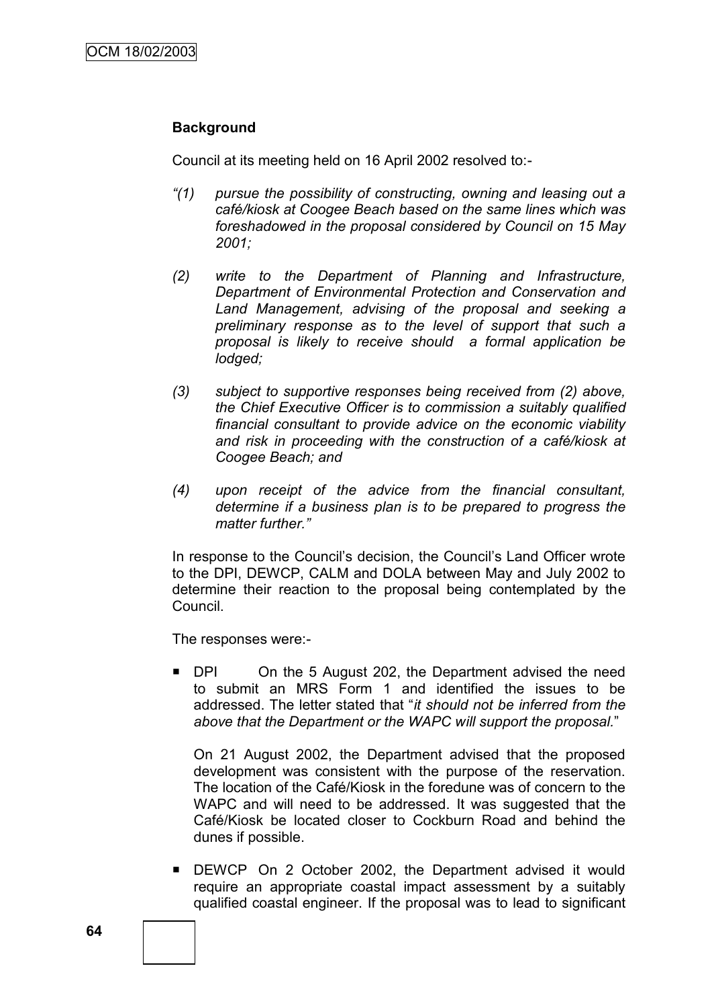## **Background**

Council at its meeting held on 16 April 2002 resolved to:-

- *―(1) pursue the possibility of constructing, owning and leasing out a café/kiosk at Coogee Beach based on the same lines which was foreshadowed in the proposal considered by Council on 15 May 2001;*
- *(2) write to the Department of Planning and Infrastructure, Department of Environmental Protection and Conservation and Land Management, advising of the proposal and seeking a preliminary response as to the level of support that such a proposal is likely to receive should a formal application be lodged;*
- *(3) subject to supportive responses being received from (2) above, the Chief Executive Officer is to commission a suitably qualified financial consultant to provide advice on the economic viability and risk in proceeding with the construction of a café/kiosk at Coogee Beach; and*
- *(4) upon receipt of the advice from the financial consultant, determine if a business plan is to be prepared to progress the matter further.‖*

In response to the Council"s decision, the Council"s Land Officer wrote to the DPI, DEWCP, CALM and DOLA between May and July 2002 to determine their reaction to the proposal being contemplated by the Council.

The responses were:-

■ DPI On the 5 August 202, the Department advised the need to submit an MRS Form 1 and identified the issues to be addressed. The letter stated that "*it should not be inferred from the above that the Department or the WAPC will support the proposal.*"

On 21 August 2002, the Department advised that the proposed development was consistent with the purpose of the reservation. The location of the Café/Kiosk in the foredune was of concern to the WAPC and will need to be addressed. It was suggested that the Café/Kiosk be located closer to Cockburn Road and behind the dunes if possible.

 DEWCP On 2 October 2002, the Department advised it would require an appropriate coastal impact assessment by a suitably qualified coastal engineer. If the proposal was to lead to significant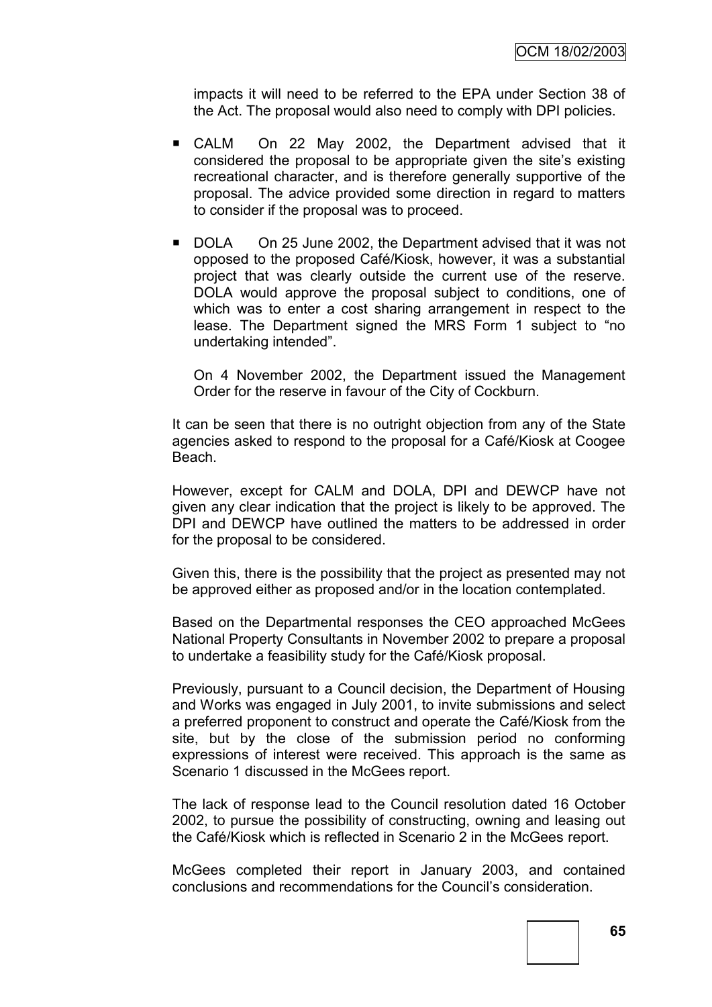impacts it will need to be referred to the EPA under Section 38 of the Act. The proposal would also need to comply with DPI policies.

- CALM On 22 May 2002, the Department advised that it considered the proposal to be appropriate given the site"s existing recreational character, and is therefore generally supportive of the proposal. The advice provided some direction in regard to matters to consider if the proposal was to proceed.
- DOLA On 25 June 2002, the Department advised that it was not opposed to the proposed Café/Kiosk, however, it was a substantial project that was clearly outside the current use of the reserve. DOLA would approve the proposal subject to conditions, one of which was to enter a cost sharing arrangement in respect to the lease. The Department signed the MRS Form 1 subject to "no undertaking intended".

On 4 November 2002, the Department issued the Management Order for the reserve in favour of the City of Cockburn.

It can be seen that there is no outright objection from any of the State agencies asked to respond to the proposal for a Café/Kiosk at Coogee Beach.

However, except for CALM and DOLA, DPI and DEWCP have not given any clear indication that the project is likely to be approved. The DPI and DEWCP have outlined the matters to be addressed in order for the proposal to be considered.

Given this, there is the possibility that the project as presented may not be approved either as proposed and/or in the location contemplated.

Based on the Departmental responses the CEO approached McGees National Property Consultants in November 2002 to prepare a proposal to undertake a feasibility study for the Café/Kiosk proposal.

Previously, pursuant to a Council decision, the Department of Housing and Works was engaged in July 2001, to invite submissions and select a preferred proponent to construct and operate the Café/Kiosk from the site, but by the close of the submission period no conforming expressions of interest were received. This approach is the same as Scenario 1 discussed in the McGees report.

The lack of response lead to the Council resolution dated 16 October 2002, to pursue the possibility of constructing, owning and leasing out the Café/Kiosk which is reflected in Scenario 2 in the McGees report.

McGees completed their report in January 2003, and contained conclusions and recommendations for the Council"s consideration.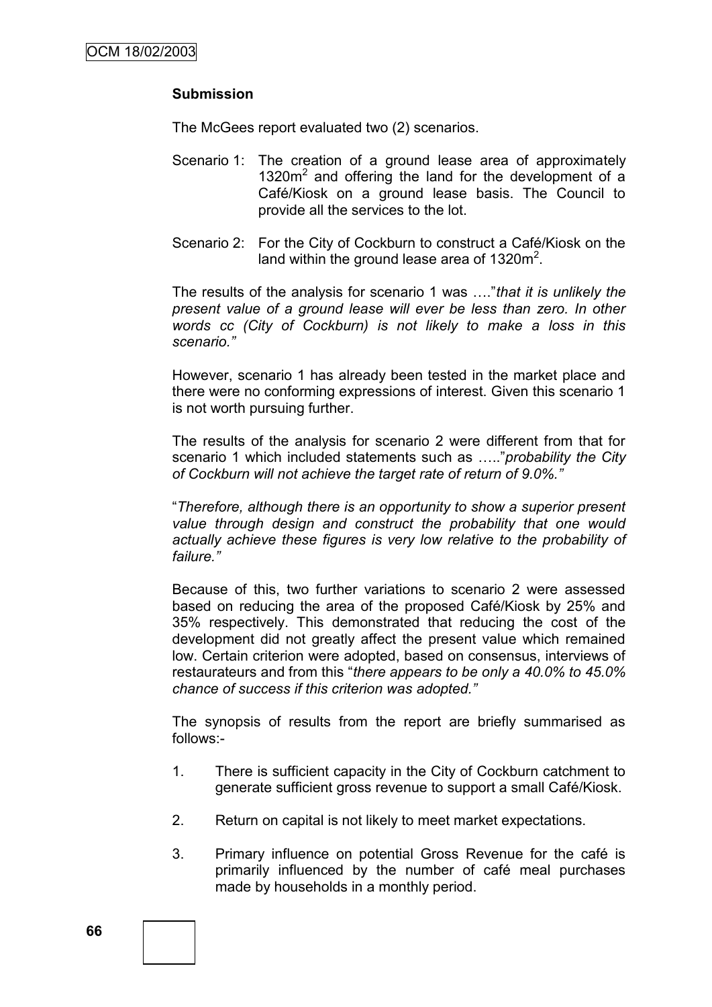## **Submission**

The McGees report evaluated two (2) scenarios.

- Scenario 1: The creation of a ground lease area of approximately 1320m<sup>2</sup> and offering the land for the development of a Café/Kiosk on a ground lease basis. The Council to provide all the services to the lot.
- Scenario 2: For the City of Cockburn to construct a Café/Kiosk on the land within the ground lease area of 1320 $m^2$ .

The results of the analysis for scenario 1 was …."*that it is unlikely the present value of a ground lease will ever be less than zero. In other words cc (City of Cockburn) is not likely to make a loss in this scenario.‖*

However, scenario 1 has already been tested in the market place and there were no conforming expressions of interest. Given this scenario 1 is not worth pursuing further.

The results of the analysis for scenario 2 were different from that for scenario 1 which included statements such as ….."*probability the City of Cockburn will not achieve the target rate of return of 9.0%.‖*

"*Therefore, although there is an opportunity to show a superior present value through design and construct the probability that one would actually achieve these figures is very low relative to the probability of*  failure."

Because of this, two further variations to scenario 2 were assessed based on reducing the area of the proposed Café/Kiosk by 25% and 35% respectively. This demonstrated that reducing the cost of the development did not greatly affect the present value which remained low. Certain criterion were adopted, based on consensus, interviews of restaurateurs and from this "*there appears to be only a 40.0% to 45.0% chance of success if this criterion was adopted.‖*

The synopsis of results from the report are briefly summarised as follows:-

- 1. There is sufficient capacity in the City of Cockburn catchment to generate sufficient gross revenue to support a small Café/Kiosk.
- 2. Return on capital is not likely to meet market expectations.
- 3. Primary influence on potential Gross Revenue for the café is primarily influenced by the number of café meal purchases made by households in a monthly period.

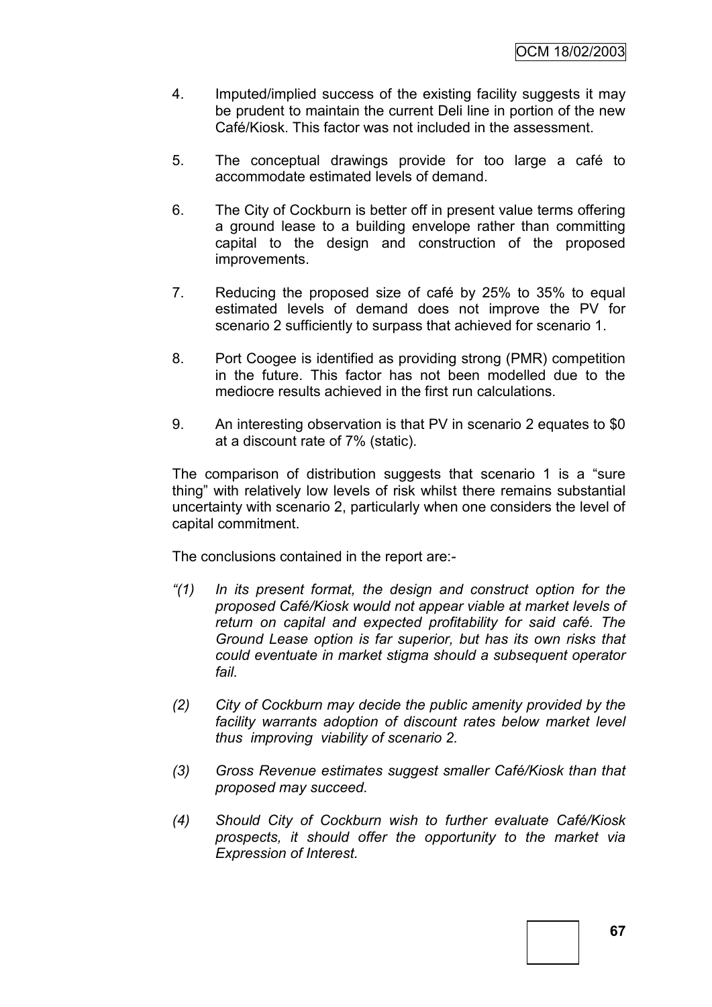- 4. Imputed/implied success of the existing facility suggests it may be prudent to maintain the current Deli line in portion of the new Café/Kiosk. This factor was not included in the assessment.
- 5. The conceptual drawings provide for too large a café to accommodate estimated levels of demand.
- 6. The City of Cockburn is better off in present value terms offering a ground lease to a building envelope rather than committing capital to the design and construction of the proposed improvements.
- 7. Reducing the proposed size of café by 25% to 35% to equal estimated levels of demand does not improve the PV for scenario 2 sufficiently to surpass that achieved for scenario 1.
- 8. Port Coogee is identified as providing strong (PMR) competition in the future. This factor has not been modelled due to the mediocre results achieved in the first run calculations.
- 9. An interesting observation is that PV in scenario 2 equates to \$0 at a discount rate of 7% (static).

The comparison of distribution suggests that scenario 1 is a "sure thing" with relatively low levels of risk whilst there remains substantial uncertainty with scenario 2, particularly when one considers the level of capital commitment.

The conclusions contained in the report are:-

- *―(1) In its present format, the design and construct option for the proposed Café/Kiosk would not appear viable at market levels of return on capital and expected profitability for said café. The Ground Lease option is far superior, but has its own risks that could eventuate in market stigma should a subsequent operator fail.*
- *(2) City of Cockburn may decide the public amenity provided by the facility warrants adoption of discount rates below market level thus improving viability of scenario 2.*
- *(3) Gross Revenue estimates suggest smaller Café/Kiosk than that proposed may succeed.*
- *(4) Should City of Cockburn wish to further evaluate Café/Kiosk prospects, it should offer the opportunity to the market via Expression of Interest.*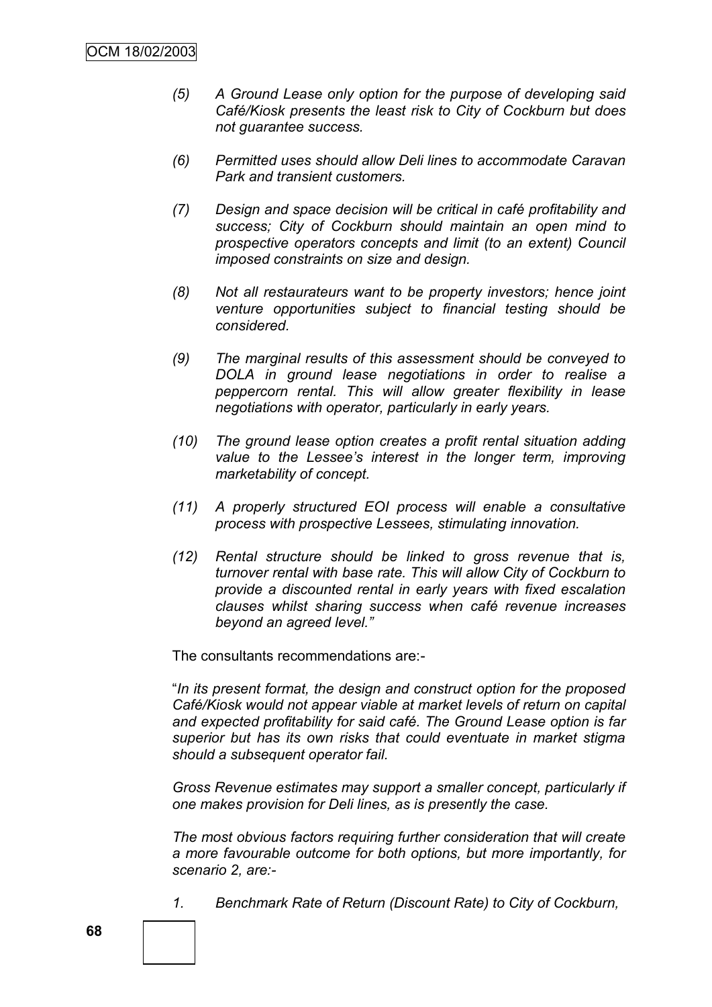- *(5) A Ground Lease only option for the purpose of developing said Café/Kiosk presents the least risk to City of Cockburn but does not guarantee success.*
- *(6) Permitted uses should allow Deli lines to accommodate Caravan Park and transient customers.*
- *(7) Design and space decision will be critical in café profitability and success; City of Cockburn should maintain an open mind to prospective operators concepts and limit (to an extent) Council imposed constraints on size and design.*
- *(8) Not all restaurateurs want to be property investors; hence joint venture opportunities subject to financial testing should be considered.*
- *(9) The marginal results of this assessment should be conveyed to DOLA in ground lease negotiations in order to realise a peppercorn rental. This will allow greater flexibility in lease negotiations with operator, particularly in early years.*
- *(10) The ground lease option creates a profit rental situation adding value to the Lessee's interest in the longer term, improving marketability of concept.*
- *(11) A properly structured EOI process will enable a consultative process with prospective Lessees, stimulating innovation.*
- *(12) Rental structure should be linked to gross revenue that is, turnover rental with base rate. This will allow City of Cockburn to provide a discounted rental in early years with fixed escalation clauses whilst sharing success when café revenue increases beyond an agreed level.‖*

The consultants recommendations are:-

"*In its present format, the design and construct option for the proposed Café/Kiosk would not appear viable at market levels of return on capital and expected profitability for said café. The Ground Lease option is far superior but has its own risks that could eventuate in market stigma should a subsequent operator fail.*

*Gross Revenue estimates may support a smaller concept, particularly if one makes provision for Deli lines, as is presently the case.*

*The most obvious factors requiring further consideration that will create a more favourable outcome for both options, but more importantly, for scenario 2, are:-*

*1. Benchmark Rate of Return (Discount Rate) to City of Cockburn,*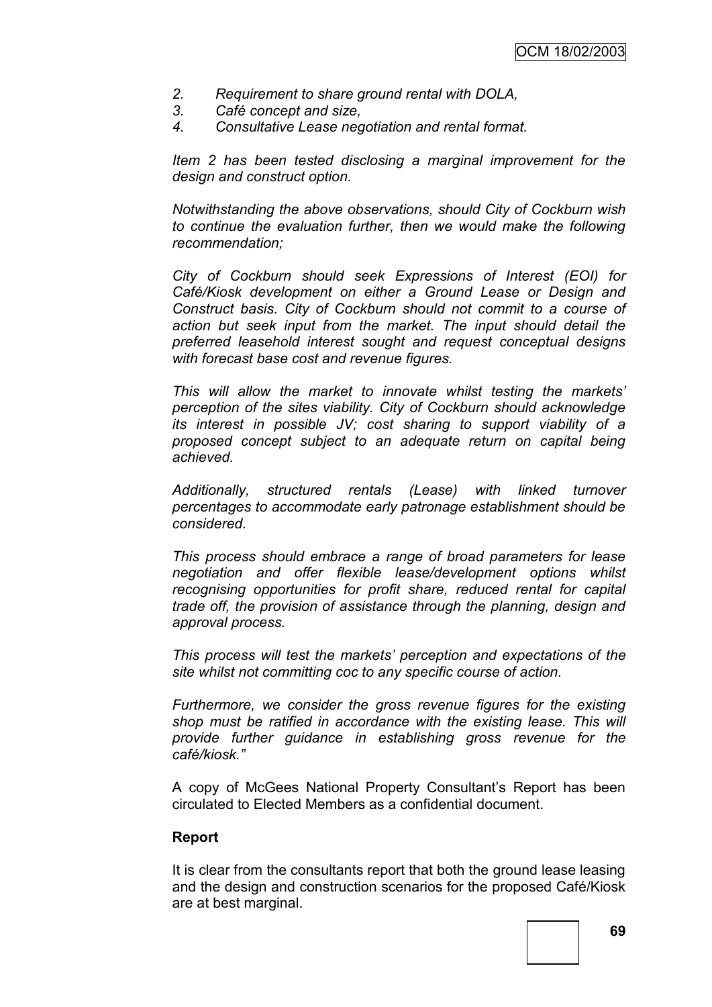- *2. Requirement to share ground rental with DOLA,*
- *3. Café concept and size,*
- *4. Consultative Lease negotiation and rental format.*

*Item 2 has been tested disclosing a marginal improvement for the design and construct option.*

*Notwithstanding the above observations, should City of Cockburn wish to continue the evaluation further, then we would make the following recommendation;*

*City of Cockburn should seek Expressions of Interest (EOI) for Café/Kiosk development on either a Ground Lease or Design and Construct basis. City of Cockburn should not commit to a course of action but seek input from the market. The input should detail the preferred leasehold interest sought and request conceptual designs with forecast base cost and revenue figures.*

*This will allow the market to innovate whilst testing the markets' perception of the sites viability. City of Cockburn should acknowledge its interest in possible JV; cost sharing to support viability of a proposed concept subject to an adequate return on capital being achieved.*

*Additionally, structured rentals (Lease) with linked turnover percentages to accommodate early patronage establishment should be considered.*

*This process should embrace a range of broad parameters for lease negotiation and offer flexible lease/development options whilst recognising opportunities for profit share, reduced rental for capital trade off, the provision of assistance through the planning, design and approval process.*

*This process will test the markets' perception and expectations of the site whilst not committing coc to any specific course of action.*

*Furthermore, we consider the gross revenue figures for the existing shop must be ratified in accordance with the existing lease. This will provide further guidance in establishing gross revenue for the café/kiosk.‖*

A copy of McGees National Property Consultant"s Report has been circulated to Elected Members as a confidential document.

## **Report**

It is clear from the consultants report that both the ground lease leasing and the design and construction scenarios for the proposed Café/Kiosk are at best marginal.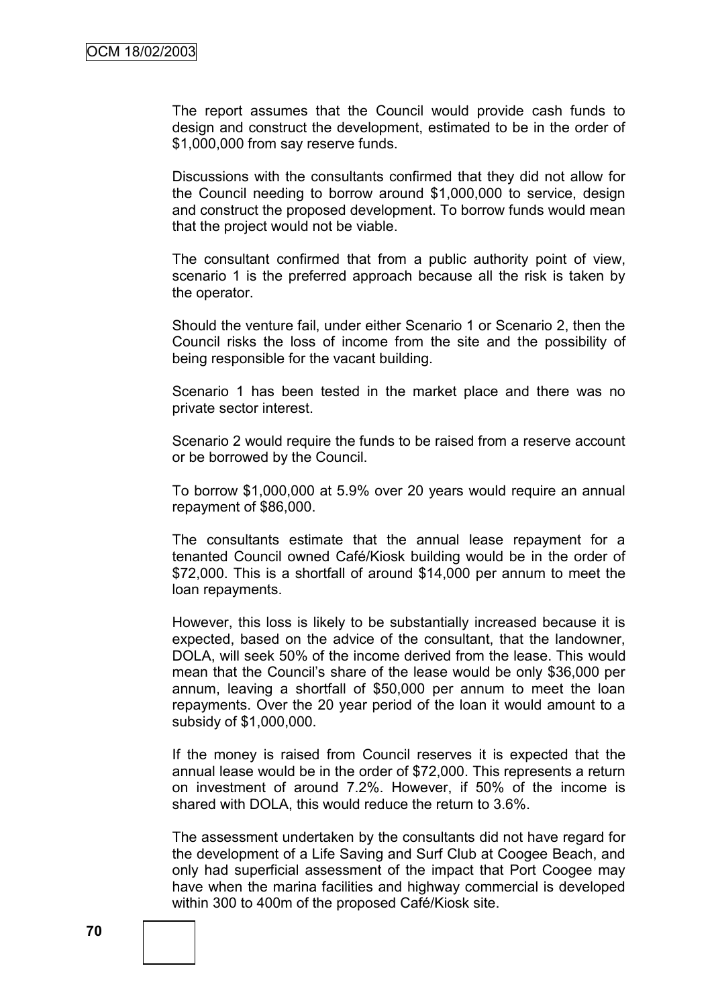The report assumes that the Council would provide cash funds to design and construct the development, estimated to be in the order of \$1,000,000 from say reserve funds.

Discussions with the consultants confirmed that they did not allow for the Council needing to borrow around \$1,000,000 to service, design and construct the proposed development. To borrow funds would mean that the project would not be viable.

The consultant confirmed that from a public authority point of view, scenario 1 is the preferred approach because all the risk is taken by the operator.

Should the venture fail, under either Scenario 1 or Scenario 2, then the Council risks the loss of income from the site and the possibility of being responsible for the vacant building.

Scenario 1 has been tested in the market place and there was no private sector interest.

Scenario 2 would require the funds to be raised from a reserve account or be borrowed by the Council.

To borrow \$1,000,000 at 5.9% over 20 years would require an annual repayment of \$86,000.

The consultants estimate that the annual lease repayment for a tenanted Council owned Café/Kiosk building would be in the order of \$72,000. This is a shortfall of around \$14,000 per annum to meet the loan repayments.

However, this loss is likely to be substantially increased because it is expected, based on the advice of the consultant, that the landowner, DOLA, will seek 50% of the income derived from the lease. This would mean that the Council"s share of the lease would be only \$36,000 per annum, leaving a shortfall of \$50,000 per annum to meet the loan repayments. Over the 20 year period of the loan it would amount to a subsidy of \$1,000,000.

If the money is raised from Council reserves it is expected that the annual lease would be in the order of \$72,000. This represents a return on investment of around 7.2%. However, if 50% of the income is shared with DOLA, this would reduce the return to 3.6%.

The assessment undertaken by the consultants did not have regard for the development of a Life Saving and Surf Club at Coogee Beach, and only had superficial assessment of the impact that Port Coogee may have when the marina facilities and highway commercial is developed within 300 to 400m of the proposed Café/Kiosk site.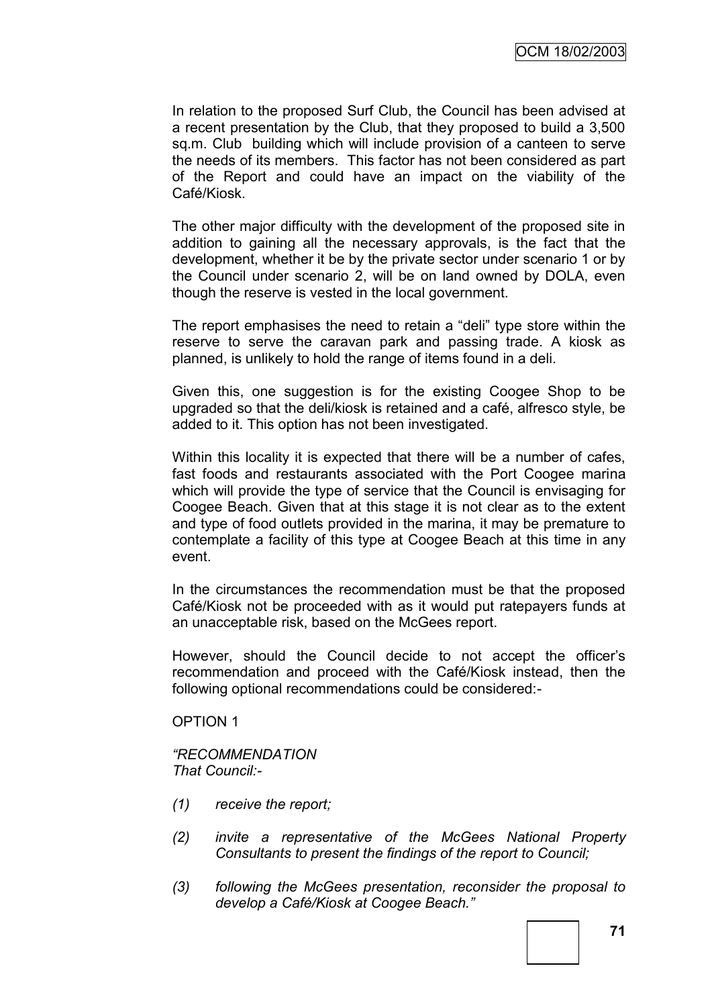In relation to the proposed Surf Club, the Council has been advised at a recent presentation by the Club, that they proposed to build a 3,500 sq.m. Club building which will include provision of a canteen to serve the needs of its members. This factor has not been considered as part of the Report and could have an impact on the viability of the Café/Kiosk.

The other major difficulty with the development of the proposed site in addition to gaining all the necessary approvals, is the fact that the development, whether it be by the private sector under scenario 1 or by the Council under scenario 2, will be on land owned by DOLA, even though the reserve is vested in the local government.

The report emphasises the need to retain a "deli" type store within the reserve to serve the caravan park and passing trade. A kiosk as planned, is unlikely to hold the range of items found in a deli.

Given this, one suggestion is for the existing Coogee Shop to be upgraded so that the deli/kiosk is retained and a café, alfresco style, be added to it. This option has not been investigated.

Within this locality it is expected that there will be a number of cafes, fast foods and restaurants associated with the Port Coogee marina which will provide the type of service that the Council is envisaging for Coogee Beach. Given that at this stage it is not clear as to the extent and type of food outlets provided in the marina, it may be premature to contemplate a facility of this type at Coogee Beach at this time in any event.

In the circumstances the recommendation must be that the proposed Café/Kiosk not be proceeded with as it would put ratepayers funds at an unacceptable risk, based on the McGees report.

However, should the Council decide to not accept the officer"s recommendation and proceed with the Café/Kiosk instead, then the following optional recommendations could be considered:-

OPTION 1

*―RECOMMENDATION That Council:-*

- *(1) receive the report;*
- *(2) invite a representative of the McGees National Property Consultants to present the findings of the report to Council;*
- *(3) following the McGees presentation, reconsider the proposal to develop a Café/Kiosk at Coogee Beach.‖*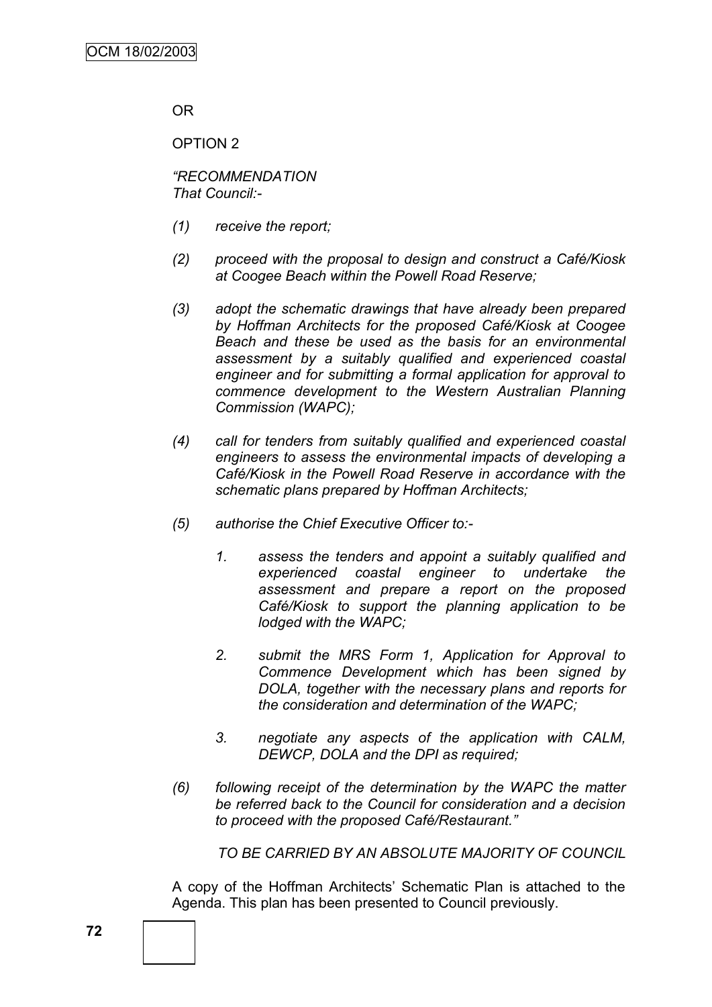OR

OPTION 2

*―RECOMMENDATION That Council:-*

- *(1) receive the report;*
- *(2) proceed with the proposal to design and construct a Café/Kiosk at Coogee Beach within the Powell Road Reserve;*
- *(3) adopt the schematic drawings that have already been prepared by Hoffman Architects for the proposed Café/Kiosk at Coogee Beach and these be used as the basis for an environmental assessment by a suitably qualified and experienced coastal engineer and for submitting a formal application for approval to commence development to the Western Australian Planning Commission (WAPC);*
- *(4) call for tenders from suitably qualified and experienced coastal engineers to assess the environmental impacts of developing a Café/Kiosk in the Powell Road Reserve in accordance with the schematic plans prepared by Hoffman Architects;*
- *(5) authorise the Chief Executive Officer to:-*
	- *1. assess the tenders and appoint a suitably qualified and experienced coastal engineer to undertake the assessment and prepare a report on the proposed Café/Kiosk to support the planning application to be lodged with the WAPC;*
	- *2. submit the MRS Form 1, Application for Approval to Commence Development which has been signed by DOLA, together with the necessary plans and reports for the consideration and determination of the WAPC;*
	- *3. negotiate any aspects of the application with CALM, DEWCP, DOLA and the DPI as required;*
- *(6) following receipt of the determination by the WAPC the matter be referred back to the Council for consideration and a decision to proceed with the proposed Café/Restaurant.‖*

*TO BE CARRIED BY AN ABSOLUTE MAJORITY OF COUNCIL*

A copy of the Hoffman Architects" Schematic Plan is attached to the Agenda. This plan has been presented to Council previously.

**72**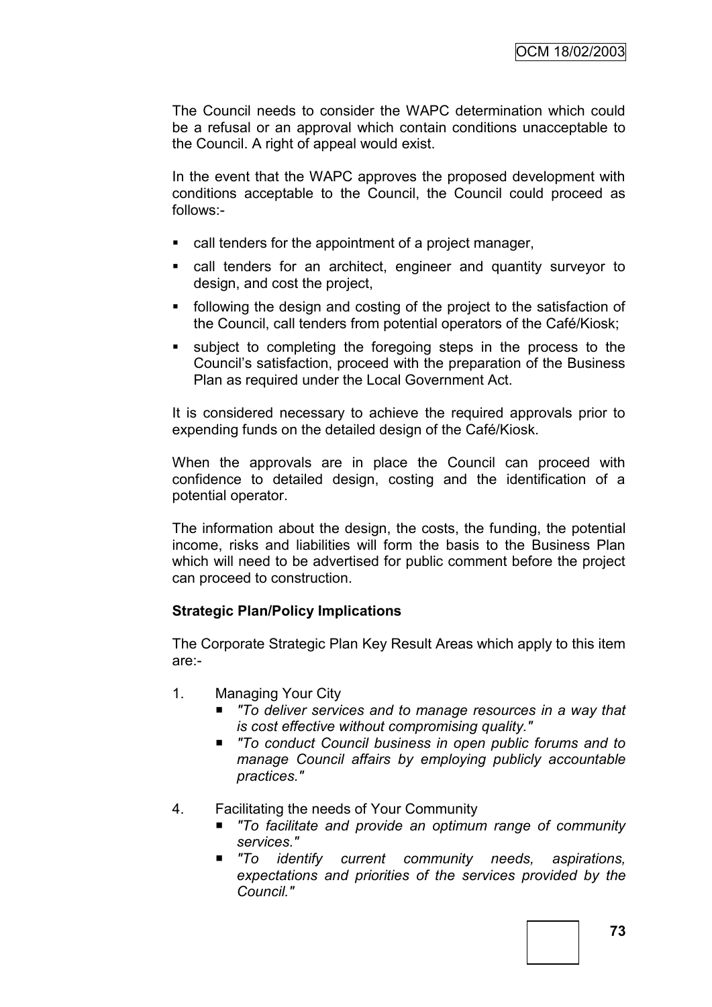The Council needs to consider the WAPC determination which could be a refusal or an approval which contain conditions unacceptable to the Council. A right of appeal would exist.

In the event that the WAPC approves the proposed development with conditions acceptable to the Council, the Council could proceed as follows:-

- call tenders for the appointment of a project manager,
- call tenders for an architect, engineer and quantity surveyor to design, and cost the project,
- following the design and costing of the project to the satisfaction of the Council, call tenders from potential operators of the Café/Kiosk;
- subject to completing the foregoing steps in the process to the Council"s satisfaction, proceed with the preparation of the Business Plan as required under the Local Government Act.

It is considered necessary to achieve the required approvals prior to expending funds on the detailed design of the Café/Kiosk.

When the approvals are in place the Council can proceed with confidence to detailed design, costing and the identification of a potential operator.

The information about the design, the costs, the funding, the potential income, risks and liabilities will form the basis to the Business Plan which will need to be advertised for public comment before the project can proceed to construction.

## **Strategic Plan/Policy Implications**

The Corporate Strategic Plan Key Result Areas which apply to this item are:-

- 1. Managing Your City
	- To deliver services and to manage resources in a way that *is cost effective without compromising quality."*
	- To conduct Council business in open public forums and to *manage Council affairs by employing publicly accountable practices."*
- 4. Facilitating the needs of Your Community
	- *"To facilitate and provide an optimum range of community services."*
	- *"To identify current community needs, aspirations, expectations and priorities of the services provided by the Council."*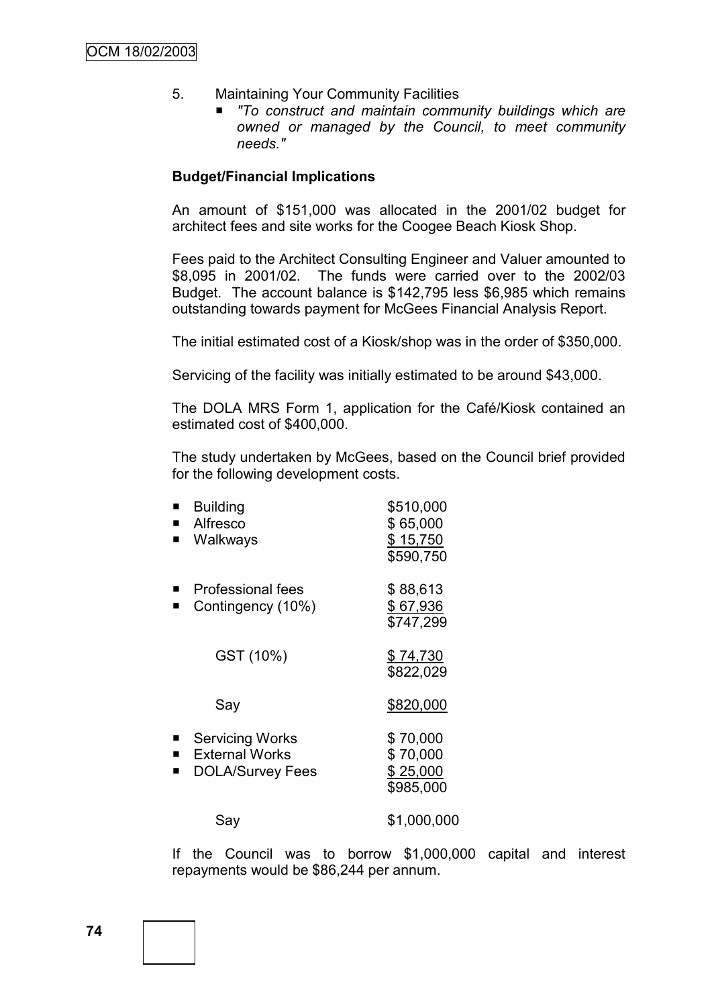- 5. Maintaining Your Community Facilities
	- *"To construct and maintain community buildings which are owned or managed by the Council, to meet community needs."*

#### **Budget/Financial Implications**

An amount of \$151,000 was allocated in the 2001/02 budget for architect fees and site works for the Coogee Beach Kiosk Shop.

Fees paid to the Architect Consulting Engineer and Valuer amounted to \$8,095 in 2001/02. The funds were carried over to the 2002/03 Budget. The account balance is \$142,795 less \$6,985 which remains outstanding towards payment for McGees Financial Analysis Report.

The initial estimated cost of a Kiosk/shop was in the order of \$350,000.

Servicing of the facility was initially estimated to be around \$43,000.

The DOLA MRS Form 1, application for the Café/Kiosk contained an estimated cost of \$400,000.

The study undertaken by McGees, based on the Council brief provided for the following development costs.

|   | <b>Building</b>          | \$510,000   |
|---|--------------------------|-------------|
|   | Alfresco                 | \$65,000    |
| ■ | Walkways                 | \$15,750    |
|   |                          | \$590,750   |
|   | <b>Professional fees</b> | \$88,613    |
|   | Contingency (10%)        | \$67,936    |
|   |                          | \$747,299   |
|   | GST (10%)                | \$74,730    |
|   |                          | \$822,029   |
|   | Say                      | \$820,000   |
|   |                          |             |
|   | <b>Servicing Works</b>   | \$70,000    |
| п | <b>External Works</b>    | \$70,000    |
| ■ | <b>DOLA/Survey Fees</b>  | \$25,000    |
|   |                          | \$985,000   |
|   | Say                      | \$1,000,000 |

If the Council was to borrow \$1,000,000 capital and interest repayments would be \$86,244 per annum.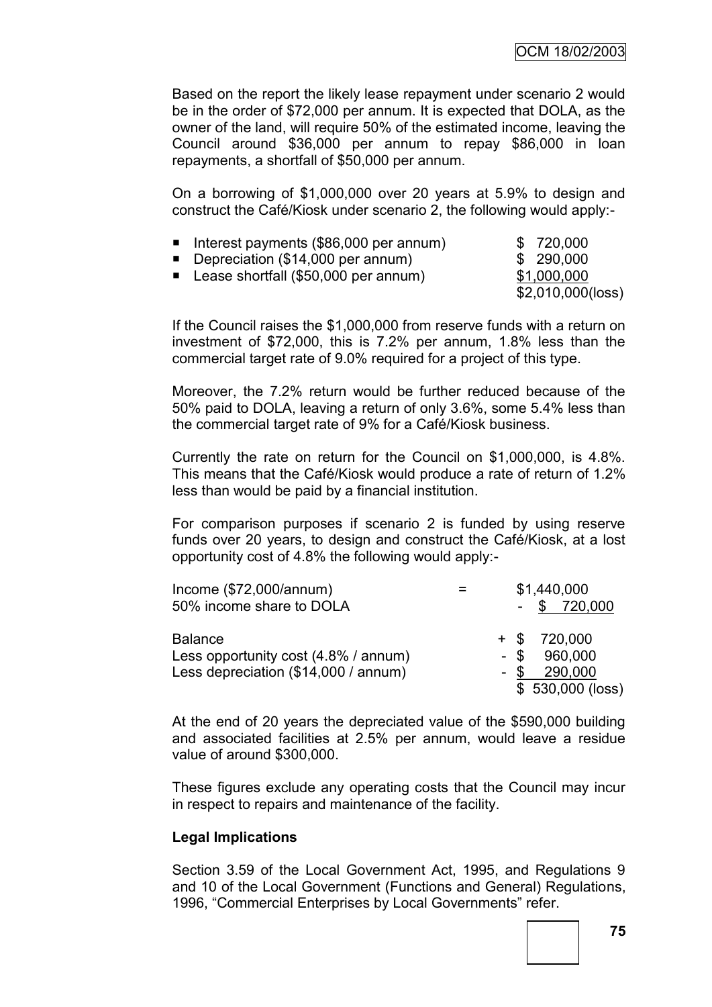Based on the report the likely lease repayment under scenario 2 would be in the order of \$72,000 per annum. It is expected that DOLA, as the owner of the land, will require 50% of the estimated income, leaving the Council around \$36,000 per annum to repay \$86,000 in loan repayments, a shortfall of \$50,000 per annum.

On a borrowing of \$1,000,000 over 20 years at 5.9% to design and construct the Café/Kiosk under scenario 2, the following would apply:-

| limetrial payments (\$86,000 per annum) | \$ 720,000          |
|-----------------------------------------|---------------------|
| ■ Depreciation (\$14,000 per annum)     | \$ 290,000          |
| ■ Lease shortfall (\$50,000 per annum)  | \$1,000,000         |
|                                         | $$2,010,000$ (loss) |

If the Council raises the \$1,000,000 from reserve funds with a return on investment of \$72,000, this is 7.2% per annum, 1.8% less than the commercial target rate of 9.0% required for a project of this type.

Moreover, the 7.2% return would be further reduced because of the 50% paid to DOLA, leaving a return of only 3.6%, some 5.4% less than the commercial target rate of 9% for a Café/Kiosk business.

Currently the rate on return for the Council on \$1,000,000, is 4.8%. This means that the Café/Kiosk would produce a rate of return of 1.2% less than would be paid by a financial institution.

For comparison purposes if scenario 2 is funded by using reserve funds over 20 years, to design and construct the Café/Kiosk, at a lost opportunity cost of 4.8% the following would apply:-

| Income $(\$72,000/annum)$            | \$1,440,000       |
|--------------------------------------|-------------------|
| 50% income share to DOLA             | $-$ \$ 720,000    |
| <b>Balance</b>                       | $+$ \$ 720,000    |
|                                      |                   |
| Less opportunity cost (4.8% / annum) | $-$ \$ 960,000    |
| Less depreciation (\$14,000 / annum) | $-$ \$ 290,000    |
|                                      | $$530,000$ (loss) |

At the end of 20 years the depreciated value of the \$590,000 building and associated facilities at 2.5% per annum, would leave a residue value of around \$300,000.

These figures exclude any operating costs that the Council may incur in respect to repairs and maintenance of the facility.

## **Legal Implications**

Section 3.59 of the Local Government Act, 1995, and Regulations 9 and 10 of the Local Government (Functions and General) Regulations, 1996, "Commercial Enterprises by Local Governments" refer.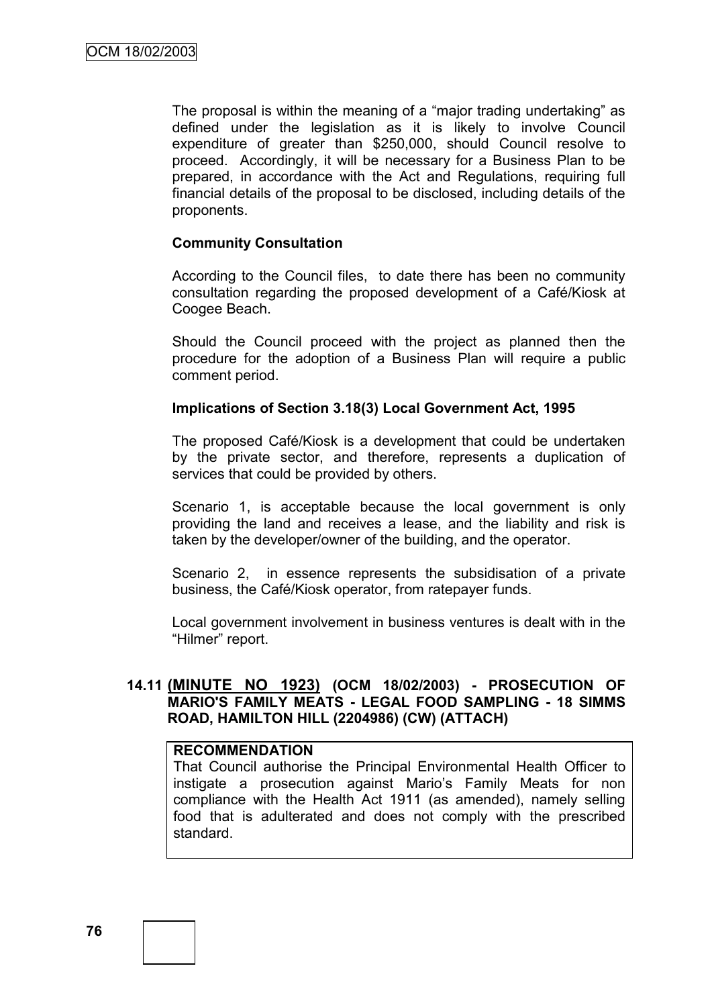The proposal is within the meaning of a "major trading undertaking" as defined under the legislation as it is likely to involve Council expenditure of greater than \$250,000, should Council resolve to proceed. Accordingly, it will be necessary for a Business Plan to be prepared, in accordance with the Act and Regulations, requiring full financial details of the proposal to be disclosed, including details of the proponents.

#### **Community Consultation**

According to the Council files, to date there has been no community consultation regarding the proposed development of a Café/Kiosk at Coogee Beach.

Should the Council proceed with the project as planned then the procedure for the adoption of a Business Plan will require a public comment period.

#### **Implications of Section 3.18(3) Local Government Act, 1995**

The proposed Café/Kiosk is a development that could be undertaken by the private sector, and therefore, represents a duplication of services that could be provided by others.

Scenario 1, is acceptable because the local government is only providing the land and receives a lease, and the liability and risk is taken by the developer/owner of the building, and the operator.

Scenario 2, in essence represents the subsidisation of a private business, the Café/Kiosk operator, from ratepayer funds.

Local government involvement in business ventures is dealt with in the "Hilmer" report.

## **14.11 (MINUTE NO 1923) (OCM 18/02/2003) - PROSECUTION OF MARIO'S FAMILY MEATS - LEGAL FOOD SAMPLING - 18 SIMMS ROAD, HAMILTON HILL (2204986) (CW) (ATTACH)**

#### **RECOMMENDATION**

That Council authorise the Principal Environmental Health Officer to instigate a prosecution against Mario's Family Meats for non compliance with the Health Act 1911 (as amended), namely selling food that is adulterated and does not comply with the prescribed standard.

**76**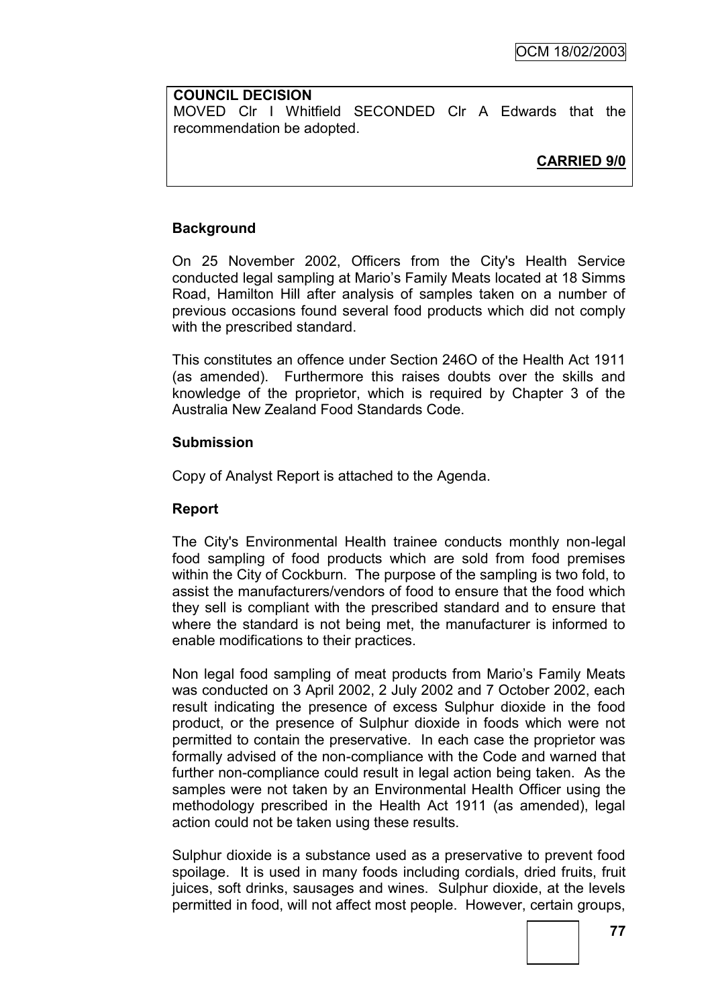#### **COUNCIL DECISION**

MOVED Clr I Whitfield SECONDED Clr A Edwards that the recommendation be adopted.

# **CARRIED 9/0**

## **Background**

On 25 November 2002, Officers from the City's Health Service conducted legal sampling at Mario"s Family Meats located at 18 Simms Road, Hamilton Hill after analysis of samples taken on a number of previous occasions found several food products which did not comply with the prescribed standard.

This constitutes an offence under Section 246O of the Health Act 1911 (as amended). Furthermore this raises doubts over the skills and knowledge of the proprietor, which is required by Chapter 3 of the Australia New Zealand Food Standards Code.

## **Submission**

Copy of Analyst Report is attached to the Agenda.

## **Report**

The City's Environmental Health trainee conducts monthly non-legal food sampling of food products which are sold from food premises within the City of Cockburn. The purpose of the sampling is two fold, to assist the manufacturers/vendors of food to ensure that the food which they sell is compliant with the prescribed standard and to ensure that where the standard is not being met, the manufacturer is informed to enable modifications to their practices.

Non legal food sampling of meat products from Mario"s Family Meats was conducted on 3 April 2002, 2 July 2002 and 7 October 2002, each result indicating the presence of excess Sulphur dioxide in the food product, or the presence of Sulphur dioxide in foods which were not permitted to contain the preservative. In each case the proprietor was formally advised of the non-compliance with the Code and warned that further non-compliance could result in legal action being taken. As the samples were not taken by an Environmental Health Officer using the methodology prescribed in the Health Act 1911 (as amended), legal action could not be taken using these results.

Sulphur dioxide is a substance used as a preservative to prevent food spoilage. It is used in many foods including cordials, dried fruits, fruit juices, soft drinks, sausages and wines. Sulphur dioxide, at the levels permitted in food, will not affect most people. However, certain groups,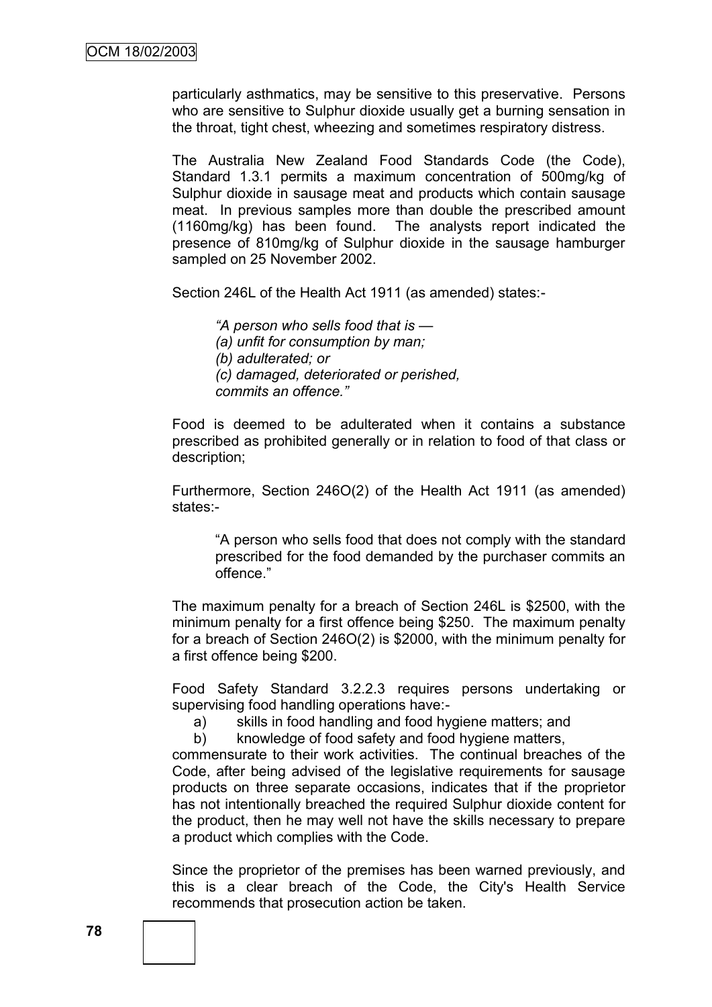particularly asthmatics, may be sensitive to this preservative. Persons who are sensitive to Sulphur dioxide usually get a burning sensation in the throat, tight chest, wheezing and sometimes respiratory distress.

The Australia New Zealand Food Standards Code (the Code), Standard 1.3.1 permits a maximum concentration of 500mg/kg of Sulphur dioxide in sausage meat and products which contain sausage meat. In previous samples more than double the prescribed amount (1160mg/kg) has been found. The analysts report indicated the presence of 810mg/kg of Sulphur dioxide in the sausage hamburger sampled on 25 November 2002.

Section 246L of the Health Act 1911 (as amended) states:-

*―A person who sells food that is — (a) unfit for consumption by man; (b) adulterated; or (c) damaged, deteriorated or perished, commits an offence.‖*

Food is deemed to be adulterated when it contains a substance prescribed as prohibited generally or in relation to food of that class or description;

Furthermore, Section 246O(2) of the Health Act 1911 (as amended) states:-

"A person who sells food that does not comply with the standard prescribed for the food demanded by the purchaser commits an offence."

The maximum penalty for a breach of Section 246L is \$2500, with the minimum penalty for a first offence being \$250. The maximum penalty for a breach of Section 246O(2) is \$2000, with the minimum penalty for a first offence being \$200.

Food Safety Standard 3.2.2.3 requires persons undertaking or supervising food handling operations have:-

a) skills in food handling and food hygiene matters; and

b) knowledge of food safety and food hygiene matters,

commensurate to their work activities. The continual breaches of the Code, after being advised of the legislative requirements for sausage products on three separate occasions, indicates that if the proprietor has not intentionally breached the required Sulphur dioxide content for the product, then he may well not have the skills necessary to prepare a product which complies with the Code.

Since the proprietor of the premises has been warned previously, and this is a clear breach of the Code, the City's Health Service recommends that prosecution action be taken.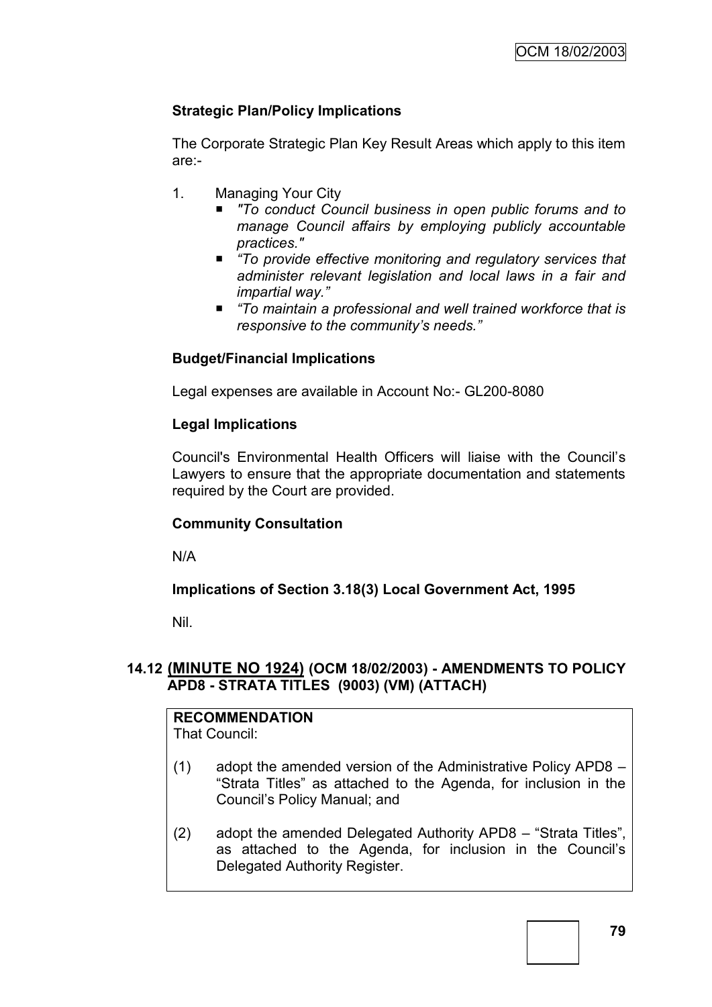# **Strategic Plan/Policy Implications**

The Corporate Strategic Plan Key Result Areas which apply to this item are:-

- 1. Managing Your City
	- *"To conduct Council business in open public forums and to manage Council affairs by employing publicly accountable practices."*
	- "To provide effective monitoring and regulatory services that *administer relevant legislation and local laws in a fair and impartial way.‖*
	- *―To maintain a professional and well trained workforce that is responsive to the community's needs.‖*

# **Budget/Financial Implications**

Legal expenses are available in Account No:- GL200-8080

## **Legal Implications**

Council's Environmental Health Officers will liaise with the Council"s Lawyers to ensure that the appropriate documentation and statements required by the Court are provided.

## **Community Consultation**

N/A

## **Implications of Section 3.18(3) Local Government Act, 1995**

Nil.

# **14.12 (MINUTE NO 1924) (OCM 18/02/2003) - AMENDMENTS TO POLICY APD8 - STRATA TITLES (9003) (VM) (ATTACH)**

# **RECOMMENDATION**

That Council:

- (1) adopt the amended version of the Administrative Policy APD8 "Strata Titles" as attached to the Agenda, for inclusion in the Council"s Policy Manual; and
- (2) adopt the amended Delegated Authority APD8 "Strata Titles", as attached to the Agenda, for inclusion in the Council"s Delegated Authority Register.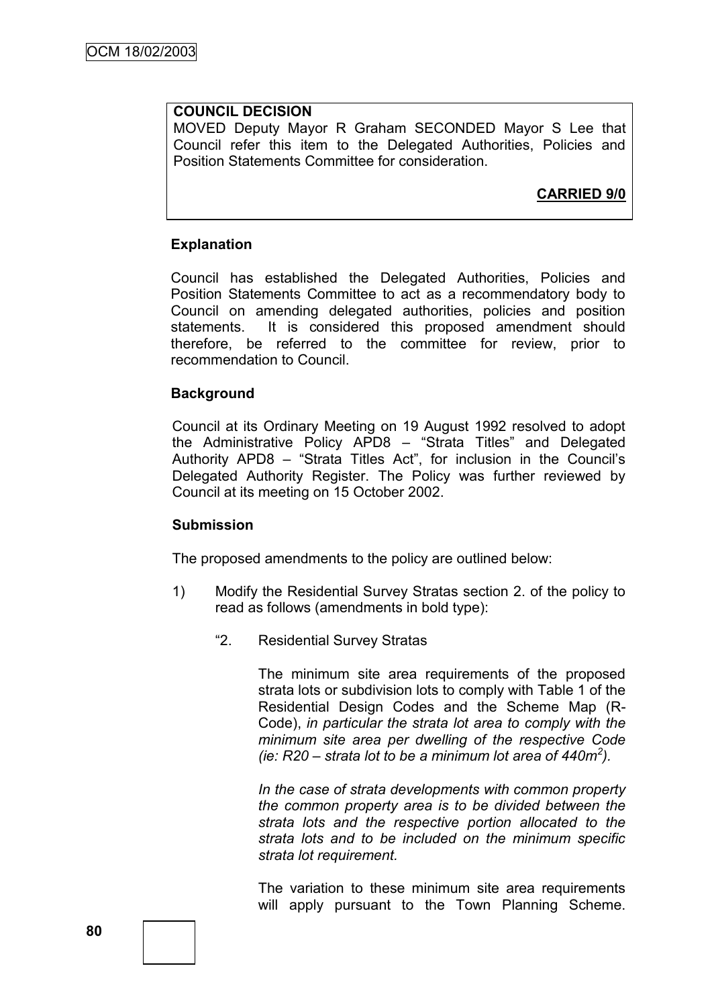# **COUNCIL DECISION**

MOVED Deputy Mayor R Graham SECONDED Mayor S Lee that Council refer this item to the Delegated Authorities, Policies and Position Statements Committee for consideration.

# **CARRIED 9/0**

#### **Explanation**

Council has established the Delegated Authorities, Policies and Position Statements Committee to act as a recommendatory body to Council on amending delegated authorities, policies and position statements. It is considered this proposed amendment should therefore, be referred to the committee for review, prior to recommendation to Council.

#### **Background**

Council at its Ordinary Meeting on 19 August 1992 resolved to adopt the Administrative Policy APD8 – "Strata Titles" and Delegated Authority APD8 – "Strata Titles Act", for inclusion in the Council"s Delegated Authority Register. The Policy was further reviewed by Council at its meeting on 15 October 2002.

#### **Submission**

The proposed amendments to the policy are outlined below:

- 1) Modify the Residential Survey Stratas section 2. of the policy to read as follows (amendments in bold type):
	- "2. Residential Survey Stratas

The minimum site area requirements of the proposed strata lots or subdivision lots to comply with Table 1 of the Residential Design Codes and the Scheme Map (R-Code), *in particular the strata lot area to comply with the minimum site area per dwelling of the respective Code (ie: R20 – strata lot to be a minimum lot area of 440m<sup>2</sup> ).*

*In the case of strata developments with common property the common property area is to be divided between the strata lots and the respective portion allocated to the strata lots and to be included on the minimum specific strata lot requirement.*

The variation to these minimum site area requirements will apply pursuant to the Town Planning Scheme.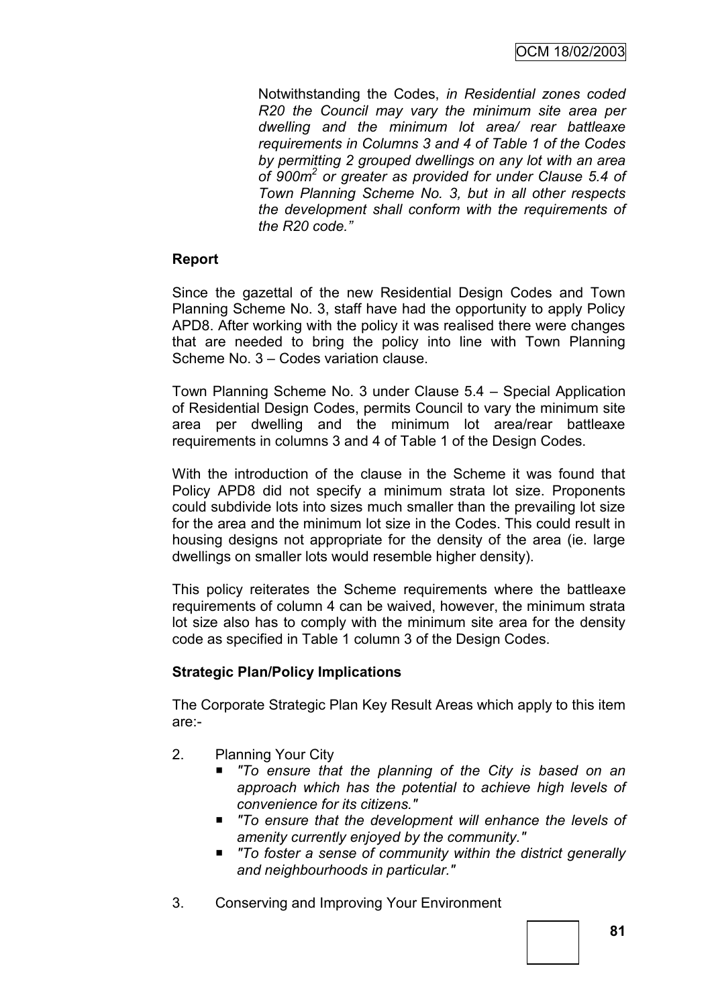OCM 18/02/2003

Notwithstanding the Codes, *in Residential zones coded R20 the Council may vary the minimum site area per dwelling and the minimum lot area/ rear battleaxe requirements in Columns 3 and 4 of Table 1 of the Codes by permitting 2 grouped dwellings on any lot with an area of 900m<sup>2</sup> or greater as provided for under Clause 5.4 of Town Planning Scheme No. 3, but in all other respects the development shall conform with the requirements of the R20 code.‖*

## **Report**

Since the gazettal of the new Residential Design Codes and Town Planning Scheme No. 3, staff have had the opportunity to apply Policy APD8. After working with the policy it was realised there were changes that are needed to bring the policy into line with Town Planning Scheme No. 3 – Codes variation clause.

Town Planning Scheme No. 3 under Clause 5.4 – Special Application of Residential Design Codes, permits Council to vary the minimum site area per dwelling and the minimum lot area/rear battleaxe requirements in columns 3 and 4 of Table 1 of the Design Codes.

With the introduction of the clause in the Scheme it was found that Policy APD8 did not specify a minimum strata lot size. Proponents could subdivide lots into sizes much smaller than the prevailing lot size for the area and the minimum lot size in the Codes. This could result in housing designs not appropriate for the density of the area (ie. large dwellings on smaller lots would resemble higher density).

This policy reiterates the Scheme requirements where the battleaxe requirements of column 4 can be waived, however, the minimum strata lot size also has to comply with the minimum site area for the density code as specified in Table 1 column 3 of the Design Codes.

# **Strategic Plan/Policy Implications**

The Corporate Strategic Plan Key Result Areas which apply to this item are:-

- 2. Planning Your City
	- *"To ensure that the planning of the City is based on an approach which has the potential to achieve high levels of convenience for its citizens."*
	- *"To ensure that the development will enhance the levels of amenity currently enjoyed by the community."*
	- *"To foster a sense of community within the district generally and neighbourhoods in particular."*
- 3. Conserving and Improving Your Environment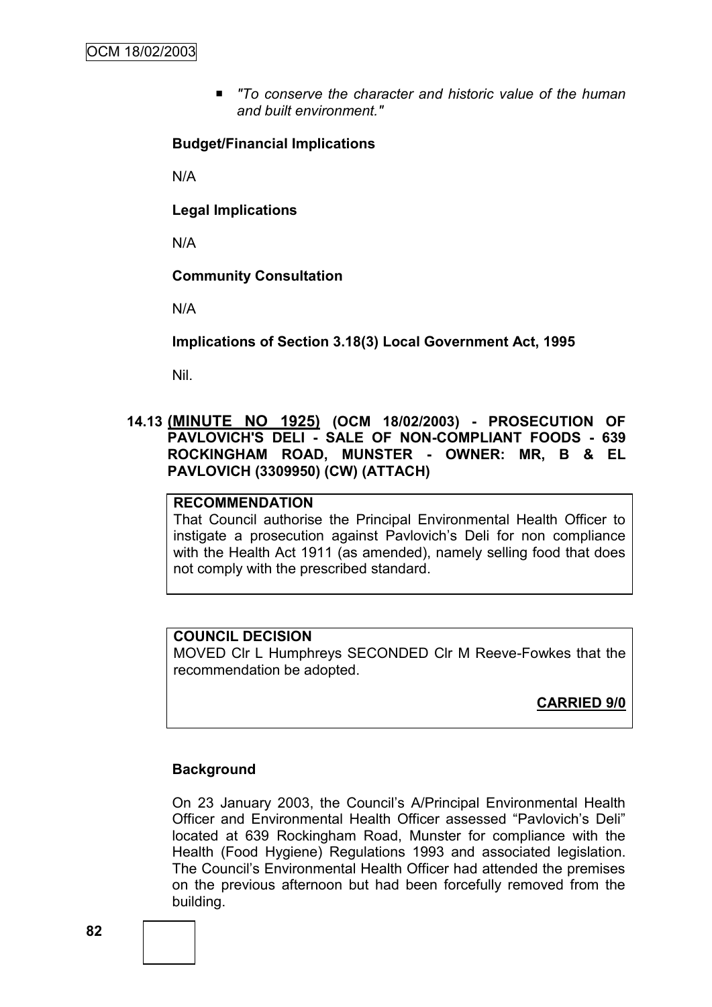■ To conserve the character and historic value of the human *and built environment."*

#### **Budget/Financial Implications**

N/A

**Legal Implications**

N/A

#### **Community Consultation**

N/A

**Implications of Section 3.18(3) Local Government Act, 1995**

Nil.

## **14.13 (MINUTE NO 1925) (OCM 18/02/2003) - PROSECUTION OF PAVLOVICH'S DELI - SALE OF NON-COMPLIANT FOODS - 639 ROCKINGHAM ROAD, MUNSTER - OWNER: MR, B & EL PAVLOVICH (3309950) (CW) (ATTACH)**

#### **RECOMMENDATION**

That Council authorise the Principal Environmental Health Officer to instigate a prosecution against Pavlovich's Deli for non compliance with the Health Act 1911 (as amended), namely selling food that does not comply with the prescribed standard.

#### **COUNCIL DECISION**

MOVED Clr L Humphreys SECONDED Clr M Reeve-Fowkes that the recommendation be adopted.

**CARRIED 9/0**

#### **Background**

On 23 January 2003, the Council"s A/Principal Environmental Health Officer and Environmental Health Officer assessed "Pavlovich"s Deli" located at 639 Rockingham Road, Munster for compliance with the Health (Food Hygiene) Regulations 1993 and associated legislation. The Council"s Environmental Health Officer had attended the premises on the previous afternoon but had been forcefully removed from the building.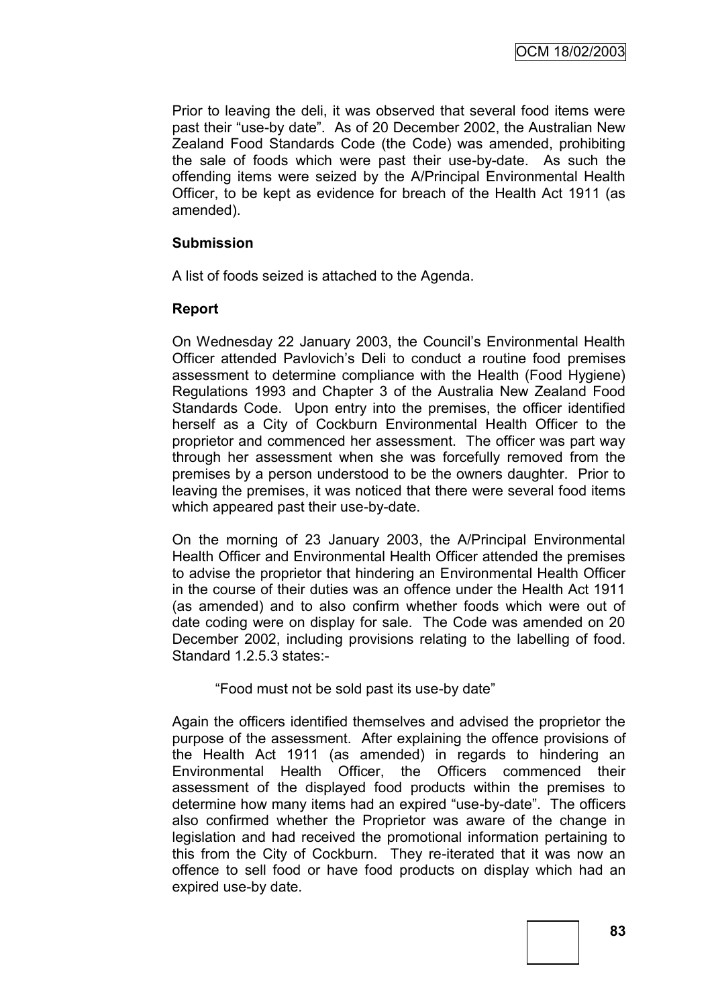Prior to leaving the deli, it was observed that several food items were past their "use-by date". As of 20 December 2002, the Australian New Zealand Food Standards Code (the Code) was amended, prohibiting the sale of foods which were past their use-by-date. As such the offending items were seized by the A/Principal Environmental Health Officer, to be kept as evidence for breach of the Health Act 1911 (as amended).

## **Submission**

A list of foods seized is attached to the Agenda.

## **Report**

On Wednesday 22 January 2003, the Council"s Environmental Health Officer attended Pavlovich"s Deli to conduct a routine food premises assessment to determine compliance with the Health (Food Hygiene) Regulations 1993 and Chapter 3 of the Australia New Zealand Food Standards Code. Upon entry into the premises, the officer identified herself as a City of Cockburn Environmental Health Officer to the proprietor and commenced her assessment. The officer was part way through her assessment when she was forcefully removed from the premises by a person understood to be the owners daughter. Prior to leaving the premises, it was noticed that there were several food items which appeared past their use-by-date.

On the morning of 23 January 2003, the A/Principal Environmental Health Officer and Environmental Health Officer attended the premises to advise the proprietor that hindering an Environmental Health Officer in the course of their duties was an offence under the Health Act 1911 (as amended) and to also confirm whether foods which were out of date coding were on display for sale. The Code was amended on 20 December 2002, including provisions relating to the labelling of food. Standard 1.2.5.3 states:-

"Food must not be sold past its use-by date"

Again the officers identified themselves and advised the proprietor the purpose of the assessment. After explaining the offence provisions of the Health Act 1911 (as amended) in regards to hindering an Environmental Health Officer, the Officers commenced their assessment of the displayed food products within the premises to determine how many items had an expired "use-by-date". The officers also confirmed whether the Proprietor was aware of the change in legislation and had received the promotional information pertaining to this from the City of Cockburn. They re-iterated that it was now an offence to sell food or have food products on display which had an expired use-by date.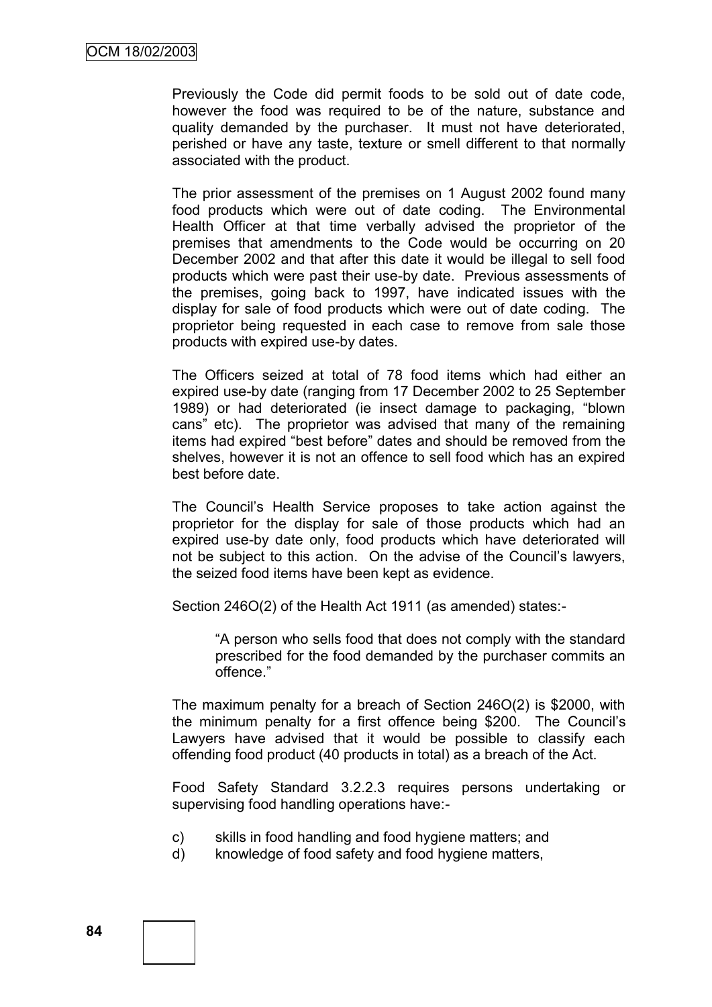Previously the Code did permit foods to be sold out of date code, however the food was required to be of the nature, substance and quality demanded by the purchaser. It must not have deteriorated, perished or have any taste, texture or smell different to that normally associated with the product.

The prior assessment of the premises on 1 August 2002 found many food products which were out of date coding. The Environmental Health Officer at that time verbally advised the proprietor of the premises that amendments to the Code would be occurring on 20 December 2002 and that after this date it would be illegal to sell food products which were past their use-by date. Previous assessments of the premises, going back to 1997, have indicated issues with the display for sale of food products which were out of date coding. The proprietor being requested in each case to remove from sale those products with expired use-by dates.

The Officers seized at total of 78 food items which had either an expired use-by date (ranging from 17 December 2002 to 25 September 1989) or had deteriorated (ie insect damage to packaging, "blown cans" etc). The proprietor was advised that many of the remaining items had expired "best before" dates and should be removed from the shelves, however it is not an offence to sell food which has an expired best before date.

The Council"s Health Service proposes to take action against the proprietor for the display for sale of those products which had an expired use-by date only, food products which have deteriorated will not be subject to this action. On the advise of the Council's lawyers, the seized food items have been kept as evidence.

Section 246O(2) of the Health Act 1911 (as amended) states:-

"A person who sells food that does not comply with the standard prescribed for the food demanded by the purchaser commits an offence."

The maximum penalty for a breach of Section 246O(2) is \$2000, with the minimum penalty for a first offence being \$200. The Council"s Lawyers have advised that it would be possible to classify each offending food product (40 products in total) as a breach of the Act.

Food Safety Standard 3.2.2.3 requires persons undertaking or supervising food handling operations have:-

- c) skills in food handling and food hygiene matters; and
- d) knowledge of food safety and food hygiene matters,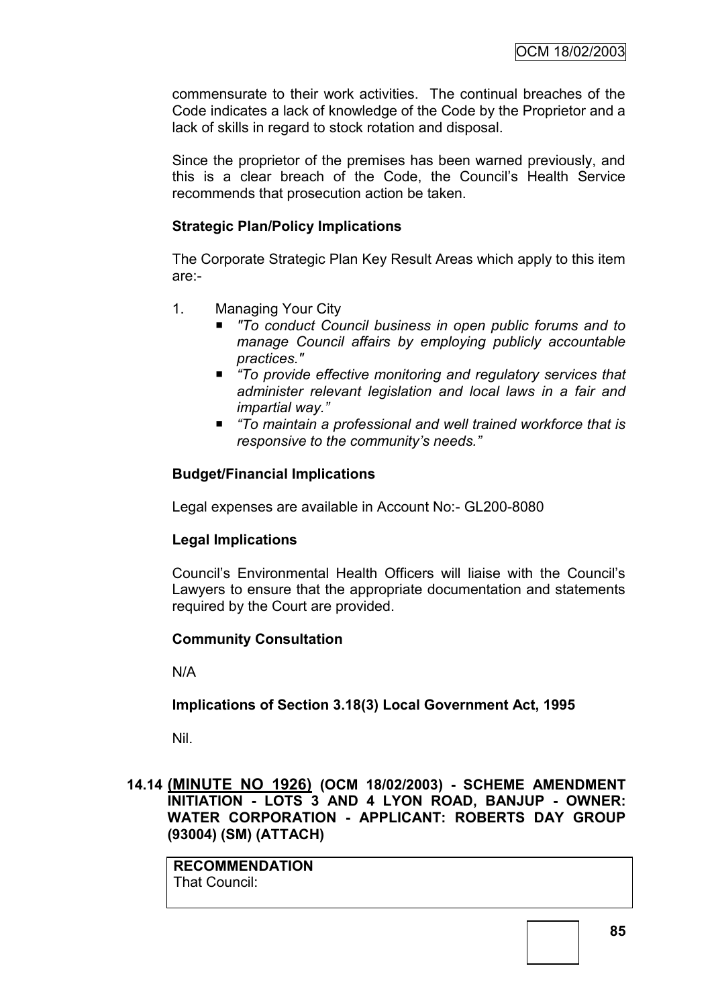commensurate to their work activities. The continual breaches of the Code indicates a lack of knowledge of the Code by the Proprietor and a lack of skills in regard to stock rotation and disposal.

Since the proprietor of the premises has been warned previously, and this is a clear breach of the Code, the Council"s Health Service recommends that prosecution action be taken.

## **Strategic Plan/Policy Implications**

The Corporate Strategic Plan Key Result Areas which apply to this item are:-

- 1. Managing Your City
	- To conduct Council business in open public forums and to *manage Council affairs by employing publicly accountable practices."*
	- *―To provide effective monitoring and regulatory services that administer relevant legislation and local laws in a fair and impartial way.‖*
	- "To maintain a professional and well trained workforce that is *responsive to the community's needs.‖*

# **Budget/Financial Implications**

Legal expenses are available in Account No:- GL200-8080

## **Legal Implications**

Council"s Environmental Health Officers will liaise with the Council"s Lawyers to ensure that the appropriate documentation and statements required by the Court are provided.

## **Community Consultation**

N/A

## **Implications of Section 3.18(3) Local Government Act, 1995**

Nil.

# **14.14 (MINUTE NO 1926) (OCM 18/02/2003) - SCHEME AMENDMENT INITIATION - LOTS 3 AND 4 LYON ROAD, BANJUP - OWNER: WATER CORPORATION - APPLICANT: ROBERTS DAY GROUP (93004) (SM) (ATTACH)**

**RECOMMENDATION** That Council: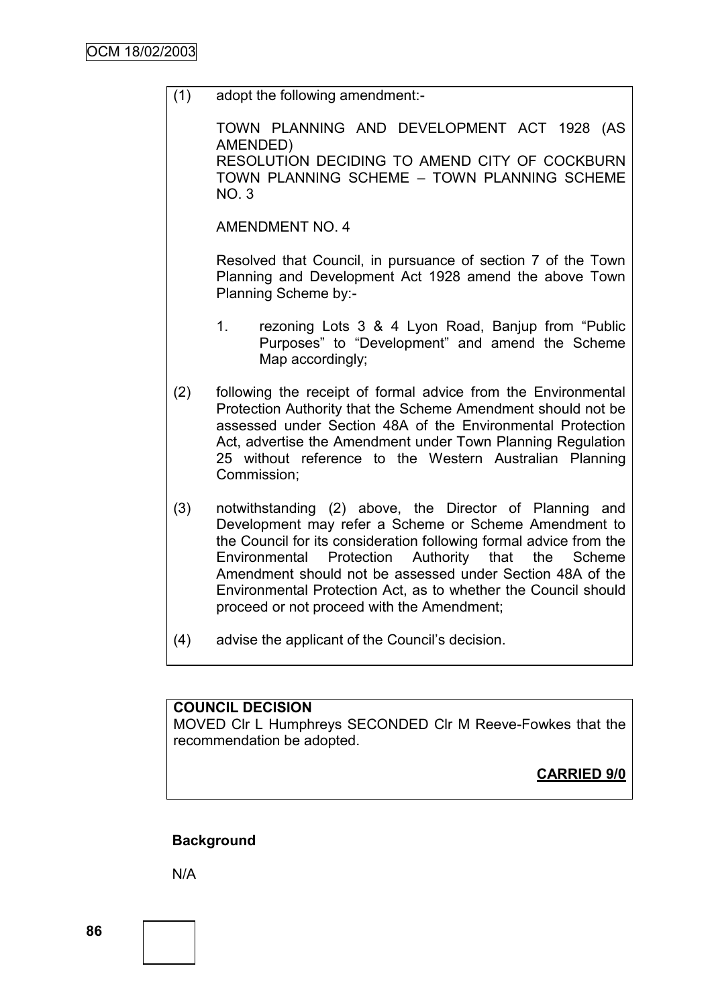(1) adopt the following amendment:-

TOWN PLANNING AND DEVELOPMENT ACT 1928 (AS AMENDED) RESOLUTION DECIDING TO AMEND CITY OF COCKBURN TOWN PLANNING SCHEME – TOWN PLANNING SCHEME NO. 3

AMENDMENT NO. 4

Resolved that Council, in pursuance of section 7 of the Town Planning and Development Act 1928 amend the above Town Planning Scheme by:-

- 1. rezoning Lots 3 & 4 Lyon Road, Banjup from "Public Purposes" to "Development" and amend the Scheme Map accordingly:
- (2) following the receipt of formal advice from the Environmental Protection Authority that the Scheme Amendment should not be assessed under Section 48A of the Environmental Protection Act, advertise the Amendment under Town Planning Regulation 25 without reference to the Western Australian Planning Commission;
- (3) notwithstanding (2) above, the Director of Planning and Development may refer a Scheme or Scheme Amendment to the Council for its consideration following formal advice from the Environmental Protection Authority that the Scheme Amendment should not be assessed under Section 48A of the Environmental Protection Act, as to whether the Council should proceed or not proceed with the Amendment;
- (4) advise the applicant of the Council"s decision.

## **COUNCIL DECISION**

MOVED Clr L Humphreys SECONDED Clr M Reeve-Fowkes that the recommendation be adopted.

**CARRIED 9/0**

## **Background**

N/A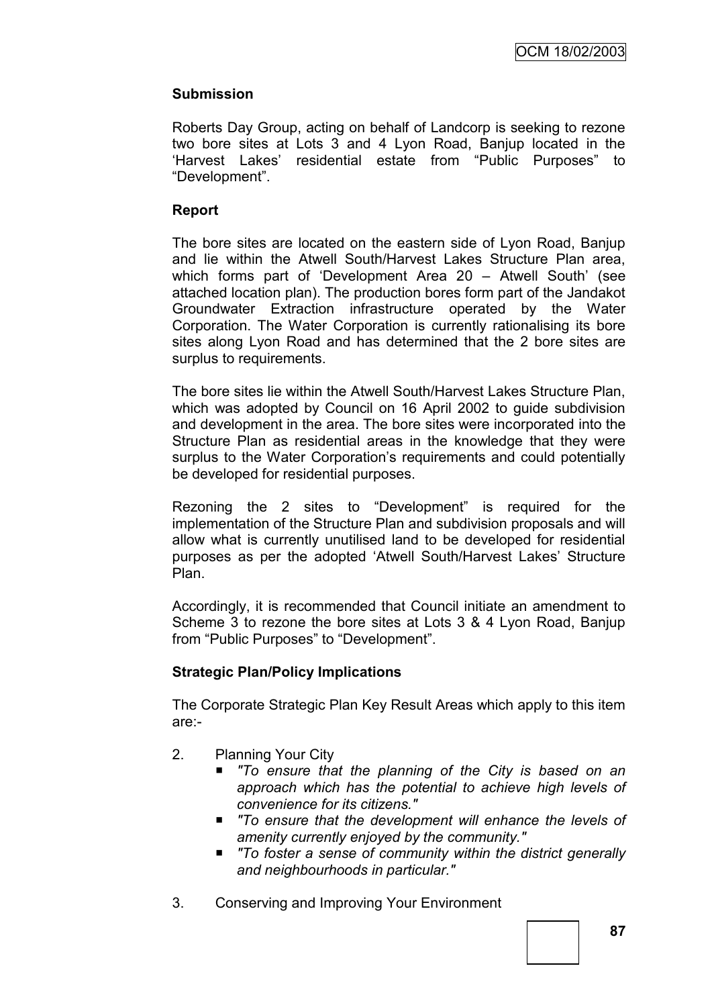# **Submission**

Roberts Day Group, acting on behalf of Landcorp is seeking to rezone two bore sites at Lots 3 and 4 Lyon Road, Banjup located in the "Harvest Lakes" residential estate from "Public Purposes" to "Development".

## **Report**

The bore sites are located on the eastern side of Lyon Road, Banjup and lie within the Atwell South/Harvest Lakes Structure Plan area, which forms part of 'Development Area 20 – Atwell South' (see attached location plan). The production bores form part of the Jandakot Groundwater Extraction infrastructure operated by the Water Corporation. The Water Corporation is currently rationalising its bore sites along Lyon Road and has determined that the 2 bore sites are surplus to requirements.

The bore sites lie within the Atwell South/Harvest Lakes Structure Plan, which was adopted by Council on 16 April 2002 to guide subdivision and development in the area. The bore sites were incorporated into the Structure Plan as residential areas in the knowledge that they were surplus to the Water Corporation's requirements and could potentially be developed for residential purposes.

Rezoning the 2 sites to "Development" is required for the implementation of the Structure Plan and subdivision proposals and will allow what is currently unutilised land to be developed for residential purposes as per the adopted "Atwell South/Harvest Lakes" Structure Plan.

Accordingly, it is recommended that Council initiate an amendment to Scheme 3 to rezone the bore sites at Lots 3 & 4 Lyon Road, Banjup from "Public Purposes" to "Development".

## **Strategic Plan/Policy Implications**

The Corporate Strategic Plan Key Result Areas which apply to this item are:-

- 2. Planning Your City
	- *"To ensure that the planning of the City is based on an approach which has the potential to achieve high levels of convenience for its citizens."*
	- *"To ensure that the development will enhance the levels of amenity currently enjoyed by the community."*
	- *"To foster a sense of community within the district generally and neighbourhoods in particular."*
- 3. Conserving and Improving Your Environment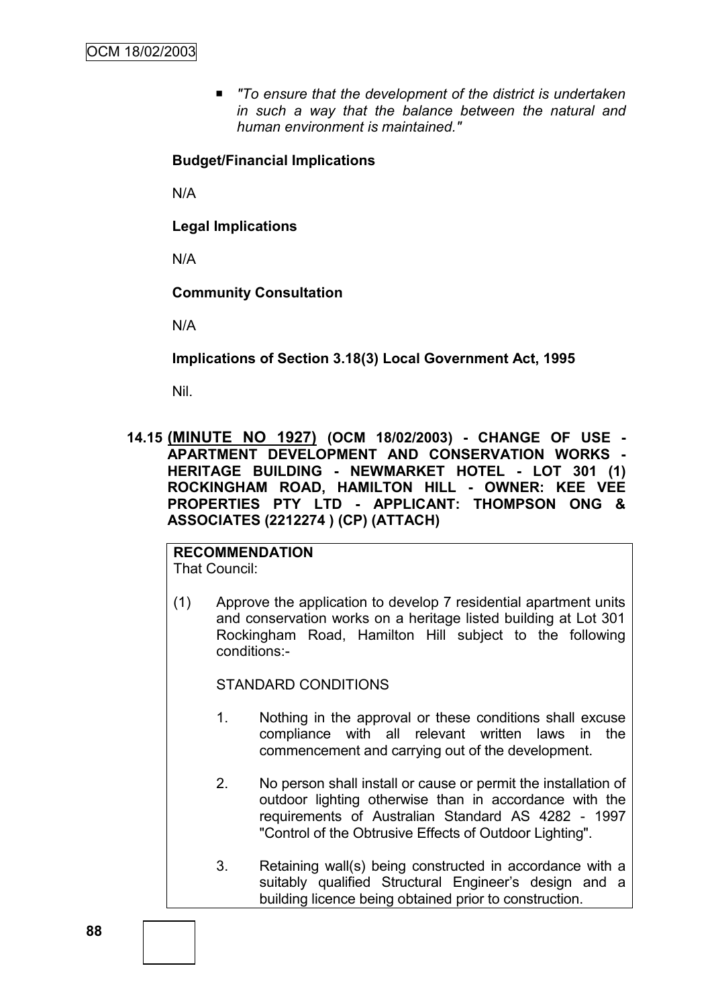■ To ensure that the development of the district is undertaken *in such a way that the balance between the natural and human environment is maintained."*

## **Budget/Financial Implications**

N/A

**Legal Implications**

N/A

**Community Consultation**

N/A

**Implications of Section 3.18(3) Local Government Act, 1995**

Nil.

**14.15 (MINUTE NO 1927) (OCM 18/02/2003) - CHANGE OF USE - APARTMENT DEVELOPMENT AND CONSERVATION WORKS - HERITAGE BUILDING - NEWMARKET HOTEL - LOT 301 (1) ROCKINGHAM ROAD, HAMILTON HILL - OWNER: KEE VEE PROPERTIES PTY LTD - APPLICANT: THOMPSON ONG & ASSOCIATES (2212274 ) (CP) (ATTACH)**

**RECOMMENDATION** That Council:

(1) Approve the application to develop 7 residential apartment units and conservation works on a heritage listed building at Lot 301 Rockingham Road, Hamilton Hill subject to the following conditions:-

STANDARD CONDITIONS

- 1. Nothing in the approval or these conditions shall excuse compliance with all relevant written laws in the commencement and carrying out of the development.
- 2. No person shall install or cause or permit the installation of outdoor lighting otherwise than in accordance with the requirements of Australian Standard AS 4282 - 1997 "Control of the Obtrusive Effects of Outdoor Lighting".
- 3. Retaining wall(s) being constructed in accordance with a suitably qualified Structural Engineer's design and a building licence being obtained prior to construction.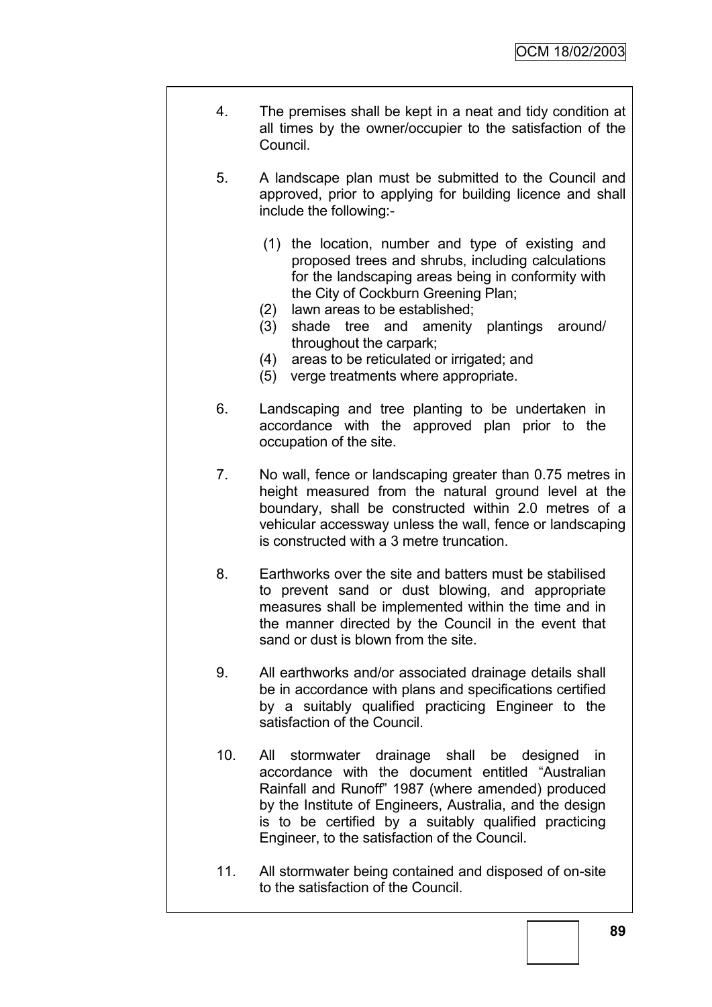- 4. The premises shall be kept in a neat and tidy condition at all times by the owner/occupier to the satisfaction of the Council.
- 5. A landscape plan must be submitted to the Council and approved, prior to applying for building licence and shall include the following:-
	- (1) the location, number and type of existing and proposed trees and shrubs, including calculations for the landscaping areas being in conformity with the City of Cockburn Greening Plan;
	- (2) lawn areas to be established;
	- (3) shade tree and amenity plantings around/ throughout the carpark;
	- (4) areas to be reticulated or irrigated; and
	- (5) verge treatments where appropriate.
- 6. Landscaping and tree planting to be undertaken in accordance with the approved plan prior to the occupation of the site.
- 7. No wall, fence or landscaping greater than 0.75 metres in height measured from the natural ground level at the boundary, shall be constructed within 2.0 metres of a vehicular accessway unless the wall, fence or landscaping is constructed with a 3 metre truncation.
- 8. Earthworks over the site and batters must be stabilised to prevent sand or dust blowing, and appropriate measures shall be implemented within the time and in the manner directed by the Council in the event that sand or dust is blown from the site.
- 9. All earthworks and/or associated drainage details shall be in accordance with plans and specifications certified by a suitably qualified practicing Engineer to the satisfaction of the Council.
- 10. All stormwater drainage shall be designed in accordance with the document entitled "Australian Rainfall and Runoff" 1987 (where amended) produced by the Institute of Engineers, Australia, and the design is to be certified by a suitably qualified practicing Engineer, to the satisfaction of the Council.
- 11. All stormwater being contained and disposed of on-site to the satisfaction of the Council.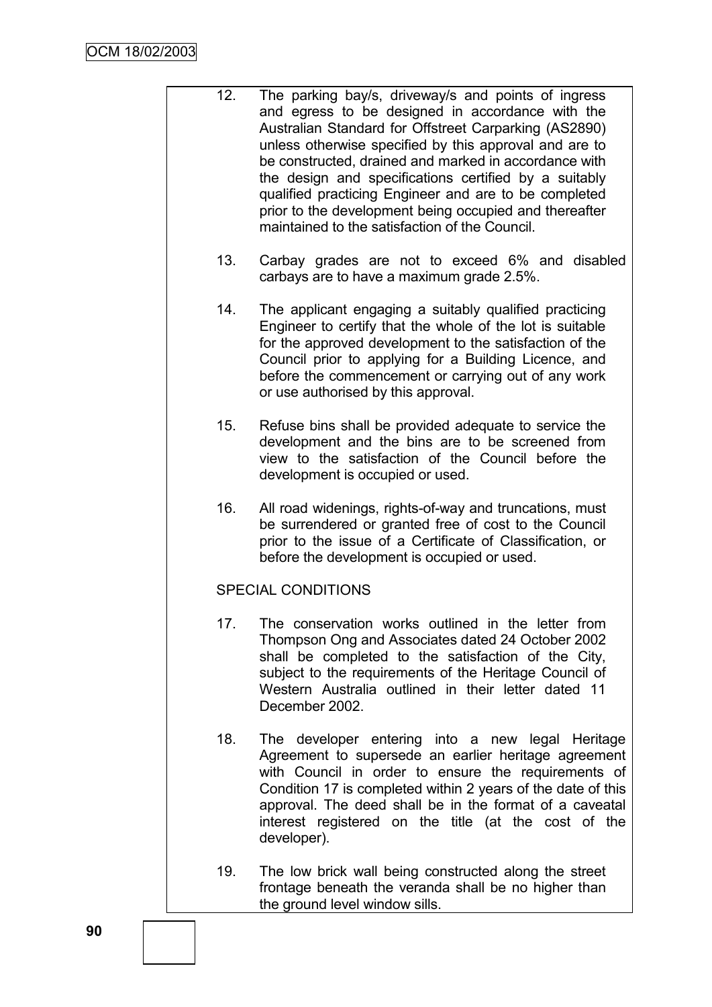- 12. The parking bay/s, driveway/s and points of ingress and egress to be designed in accordance with the Australian Standard for Offstreet Carparking (AS2890) unless otherwise specified by this approval and are to be constructed, drained and marked in accordance with the design and specifications certified by a suitably qualified practicing Engineer and are to be completed prior to the development being occupied and thereafter maintained to the satisfaction of the Council.
	- 13. Carbay grades are not to exceed 6% and disabled carbays are to have a maximum grade 2.5%.
	- 14. The applicant engaging a suitably qualified practicing Engineer to certify that the whole of the lot is suitable for the approved development to the satisfaction of the Council prior to applying for a Building Licence, and before the commencement or carrying out of any work or use authorised by this approval.
	- 15. Refuse bins shall be provided adequate to service the development and the bins are to be screened from view to the satisfaction of the Council before the development is occupied or used.
	- 16. All road widenings, rights-of-way and truncations, must be surrendered or granted free of cost to the Council prior to the issue of a Certificate of Classification, or before the development is occupied or used.

## SPECIAL CONDITIONS

- 17. The conservation works outlined in the letter from Thompson Ong and Associates dated 24 October 2002 shall be completed to the satisfaction of the City, subject to the requirements of the Heritage Council of Western Australia outlined in their letter dated 11 December 2002.
- 18. The developer entering into a new legal Heritage Agreement to supersede an earlier heritage agreement with Council in order to ensure the requirements of Condition 17 is completed within 2 years of the date of this approval. The deed shall be in the format of a caveatal interest registered on the title (at the cost of the developer).
- 19. The low brick wall being constructed along the street frontage beneath the veranda shall be no higher than the ground level window sills.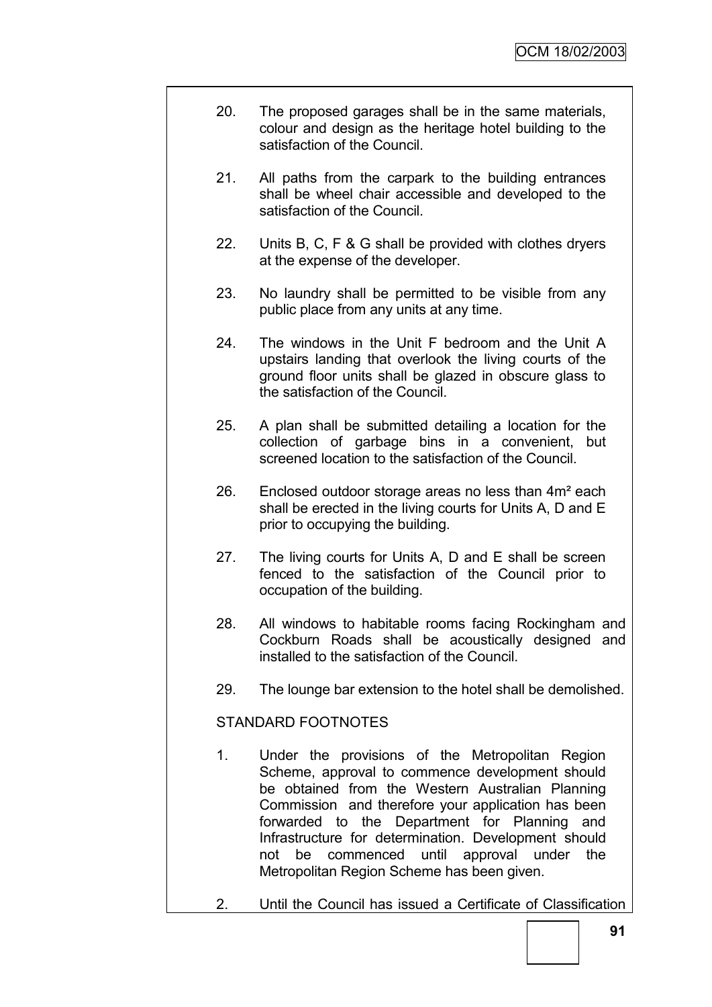- 20. The proposed garages shall be in the same materials, colour and design as the heritage hotel building to the satisfaction of the Council.
- 21. All paths from the carpark to the building entrances shall be wheel chair accessible and developed to the satisfaction of the Council.
- 22. Units B, C, F & G shall be provided with clothes dryers at the expense of the developer.
- 23. No laundry shall be permitted to be visible from any public place from any units at any time.
- 24. The windows in the Unit F bedroom and the Unit A upstairs landing that overlook the living courts of the ground floor units shall be glazed in obscure glass to the satisfaction of the Council.
- 25. A plan shall be submitted detailing a location for the collection of garbage bins in a convenient, but screened location to the satisfaction of the Council.
- 26. Enclosed outdoor storage areas no less than 4m² each shall be erected in the living courts for Units A, D and E prior to occupying the building.
- 27. The living courts for Units A, D and E shall be screen fenced to the satisfaction of the Council prior to occupation of the building.
- 28. All windows to habitable rooms facing Rockingham and Cockburn Roads shall be acoustically designed and installed to the satisfaction of the Council.
- 29. The lounge bar extension to the hotel shall be demolished.

# STANDARD FOOTNOTES

- 1. Under the provisions of the Metropolitan Region Scheme, approval to commence development should be obtained from the Western Australian Planning Commission and therefore your application has been forwarded to the Department for Planning and Infrastructure for determination. Development should not be commenced until approval under the Metropolitan Region Scheme has been given.
- 2. Until the Council has issued a Certificate of Classification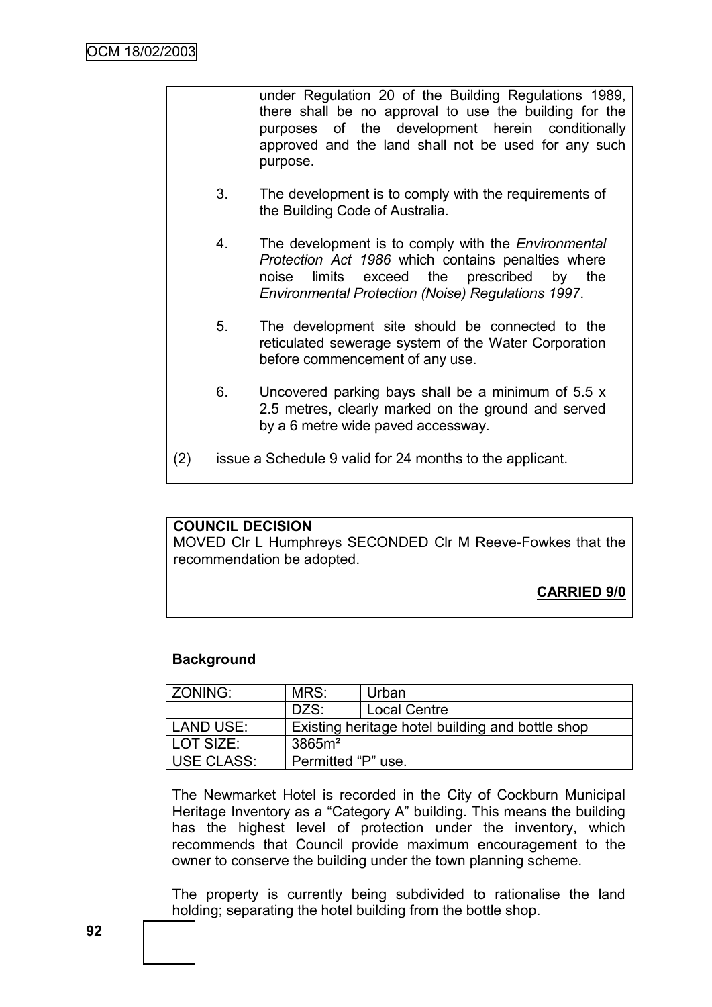under Regulation 20 of the Building Regulations 1989, there shall be no approval to use the building for the purposes of the development herein conditionally approved and the land shall not be used for any such purpose.

- 3. The development is to comply with the requirements of the Building Code of Australia.
- 4. The development is to comply with the *Environmental Protection Act 1986* which contains penalties where noise limits exceed the prescribed by the *Environmental Protection (Noise) Regulations 1997*.
- 5. The development site should be connected to the reticulated sewerage system of the Water Corporation before commencement of any use.
- 6. Uncovered parking bays shall be a minimum of 5.5 x 2.5 metres, clearly marked on the ground and served by a 6 metre wide paved accessway.
- (2) issue a Schedule 9 valid for 24 months to the applicant.

## **COUNCIL DECISION**

MOVED Clr L Humphreys SECONDED Clr M Reeve-Fowkes that the recommendation be adopted.

# **CARRIED 9/0**

## **Background**

| ZONING:    | MRS:                                             | Urban               |
|------------|--------------------------------------------------|---------------------|
|            | DZS:                                             | <b>Local Centre</b> |
| LAND USE:  | Existing heritage hotel building and bottle shop |                     |
| LOT SIZE:  | 3865m <sup>2</sup>                               |                     |
| USE CLASS: | Permitted "P" use.                               |                     |

The Newmarket Hotel is recorded in the City of Cockburn Municipal Heritage Inventory as a "Category A" building. This means the building has the highest level of protection under the inventory, which recommends that Council provide maximum encouragement to the owner to conserve the building under the town planning scheme.

The property is currently being subdivided to rationalise the land holding; separating the hotel building from the bottle shop.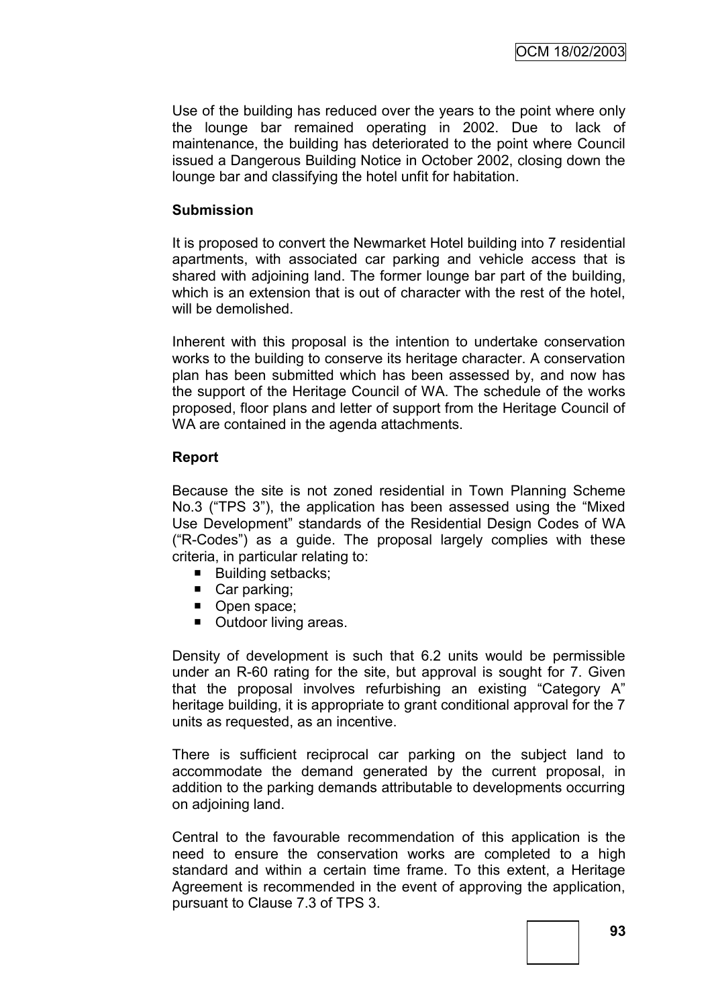Use of the building has reduced over the years to the point where only the lounge bar remained operating in 2002. Due to lack of maintenance, the building has deteriorated to the point where Council issued a Dangerous Building Notice in October 2002, closing down the lounge bar and classifying the hotel unfit for habitation.

#### **Submission**

It is proposed to convert the Newmarket Hotel building into 7 residential apartments, with associated car parking and vehicle access that is shared with adjoining land. The former lounge bar part of the building, which is an extension that is out of character with the rest of the hotel, will be demolished.

Inherent with this proposal is the intention to undertake conservation works to the building to conserve its heritage character. A conservation plan has been submitted which has been assessed by, and now has the support of the Heritage Council of WA. The schedule of the works proposed, floor plans and letter of support from the Heritage Council of WA are contained in the agenda attachments.

#### **Report**

Because the site is not zoned residential in Town Planning Scheme No.3 ("TPS 3"), the application has been assessed using the "Mixed Use Development" standards of the Residential Design Codes of WA ("R-Codes") as a guide. The proposal largely complies with these criteria, in particular relating to:

- Building setbacks;
- Car parking;
- Open space;
- Outdoor living areas.

Density of development is such that 6.2 units would be permissible under an R-60 rating for the site, but approval is sought for 7. Given that the proposal involves refurbishing an existing "Category A" heritage building, it is appropriate to grant conditional approval for the 7 units as requested, as an incentive.

There is sufficient reciprocal car parking on the subject land to accommodate the demand generated by the current proposal, in addition to the parking demands attributable to developments occurring on adjoining land.

Central to the favourable recommendation of this application is the need to ensure the conservation works are completed to a high standard and within a certain time frame. To this extent, a Heritage Agreement is recommended in the event of approving the application, pursuant to Clause 7.3 of TPS 3.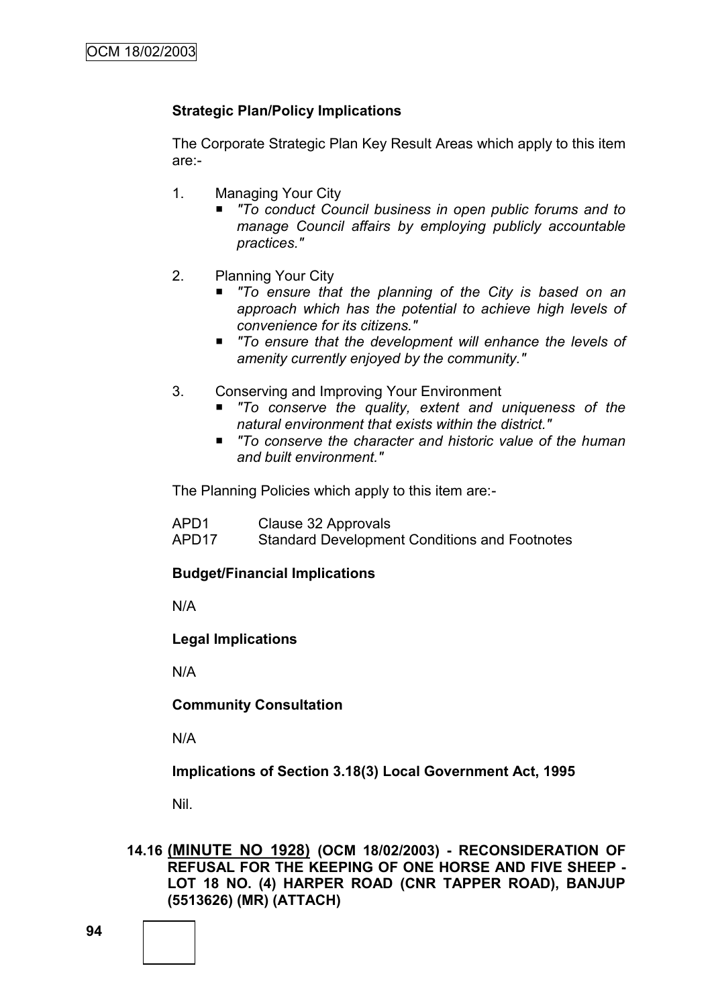# **Strategic Plan/Policy Implications**

The Corporate Strategic Plan Key Result Areas which apply to this item are:-

- 1. Managing Your City
	- *"To conduct Council business in open public forums and to manage Council affairs by employing publicly accountable practices."*
- 2. Planning Your City
	- *"To ensure that the planning of the City is based on an approach which has the potential to achieve high levels of convenience for its citizens."*
	- *"To ensure that the development will enhance the levels of amenity currently enjoyed by the community."*
- 3. Conserving and Improving Your Environment
	- *"To conserve the quality, extent and uniqueness of the natural environment that exists within the district."*
	- *"To conserve the character and historic value of the human and built environment."*

The Planning Policies which apply to this item are:-

| APD1  | Clause 32 Approvals                                  |
|-------|------------------------------------------------------|
| APD17 | <b>Standard Development Conditions and Footnotes</b> |

## **Budget/Financial Implications**

N/A

## **Legal Implications**

N/A

**Community Consultation**

N/A

**Implications of Section 3.18(3) Local Government Act, 1995**

Nil.

## **14.16 (MINUTE NO 1928) (OCM 18/02/2003) - RECONSIDERATION OF REFUSAL FOR THE KEEPING OF ONE HORSE AND FIVE SHEEP - LOT 18 NO. (4) HARPER ROAD (CNR TAPPER ROAD), BANJUP (5513626) (MR) (ATTACH)**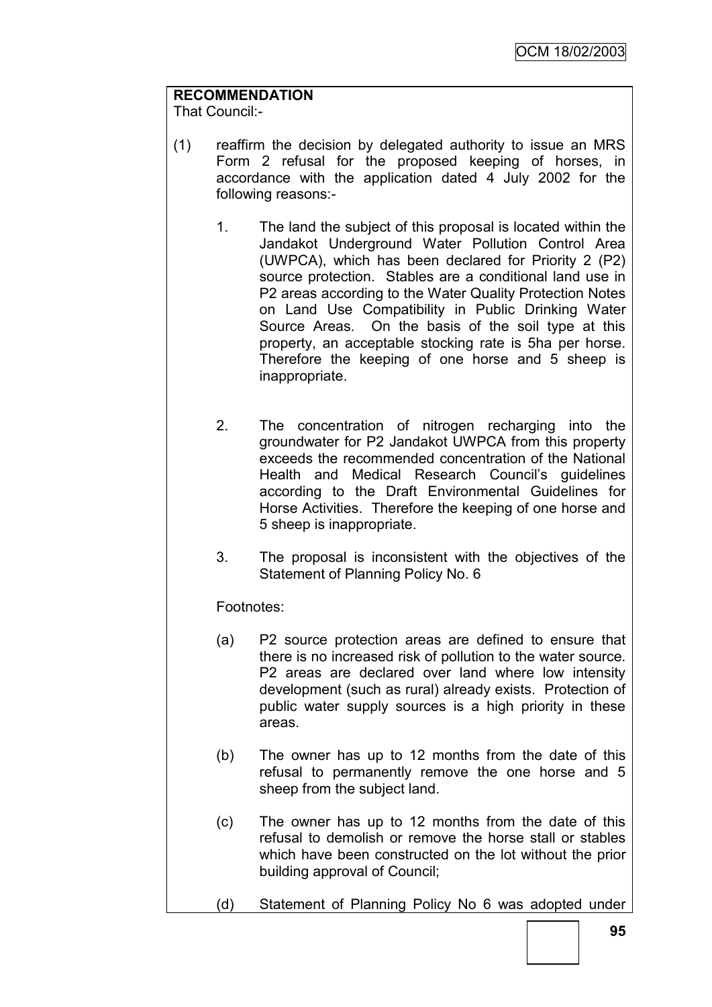# **RECOMMENDATION**

That Council:-

- (1) reaffirm the decision by delegated authority to issue an MRS Form 2 refusal for the proposed keeping of horses, in accordance with the application dated 4 July 2002 for the following reasons:-
	- 1. The land the subject of this proposal is located within the Jandakot Underground Water Pollution Control Area (UWPCA), which has been declared for Priority 2 (P2) source protection. Stables are a conditional land use in P2 areas according to the Water Quality Protection Notes on Land Use Compatibility in Public Drinking Water Source Areas. On the basis of the soil type at this property, an acceptable stocking rate is 5ha per horse. Therefore the keeping of one horse and 5 sheep is inappropriate.
	- 2. The concentration of nitrogen recharging into the groundwater for P2 Jandakot UWPCA from this property exceeds the recommended concentration of the National Health and Medical Research Council"s guidelines according to the Draft Environmental Guidelines for Horse Activities. Therefore the keeping of one horse and 5 sheep is inappropriate.
	- 3. The proposal is inconsistent with the objectives of the Statement of Planning Policy No. 6

# Footnotes:

- (a) P2 source protection areas are defined to ensure that there is no increased risk of pollution to the water source. P2 areas are declared over land where low intensity development (such as rural) already exists. Protection of public water supply sources is a high priority in these areas.
- (b) The owner has up to 12 months from the date of this refusal to permanently remove the one horse and 5 sheep from the subject land.
- (c) The owner has up to 12 months from the date of this refusal to demolish or remove the horse stall or stables which have been constructed on the lot without the prior building approval of Council;
- (d) Statement of Planning Policy No 6 was adopted under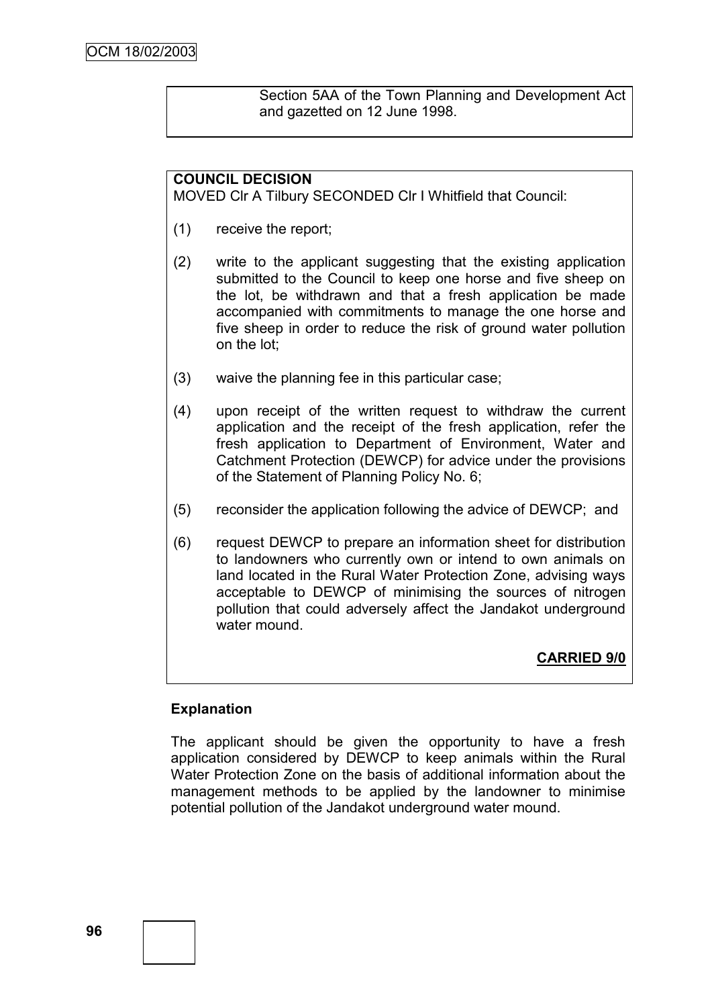Section 5AA of the Town Planning and Development Act and gazetted on 12 June 1998.

# **COUNCIL DECISION**

MOVED Clr A Tilbury SECONDED Clr I Whitfield that Council:

- (1) receive the report;
- (2) write to the applicant suggesting that the existing application submitted to the Council to keep one horse and five sheep on the lot, be withdrawn and that a fresh application be made accompanied with commitments to manage the one horse and five sheep in order to reduce the risk of ground water pollution on the lot;
- (3) waive the planning fee in this particular case;
- (4) upon receipt of the written request to withdraw the current application and the receipt of the fresh application, refer the fresh application to Department of Environment, Water and Catchment Protection (DEWCP) for advice under the provisions of the Statement of Planning Policy No. 6;
- (5) reconsider the application following the advice of DEWCP; and
- (6) request DEWCP to prepare an information sheet for distribution to landowners who currently own or intend to own animals on land located in the Rural Water Protection Zone, advising ways acceptable to DEWCP of minimising the sources of nitrogen pollution that could adversely affect the Jandakot underground water mound

**CARRIED 9/0**

## **Explanation**

The applicant should be given the opportunity to have a fresh application considered by DEWCP to keep animals within the Rural Water Protection Zone on the basis of additional information about the management methods to be applied by the landowner to minimise potential pollution of the Jandakot underground water mound.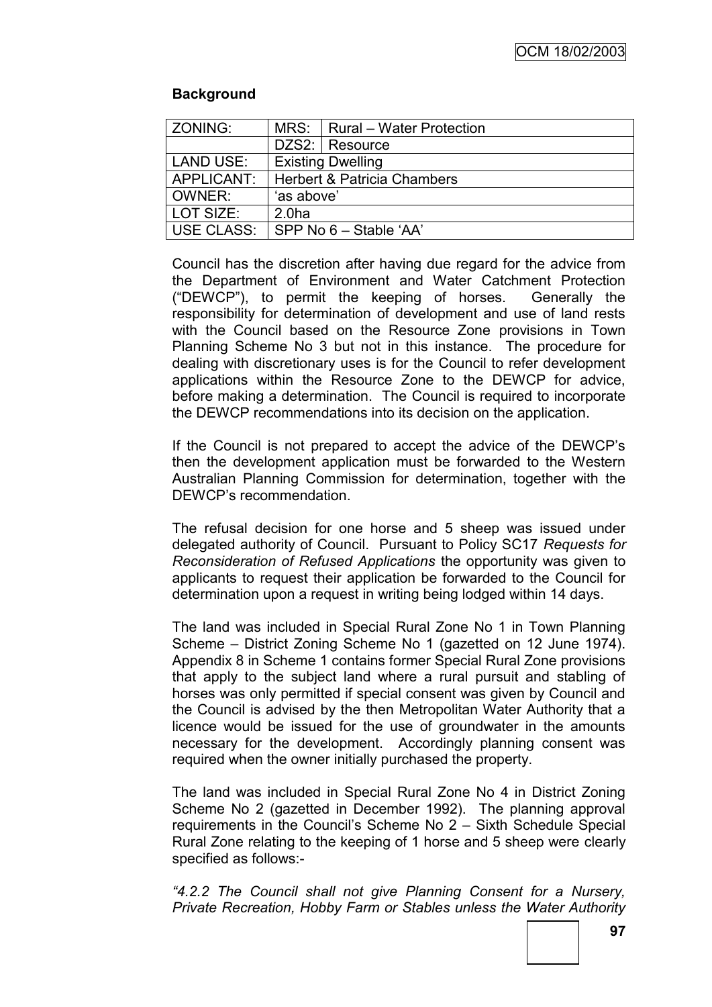## **Background**

| ZONING:          |                                        | MRS:   Rural - Water Protection |  |
|------------------|----------------------------------------|---------------------------------|--|
|                  |                                        | DZS2: Resource                  |  |
| <b>LAND USE:</b> | <b>Existing Dwelling</b>               |                                 |  |
| APPLICANT:       | <b>Herbert &amp; Patricia Chambers</b> |                                 |  |
| OWNER:           | 'as above'                             |                                 |  |
| l LOT SIZE:      | 2.0 <sub>ha</sub>                      |                                 |  |
| USE CLASS:       | SPP No 6 - Stable 'AA'                 |                                 |  |

Council has the discretion after having due regard for the advice from the Department of Environment and Water Catchment Protection ("DEWCP"), to permit the keeping of horses. Generally the responsibility for determination of development and use of land rests with the Council based on the Resource Zone provisions in Town Planning Scheme No 3 but not in this instance. The procedure for dealing with discretionary uses is for the Council to refer development applications within the Resource Zone to the DEWCP for advice, before making a determination. The Council is required to incorporate the DEWCP recommendations into its decision on the application.

If the Council is not prepared to accept the advice of the DEWCP"s then the development application must be forwarded to the Western Australian Planning Commission for determination, together with the DEWCP"s recommendation.

The refusal decision for one horse and 5 sheep was issued under delegated authority of Council. Pursuant to Policy SC17 *Requests for Reconsideration of Refused Applications* the opportunity was given to applicants to request their application be forwarded to the Council for determination upon a request in writing being lodged within 14 days.

The land was included in Special Rural Zone No 1 in Town Planning Scheme – District Zoning Scheme No 1 (gazetted on 12 June 1974). Appendix 8 in Scheme 1 contains former Special Rural Zone provisions that apply to the subject land where a rural pursuit and stabling of horses was only permitted if special consent was given by Council and the Council is advised by the then Metropolitan Water Authority that a licence would be issued for the use of groundwater in the amounts necessary for the development. Accordingly planning consent was required when the owner initially purchased the property.

The land was included in Special Rural Zone No 4 in District Zoning Scheme No 2 (gazetted in December 1992). The planning approval requirements in the Council"s Scheme No 2 – Sixth Schedule Special Rural Zone relating to the keeping of 1 horse and 5 sheep were clearly specified as follows:-

*―4.2.2 The Council shall not give Planning Consent for a Nursery, Private Recreation, Hobby Farm or Stables unless the Water Authority*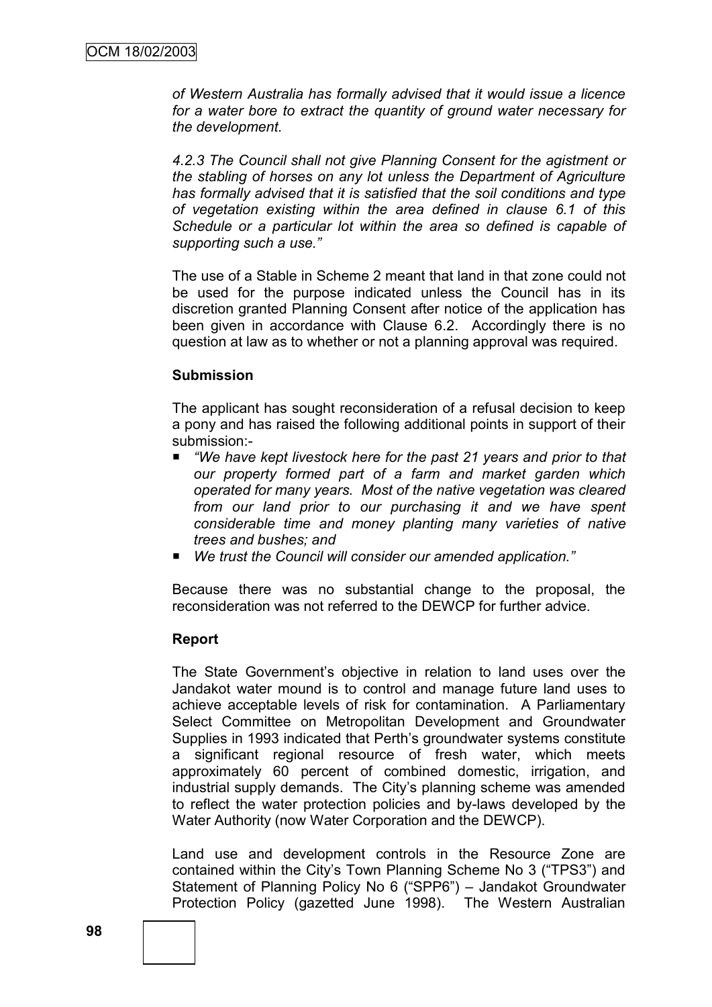*of Western Australia has formally advised that it would issue a licence for a water bore to extract the quantity of ground water necessary for the development.*

*4.2.3 The Council shall not give Planning Consent for the agistment or the stabling of horses on any lot unless the Department of Agriculture has formally advised that it is satisfied that the soil conditions and type of vegetation existing within the area defined in clause 6.1 of this Schedule or a particular lot within the area so defined is capable of supporting such a use.‖*

The use of a Stable in Scheme 2 meant that land in that zone could not be used for the purpose indicated unless the Council has in its discretion granted Planning Consent after notice of the application has been given in accordance with Clause 6.2. Accordingly there is no question at law as to whether or not a planning approval was required.

#### **Submission**

The applicant has sought reconsideration of a refusal decision to keep a pony and has raised the following additional points in support of their submission:-

- *"We have kept livestock here for the past 21 years and prior to that our property formed part of a farm and market garden which operated for many years. Most of the native vegetation was cleared from our land prior to our purchasing it and we have spent considerable time and money planting many varieties of native trees and bushes; and*
- We trust the Council will consider our amended application.<sup>™</sup>

Because there was no substantial change to the proposal, the reconsideration was not referred to the DEWCP for further advice.

#### **Report**

The State Government"s objective in relation to land uses over the Jandakot water mound is to control and manage future land uses to achieve acceptable levels of risk for contamination. A Parliamentary Select Committee on Metropolitan Development and Groundwater Supplies in 1993 indicated that Perth"s groundwater systems constitute a significant regional resource of fresh water, which meets approximately 60 percent of combined domestic, irrigation, and industrial supply demands. The City"s planning scheme was amended to reflect the water protection policies and by-laws developed by the Water Authority (now Water Corporation and the DEWCP).

Land use and development controls in the Resource Zone are contained within the City"s Town Planning Scheme No 3 ("TPS3") and Statement of Planning Policy No 6 ("SPP6") - Jandakot Groundwater Protection Policy (gazetted June 1998). The Western Australian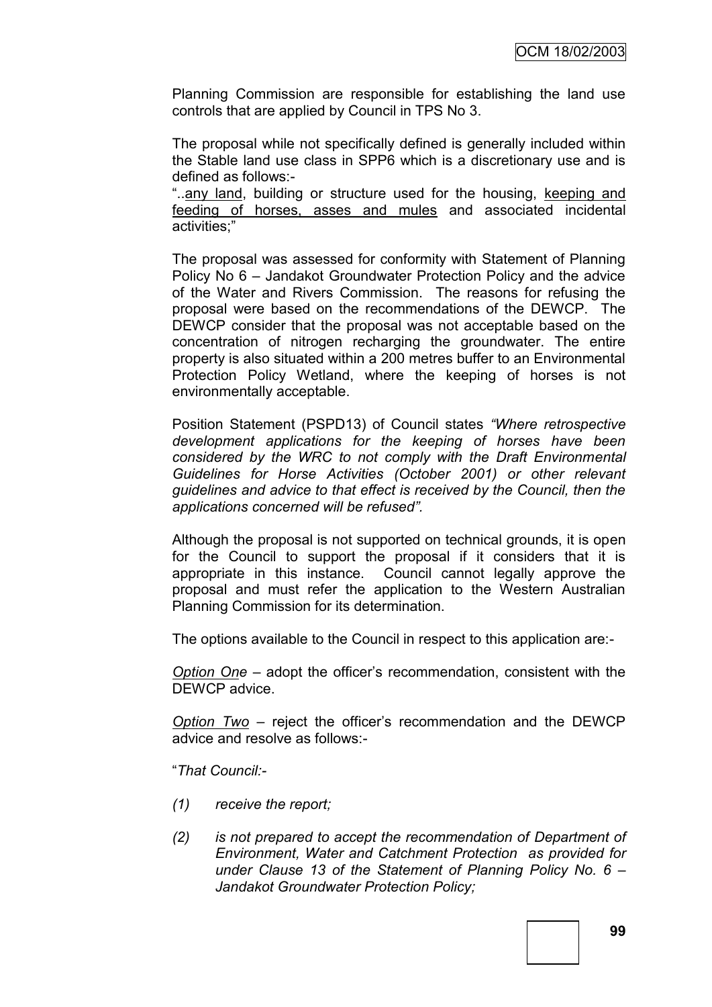Planning Commission are responsible for establishing the land use controls that are applied by Council in TPS No 3.

The proposal while not specifically defined is generally included within the Stable land use class in SPP6 which is a discretionary use and is defined as follows:-

"..any land, building or structure used for the housing, keeping and feeding of horses, asses and mules and associated incidental activities;"

The proposal was assessed for conformity with Statement of Planning Policy No 6 – Jandakot Groundwater Protection Policy and the advice of the Water and Rivers Commission. The reasons for refusing the proposal were based on the recommendations of the DEWCP. The DEWCP consider that the proposal was not acceptable based on the concentration of nitrogen recharging the groundwater. The entire property is also situated within a 200 metres buffer to an Environmental Protection Policy Wetland, where the keeping of horses is not environmentally acceptable.

Position Statement (PSPD13) of Council states "Where retrospective *development applications for the keeping of horses have been considered by the WRC to not comply with the Draft Environmental Guidelines for Horse Activities (October 2001) or other relevant guidelines and advice to that effect is received by the Council, then the applications concerned will be refused‖.*

Although the proposal is not supported on technical grounds, it is open for the Council to support the proposal if it considers that it is appropriate in this instance. Council cannot legally approve the proposal and must refer the application to the Western Australian Planning Commission for its determination.

The options available to the Council in respect to this application are:-

*Option One* – adopt the officer"s recommendation, consistent with the DEWCP advice.

*Option Two* – reject the officer"s recommendation and the DEWCP advice and resolve as follows:-

"*That Council:-*

- *(1) receive the report;*
- *(2) is not prepared to accept the recommendation of Department of Environment, Water and Catchment Protection as provided for under Clause 13 of the Statement of Planning Policy No. 6 – Jandakot Groundwater Protection Policy;*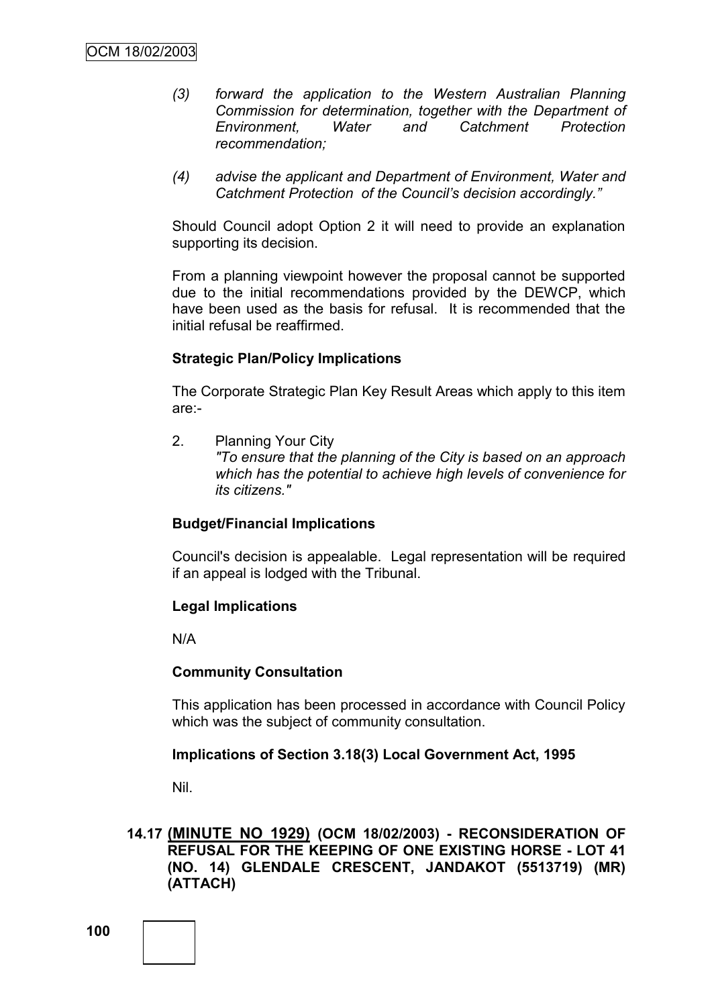- *(3) forward the application to the Western Australian Planning Commission for determination, together with the Department of Environment, Water and Catchment Protection recommendation;*
- *(4) advise the applicant and Department of Environment, Water and Catchment Protection of the Council's decision accordingly.‖*

Should Council adopt Option 2 it will need to provide an explanation supporting its decision.

From a planning viewpoint however the proposal cannot be supported due to the initial recommendations provided by the DEWCP, which have been used as the basis for refusal. It is recommended that the initial refusal be reaffirmed.

#### **Strategic Plan/Policy Implications**

The Corporate Strategic Plan Key Result Areas which apply to this item are:-

2. Planning Your City *"To ensure that the planning of the City is based on an approach which has the potential to achieve high levels of convenience for its citizens."*

## **Budget/Financial Implications**

Council's decision is appealable. Legal representation will be required if an appeal is lodged with the Tribunal.

## **Legal Implications**

N/A

## **Community Consultation**

This application has been processed in accordance with Council Policy which was the subject of community consultation.

## **Implications of Section 3.18(3) Local Government Act, 1995**

Nil.

**14.17 (MINUTE NO 1929) (OCM 18/02/2003) - RECONSIDERATION OF REFUSAL FOR THE KEEPING OF ONE EXISTING HORSE - LOT 41 (NO. 14) GLENDALE CRESCENT, JANDAKOT (5513719) (MR) (ATTACH)**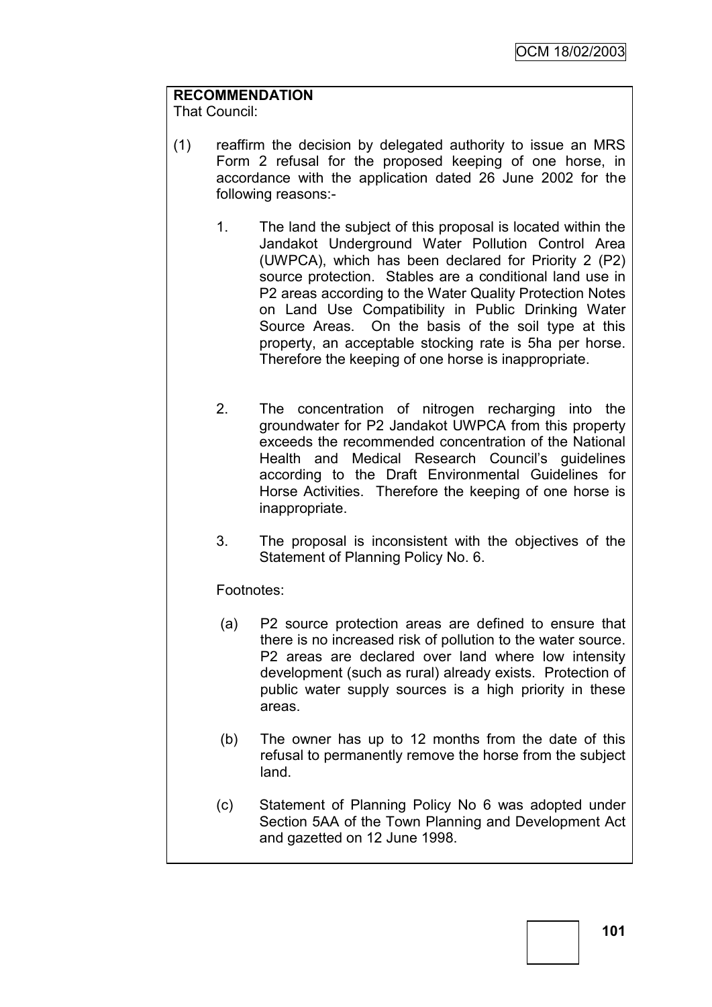# **RECOMMENDATION**

That Council:

- (1) reaffirm the decision by delegated authority to issue an MRS Form 2 refusal for the proposed keeping of one horse, in accordance with the application dated 26 June 2002 for the following reasons:-
	- 1. The land the subject of this proposal is located within the Jandakot Underground Water Pollution Control Area (UWPCA), which has been declared for Priority 2 (P2) source protection. Stables are a conditional land use in P2 areas according to the Water Quality Protection Notes on Land Use Compatibility in Public Drinking Water Source Areas. On the basis of the soil type at this property, an acceptable stocking rate is 5ha per horse. Therefore the keeping of one horse is inappropriate.
	- 2. The concentration of nitrogen recharging into the groundwater for P2 Jandakot UWPCA from this property exceeds the recommended concentration of the National Health and Medical Research Council's guidelines according to the Draft Environmental Guidelines for Horse Activities. Therefore the keeping of one horse is inappropriate.
	- 3. The proposal is inconsistent with the objectives of the Statement of Planning Policy No. 6.

## Footnotes:

- (a) P2 source protection areas are defined to ensure that there is no increased risk of pollution to the water source. P2 areas are declared over land where low intensity development (such as rural) already exists. Protection of public water supply sources is a high priority in these areas.
- (b) The owner has up to 12 months from the date of this refusal to permanently remove the horse from the subject land.
- (c) Statement of Planning Policy No 6 was adopted under Section 5AA of the Town Planning and Development Act and gazetted on 12 June 1998.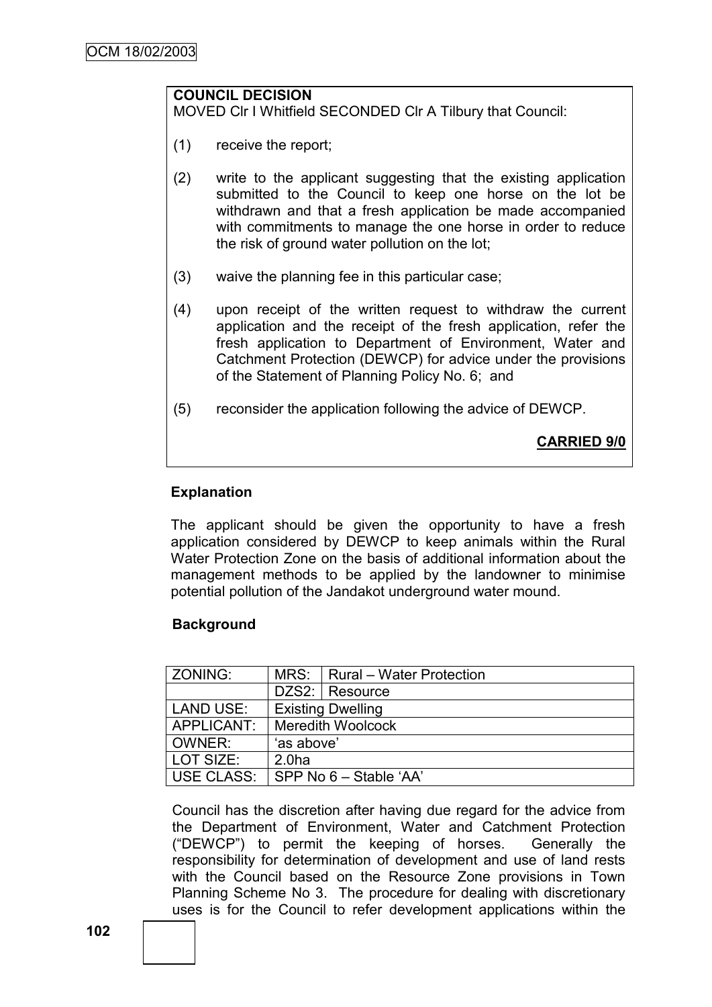# **COUNCIL DECISION**

MOVED Clr I Whitfield SECONDED Clr A Tilbury that Council:

- (1) receive the report;
- (2) write to the applicant suggesting that the existing application submitted to the Council to keep one horse on the lot be withdrawn and that a fresh application be made accompanied with commitments to manage the one horse in order to reduce the risk of ground water pollution on the lot;
- (3) waive the planning fee in this particular case;
- (4) upon receipt of the written request to withdraw the current application and the receipt of the fresh application, refer the fresh application to Department of Environment, Water and Catchment Protection (DEWCP) for advice under the provisions of the Statement of Planning Policy No. 6; and
- (5) reconsider the application following the advice of DEWCP.

**CARRIED 9/0**

## **Explanation**

The applicant should be given the opportunity to have a fresh application considered by DEWCP to keep animals within the Rural Water Protection Zone on the basis of additional information about the management methods to be applied by the landowner to minimise potential pollution of the Jandakot underground water mound.

## **Background**

| ZONING:          |                          | MRS:   Rural - Water Protection |  |
|------------------|--------------------------|---------------------------------|--|
|                  |                          | DZS2: Resource                  |  |
| <b>LAND USE:</b> | <b>Existing Dwelling</b> |                                 |  |
| APPLICANT:       | <b>Meredith Woolcock</b> |                                 |  |
| OWNER:           | 'as above'               |                                 |  |
| LOT SIZE:        | 2.0 <sub>ha</sub>        |                                 |  |
| USE CLASS:       | $SPP$ No 6 – Stable 'AA' |                                 |  |

Council has the discretion after having due regard for the advice from the Department of Environment, Water and Catchment Protection ("DEWCP") to permit the keeping of horses. Generally the responsibility for determination of development and use of land rests with the Council based on the Resource Zone provisions in Town Planning Scheme No 3. The procedure for dealing with discretionary uses is for the Council to refer development applications within the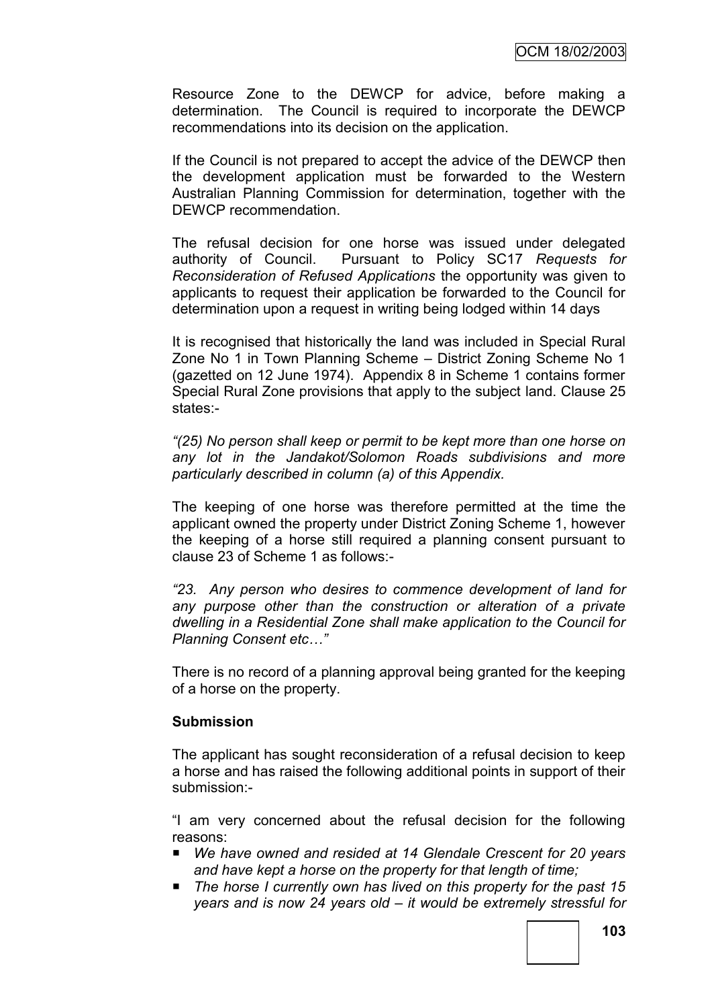Resource Zone to the DEWCP for advice, before making a determination. The Council is required to incorporate the DEWCP recommendations into its decision on the application.

If the Council is not prepared to accept the advice of the DEWCP then the development application must be forwarded to the Western Australian Planning Commission for determination, together with the DEWCP recommendation.

The refusal decision for one horse was issued under delegated authority of Council. Pursuant to Policy SC17 *Requests for Reconsideration of Refused Applications* the opportunity was given to applicants to request their application be forwarded to the Council for determination upon a request in writing being lodged within 14 days

It is recognised that historically the land was included in Special Rural Zone No 1 in Town Planning Scheme – District Zoning Scheme No 1 (gazetted on 12 June 1974). Appendix 8 in Scheme 1 contains former Special Rural Zone provisions that apply to the subject land. Clause 25 states:-

*―(25) No person shall keep or permit to be kept more than one horse on any lot in the Jandakot/Solomon Roads subdivisions and more particularly described in column (a) of this Appendix.*

The keeping of one horse was therefore permitted at the time the applicant owned the property under District Zoning Scheme 1, however the keeping of a horse still required a planning consent pursuant to clause 23 of Scheme 1 as follows:-

*―23. Any person who desires to commence development of land for any purpose other than the construction or alteration of a private dwelling in a Residential Zone shall make application to the Council for Planning Consent etc…‖*

There is no record of a planning approval being granted for the keeping of a horse on the property.

## **Submission**

The applicant has sought reconsideration of a refusal decision to keep a horse and has raised the following additional points in support of their submission:-

"I am very concerned about the refusal decision for the following reasons:

- We have owned and resided at 14 Glendale Crescent for 20 years *and have kept a horse on the property for that length of time;*
- *The horse I currently own has lived on this property for the past 15 years and is now 24 years old – it would be extremely stressful for*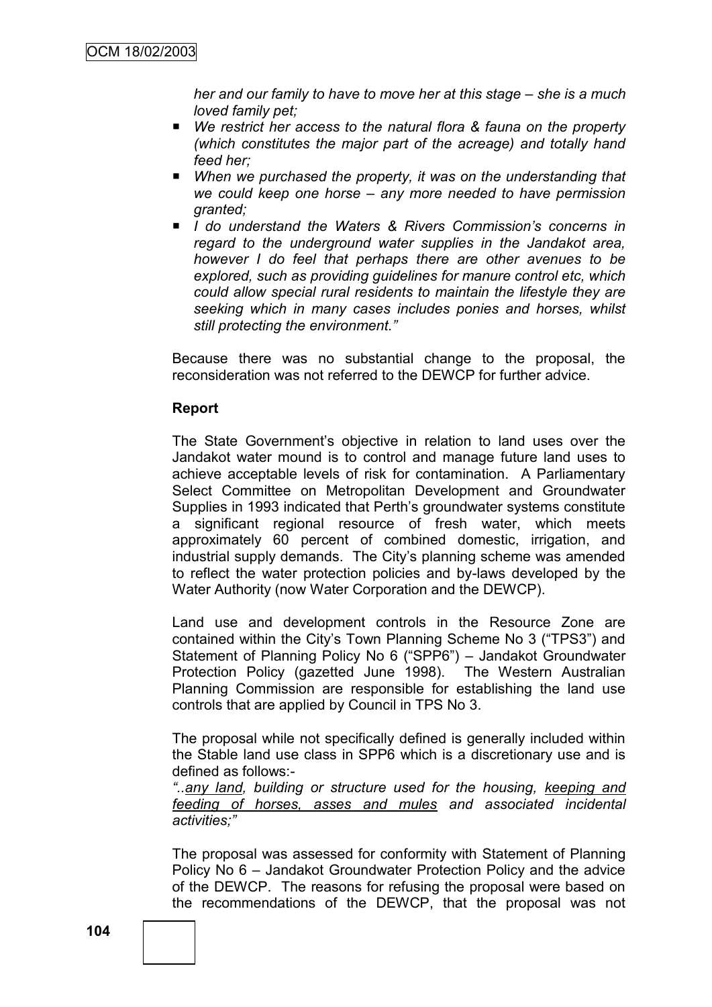*her and our family to have to move her at this stage – she is a much loved family pet;*

- We restrict her access to the natural flora & fauna on the property *(which constitutes the major part of the acreage) and totally hand feed her;*
- When we purchased the property, it was on the understanding that *we could keep one horse – any more needed to have permission granted;*
- *I do understand the Waters & Rivers Commission's concerns in regard to the underground water supplies in the Jandakot area, however I do feel that perhaps there are other avenues to be explored, such as providing guidelines for manure control etc, which could allow special rural residents to maintain the lifestyle they are seeking which in many cases includes ponies and horses, whilst still protecting the environment.‖*

Because there was no substantial change to the proposal, the reconsideration was not referred to the DEWCP for further advice.

### **Report**

The State Government's objective in relation to land uses over the Jandakot water mound is to control and manage future land uses to achieve acceptable levels of risk for contamination. A Parliamentary Select Committee on Metropolitan Development and Groundwater Supplies in 1993 indicated that Perth"s groundwater systems constitute a significant regional resource of fresh water, which meets approximately 60 percent of combined domestic, irrigation, and industrial supply demands. The City"s planning scheme was amended to reflect the water protection policies and by-laws developed by the Water Authority (now Water Corporation and the DEWCP).

Land use and development controls in the Resource Zone are contained within the City"s Town Planning Scheme No 3 ("TPS3") and Statement of Planning Policy No 6 ("SPP6") – Jandakot Groundwater Protection Policy (gazetted June 1998). The Western Australian Planning Commission are responsible for establishing the land use controls that are applied by Council in TPS No 3.

The proposal while not specifically defined is generally included within the Stable land use class in SPP6 which is a discretionary use and is defined as follows:-

*―..any land, building or structure used for the housing, keeping and feeding of horses, asses and mules and associated incidental activities;‖*

The proposal was assessed for conformity with Statement of Planning Policy No 6 – Jandakot Groundwater Protection Policy and the advice of the DEWCP. The reasons for refusing the proposal were based on the recommendations of the DEWCP, that the proposal was not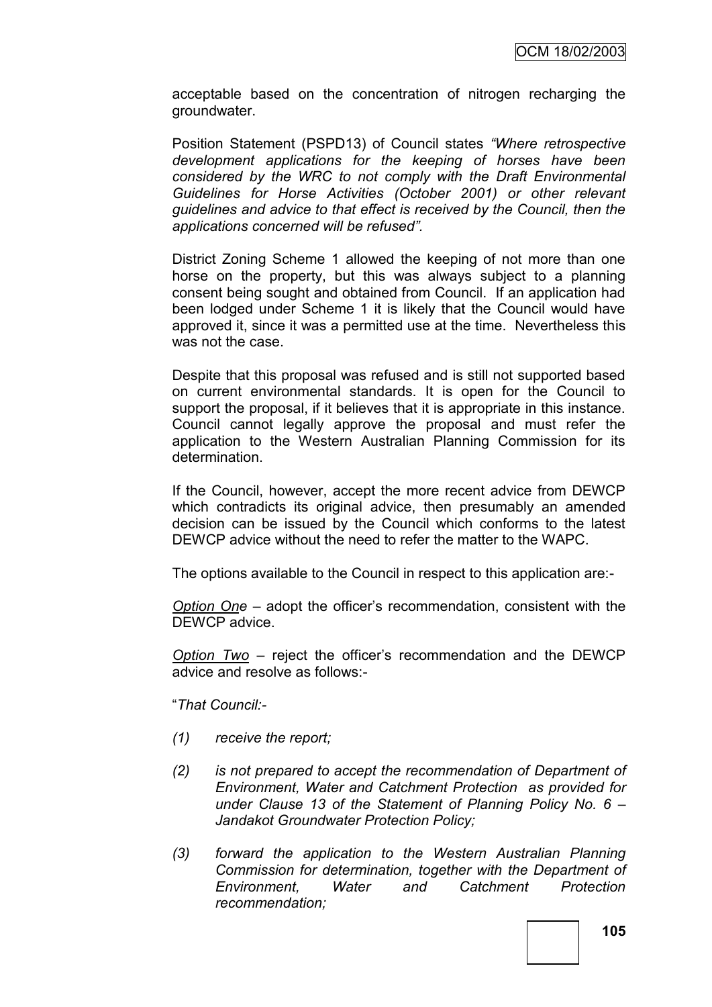acceptable based on the concentration of nitrogen recharging the groundwater.

Position Statement (PSPD13) of Council states "Where retrospective *development applications for the keeping of horses have been considered by the WRC to not comply with the Draft Environmental Guidelines for Horse Activities (October 2001) or other relevant guidelines and advice to that effect is received by the Council, then the applications concerned will be refused‖.*

District Zoning Scheme 1 allowed the keeping of not more than one horse on the property, but this was always subject to a planning consent being sought and obtained from Council. If an application had been lodged under Scheme 1 it is likely that the Council would have approved it, since it was a permitted use at the time. Nevertheless this was not the case.

Despite that this proposal was refused and is still not supported based on current environmental standards. It is open for the Council to support the proposal, if it believes that it is appropriate in this instance. Council cannot legally approve the proposal and must refer the application to the Western Australian Planning Commission for its determination.

If the Council, however, accept the more recent advice from DEWCP which contradicts its original advice, then presumably an amended decision can be issued by the Council which conforms to the latest DEWCP advice without the need to refer the matter to the WAPC.

The options available to the Council in respect to this application are:-

*Option One* – adopt the officer"s recommendation, consistent with the DEWCP advice.

*Option Two* – reject the officer"s recommendation and the DEWCP advice and resolve as follows:-

"*That Council:-*

- *(1) receive the report;*
- *(2) is not prepared to accept the recommendation of Department of Environment, Water and Catchment Protection as provided for under Clause 13 of the Statement of Planning Policy No. 6 – Jandakot Groundwater Protection Policy;*
- *(3) forward the application to the Western Australian Planning Commission for determination, together with the Department of Environment, Water and Catchment Protection recommendation;*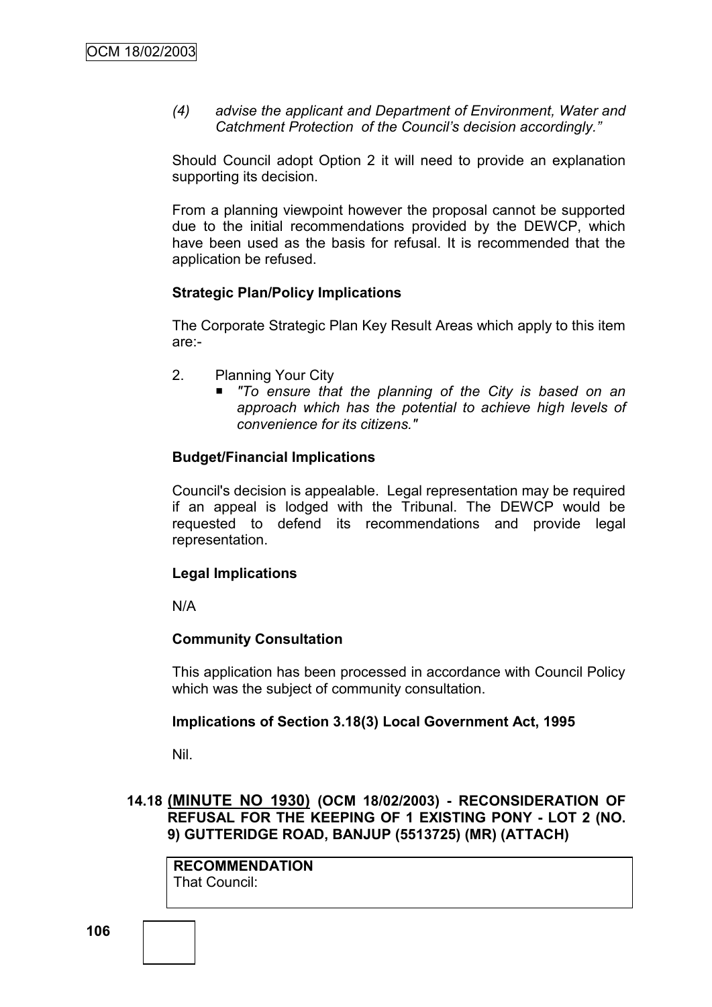*(4) advise the applicant and Department of Environment, Water and Catchment Protection of the Council's decision accordingly.‖*

Should Council adopt Option 2 it will need to provide an explanation supporting its decision.

From a planning viewpoint however the proposal cannot be supported due to the initial recommendations provided by the DEWCP, which have been used as the basis for refusal. It is recommended that the application be refused.

## **Strategic Plan/Policy Implications**

The Corporate Strategic Plan Key Result Areas which apply to this item are:-

- 2. Planning Your City
	- *"To ensure that the planning of the City is based on an approach which has the potential to achieve high levels of convenience for its citizens."*

## **Budget/Financial Implications**

Council's decision is appealable. Legal representation may be required if an appeal is lodged with the Tribunal. The DEWCP would be requested to defend its recommendations and provide legal representation.

## **Legal Implications**

N/A

## **Community Consultation**

This application has been processed in accordance with Council Policy which was the subject of community consultation.

## **Implications of Section 3.18(3) Local Government Act, 1995**

Nil.

## **14.18 (MINUTE NO 1930) (OCM 18/02/2003) - RECONSIDERATION OF REFUSAL FOR THE KEEPING OF 1 EXISTING PONY - LOT 2 (NO. 9) GUTTERIDGE ROAD, BANJUP (5513725) (MR) (ATTACH)**

**RECOMMENDATION** That Council: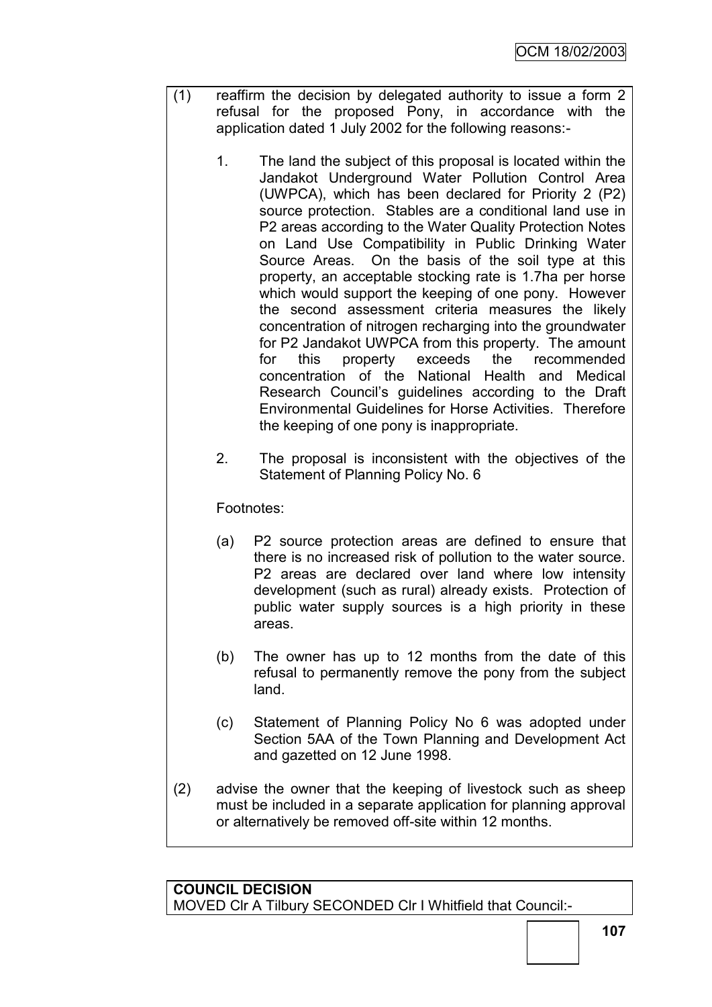- (1) reaffirm the decision by delegated authority to issue a form 2 refusal for the proposed Pony, in accordance with the application dated 1 July 2002 for the following reasons:-
	- 1. The land the subject of this proposal is located within the Jandakot Underground Water Pollution Control Area (UWPCA), which has been declared for Priority 2 (P2) source protection. Stables are a conditional land use in P2 areas according to the Water Quality Protection Notes on Land Use Compatibility in Public Drinking Water Source Areas. On the basis of the soil type at this property, an acceptable stocking rate is 1.7ha per horse which would support the keeping of one pony. However the second assessment criteria measures the likely concentration of nitrogen recharging into the groundwater for P2 Jandakot UWPCA from this property. The amount for this property exceeds the recommended concentration of the National Health and Medical Research Council"s guidelines according to the Draft Environmental Guidelines for Horse Activities. Therefore the keeping of one pony is inappropriate.
	- 2. The proposal is inconsistent with the objectives of the Statement of Planning Policy No. 6

Footnotes:

- (a) P2 source protection areas are defined to ensure that there is no increased risk of pollution to the water source. P2 areas are declared over land where low intensity development (such as rural) already exists. Protection of public water supply sources is a high priority in these areas.
- (b) The owner has up to 12 months from the date of this refusal to permanently remove the pony from the subject land.
- (c) Statement of Planning Policy No 6 was adopted under Section 5AA of the Town Planning and Development Act and gazetted on 12 June 1998.
- (2) advise the owner that the keeping of livestock such as sheep must be included in a separate application for planning approval or alternatively be removed off-site within 12 months.

## **COUNCIL DECISION** MOVED Clr A Tilbury SECONDED Clr I Whitfield that Council:-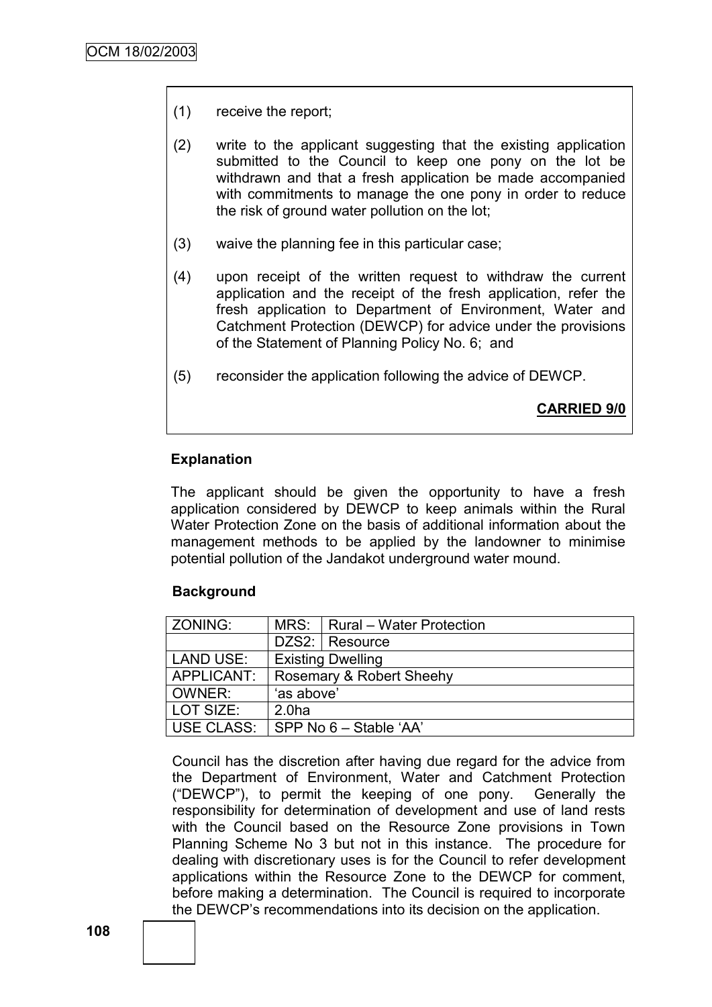- (1) receive the report;
- (2) write to the applicant suggesting that the existing application submitted to the Council to keep one pony on the lot be withdrawn and that a fresh application be made accompanied with commitments to manage the one pony in order to reduce the risk of ground water pollution on the lot;
- (3) waive the planning fee in this particular case;
- (4) upon receipt of the written request to withdraw the current application and the receipt of the fresh application, refer the fresh application to Department of Environment, Water and Catchment Protection (DEWCP) for advice under the provisions of the Statement of Planning Policy No. 6; and
- (5) reconsider the application following the advice of DEWCP.

**CARRIED 9/0**

## **Explanation**

The applicant should be given the opportunity to have a fresh application considered by DEWCP to keep animals within the Rural Water Protection Zone on the basis of additional information about the management methods to be applied by the landowner to minimise potential pollution of the Jandakot underground water mound.

## **Background**

| ZONING:          |                          | MRS:   Rural - Water Protection |  |
|------------------|--------------------------|---------------------------------|--|
|                  |                          | DZS2: Resource                  |  |
| <b>LAND USE:</b> | <b>Existing Dwelling</b> |                                 |  |
| APPLICANT:       | Rosemary & Robert Sheehy |                                 |  |
| OWNER:           | 'as above'               |                                 |  |
| LOT SIZE:        | 2.0 <sub>ha</sub>        |                                 |  |
| USE CLASS:       | SPP No 6 - Stable 'AA'   |                                 |  |

Council has the discretion after having due regard for the advice from the Department of Environment, Water and Catchment Protection ("DEWCP"), to permit the keeping of one pony. Generally the responsibility for determination of development and use of land rests with the Council based on the Resource Zone provisions in Town Planning Scheme No 3 but not in this instance. The procedure for dealing with discretionary uses is for the Council to refer development applications within the Resource Zone to the DEWCP for comment, before making a determination. The Council is required to incorporate the DEWCP"s recommendations into its decision on the application.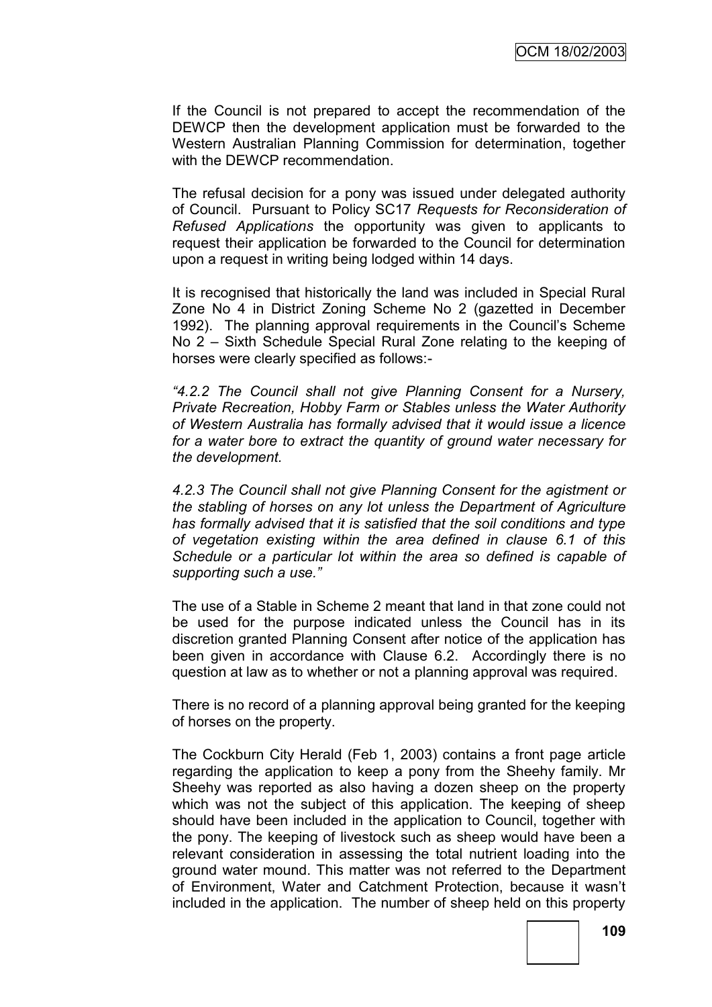If the Council is not prepared to accept the recommendation of the DEWCP then the development application must be forwarded to the Western Australian Planning Commission for determination, together with the DEWCP recommendation.

The refusal decision for a pony was issued under delegated authority of Council. Pursuant to Policy SC17 *Requests for Reconsideration of Refused Applications* the opportunity was given to applicants to request their application be forwarded to the Council for determination upon a request in writing being lodged within 14 days.

It is recognised that historically the land was included in Special Rural Zone No 4 in District Zoning Scheme No 2 (gazetted in December 1992). The planning approval requirements in the Council's Scheme No 2 – Sixth Schedule Special Rural Zone relating to the keeping of horses were clearly specified as follows:-

*―4.2.2 The Council shall not give Planning Consent for a Nursery, Private Recreation, Hobby Farm or Stables unless the Water Authority of Western Australia has formally advised that it would issue a licence for a water bore to extract the quantity of ground water necessary for the development.*

*4.2.3 The Council shall not give Planning Consent for the agistment or the stabling of horses on any lot unless the Department of Agriculture has formally advised that it is satisfied that the soil conditions and type of vegetation existing within the area defined in clause 6.1 of this Schedule or a particular lot within the area so defined is capable of supporting such a use.‖*

The use of a Stable in Scheme 2 meant that land in that zone could not be used for the purpose indicated unless the Council has in its discretion granted Planning Consent after notice of the application has been given in accordance with Clause 6.2. Accordingly there is no question at law as to whether or not a planning approval was required.

There is no record of a planning approval being granted for the keeping of horses on the property.

The Cockburn City Herald (Feb 1, 2003) contains a front page article regarding the application to keep a pony from the Sheehy family. Mr Sheehy was reported as also having a dozen sheep on the property which was not the subject of this application. The keeping of sheep should have been included in the application to Council, together with the pony. The keeping of livestock such as sheep would have been a relevant consideration in assessing the total nutrient loading into the ground water mound. This matter was not referred to the Department of Environment, Water and Catchment Protection, because it wasn"t included in the application. The number of sheep held on this property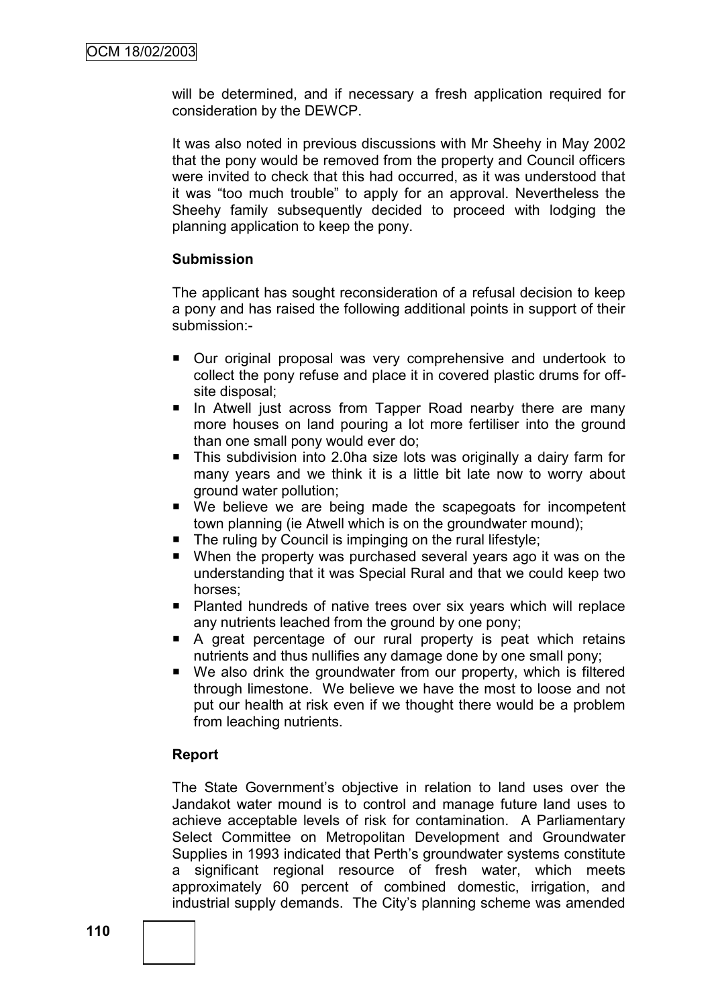will be determined, and if necessary a fresh application required for consideration by the DEWCP.

It was also noted in previous discussions with Mr Sheehy in May 2002 that the pony would be removed from the property and Council officers were invited to check that this had occurred, as it was understood that it was "too much trouble" to apply for an approval. Nevertheless the Sheehy family subsequently decided to proceed with lodging the planning application to keep the pony.

## **Submission**

The applicant has sought reconsideration of a refusal decision to keep a pony and has raised the following additional points in support of their submission:-

- Our original proposal was very comprehensive and undertook to collect the pony refuse and place it in covered plastic drums for offsite disposal;
- In Atwell just across from Tapper Road nearby there are many more houses on land pouring a lot more fertiliser into the ground than one small pony would ever do;
- This subdivision into 2.0ha size lots was originally a dairy farm for many years and we think it is a little bit late now to worry about ground water pollution;
- We believe we are being made the scapegoats for incompetent town planning (ie Atwell which is on the groundwater mound);
- The ruling by Council is impinging on the rural lifestyle;
- When the property was purchased several years ago it was on the understanding that it was Special Rural and that we could keep two horses;
- Planted hundreds of native trees over six years which will replace any nutrients leached from the ground by one pony;
- A great percentage of our rural property is peat which retains nutrients and thus nullifies any damage done by one small pony;
- We also drink the groundwater from our property, which is filtered through limestone. We believe we have the most to loose and not put our health at risk even if we thought there would be a problem from leaching nutrients.

## **Report**

The State Government's objective in relation to land uses over the Jandakot water mound is to control and manage future land uses to achieve acceptable levels of risk for contamination. A Parliamentary Select Committee on Metropolitan Development and Groundwater Supplies in 1993 indicated that Perth"s groundwater systems constitute a significant regional resource of fresh water, which meets approximately 60 percent of combined domestic, irrigation, and industrial supply demands. The City"s planning scheme was amended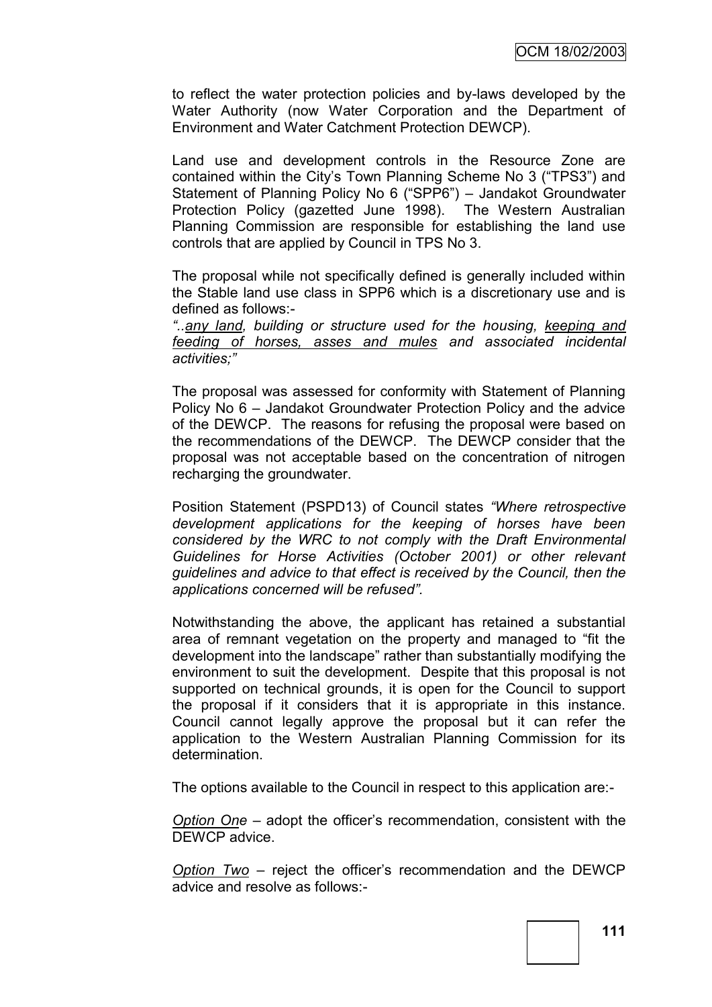to reflect the water protection policies and by-laws developed by the Water Authority (now Water Corporation and the Department of Environment and Water Catchment Protection DEWCP).

Land use and development controls in the Resource Zone are contained within the City"s Town Planning Scheme No 3 ("TPS3") and Statement of Planning Policy No 6 ("SPP6") – Jandakot Groundwater Protection Policy (gazetted June 1998). The Western Australian Planning Commission are responsible for establishing the land use controls that are applied by Council in TPS No 3.

The proposal while not specifically defined is generally included within the Stable land use class in SPP6 which is a discretionary use and is defined as follows:-

*―..any land, building or structure used for the housing, keeping and feeding of horses, asses and mules and associated incidental activities;‖*

The proposal was assessed for conformity with Statement of Planning Policy No 6 – Jandakot Groundwater Protection Policy and the advice of the DEWCP. The reasons for refusing the proposal were based on the recommendations of the DEWCP. The DEWCP consider that the proposal was not acceptable based on the concentration of nitrogen recharging the groundwater.

Position Statement (PSPD13) of Council states "Where retrospective *development applications for the keeping of horses have been considered by the WRC to not comply with the Draft Environmental Guidelines for Horse Activities (October 2001) or other relevant guidelines and advice to that effect is received by the Council, then the applications concerned will be refused‖.*

Notwithstanding the above, the applicant has retained a substantial area of remnant vegetation on the property and managed to "fit the development into the landscape" rather than substantially modifying the environment to suit the development. Despite that this proposal is not supported on technical grounds, it is open for the Council to support the proposal if it considers that it is appropriate in this instance. Council cannot legally approve the proposal but it can refer the application to the Western Australian Planning Commission for its determination.

The options available to the Council in respect to this application are:-

*Option One* – adopt the officer"s recommendation, consistent with the DEWCP advice.

*Option Two* – reject the officer"s recommendation and the DEWCP advice and resolve as follows:-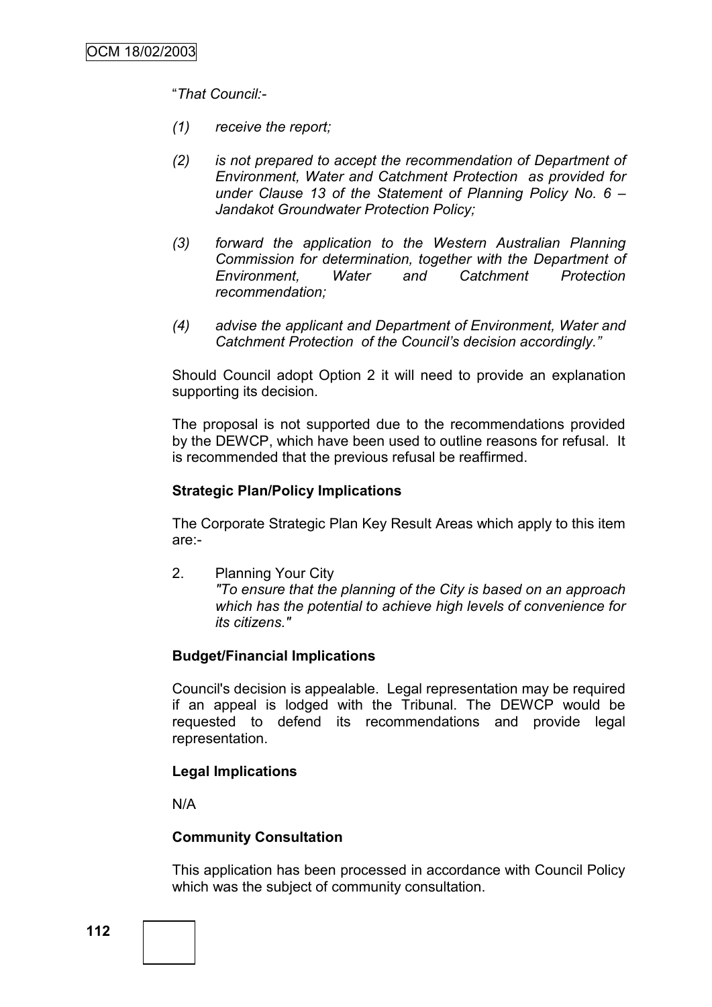"*That Council:-*

- *(1) receive the report;*
- *(2) is not prepared to accept the recommendation of Department of Environment, Water and Catchment Protection as provided for under Clause 13 of the Statement of Planning Policy No. 6 – Jandakot Groundwater Protection Policy;*
- *(3) forward the application to the Western Australian Planning Commission for determination, together with the Department of Environment, Water and Catchment Protection recommendation;*
- *(4) advise the applicant and Department of Environment, Water and Catchment Protection of the Council's decision accordingly.‖*

Should Council adopt Option 2 it will need to provide an explanation supporting its decision.

The proposal is not supported due to the recommendations provided by the DEWCP, which have been used to outline reasons for refusal. It is recommended that the previous refusal be reaffirmed.

### **Strategic Plan/Policy Implications**

The Corporate Strategic Plan Key Result Areas which apply to this item are:-

2. Planning Your City *"To ensure that the planning of the City is based on an approach which has the potential to achieve high levels of convenience for its citizens."*

## **Budget/Financial Implications**

Council's decision is appealable. Legal representation may be required if an appeal is lodged with the Tribunal. The DEWCP would be requested to defend its recommendations and provide legal representation.

#### **Legal Implications**

N/A

#### **Community Consultation**

This application has been processed in accordance with Council Policy which was the subject of community consultation.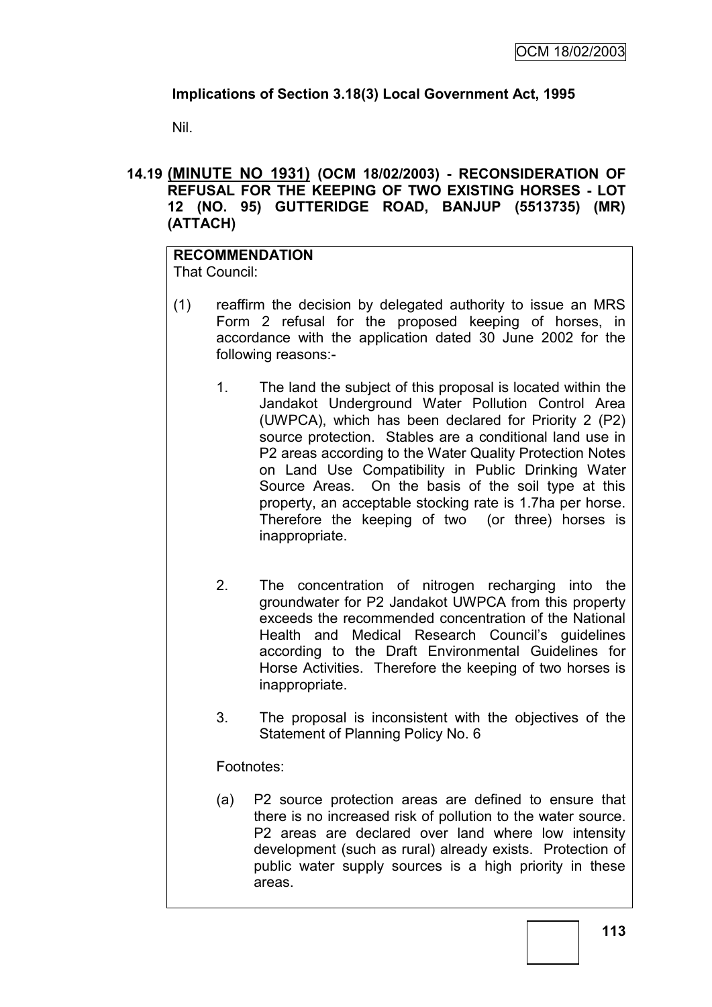# **Implications of Section 3.18(3) Local Government Act, 1995**

Nil.

## **14.19 (MINUTE NO 1931) (OCM 18/02/2003) - RECONSIDERATION OF REFUSAL FOR THE KEEPING OF TWO EXISTING HORSES - LOT 12 (NO. 95) GUTTERIDGE ROAD, BANJUP (5513735) (MR) (ATTACH)**

#### **RECOMMENDATION** That Council:

- (1) reaffirm the decision by delegated authority to issue an MRS Form 2 refusal for the proposed keeping of horses, in accordance with the application dated 30 June 2002 for the following reasons:-
	- 1. The land the subject of this proposal is located within the Jandakot Underground Water Pollution Control Area (UWPCA), which has been declared for Priority 2 (P2) source protection. Stables are a conditional land use in P2 areas according to the Water Quality Protection Notes on Land Use Compatibility in Public Drinking Water Source Areas. On the basis of the soil type at this property, an acceptable stocking rate is 1.7ha per horse. Therefore the keeping of two (or three) horses is inappropriate.
	- 2. The concentration of nitrogen recharging into the groundwater for P2 Jandakot UWPCA from this property exceeds the recommended concentration of the National Health and Medical Research Council"s guidelines according to the Draft Environmental Guidelines for Horse Activities. Therefore the keeping of two horses is inappropriate.
	- 3. The proposal is inconsistent with the objectives of the Statement of Planning Policy No. 6

# Footnotes:

(a) P2 source protection areas are defined to ensure that there is no increased risk of pollution to the water source. P2 areas are declared over land where low intensity development (such as rural) already exists. Protection of public water supply sources is a high priority in these areas.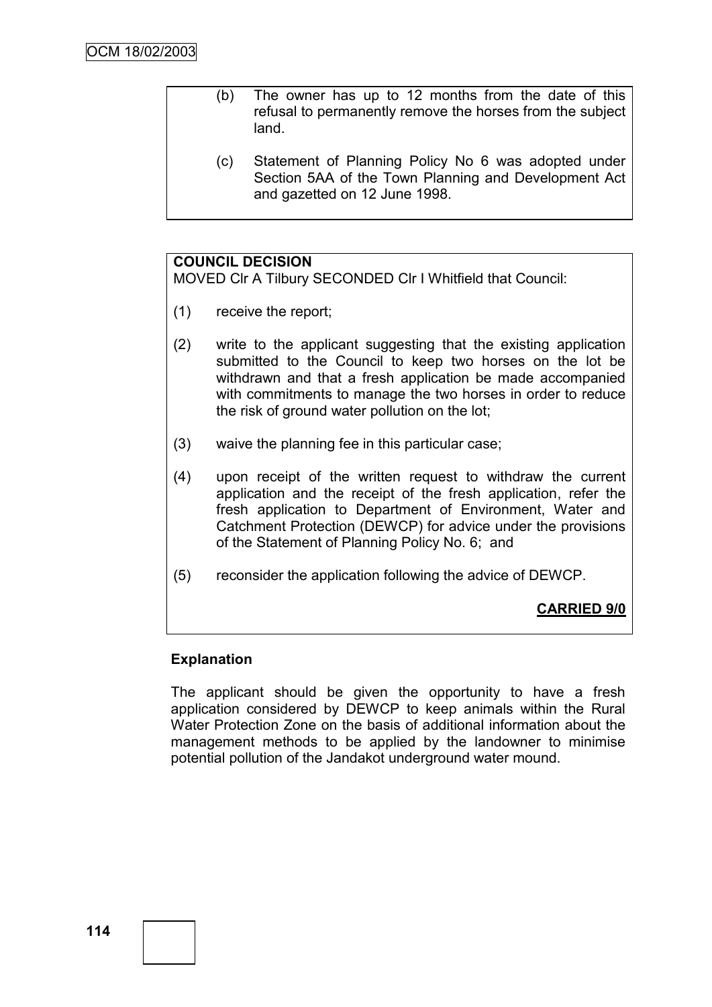- (b) The owner has up to 12 months from the date of this refusal to permanently remove the horses from the subject land.
	- (c) Statement of Planning Policy No 6 was adopted under Section 5AA of the Town Planning and Development Act and gazetted on 12 June 1998.

## **COUNCIL DECISION**

MOVED Clr A Tilbury SECONDED Clr I Whitfield that Council:

- (1) receive the report;
- (2) write to the applicant suggesting that the existing application submitted to the Council to keep two horses on the lot be withdrawn and that a fresh application be made accompanied with commitments to manage the two horses in order to reduce the risk of ground water pollution on the lot;
- (3) waive the planning fee in this particular case;
- (4) upon receipt of the written request to withdraw the current application and the receipt of the fresh application, refer the fresh application to Department of Environment, Water and Catchment Protection (DEWCP) for advice under the provisions of the Statement of Planning Policy No. 6; and
- (5) reconsider the application following the advice of DEWCP.

## **CARRIED 9/0**

## **Explanation**

The applicant should be given the opportunity to have a fresh application considered by DEWCP to keep animals within the Rural Water Protection Zone on the basis of additional information about the management methods to be applied by the landowner to minimise potential pollution of the Jandakot underground water mound.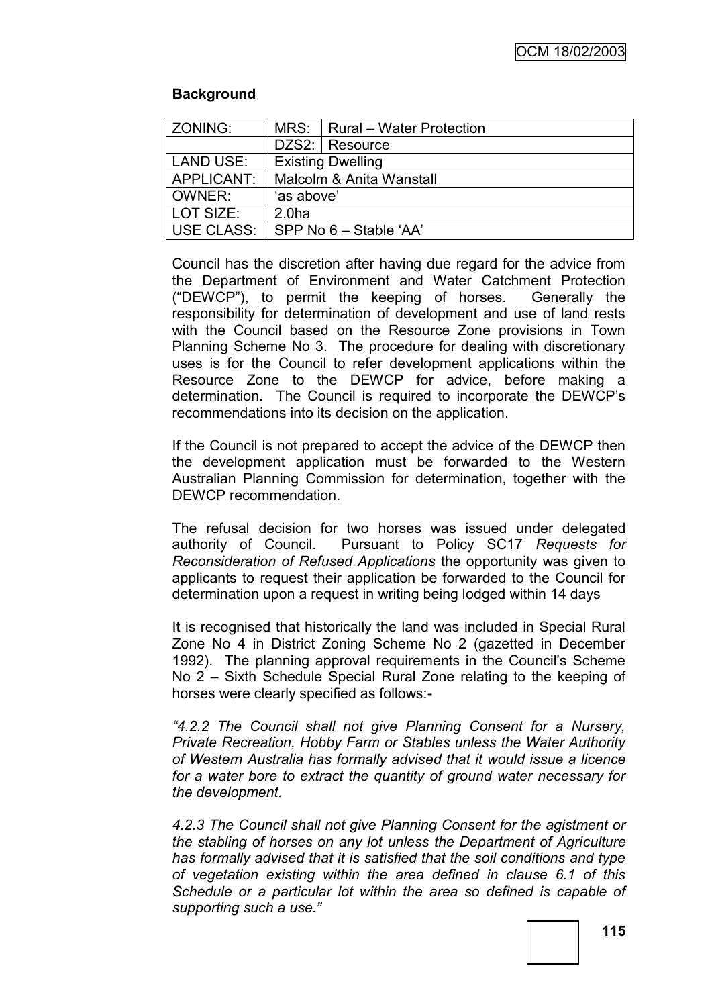## **Background**

| <b>ZONING:</b>   |                          | MRS:   Rural - Water Protection |
|------------------|--------------------------|---------------------------------|
|                  |                          |                                 |
|                  |                          | DZS2: Resource                  |
| <b>LAND USE:</b> | <b>Existing Dwelling</b> |                                 |
| APPLICANT:       | Malcolm & Anita Wanstall |                                 |
| OWNER:           | 'as above'               |                                 |
| l LOT SIZE:      | 2.0 <sub>ha</sub>        |                                 |
| USE CLASS:       | SPP No 6 - Stable 'AA'   |                                 |

Council has the discretion after having due regard for the advice from the Department of Environment and Water Catchment Protection ("DEWCP"), to permit the keeping of horses. Generally the responsibility for determination of development and use of land rests with the Council based on the Resource Zone provisions in Town Planning Scheme No 3. The procedure for dealing with discretionary uses is for the Council to refer development applications within the Resource Zone to the DEWCP for advice, before making a determination. The Council is required to incorporate the DEWCP"s recommendations into its decision on the application.

If the Council is not prepared to accept the advice of the DEWCP then the development application must be forwarded to the Western Australian Planning Commission for determination, together with the DEWCP recommendation.

The refusal decision for two horses was issued under delegated authority of Council. Pursuant to Policy SC17 *Requests for Reconsideration of Refused Applications* the opportunity was given to applicants to request their application be forwarded to the Council for determination upon a request in writing being lodged within 14 days

It is recognised that historically the land was included in Special Rural Zone No 4 in District Zoning Scheme No 2 (gazetted in December 1992). The planning approval requirements in the Council's Scheme No 2 – Sixth Schedule Special Rural Zone relating to the keeping of horses were clearly specified as follows:-

*―4.2.2 The Council shall not give Planning Consent for a Nursery, Private Recreation, Hobby Farm or Stables unless the Water Authority of Western Australia has formally advised that it would issue a licence for a water bore to extract the quantity of ground water necessary for the development.*

*4.2.3 The Council shall not give Planning Consent for the agistment or the stabling of horses on any lot unless the Department of Agriculture has formally advised that it is satisfied that the soil conditions and type of vegetation existing within the area defined in clause 6.1 of this Schedule or a particular lot within the area so defined is capable of supporting such a use.‖*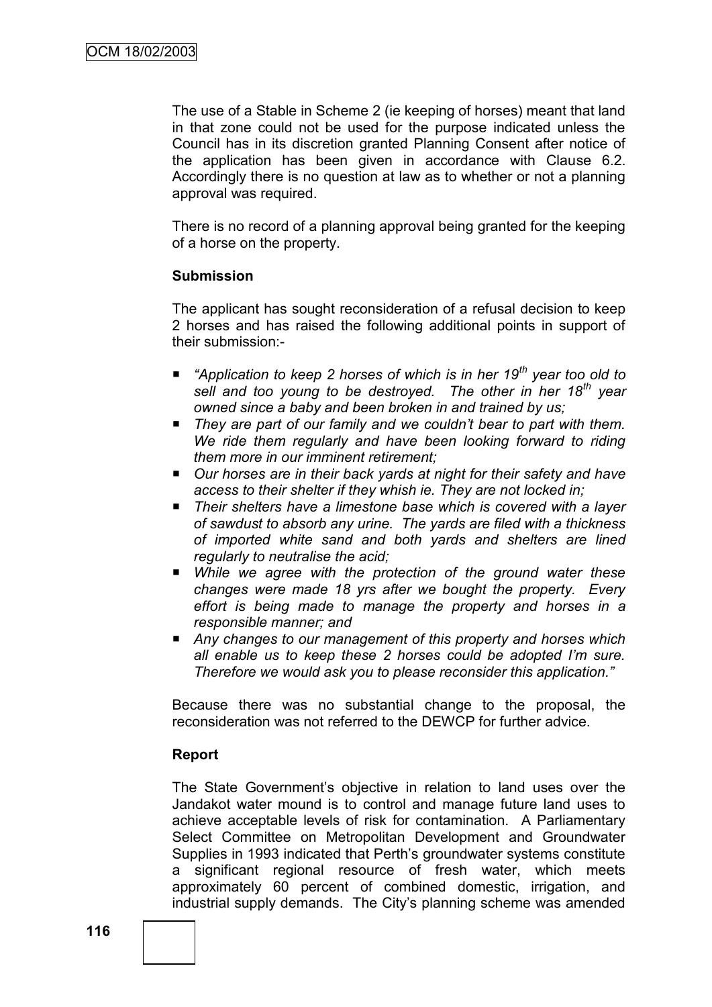The use of a Stable in Scheme 2 (ie keeping of horses) meant that land in that zone could not be used for the purpose indicated unless the Council has in its discretion granted Planning Consent after notice of the application has been given in accordance with Clause 6.2. Accordingly there is no question at law as to whether or not a planning approval was required.

There is no record of a planning approval being granted for the keeping of a horse on the property.

### **Submission**

The applicant has sought reconsideration of a refusal decision to keep 2 horses and has raised the following additional points in support of their submission:-

- *"Application to keep 2 horses of which is in her 19<sup>th</sup> year too old to sell and too young to be destroyed. The other in her 18th year owned since a baby and been broken in and trained by us;*
- They are part of our family and we couldn't bear to part with them. *We ride them regularly and have been looking forward to riding them more in our imminent retirement;*
- *Our horses are in their back yards at night for their safety and have access to their shelter if they whish ie. They are not locked in;*
- *Their shelters have a limestone base which is covered with a layer of sawdust to absorb any urine. The yards are filed with a thickness of imported white sand and both yards and shelters are lined regularly to neutralise the acid;*
- *While we agree with the protection of the ground water these changes were made 18 yrs after we bought the property. Every effort is being made to manage the property and horses in a responsible manner; and*
- Any changes to our management of this property and horses which *all enable us to keep these 2 horses could be adopted I'm sure. Therefore we would ask you to please reconsider this application.‖*

Because there was no substantial change to the proposal, the reconsideration was not referred to the DEWCP for further advice.

## **Report**

The State Government's objective in relation to land uses over the Jandakot water mound is to control and manage future land uses to achieve acceptable levels of risk for contamination. A Parliamentary Select Committee on Metropolitan Development and Groundwater Supplies in 1993 indicated that Perth"s groundwater systems constitute a significant regional resource of fresh water, which meets approximately 60 percent of combined domestic, irrigation, and industrial supply demands. The City"s planning scheme was amended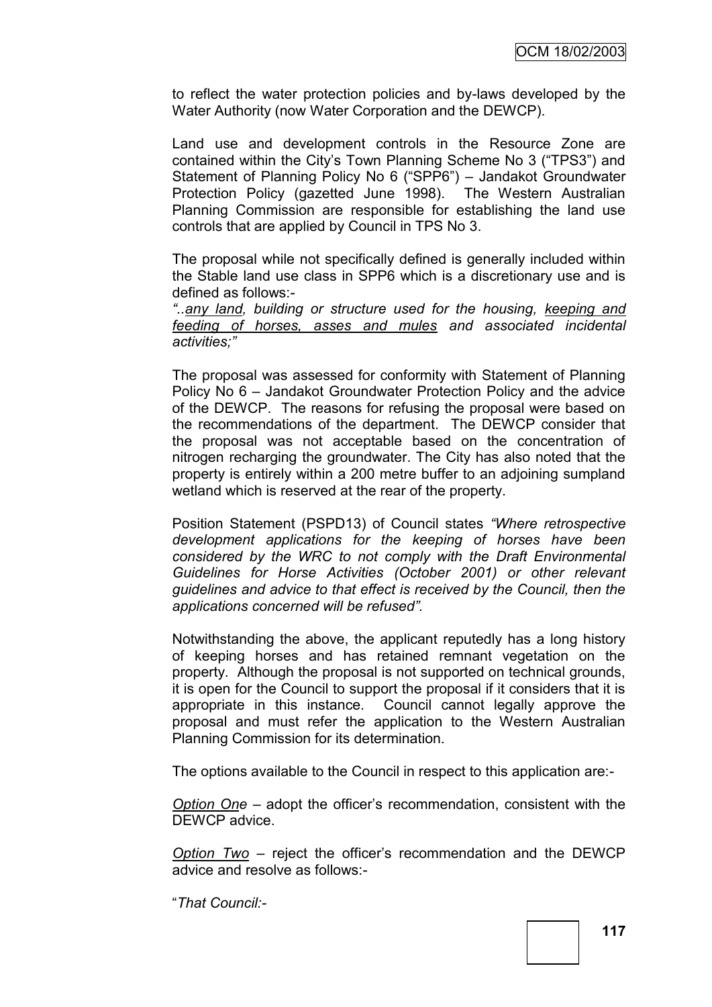to reflect the water protection policies and by-laws developed by the Water Authority (now Water Corporation and the DEWCP).

Land use and development controls in the Resource Zone are contained within the City"s Town Planning Scheme No 3 ("TPS3") and Statement of Planning Policy No 6 ("SPP6") – Jandakot Groundwater Protection Policy (gazetted June 1998). The Western Australian Planning Commission are responsible for establishing the land use controls that are applied by Council in TPS No 3.

The proposal while not specifically defined is generally included within the Stable land use class in SPP6 which is a discretionary use and is defined as follows:-

*―..any land, building or structure used for the housing, keeping and feeding of horses, asses and mules and associated incidental activities;‖*

The proposal was assessed for conformity with Statement of Planning Policy No 6 – Jandakot Groundwater Protection Policy and the advice of the DEWCP. The reasons for refusing the proposal were based on the recommendations of the department. The DEWCP consider that the proposal was not acceptable based on the concentration of nitrogen recharging the groundwater. The City has also noted that the property is entirely within a 200 metre buffer to an adjoining sumpland wetland which is reserved at the rear of the property.

Position Statement (PSPD13) of Council states "Where retrospective *development applications for the keeping of horses have been considered by the WRC to not comply with the Draft Environmental Guidelines for Horse Activities (October 2001) or other relevant guidelines and advice to that effect is received by the Council, then the applications concerned will be refused‖.*

Notwithstanding the above, the applicant reputedly has a long history of keeping horses and has retained remnant vegetation on the property. Although the proposal is not supported on technical grounds, it is open for the Council to support the proposal if it considers that it is appropriate in this instance. Council cannot legally approve the proposal and must refer the application to the Western Australian Planning Commission for its determination.

The options available to the Council in respect to this application are:-

*Option One* – adopt the officer"s recommendation, consistent with the DEWCP advice.

*Option Two* – reject the officer"s recommendation and the DEWCP advice and resolve as follows:-

"*That Council:-*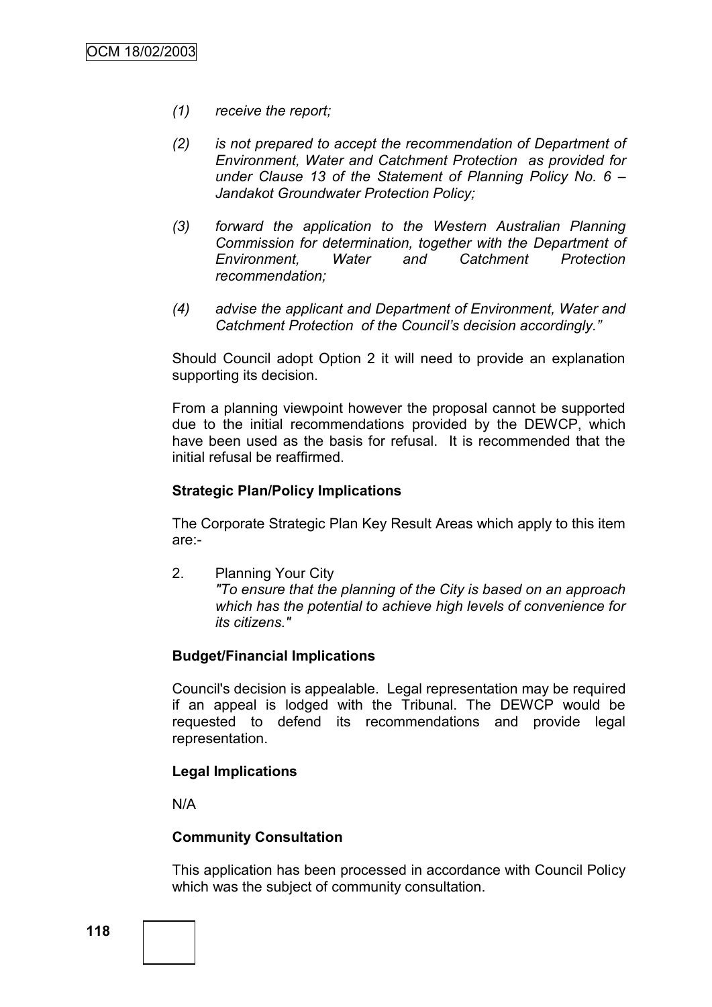- *(1) receive the report;*
- *(2) is not prepared to accept the recommendation of Department of Environment, Water and Catchment Protection as provided for under Clause 13 of the Statement of Planning Policy No. 6 – Jandakot Groundwater Protection Policy;*
- *(3) forward the application to the Western Australian Planning Commission for determination, together with the Department of Environment, Water and Catchment Protection recommendation;*
- *(4) advise the applicant and Department of Environment, Water and Catchment Protection of the Council's decision accordingly.‖*

Should Council adopt Option 2 it will need to provide an explanation supporting its decision.

From a planning viewpoint however the proposal cannot be supported due to the initial recommendations provided by the DEWCP, which have been used as the basis for refusal. It is recommended that the initial refusal be reaffirmed.

### **Strategic Plan/Policy Implications**

The Corporate Strategic Plan Key Result Areas which apply to this item are:-

2. Planning Your City *"To ensure that the planning of the City is based on an approach which has the potential to achieve high levels of convenience for its citizens."*

## **Budget/Financial Implications**

Council's decision is appealable. Legal representation may be required if an appeal is lodged with the Tribunal. The DEWCP would be requested to defend its recommendations and provide legal representation.

#### **Legal Implications**

N/A

#### **Community Consultation**

This application has been processed in accordance with Council Policy which was the subject of community consultation.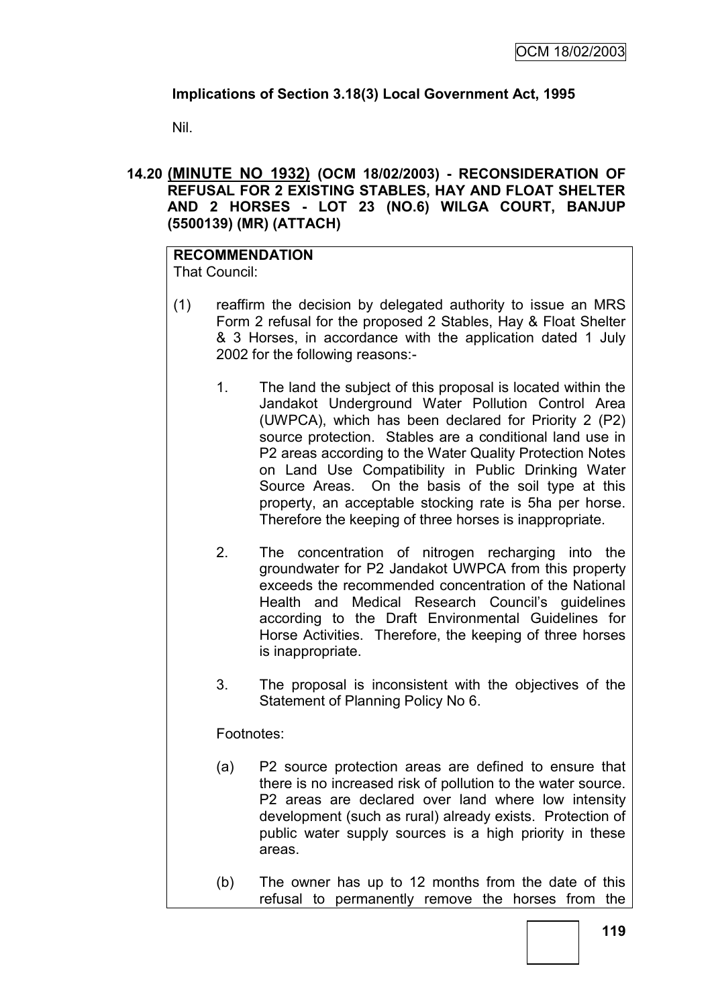# **Implications of Section 3.18(3) Local Government Act, 1995**

Nil.

## **14.20 (MINUTE NO 1932) (OCM 18/02/2003) - RECONSIDERATION OF REFUSAL FOR 2 EXISTING STABLES, HAY AND FLOAT SHELTER AND 2 HORSES - LOT 23 (NO.6) WILGA COURT, BANJUP (5500139) (MR) (ATTACH)**

#### **RECOMMENDATION** That Council:

- (1) reaffirm the decision by delegated authority to issue an MRS Form 2 refusal for the proposed 2 Stables, Hay & Float Shelter & 3 Horses, in accordance with the application dated 1 July 2002 for the following reasons:-
	- 1. The land the subject of this proposal is located within the Jandakot Underground Water Pollution Control Area (UWPCA), which has been declared for Priority 2 (P2) source protection. Stables are a conditional land use in P2 areas according to the Water Quality Protection Notes on Land Use Compatibility in Public Drinking Water Source Areas. On the basis of the soil type at this property, an acceptable stocking rate is 5ha per horse. Therefore the keeping of three horses is inappropriate.
	- 2. The concentration of nitrogen recharging into the groundwater for P2 Jandakot UWPCA from this property exceeds the recommended concentration of the National Health and Medical Research Council's quidelines according to the Draft Environmental Guidelines for Horse Activities. Therefore, the keeping of three horses is inappropriate.
	- 3. The proposal is inconsistent with the objectives of the Statement of Planning Policy No 6.

Footnotes:

- (a) P2 source protection areas are defined to ensure that there is no increased risk of pollution to the water source. P2 areas are declared over land where low intensity development (such as rural) already exists. Protection of public water supply sources is a high priority in these areas.
- (b) The owner has up to 12 months from the date of this refusal to permanently remove the horses from the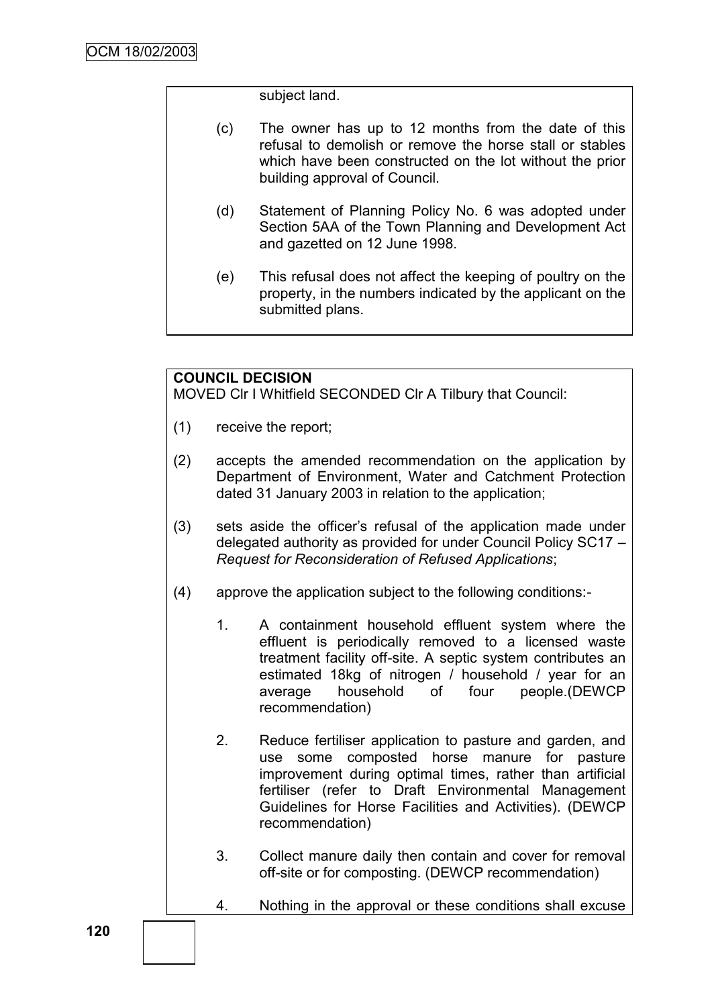subject land.

- (c) The owner has up to 12 months from the date of this refusal to demolish or remove the horse stall or stables which have been constructed on the lot without the prior building approval of Council.
- (d) Statement of Planning Policy No. 6 was adopted under Section 5AA of the Town Planning and Development Act and gazetted on 12 June 1998.
- (e) This refusal does not affect the keeping of poultry on the property, in the numbers indicated by the applicant on the submitted plans.

## **COUNCIL DECISION**

MOVED Clr I Whitfield SECONDED Clr A Tilbury that Council:

- (1) receive the report;
- (2) accepts the amended recommendation on the application by Department of Environment, Water and Catchment Protection dated 31 January 2003 in relation to the application;
- (3) sets aside the officer"s refusal of the application made under delegated authority as provided for under Council Policy SC17 – *Request for Reconsideration of Refused Applications*;
- (4) approve the application subject to the following conditions:-
	- 1. A containment household effluent system where the effluent is periodically removed to a licensed waste treatment facility off-site. A septic system contributes an estimated 18kg of nitrogen / household / year for an average household of four people.(DEWCP recommendation)
	- 2. Reduce fertiliser application to pasture and garden, and use some composted horse manure for pasture improvement during optimal times, rather than artificial fertiliser (refer to Draft Environmental Management Guidelines for Horse Facilities and Activities). (DEWCP recommendation)
	- 3. Collect manure daily then contain and cover for removal off-site or for composting. (DEWCP recommendation)
	- 4. Nothing in the approval or these conditions shall excuse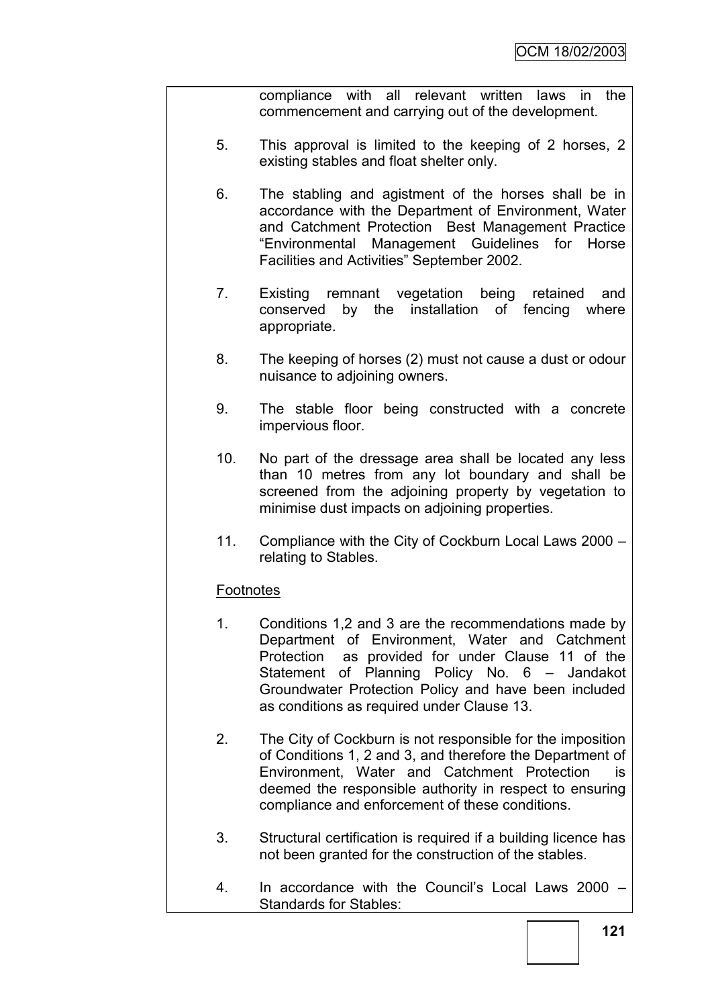compliance with all relevant written laws in the commencement and carrying out of the development.

- 5. This approval is limited to the keeping of 2 horses, 2 existing stables and float shelter only.
- 6. The stabling and agistment of the horses shall be in accordance with the Department of Environment, Water and Catchment Protection Best Management Practice "Environmental Management Guidelines for Horse Facilities and Activities" September 2002.
- 7. Existing remnant vegetation being retained and conserved by the installation of fencing where appropriate.
- 8. The keeping of horses (2) must not cause a dust or odour nuisance to adjoining owners.
- 9. The stable floor being constructed with a concrete impervious floor.
- 10. No part of the dressage area shall be located any less than 10 metres from any lot boundary and shall be screened from the adjoining property by vegetation to minimise dust impacts on adjoining properties.
- 11. Compliance with the City of Cockburn Local Laws 2000 relating to Stables.

# **Footnotes**

- 1. Conditions 1,2 and 3 are the recommendations made by Department of Environment, Water and Catchment Protection as provided for under Clause 11 of the Statement of Planning Policy No. 6 – Jandakot Groundwater Protection Policy and have been included as conditions as required under Clause 13.
- 2. The City of Cockburn is not responsible for the imposition of Conditions 1, 2 and 3, and therefore the Department of Environment, Water and Catchment Protection is deemed the responsible authority in respect to ensuring compliance and enforcement of these conditions.
- 3. Structural certification is required if a building licence has not been granted for the construction of the stables.
- 4. In accordance with the Council"s Local Laws 2000 Standards for Stables: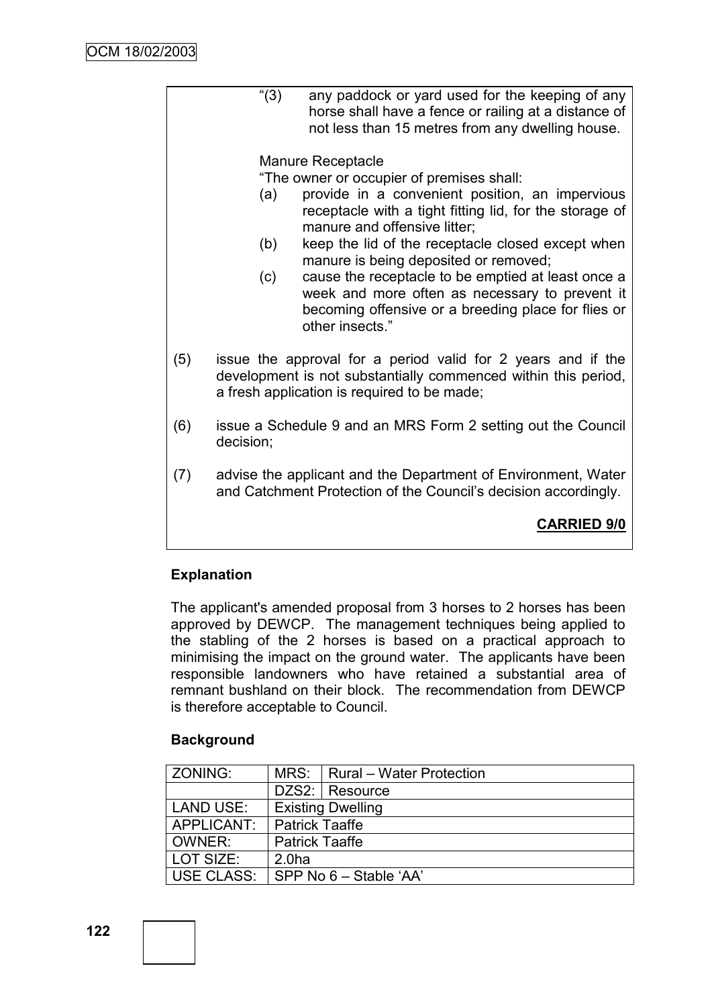"(3) any paddock or yard used for the keeping of any horse shall have a fence or railing at a distance of not less than 15 metres from any dwelling house.

### Manure Receptacle

"The owner or occupier of premises shall:

- (a) provide in a convenient position, an impervious receptacle with a tight fitting lid, for the storage of manure and offensive litter;
- (b) keep the lid of the receptacle closed except when manure is being deposited or removed;
- (c) cause the receptacle to be emptied at least once a week and more often as necessary to prevent it becoming offensive or a breeding place for flies or other insects."
- (5) issue the approval for a period valid for 2 years and if the development is not substantially commenced within this period, a fresh application is required to be made;
- (6) issue a Schedule 9 and an MRS Form 2 setting out the Council decision;
- (7) advise the applicant and the Department of Environment, Water and Catchment Protection of the Council's decision accordingly.

# **CARRIED 9/0**

## **Explanation**

The applicant's amended proposal from 3 horses to 2 horses has been approved by DEWCP. The management techniques being applied to the stabling of the 2 horses is based on a practical approach to minimising the impact on the ground water. The applicants have been responsible landowners who have retained a substantial area of remnant bushland on their block. The recommendation from DEWCP is therefore acceptable to Council.

## **Background**

| ZONING:          |                          | MRS:   Rural - Water Protection |  |
|------------------|--------------------------|---------------------------------|--|
|                  |                          | DZS2: Resource                  |  |
| <b>LAND USE:</b> | <b>Existing Dwelling</b> |                                 |  |
| APPLICANT:       | <b>Patrick Taaffe</b>    |                                 |  |
| OWNER:           | <b>Patrick Taaffe</b>    |                                 |  |
| l LOT SIZE:      | 2.0 <sub>ha</sub>        |                                 |  |
| USE CLASS:       | SPP No 6 – Stable 'AA'   |                                 |  |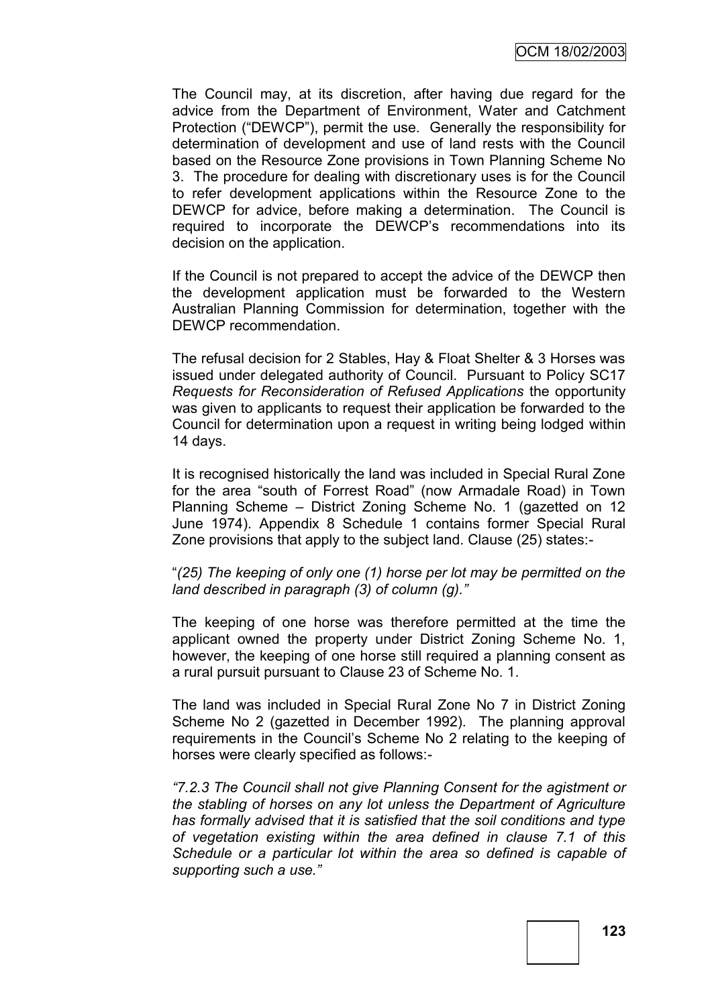The Council may, at its discretion, after having due regard for the advice from the Department of Environment, Water and Catchment Protection ("DEWCP"), permit the use. Generally the responsibility for determination of development and use of land rests with the Council based on the Resource Zone provisions in Town Planning Scheme No 3. The procedure for dealing with discretionary uses is for the Council to refer development applications within the Resource Zone to the DEWCP for advice, before making a determination. The Council is required to incorporate the DEWCP"s recommendations into its decision on the application.

If the Council is not prepared to accept the advice of the DEWCP then the development application must be forwarded to the Western Australian Planning Commission for determination, together with the DEWCP recommendation.

The refusal decision for 2 Stables, Hay & Float Shelter & 3 Horses was issued under delegated authority of Council. Pursuant to Policy SC17 *Requests for Reconsideration of Refused Applications* the opportunity was given to applicants to request their application be forwarded to the Council for determination upon a request in writing being lodged within 14 days.

It is recognised historically the land was included in Special Rural Zone for the area "south of Forrest Road" (now Armadale Road) in Town Planning Scheme – District Zoning Scheme No. 1 (gazetted on 12 June 1974). Appendix 8 Schedule 1 contains former Special Rural Zone provisions that apply to the subject land. Clause (25) states:-

"*(25) The keeping of only one (1) horse per lot may be permitted on the land described in paragraph (3) of column (g).‖*

The keeping of one horse was therefore permitted at the time the applicant owned the property under District Zoning Scheme No. 1, however, the keeping of one horse still required a planning consent as a rural pursuit pursuant to Clause 23 of Scheme No. 1.

The land was included in Special Rural Zone No 7 in District Zoning Scheme No 2 (gazetted in December 1992). The planning approval requirements in the Council"s Scheme No 2 relating to the keeping of horses were clearly specified as follows:-

*―7.2.3 The Council shall not give Planning Consent for the agistment or the stabling of horses on any lot unless the Department of Agriculture has formally advised that it is satisfied that the soil conditions and type of vegetation existing within the area defined in clause 7.1 of this Schedule or a particular lot within the area so defined is capable of supporting such a use.‖*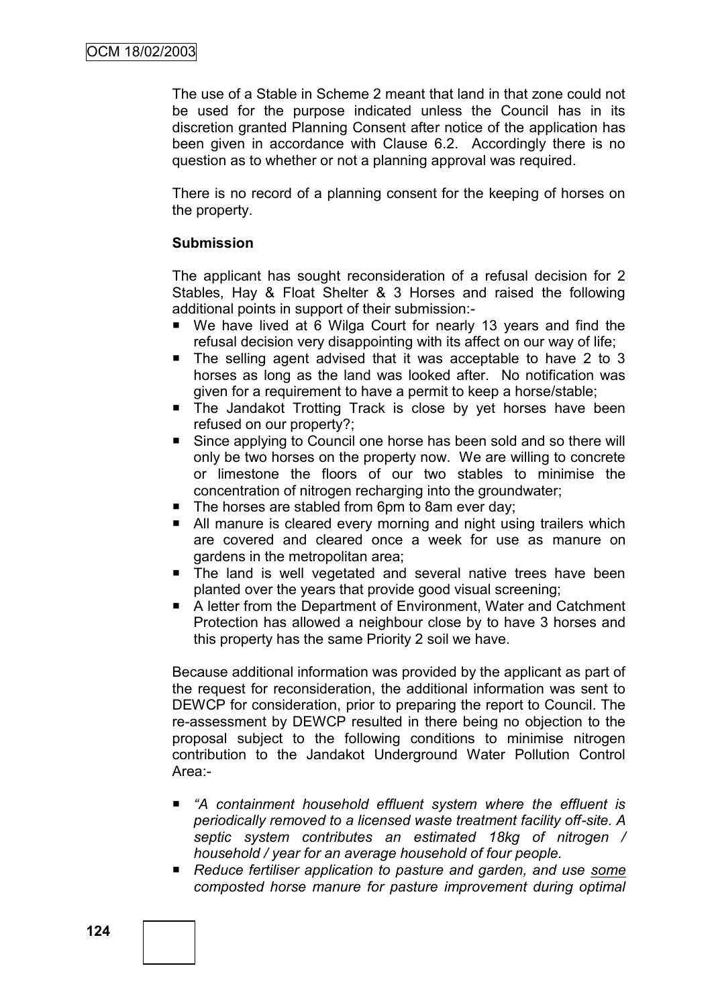The use of a Stable in Scheme 2 meant that land in that zone could not be used for the purpose indicated unless the Council has in its discretion granted Planning Consent after notice of the application has been given in accordance with Clause 6.2. Accordingly there is no question as to whether or not a planning approval was required.

There is no record of a planning consent for the keeping of horses on the property.

## **Submission**

The applicant has sought reconsideration of a refusal decision for 2 Stables, Hay & Float Shelter & 3 Horses and raised the following additional points in support of their submission:-

- We have lived at 6 Wilga Court for nearly 13 years and find the refusal decision very disappointing with its affect on our way of life;
- $\blacksquare$  The selling agent advised that it was acceptable to have 2 to 3 horses as long as the land was looked after. No notification was given for a requirement to have a permit to keep a horse/stable;
- **The Jandakot Trotting Track is close by yet horses have been** refused on our property?;
- Since applying to Council one horse has been sold and so there will only be two horses on the property now. We are willing to concrete or limestone the floors of our two stables to minimise the concentration of nitrogen recharging into the groundwater;
- The horses are stabled from 6pm to 8am ever day;
- All manure is cleared every morning and night using trailers which are covered and cleared once a week for use as manure on gardens in the metropolitan area;
- The land is well vegetated and several native trees have been planted over the years that provide good visual screening;
- A letter from the Department of Environment, Water and Catchment Protection has allowed a neighbour close by to have 3 horses and this property has the same Priority 2 soil we have.

Because additional information was provided by the applicant as part of the request for reconsideration, the additional information was sent to DEWCP for consideration, prior to preparing the report to Council. The re-assessment by DEWCP resulted in there being no objection to the proposal subject to the following conditions to minimise nitrogen contribution to the Jandakot Underground Water Pollution Control Area:-

- "A containment household effluent system where the effluent is *periodically removed to a licensed waste treatment facility off-site. A septic system contributes an estimated 18kg of nitrogen / household / year for an average household of four people.*
- *Reduce fertiliser application to pasture and garden, and use some composted horse manure for pasture improvement during optimal*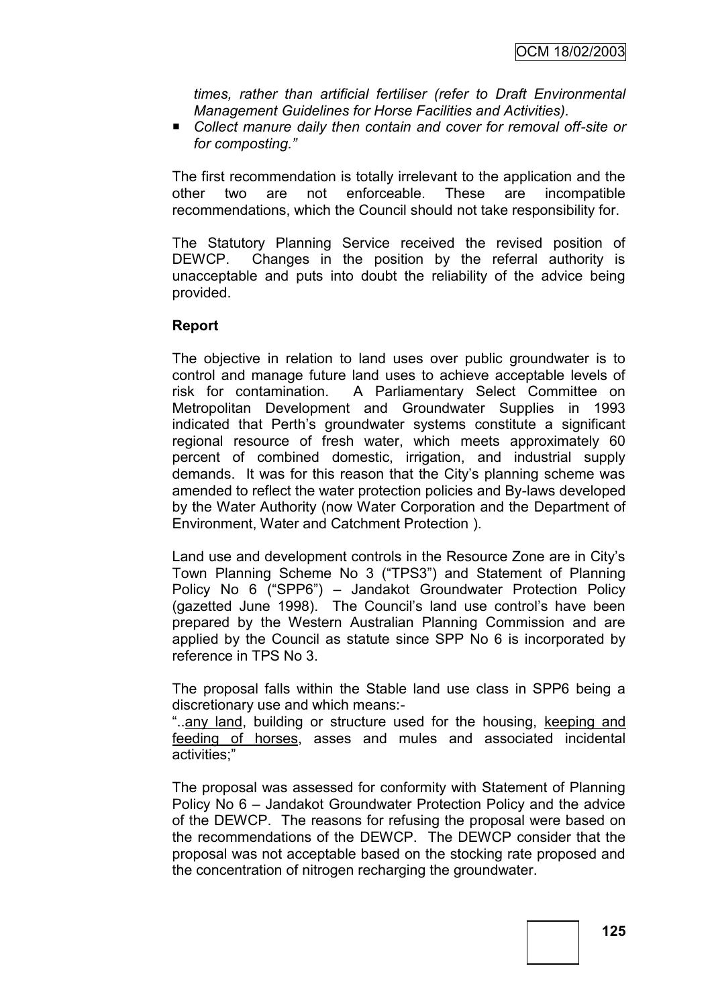*times, rather than artificial fertiliser (refer to Draft Environmental Management Guidelines for Horse Facilities and Activities).*

■ Collect manure daily then contain and cover for removal off-site or *for composting.‖*

The first recommendation is totally irrelevant to the application and the other two are not enforceable. These are incompatible recommendations, which the Council should not take responsibility for.

The Statutory Planning Service received the revised position of DEWCP. Changes in the position by the referral authority is unacceptable and puts into doubt the reliability of the advice being provided.

### **Report**

The objective in relation to land uses over public groundwater is to control and manage future land uses to achieve acceptable levels of risk for contamination. A Parliamentary Select Committee on Metropolitan Development and Groundwater Supplies in 1993 indicated that Perth"s groundwater systems constitute a significant regional resource of fresh water, which meets approximately 60 percent of combined domestic, irrigation, and industrial supply demands. It was for this reason that the City"s planning scheme was amended to reflect the water protection policies and By-laws developed by the Water Authority (now Water Corporation and the Department of Environment, Water and Catchment Protection ).

Land use and development controls in the Resource Zone are in City"s Town Planning Scheme No 3 ("TPS3") and Statement of Planning Policy No 6 ("SPP6") – Jandakot Groundwater Protection Policy (gazetted June 1998). The Council"s land use control"s have been prepared by the Western Australian Planning Commission and are applied by the Council as statute since SPP No 6 is incorporated by reference in TPS No 3.

The proposal falls within the Stable land use class in SPP6 being a discretionary use and which means:-

"..any land, building or structure used for the housing, keeping and feeding of horses, asses and mules and associated incidental activities;"

The proposal was assessed for conformity with Statement of Planning Policy No 6 – Jandakot Groundwater Protection Policy and the advice of the DEWCP. The reasons for refusing the proposal were based on the recommendations of the DEWCP. The DEWCP consider that the proposal was not acceptable based on the stocking rate proposed and the concentration of nitrogen recharging the groundwater.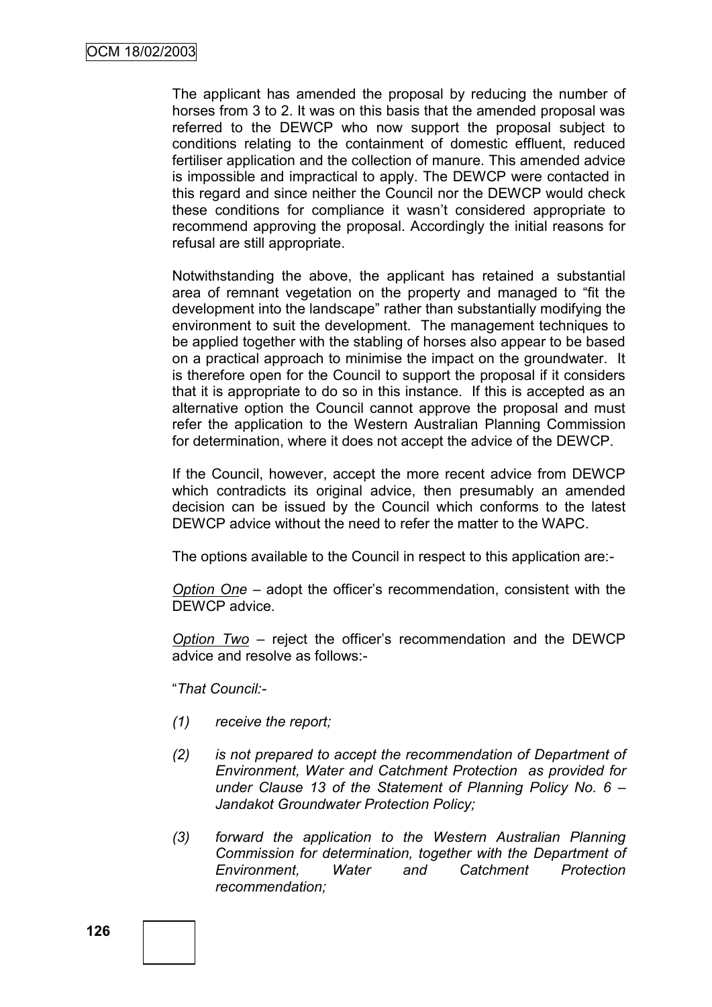The applicant has amended the proposal by reducing the number of horses from 3 to 2. It was on this basis that the amended proposal was referred to the DEWCP who now support the proposal subject to conditions relating to the containment of domestic effluent, reduced fertiliser application and the collection of manure. This amended advice is impossible and impractical to apply. The DEWCP were contacted in this regard and since neither the Council nor the DEWCP would check these conditions for compliance it wasn"t considered appropriate to recommend approving the proposal. Accordingly the initial reasons for refusal are still appropriate.

Notwithstanding the above, the applicant has retained a substantial area of remnant vegetation on the property and managed to "fit the development into the landscape" rather than substantially modifying the environment to suit the development. The management techniques to be applied together with the stabling of horses also appear to be based on a practical approach to minimise the impact on the groundwater. It is therefore open for the Council to support the proposal if it considers that it is appropriate to do so in this instance. If this is accepted as an alternative option the Council cannot approve the proposal and must refer the application to the Western Australian Planning Commission for determination, where it does not accept the advice of the DEWCP.

If the Council, however, accept the more recent advice from DEWCP which contradicts its original advice, then presumably an amended decision can be issued by the Council which conforms to the latest DEWCP advice without the need to refer the matter to the WAPC.

The options available to the Council in respect to this application are:-

*Option One* – adopt the officer"s recommendation, consistent with the DEWCP advice.

*Option Two* – reject the officer"s recommendation and the DEWCP advice and resolve as follows:-

"*That Council:-*

- *(1) receive the report;*
- *(2) is not prepared to accept the recommendation of Department of Environment, Water and Catchment Protection as provided for under Clause 13 of the Statement of Planning Policy No. 6 – Jandakot Groundwater Protection Policy;*
- *(3) forward the application to the Western Australian Planning Commission for determination, together with the Department of Environment, Water and Catchment Protection recommendation;*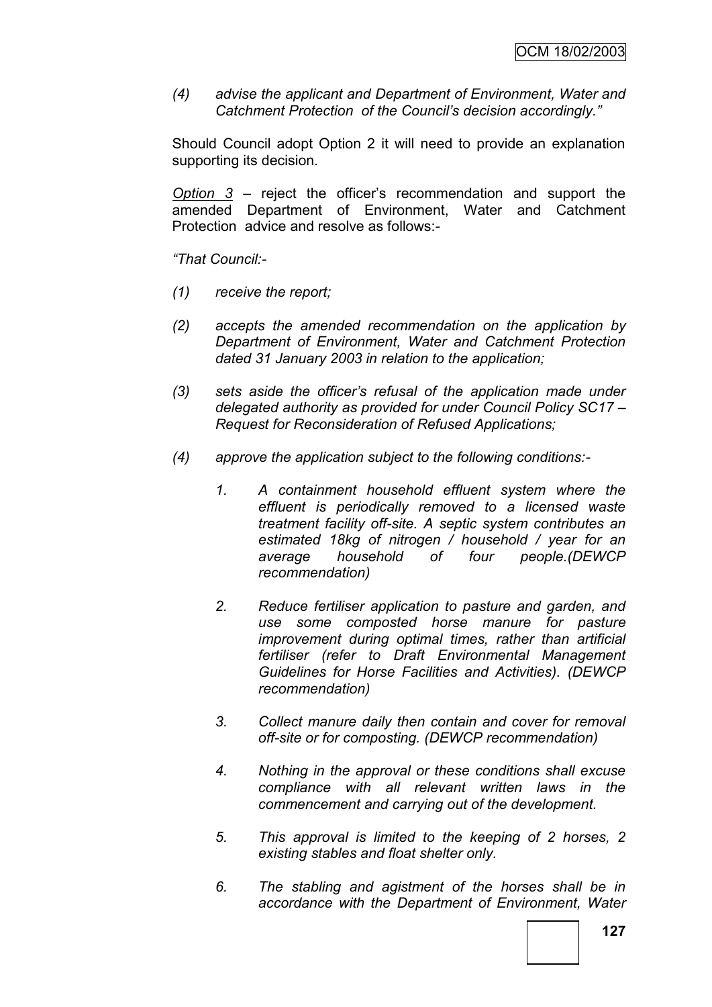*(4) advise the applicant and Department of Environment, Water and Catchment Protection of the Council's decision accordingly.‖*

Should Council adopt Option 2 it will need to provide an explanation supporting its decision.

*Option 3* – reject the officer"s recommendation and support the amended Department of Environment, Water and Catchment Protection advice and resolve as follows:-

*―That Council:-*

- *(1) receive the report;*
- *(2) accepts the amended recommendation on the application by Department of Environment, Water and Catchment Protection dated 31 January 2003 in relation to the application;*
- *(3) sets aside the officer's refusal of the application made under delegated authority as provided for under Council Policy SC17 – Request for Reconsideration of Refused Applications;*
- *(4) approve the application subject to the following conditions:-*
	- *1. A containment household effluent system where the effluent is periodically removed to a licensed waste treatment facility off-site. A septic system contributes an estimated 18kg of nitrogen / household / year for an average household of four people.(DEWCP recommendation)*
	- *2. Reduce fertiliser application to pasture and garden, and use some composted horse manure for pasture improvement during optimal times, rather than artificial fertiliser (refer to Draft Environmental Management Guidelines for Horse Facilities and Activities). (DEWCP recommendation)*
	- *3. Collect manure daily then contain and cover for removal off-site or for composting. (DEWCP recommendation)*
	- *4. Nothing in the approval or these conditions shall excuse compliance with all relevant written laws in the commencement and carrying out of the development.*
	- *5. This approval is limited to the keeping of 2 horses, 2 existing stables and float shelter only.*
	- *6. The stabling and agistment of the horses shall be in accordance with the Department of Environment, Water*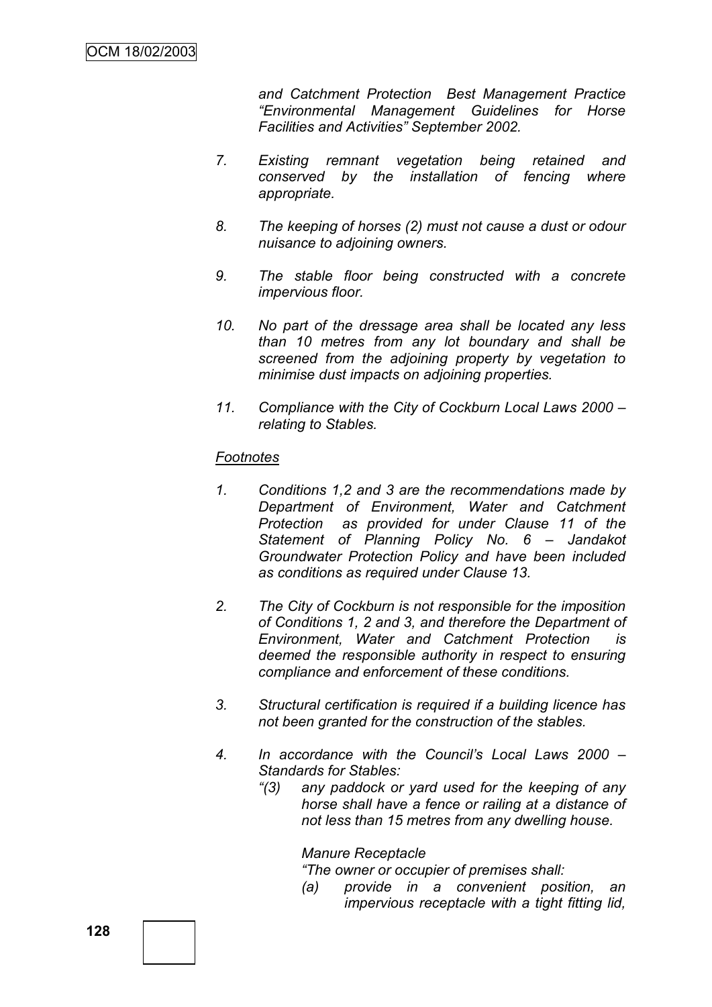*and Catchment Protection Best Management Practice ―Environmental Management Guidelines for Horse Facilities and Activities‖ September 2002.*

- *7. Existing remnant vegetation being retained and conserved by the installation of fencing where appropriate.*
- *8. The keeping of horses (2) must not cause a dust or odour nuisance to adjoining owners.*
- *9. The stable floor being constructed with a concrete impervious floor.*
- *10. No part of the dressage area shall be located any less than 10 metres from any lot boundary and shall be screened from the adjoining property by vegetation to minimise dust impacts on adjoining properties.*
- *11. Compliance with the City of Cockburn Local Laws 2000 – relating to Stables.*

### *Footnotes*

- *1. Conditions 1,2 and 3 are the recommendations made by Department of Environment, Water and Catchment Protection as provided for under Clause 11 of the Statement of Planning Policy No. 6 – Jandakot Groundwater Protection Policy and have been included as conditions as required under Clause 13.*
- *2. The City of Cockburn is not responsible for the imposition of Conditions 1, 2 and 3, and therefore the Department of Environment, Water and Catchment Protection is deemed the responsible authority in respect to ensuring compliance and enforcement of these conditions.*
- *3. Structural certification is required if a building licence has not been granted for the construction of the stables.*
- *4. In accordance with the Council's Local Laws 2000 – Standards for Stables:*
	- *―(3) any paddock or yard used for the keeping of any horse shall have a fence or railing at a distance of not less than 15 metres from any dwelling house.*

#### *Manure Receptacle*

*―The owner or occupier of premises shall:*

*(a) provide in a convenient position, an impervious receptacle with a tight fitting lid,*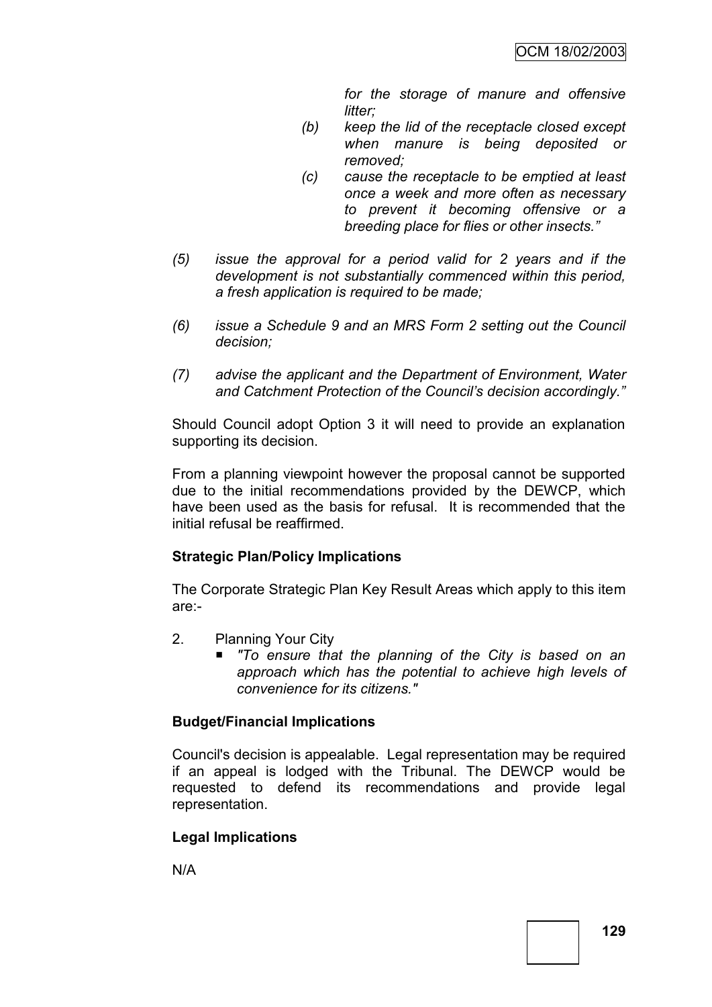*for the storage of manure and offensive litter;* 

- *(b) keep the lid of the receptacle closed except when manure is being deposited or removed;*
- *(c) cause the receptacle to be emptied at least once a week and more often as necessary to prevent it becoming offensive or a breeding place for flies or other insects.‖*
- *(5) issue the approval for a period valid for 2 years and if the development is not substantially commenced within this period, a fresh application is required to be made;*
- *(6) issue a Schedule 9 and an MRS Form 2 setting out the Council decision;*
- *(7) advise the applicant and the Department of Environment, Water and Catchment Protection of the Council's decision accordingly.‖*

Should Council adopt Option 3 it will need to provide an explanation supporting its decision.

From a planning viewpoint however the proposal cannot be supported due to the initial recommendations provided by the DEWCP, which have been used as the basis for refusal. It is recommended that the initial refusal be reaffirmed.

## **Strategic Plan/Policy Implications**

The Corporate Strategic Plan Key Result Areas which apply to this item are:-

- 2. Planning Your City
	- *"To ensure that the planning of the City is based on an approach which has the potential to achieve high levels of convenience for its citizens."*

# **Budget/Financial Implications**

Council's decision is appealable. Legal representation may be required if an appeal is lodged with the Tribunal. The DEWCP would be requested to defend its recommendations and provide legal representation.

# **Legal Implications**

N/A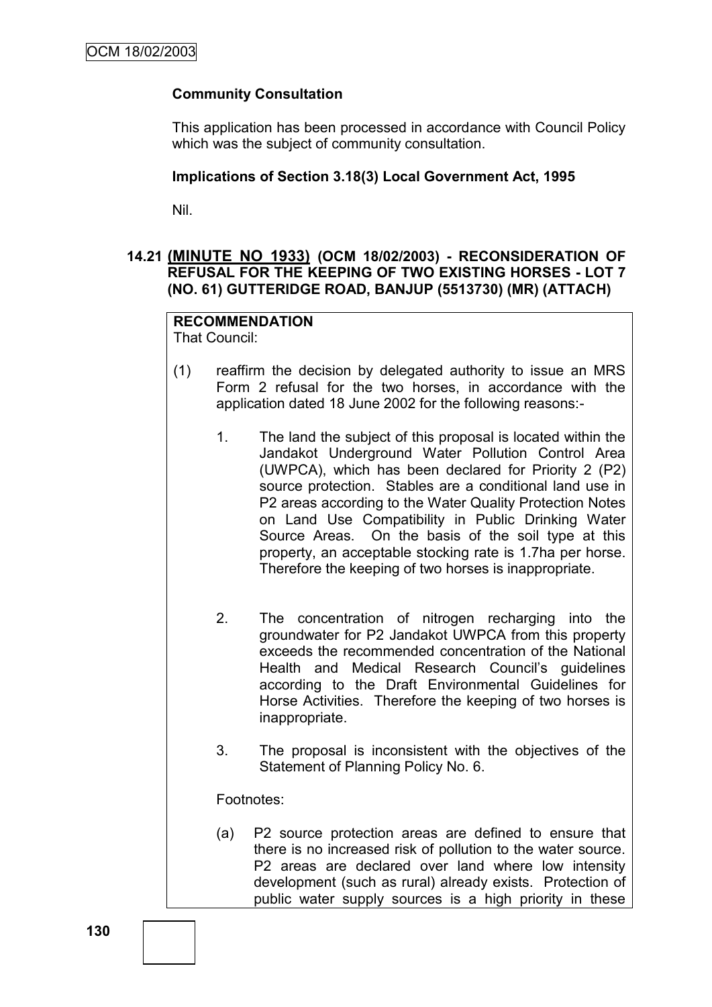## **Community Consultation**

This application has been processed in accordance with Council Policy which was the subject of community consultation.

### **Implications of Section 3.18(3) Local Government Act, 1995**

Nil.

## **14.21 (MINUTE NO 1933) (OCM 18/02/2003) - RECONSIDERATION OF REFUSAL FOR THE KEEPING OF TWO EXISTING HORSES - LOT 7 (NO. 61) GUTTERIDGE ROAD, BANJUP (5513730) (MR) (ATTACH)**

#### **RECOMMENDATION** That Council:

- (1) reaffirm the decision by delegated authority to issue an MRS Form 2 refusal for the two horses, in accordance with the application dated 18 June 2002 for the following reasons:-
	- 1. The land the subject of this proposal is located within the Jandakot Underground Water Pollution Control Area (UWPCA), which has been declared for Priority 2 (P2) source protection. Stables are a conditional land use in P2 areas according to the Water Quality Protection Notes on Land Use Compatibility in Public Drinking Water Source Areas. On the basis of the soil type at this property, an acceptable stocking rate is 1.7ha per horse. Therefore the keeping of two horses is inappropriate.
	- 2. The concentration of nitrogen recharging into the groundwater for P2 Jandakot UWPCA from this property exceeds the recommended concentration of the National Health and Medical Research Council's guidelines according to the Draft Environmental Guidelines for Horse Activities. Therefore the keeping of two horses is inappropriate.
	- 3. The proposal is inconsistent with the objectives of the Statement of Planning Policy No. 6.

Footnotes:

(a) P2 source protection areas are defined to ensure that there is no increased risk of pollution to the water source. P2 areas are declared over land where low intensity development (such as rural) already exists. Protection of public water supply sources is a high priority in these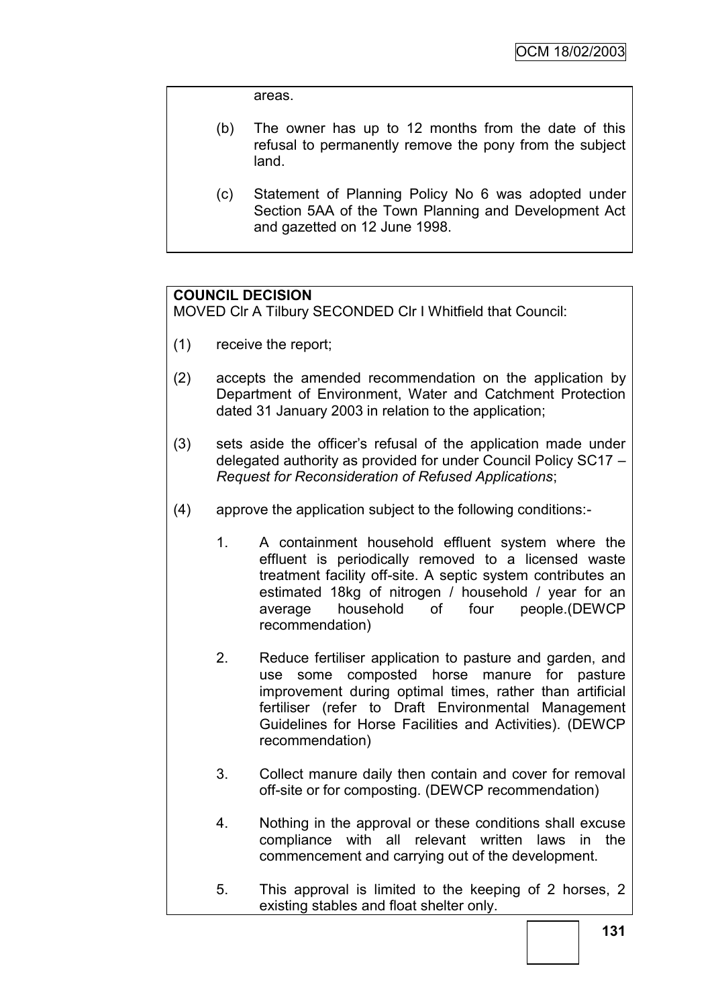areas.

- (b) The owner has up to 12 months from the date of this refusal to permanently remove the pony from the subject land.
- (c) Statement of Planning Policy No 6 was adopted under Section 5AA of the Town Planning and Development Act and gazetted on 12 June 1998.

## **COUNCIL DECISION**

MOVED Clr A Tilbury SECONDED Clr I Whitfield that Council:

- (1) receive the report;
- (2) accepts the amended recommendation on the application by Department of Environment, Water and Catchment Protection dated 31 January 2003 in relation to the application;
- (3) sets aside the officer"s refusal of the application made under delegated authority as provided for under Council Policy SC17 – *Request for Reconsideration of Refused Applications*;
- (4) approve the application subject to the following conditions:-
	- 1. A containment household effluent system where the effluent is periodically removed to a licensed waste treatment facility off-site. A septic system contributes an estimated 18kg of nitrogen / household / year for an average household of four people.(DEWCP recommendation)
	- 2. Reduce fertiliser application to pasture and garden, and use some composted horse manure for pasture improvement during optimal times, rather than artificial fertiliser (refer to Draft Environmental Management Guidelines for Horse Facilities and Activities). (DEWCP recommendation)
	- 3. Collect manure daily then contain and cover for removal off-site or for composting. (DEWCP recommendation)
	- 4. Nothing in the approval or these conditions shall excuse compliance with all relevant written laws in the commencement and carrying out of the development.
	- 5. This approval is limited to the keeping of 2 horses, 2 existing stables and float shelter only.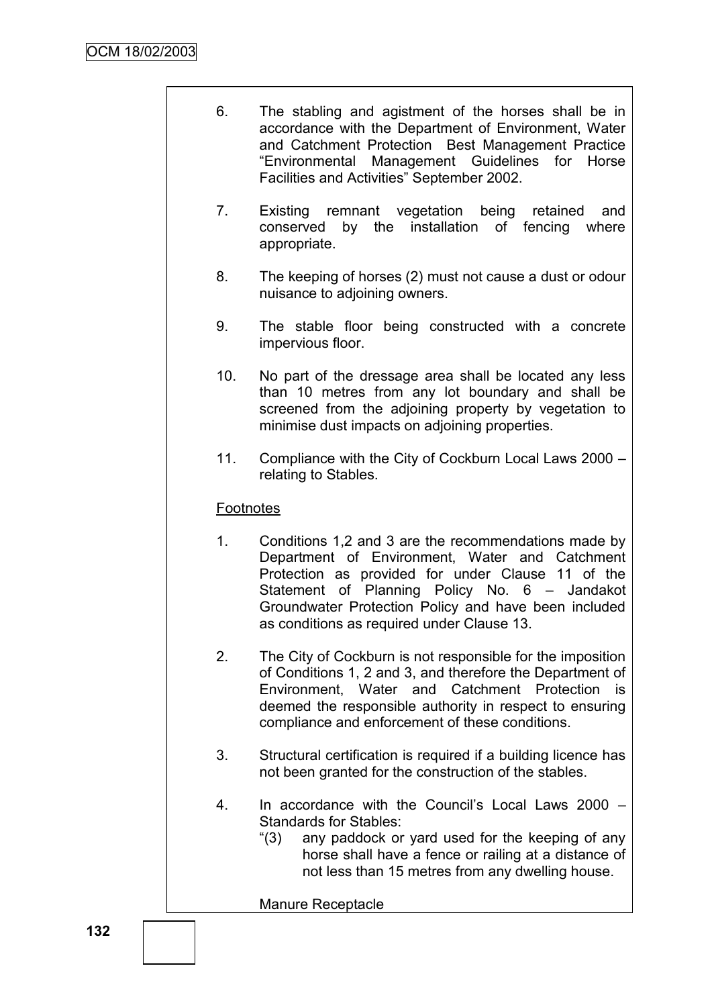- 6. The stabling and agistment of the horses shall be in accordance with the Department of Environment, Water and Catchment Protection Best Management Practice "Environmental Management Guidelines for Horse Facilities and Activities" September 2002.
- 7. Existing remnant vegetation being retained and conserved by the installation of fencing where appropriate.
- 8. The keeping of horses (2) must not cause a dust or odour nuisance to adjoining owners.
- 9. The stable floor being constructed with a concrete impervious floor.
- 10. No part of the dressage area shall be located any less than 10 metres from any lot boundary and shall be screened from the adjoining property by vegetation to minimise dust impacts on adjoining properties.
- 11. Compliance with the City of Cockburn Local Laws 2000 relating to Stables.

## **Footnotes**

- 1. Conditions 1,2 and 3 are the recommendations made by Department of Environment, Water and Catchment Protection as provided for under Clause 11 of the Statement of Planning Policy No. 6 – Jandakot Groundwater Protection Policy and have been included as conditions as required under Clause 13.
- 2. The City of Cockburn is not responsible for the imposition of Conditions 1, 2 and 3, and therefore the Department of Environment, Water and Catchment Protection is deemed the responsible authority in respect to ensuring compliance and enforcement of these conditions.
- 3. Structural certification is required if a building licence has not been granted for the construction of the stables.
- 4. In accordance with the Council"s Local Laws 2000 Standards for Stables:
	- "(3) any paddock or yard used for the keeping of any horse shall have a fence or railing at a distance of not less than 15 metres from any dwelling house.

Manure Receptacle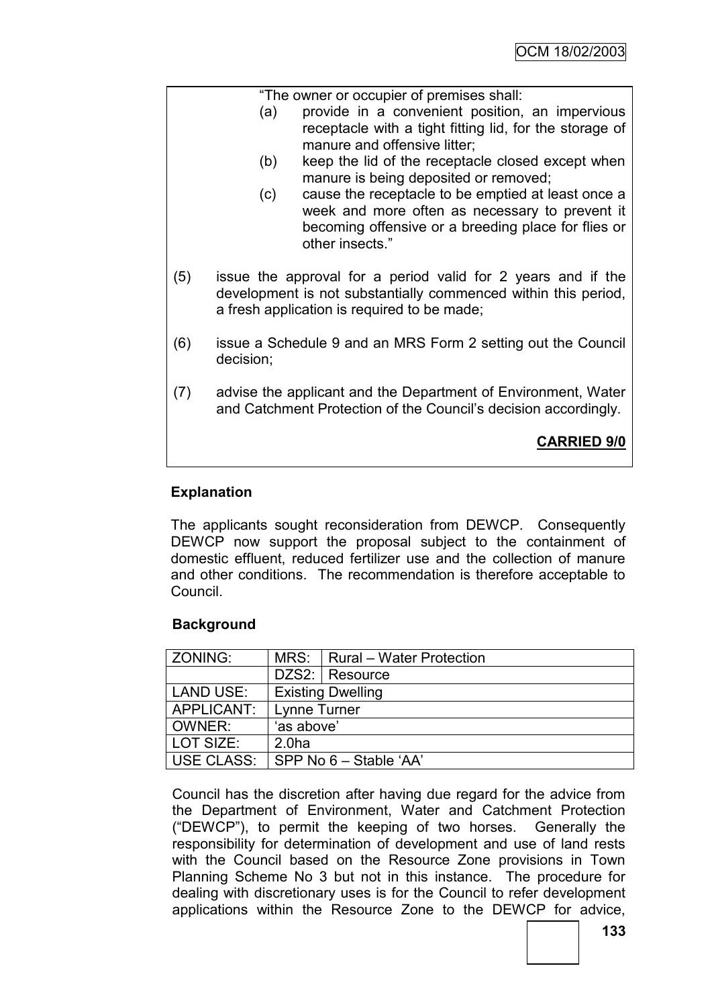|     |                                                                                                                                                                               | "The owner or occupier of premises shall:                                                            |  |
|-----|-------------------------------------------------------------------------------------------------------------------------------------------------------------------------------|------------------------------------------------------------------------------------------------------|--|
|     | (a)                                                                                                                                                                           | provide in a convenient position, an impervious                                                      |  |
|     |                                                                                                                                                                               | receptacle with a tight fitting lid, for the storage of                                              |  |
|     |                                                                                                                                                                               | manure and offensive litter;                                                                         |  |
|     | (b)                                                                                                                                                                           | keep the lid of the receptacle closed except when                                                    |  |
|     |                                                                                                                                                                               | manure is being deposited or removed;                                                                |  |
|     | (c)                                                                                                                                                                           | cause the receptacle to be emptied at least once a<br>week and more often as necessary to prevent it |  |
|     |                                                                                                                                                                               | becoming offensive or a breeding place for flies or                                                  |  |
|     |                                                                                                                                                                               | other insects."                                                                                      |  |
|     |                                                                                                                                                                               |                                                                                                      |  |
| (5) | issue the approval for a period valid for 2 years and if the<br>development is not substantially commenced within this period,<br>a fresh application is required to be made; |                                                                                                      |  |
|     |                                                                                                                                                                               |                                                                                                      |  |
| (6) | issue a Schedule 9 and an MRS Form 2 setting out the Council<br>decision;                                                                                                     |                                                                                                      |  |
| (7) | advise the applicant and the Department of Environment, Water                                                                                                                 |                                                                                                      |  |
|     |                                                                                                                                                                               | and Catchment Protection of the Council's decision accordingly.                                      |  |
|     |                                                                                                                                                                               |                                                                                                      |  |
|     |                                                                                                                                                                               | <b>CARRIED 9/0</b>                                                                                   |  |
|     |                                                                                                                                                                               |                                                                                                      |  |

# **Explanation**

The applicants sought reconsideration from DEWCP. Consequently DEWCP now support the proposal subject to the containment of domestic effluent, reduced fertilizer use and the collection of manure and other conditions. The recommendation is therefore acceptable to Council.

# **Background**

| ZONING:          |                          | MRS: Rural – Water Protection |  |
|------------------|--------------------------|-------------------------------|--|
|                  |                          | DZS2: Resource                |  |
| <b>LAND USE:</b> | <b>Existing Dwelling</b> |                               |  |
| APPLICANT:       | Lynne Turner             |                               |  |
| OWNER:           | 'as above'               |                               |  |
| LOT SIZE:        | 2.0 <sub>ha</sub>        |                               |  |
| USE CLASS:       | SPP No 6 - Stable 'AA'   |                               |  |

Council has the discretion after having due regard for the advice from the Department of Environment, Water and Catchment Protection ("DEWCP"), to permit the keeping of two horses. Generally the responsibility for determination of development and use of land rests with the Council based on the Resource Zone provisions in Town Planning Scheme No 3 but not in this instance. The procedure for dealing with discretionary uses is for the Council to refer development applications within the Resource Zone to the DEWCP for advice,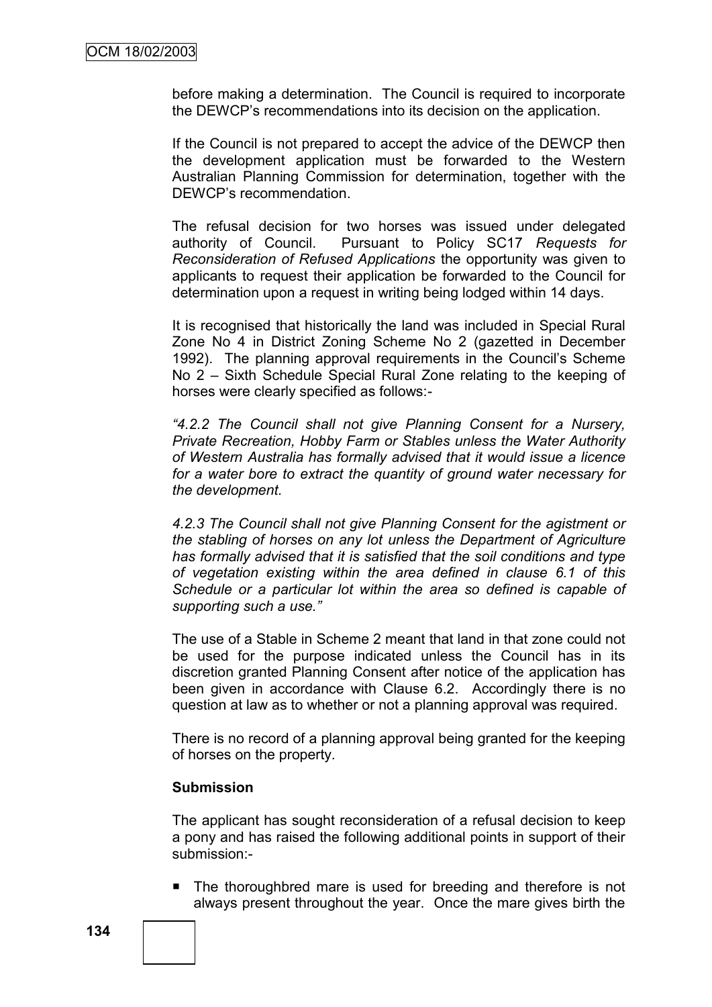before making a determination. The Council is required to incorporate the DEWCP"s recommendations into its decision on the application.

If the Council is not prepared to accept the advice of the DEWCP then the development application must be forwarded to the Western Australian Planning Commission for determination, together with the DEWCP"s recommendation.

The refusal decision for two horses was issued under delegated authority of Council. Pursuant to Policy SC17 *Requests for Reconsideration of Refused Applications* the opportunity was given to applicants to request their application be forwarded to the Council for determination upon a request in writing being lodged within 14 days.

It is recognised that historically the land was included in Special Rural Zone No 4 in District Zoning Scheme No 2 (gazetted in December 1992). The planning approval requirements in the Council's Scheme No 2 – Sixth Schedule Special Rural Zone relating to the keeping of horses were clearly specified as follows:-

*―4.2.2 The Council shall not give Planning Consent for a Nursery, Private Recreation, Hobby Farm or Stables unless the Water Authority of Western Australia has formally advised that it would issue a licence for a water bore to extract the quantity of ground water necessary for the development.*

*4.2.3 The Council shall not give Planning Consent for the agistment or the stabling of horses on any lot unless the Department of Agriculture has formally advised that it is satisfied that the soil conditions and type of vegetation existing within the area defined in clause 6.1 of this Schedule or a particular lot within the area so defined is capable of supporting such a use.‖*

The use of a Stable in Scheme 2 meant that land in that zone could not be used for the purpose indicated unless the Council has in its discretion granted Planning Consent after notice of the application has been given in accordance with Clause 6.2. Accordingly there is no question at law as to whether or not a planning approval was required.

There is no record of a planning approval being granted for the keeping of horses on the property.

#### **Submission**

The applicant has sought reconsideration of a refusal decision to keep a pony and has raised the following additional points in support of their submission:-

■ The thoroughbred mare is used for breeding and therefore is not always present throughout the year. Once the mare gives birth the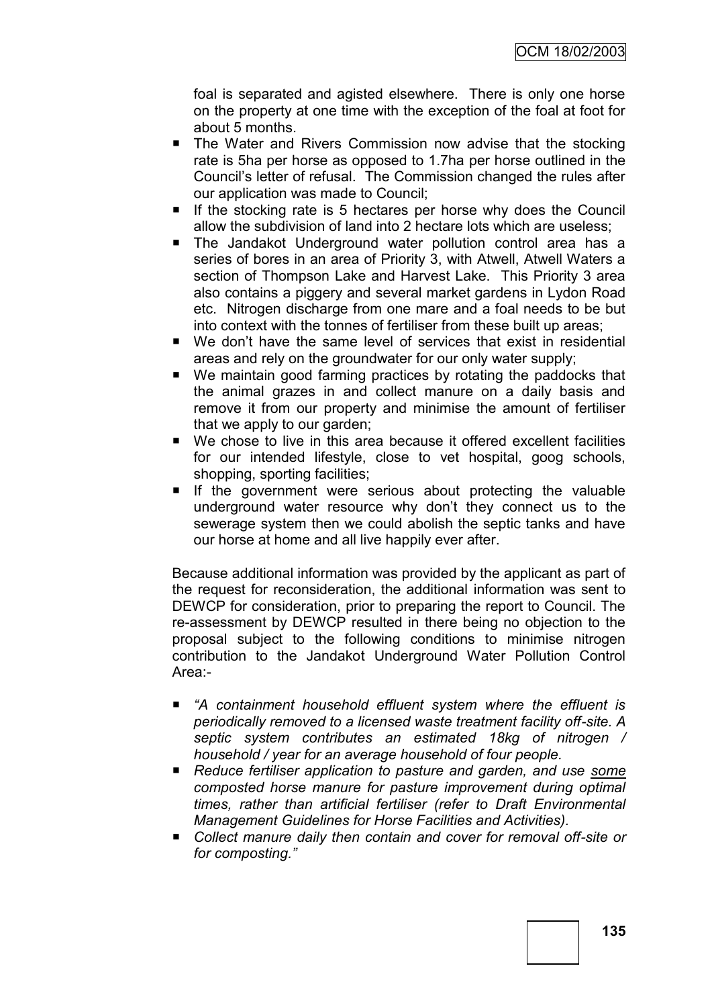foal is separated and agisted elsewhere. There is only one horse on the property at one time with the exception of the foal at foot for about 5 months.

- The Water and Rivers Commission now advise that the stocking rate is 5ha per horse as opposed to 1.7ha per horse outlined in the Council"s letter of refusal. The Commission changed the rules after our application was made to Council;
- If the stocking rate is 5 hectares per horse why does the Council allow the subdivision of land into 2 hectare lots which are useless;
- The Jandakot Underground water pollution control area has a series of bores in an area of Priority 3, with Atwell, Atwell Waters a section of Thompson Lake and Harvest Lake. This Priority 3 area also contains a piggery and several market gardens in Lydon Road etc. Nitrogen discharge from one mare and a foal needs to be but into context with the tonnes of fertiliser from these built up areas;
- We don"t have the same level of services that exist in residential areas and rely on the groundwater for our only water supply;
- We maintain good farming practices by rotating the paddocks that the animal grazes in and collect manure on a daily basis and remove it from our property and minimise the amount of fertiliser that we apply to our garden;
- We chose to live in this area because it offered excellent facilities for our intended lifestyle, close to vet hospital, goog schools, shopping, sporting facilities;
- **If the government were serious about protecting the valuable** underground water resource why don"t they connect us to the sewerage system then we could abolish the septic tanks and have our horse at home and all live happily ever after.

Because additional information was provided by the applicant as part of the request for reconsideration, the additional information was sent to DEWCP for consideration, prior to preparing the report to Council. The re-assessment by DEWCP resulted in there being no objection to the proposal subject to the following conditions to minimise nitrogen contribution to the Jandakot Underground Water Pollution Control Area:-

- *―A containment household effluent system where the effluent is periodically removed to a licensed waste treatment facility off-site. A septic system contributes an estimated 18kg of nitrogen / household / year for an average household of four people.*
- *Reduce fertiliser application to pasture and garden, and use some composted horse manure for pasture improvement during optimal times, rather than artificial fertiliser (refer to Draft Environmental Management Guidelines for Horse Facilities and Activities).*
- Collect manure daily then contain and cover for removal off-site or *for composting.‖*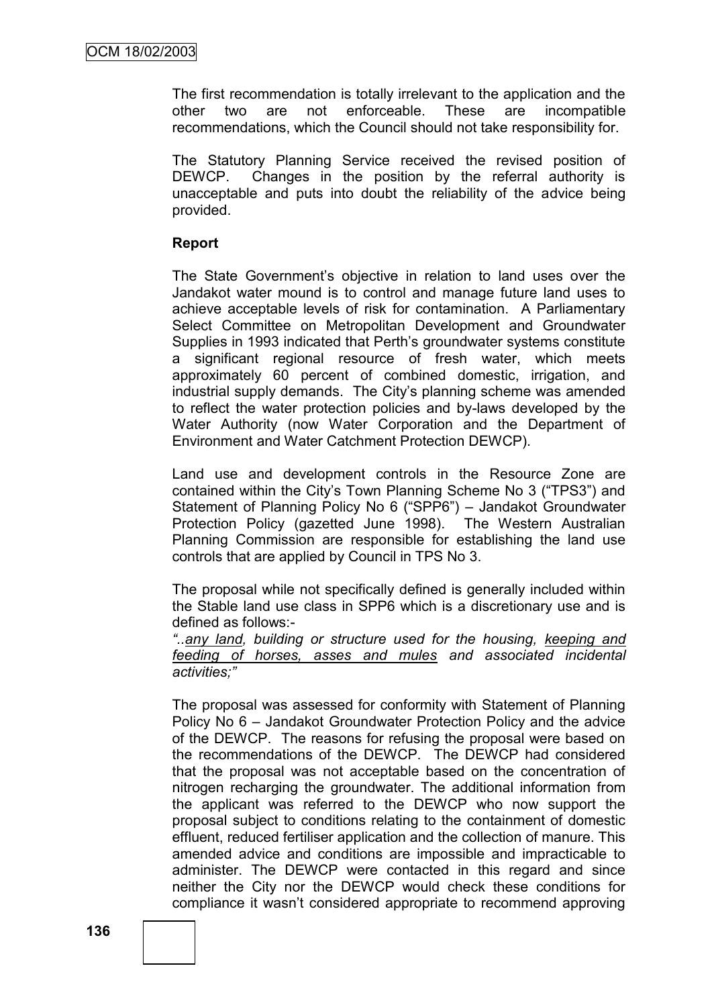The first recommendation is totally irrelevant to the application and the other two are not enforceable. These are incompatible recommendations, which the Council should not take responsibility for.

The Statutory Planning Service received the revised position of DEWCP. Changes in the position by the referral authority is unacceptable and puts into doubt the reliability of the advice being provided.

## **Report**

The State Government"s objective in relation to land uses over the Jandakot water mound is to control and manage future land uses to achieve acceptable levels of risk for contamination. A Parliamentary Select Committee on Metropolitan Development and Groundwater Supplies in 1993 indicated that Perth"s groundwater systems constitute a significant regional resource of fresh water, which meets approximately 60 percent of combined domestic, irrigation, and industrial supply demands. The City"s planning scheme was amended to reflect the water protection policies and by-laws developed by the Water Authority (now Water Corporation and the Department of Environment and Water Catchment Protection DEWCP).

Land use and development controls in the Resource Zone are contained within the City"s Town Planning Scheme No 3 ("TPS3") and Statement of Planning Policy No 6 ("SPP6") – Jandakot Groundwater Protection Policy (gazetted June 1998). The Western Australian Planning Commission are responsible for establishing the land use controls that are applied by Council in TPS No 3.

The proposal while not specifically defined is generally included within the Stable land use class in SPP6 which is a discretionary use and is defined as follows:-

*―..any land, building or structure used for the housing, keeping and feeding of horses, asses and mules and associated incidental activities;‖*

The proposal was assessed for conformity with Statement of Planning Policy No 6 – Jandakot Groundwater Protection Policy and the advice of the DEWCP. The reasons for refusing the proposal were based on the recommendations of the DEWCP. The DEWCP had considered that the proposal was not acceptable based on the concentration of nitrogen recharging the groundwater. The additional information from the applicant was referred to the DEWCP who now support the proposal subject to conditions relating to the containment of domestic effluent, reduced fertiliser application and the collection of manure. This amended advice and conditions are impossible and impracticable to administer. The DEWCP were contacted in this regard and since neither the City nor the DEWCP would check these conditions for compliance it wasn"t considered appropriate to recommend approving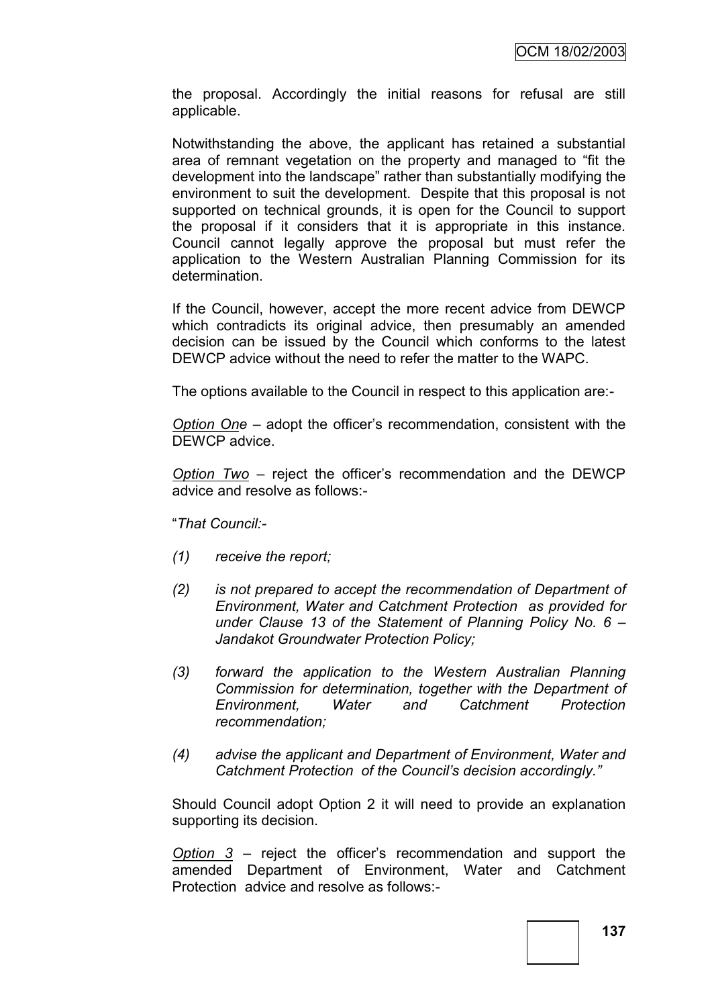the proposal. Accordingly the initial reasons for refusal are still applicable.

Notwithstanding the above, the applicant has retained a substantial area of remnant vegetation on the property and managed to "fit the development into the landscape" rather than substantially modifying the environment to suit the development. Despite that this proposal is not supported on technical grounds, it is open for the Council to support the proposal if it considers that it is appropriate in this instance. Council cannot legally approve the proposal but must refer the application to the Western Australian Planning Commission for its determination.

If the Council, however, accept the more recent advice from DEWCP which contradicts its original advice, then presumably an amended decision can be issued by the Council which conforms to the latest DEWCP advice without the need to refer the matter to the WAPC.

The options available to the Council in respect to this application are:-

*Option One* – adopt the officer"s recommendation, consistent with the DEWCP advice.

*Option Two* – reject the officer"s recommendation and the DEWCP advice and resolve as follows:-

"*That Council:-*

- *(1) receive the report;*
- *(2) is not prepared to accept the recommendation of Department of Environment, Water and Catchment Protection as provided for under Clause 13 of the Statement of Planning Policy No. 6 – Jandakot Groundwater Protection Policy;*
- *(3) forward the application to the Western Australian Planning Commission for determination, together with the Department of Environment, Water and Catchment Protection recommendation;*
- *(4) advise the applicant and Department of Environment, Water and Catchment Protection of the Council's decision accordingly.‖*

Should Council adopt Option 2 it will need to provide an explanation supporting its decision.

*Option 3* – reject the officer"s recommendation and support the amended Department of Environment, Water and Catchment Protection advice and resolve as follows:-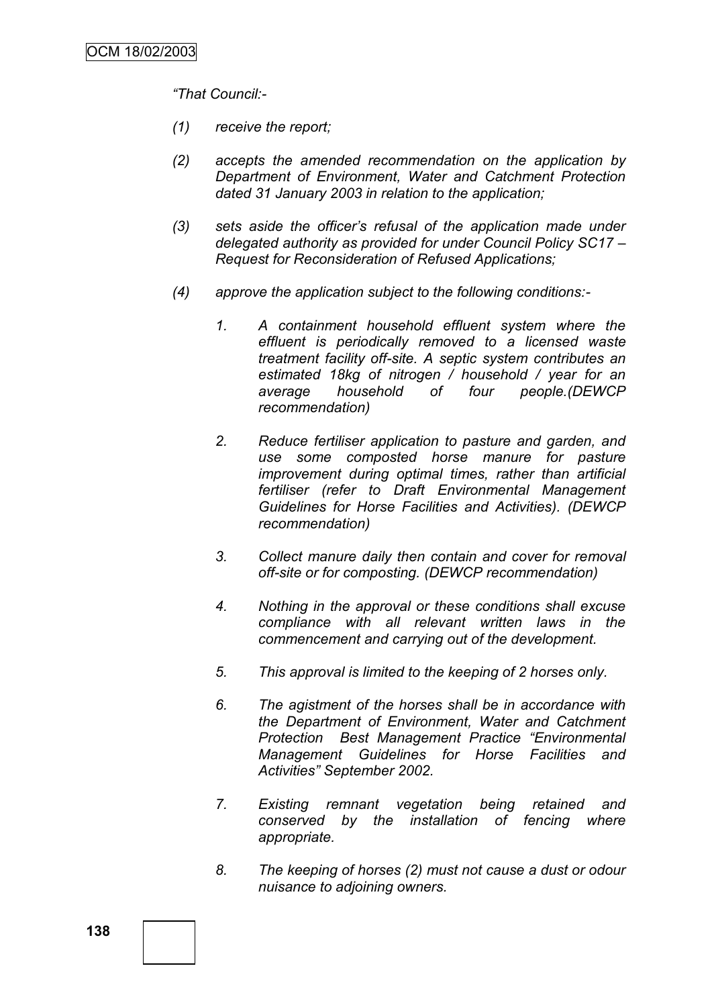*―That Council:-*

- *(1) receive the report;*
- *(2) accepts the amended recommendation on the application by Department of Environment, Water and Catchment Protection dated 31 January 2003 in relation to the application;*
- *(3) sets aside the officer's refusal of the application made under delegated authority as provided for under Council Policy SC17 – Request for Reconsideration of Refused Applications;*
- *(4) approve the application subject to the following conditions:-*
	- *1. A containment household effluent system where the effluent is periodically removed to a licensed waste treatment facility off-site. A septic system contributes an estimated 18kg of nitrogen / household / year for an average household of four people.(DEWCP recommendation)*
	- *2. Reduce fertiliser application to pasture and garden, and use some composted horse manure for pasture improvement during optimal times, rather than artificial fertiliser (refer to Draft Environmental Management Guidelines for Horse Facilities and Activities). (DEWCP recommendation)*
	- *3. Collect manure daily then contain and cover for removal off-site or for composting. (DEWCP recommendation)*
	- *4. Nothing in the approval or these conditions shall excuse compliance with all relevant written laws in the commencement and carrying out of the development.*
	- *5. This approval is limited to the keeping of 2 horses only.*
	- *6. The agistment of the horses shall be in accordance with the Department of Environment, Water and Catchment Protection Best Management Practice ―Environmental Management Guidelines for Horse Facilities and Activities‖ September 2002.*
	- *7. Existing remnant vegetation being retained and conserved by the installation of fencing where appropriate.*
	- *8. The keeping of horses (2) must not cause a dust or odour nuisance to adjoining owners.*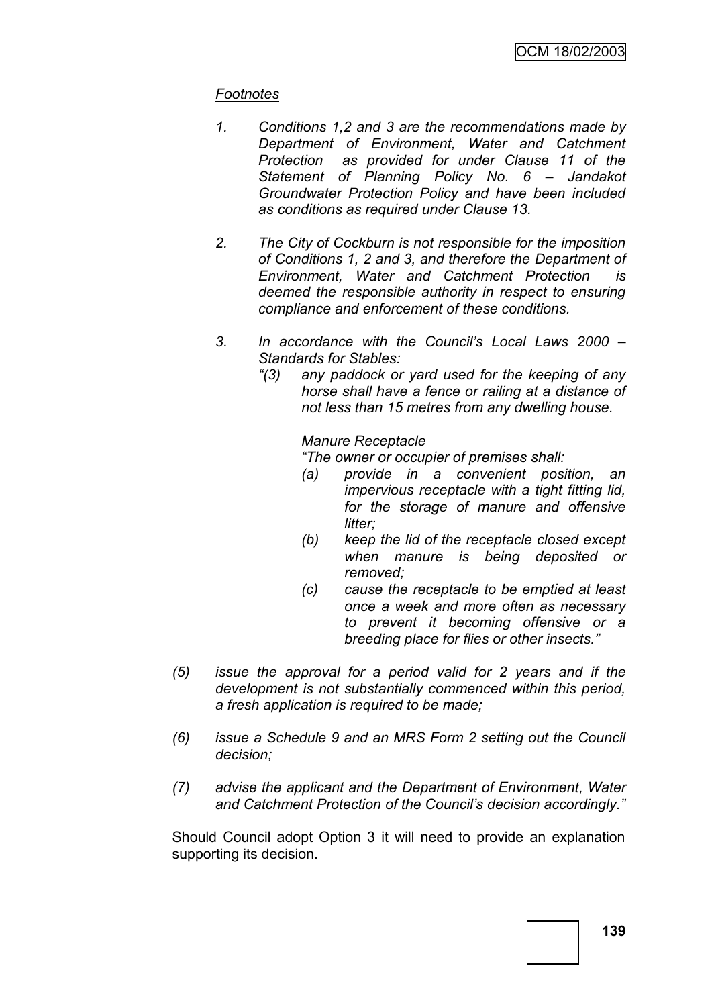# *Footnotes*

- *1. Conditions 1,2 and 3 are the recommendations made by Department of Environment, Water and Catchment Protection as provided for under Clause 11 of the Statement of Planning Policy No. 6 – Jandakot Groundwater Protection Policy and have been included as conditions as required under Clause 13.*
- *2. The City of Cockburn is not responsible for the imposition of Conditions 1, 2 and 3, and therefore the Department of Environment, Water and Catchment Protection is deemed the responsible authority in respect to ensuring compliance and enforcement of these conditions.*
- *3. In accordance with the Council's Local Laws 2000 – Standards for Stables:*
	- *―(3) any paddock or yard used for the keeping of any horse shall have a fence or railing at a distance of not less than 15 metres from any dwelling house.*

*Manure Receptacle*

*―The owner or occupier of premises shall:*

- *(a) provide in a convenient position, an impervious receptacle with a tight fitting lid, for the storage of manure and offensive litter;*
- *(b) keep the lid of the receptacle closed except when manure is being deposited or removed;*
- *(c) cause the receptacle to be emptied at least once a week and more often as necessary to prevent it becoming offensive or a breeding place for flies or other insects.‖*
- *(5) issue the approval for a period valid for 2 years and if the development is not substantially commenced within this period, a fresh application is required to be made;*
- *(6) issue a Schedule 9 and an MRS Form 2 setting out the Council decision;*
- *(7) advise the applicant and the Department of Environment, Water and Catchment Protection of the Council's decision accordingly.‖*

Should Council adopt Option 3 it will need to provide an explanation supporting its decision.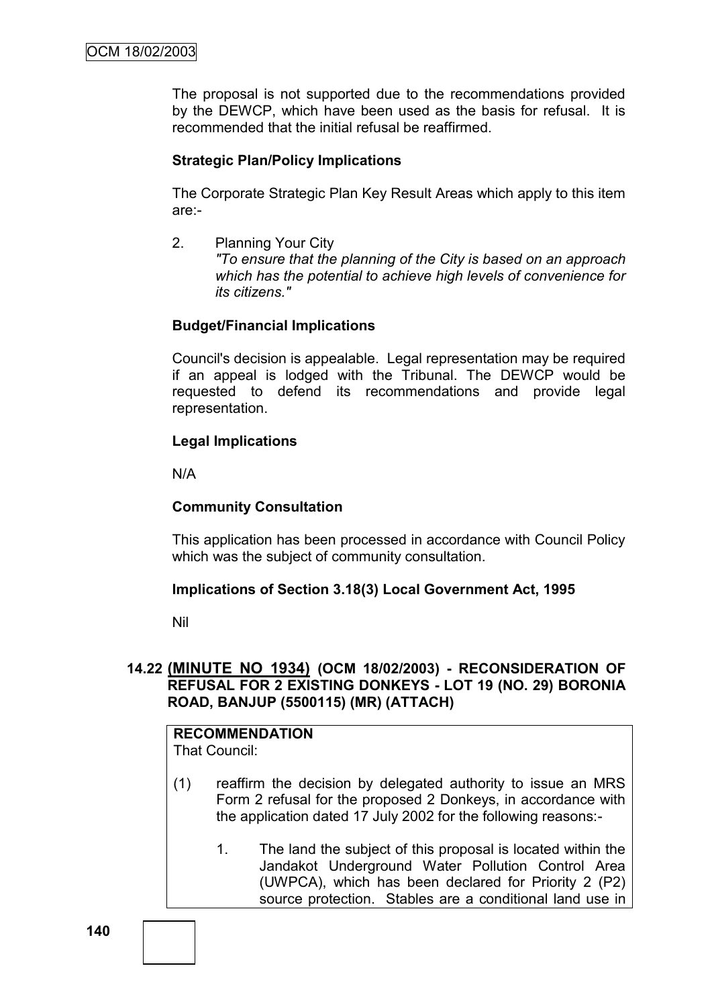The proposal is not supported due to the recommendations provided by the DEWCP, which have been used as the basis for refusal. It is recommended that the initial refusal be reaffirmed.

# **Strategic Plan/Policy Implications**

The Corporate Strategic Plan Key Result Areas which apply to this item are:-

2. Planning Your City *"To ensure that the planning of the City is based on an approach which has the potential to achieve high levels of convenience for its citizens."*

### **Budget/Financial Implications**

Council's decision is appealable. Legal representation may be required if an appeal is lodged with the Tribunal. The DEWCP would be requested to defend its recommendations and provide legal representation.

### **Legal Implications**

N/A

# **Community Consultation**

This application has been processed in accordance with Council Policy which was the subject of community consultation.

#### **Implications of Section 3.18(3) Local Government Act, 1995**

Nil

# **14.22 (MINUTE NO 1934) (OCM 18/02/2003) - RECONSIDERATION OF REFUSAL FOR 2 EXISTING DONKEYS - LOT 19 (NO. 29) BORONIA ROAD, BANJUP (5500115) (MR) (ATTACH)**

# **RECOMMENDATION**

That Council:

- (1) reaffirm the decision by delegated authority to issue an MRS Form 2 refusal for the proposed 2 Donkeys, in accordance with the application dated 17 July 2002 for the following reasons:-
	- 1. The land the subject of this proposal is located within the Jandakot Underground Water Pollution Control Area (UWPCA), which has been declared for Priority 2 (P2) source protection. Stables are a conditional land use in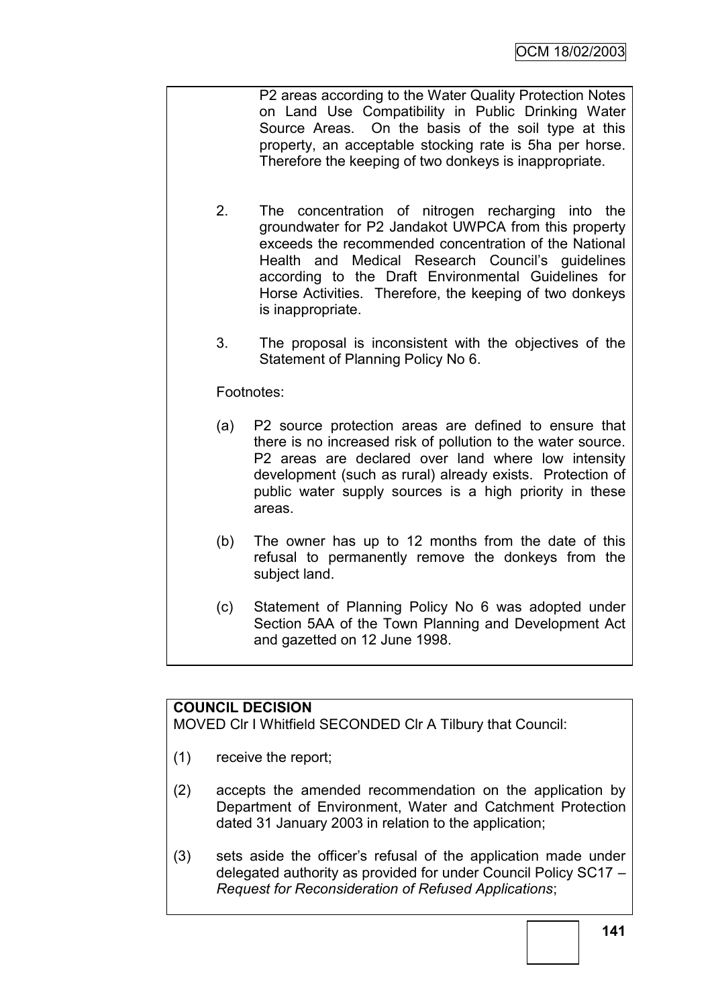P2 areas according to the Water Quality Protection Notes on Land Use Compatibility in Public Drinking Water Source Areas. On the basis of the soil type at this property, an acceptable stocking rate is 5ha per horse. Therefore the keeping of two donkeys is inappropriate.

- 2. The concentration of nitrogen recharging into the groundwater for P2 Jandakot UWPCA from this property exceeds the recommended concentration of the National Health and Medical Research Council's quidelines according to the Draft Environmental Guidelines for Horse Activities. Therefore, the keeping of two donkeys is inappropriate.
- 3. The proposal is inconsistent with the objectives of the Statement of Planning Policy No 6.

# Footnotes:

- (a) P2 source protection areas are defined to ensure that there is no increased risk of pollution to the water source. P2 areas are declared over land where low intensity development (such as rural) already exists. Protection of public water supply sources is a high priority in these areas.
- (b) The owner has up to 12 months from the date of this refusal to permanently remove the donkeys from the subject land.
- (c) Statement of Planning Policy No 6 was adopted under Section 5AA of the Town Planning and Development Act and gazetted on 12 June 1998.

# **COUNCIL DECISION**

MOVED Clr I Whitfield SECONDED Clr A Tilbury that Council:

- (1) receive the report;
- (2) accepts the amended recommendation on the application by Department of Environment, Water and Catchment Protection dated 31 January 2003 in relation to the application;
- (3) sets aside the officer"s refusal of the application made under delegated authority as provided for under Council Policy SC17 – *Request for Reconsideration of Refused Applications*;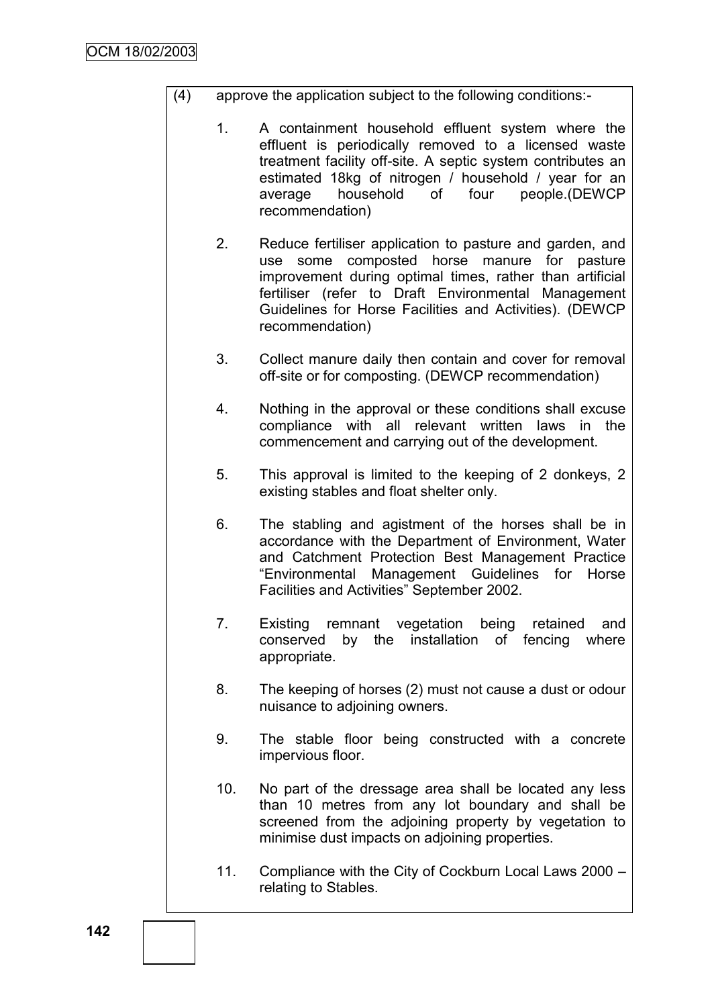- (4) approve the application subject to the following conditions:-
	- 1. A containment household effluent system where the effluent is periodically removed to a licensed waste treatment facility off-site. A septic system contributes an estimated 18kg of nitrogen / household / year for an average household of four people.(DEWCP recommendation)
	- 2. Reduce fertiliser application to pasture and garden, and use some composted horse manure for pasture improvement during optimal times, rather than artificial fertiliser (refer to Draft Environmental Management Guidelines for Horse Facilities and Activities). (DEWCP recommendation)
	- 3. Collect manure daily then contain and cover for removal off-site or for composting. (DEWCP recommendation)
	- 4. Nothing in the approval or these conditions shall excuse compliance with all relevant written laws in the commencement and carrying out of the development.
	- 5. This approval is limited to the keeping of 2 donkeys, 2 existing stables and float shelter only.
	- 6. The stabling and agistment of the horses shall be in accordance with the Department of Environment, Water and Catchment Protection Best Management Practice "Environmental Management Guidelines for Horse Facilities and Activities" September 2002.
	- 7. Existing remnant vegetation being retained and conserved by the installation of fencing where appropriate.
	- 8. The keeping of horses (2) must not cause a dust or odour nuisance to adjoining owners.
	- 9. The stable floor being constructed with a concrete impervious floor.
	- 10. No part of the dressage area shall be located any less than 10 metres from any lot boundary and shall be screened from the adjoining property by vegetation to minimise dust impacts on adjoining properties.
	- 11. Compliance with the City of Cockburn Local Laws 2000 relating to Stables.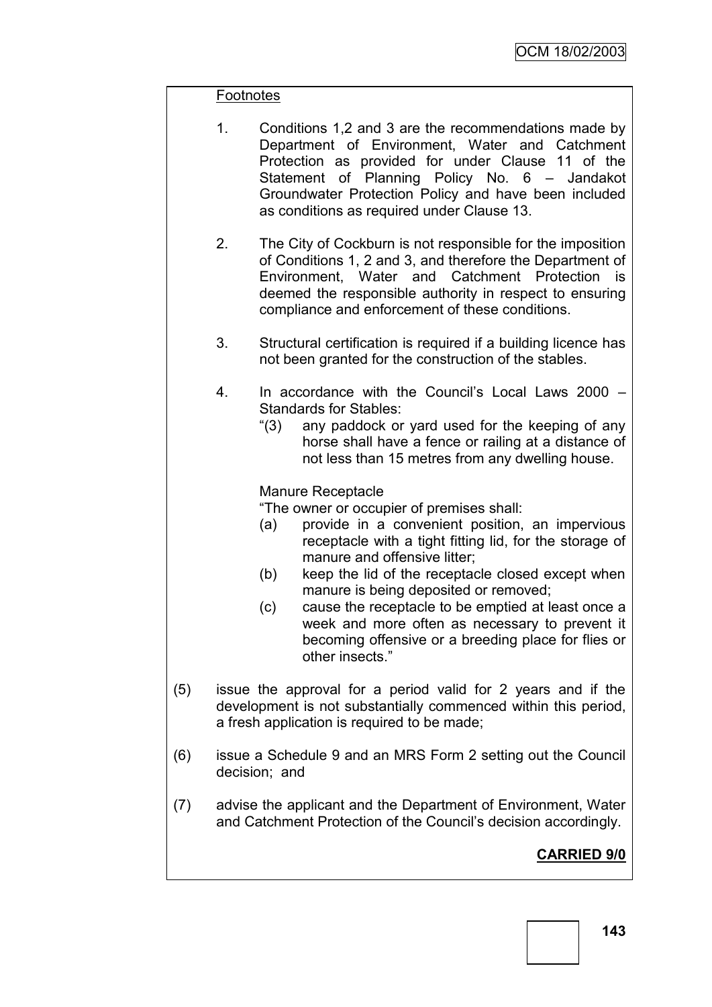### Footnotes

- 1. Conditions 1,2 and 3 are the recommendations made by Department of Environment, Water and Catchment Protection as provided for under Clause 11 of the Statement of Planning Policy No. 6 – Jandakot Groundwater Protection Policy and have been included as conditions as required under Clause 13.
- 2. The City of Cockburn is not responsible for the imposition of Conditions 1, 2 and 3, and therefore the Department of Environment, Water and Catchment Protection is deemed the responsible authority in respect to ensuring compliance and enforcement of these conditions.
- 3. Structural certification is required if a building licence has not been granted for the construction of the stables.
- 4. In accordance with the Council"s Local Laws 2000 Standards for Stables:
	- "(3) any paddock or yard used for the keeping of any horse shall have a fence or railing at a distance of not less than 15 metres from any dwelling house.

### Manure Receptacle

"The owner or occupier of premises shall:

- (a) provide in a convenient position, an impervious receptacle with a tight fitting lid, for the storage of manure and offensive litter;
- (b) keep the lid of the receptacle closed except when manure is being deposited or removed;
- (c) cause the receptacle to be emptied at least once a week and more often as necessary to prevent it becoming offensive or a breeding place for flies or other insects."
- (5) issue the approval for a period valid for 2 years and if the development is not substantially commenced within this period, a fresh application is required to be made;
- (6) issue a Schedule 9 and an MRS Form 2 setting out the Council decision; and
- (7) advise the applicant and the Department of Environment, Water and Catchment Protection of the Council"s decision accordingly.

# **CARRIED 9/0**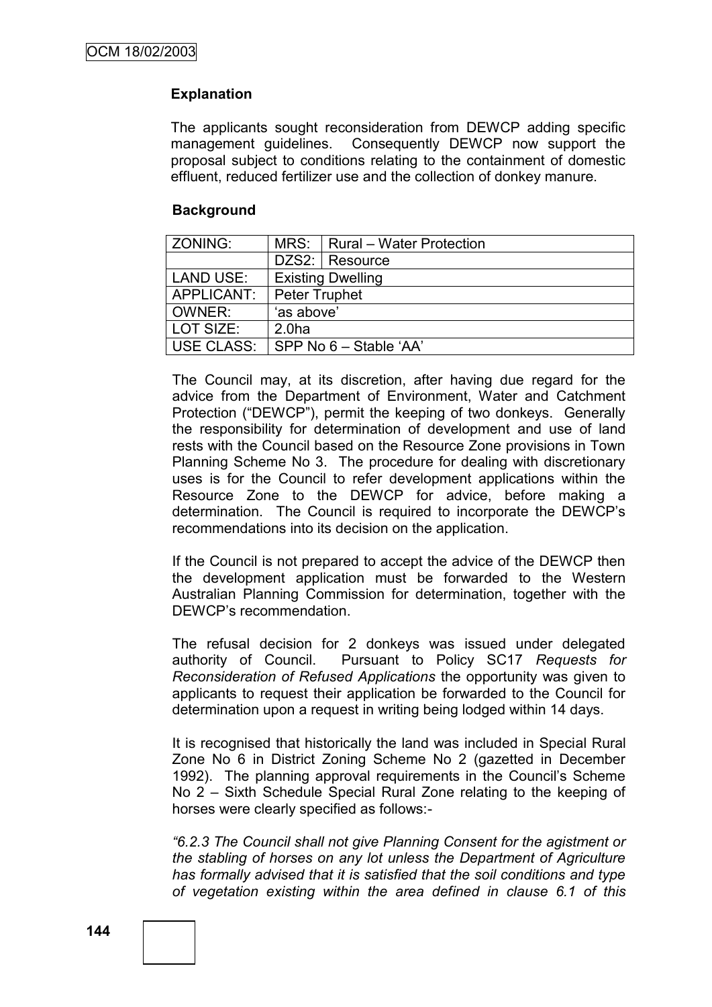# **Explanation**

The applicants sought reconsideration from DEWCP adding specific management guidelines. Consequently DEWCP now support the proposal subject to conditions relating to the containment of domestic effluent, reduced fertilizer use and the collection of donkey manure.

# **Background**

| <b>ZONING:</b> |                          | MRS:   Rural - Water Protection |
|----------------|--------------------------|---------------------------------|
|                |                          | DZS2: Resource                  |
| LAND USE:      | <b>Existing Dwelling</b> |                                 |
| APPLICANT:     | Peter Truphet            |                                 |
| OWNER:         | 'as above'               |                                 |
| LOT SIZE:      | 2.0 <sub>ha</sub>        |                                 |
| USE CLASS:     | SPP No 6 - Stable 'AA'   |                                 |

The Council may, at its discretion, after having due regard for the advice from the Department of Environment, Water and Catchment Protection ("DEWCP"), permit the keeping of two donkeys. Generally the responsibility for determination of development and use of land rests with the Council based on the Resource Zone provisions in Town Planning Scheme No 3. The procedure for dealing with discretionary uses is for the Council to refer development applications within the Resource Zone to the DEWCP for advice, before making a determination. The Council is required to incorporate the DEWCP"s recommendations into its decision on the application.

If the Council is not prepared to accept the advice of the DEWCP then the development application must be forwarded to the Western Australian Planning Commission for determination, together with the DEWCP"s recommendation.

The refusal decision for 2 donkeys was issued under delegated authority of Council. Pursuant to Policy SC17 *Requests for Reconsideration of Refused Applications* the opportunity was given to applicants to request their application be forwarded to the Council for determination upon a request in writing being lodged within 14 days.

It is recognised that historically the land was included in Special Rural Zone No 6 in District Zoning Scheme No 2 (gazetted in December 1992). The planning approval requirements in the Council's Scheme No 2 – Sixth Schedule Special Rural Zone relating to the keeping of horses were clearly specified as follows:-

*―6.2.3 The Council shall not give Planning Consent for the agistment or the stabling of horses on any lot unless the Department of Agriculture has formally advised that it is satisfied that the soil conditions and type of vegetation existing within the area defined in clause 6.1 of this*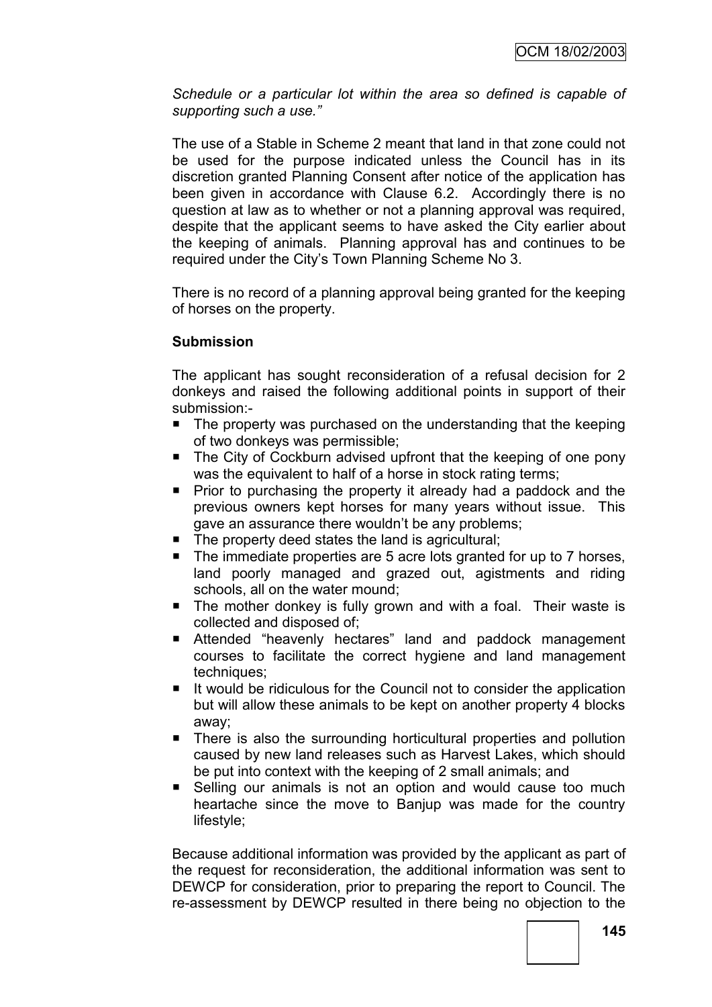*Schedule or a particular lot within the area so defined is capable of supporting such a use.‖*

The use of a Stable in Scheme 2 meant that land in that zone could not be used for the purpose indicated unless the Council has in its discretion granted Planning Consent after notice of the application has been given in accordance with Clause 6.2. Accordingly there is no question at law as to whether or not a planning approval was required, despite that the applicant seems to have asked the City earlier about the keeping of animals. Planning approval has and continues to be required under the City"s Town Planning Scheme No 3.

There is no record of a planning approval being granted for the keeping of horses on the property.

# **Submission**

The applicant has sought reconsideration of a refusal decision for 2 donkeys and raised the following additional points in support of their submission:-

- The property was purchased on the understanding that the keeping of two donkeys was permissible;
- The City of Cockburn advised upfront that the keeping of one pony was the equivalent to half of a horse in stock rating terms;
- **Prior to purchasing the property it already had a paddock and the** previous owners kept horses for many years without issue. This gave an assurance there wouldn"t be any problems;
- The property deed states the land is agricultural;
- The immediate properties are 5 acre lots granted for up to 7 horses, land poorly managed and grazed out, agistments and riding schools, all on the water mound;
- **The mother donkey is fully grown and with a foal. Their waste is** collected and disposed of;
- Attended "heavenly hectares" land and paddock management courses to facilitate the correct hygiene and land management techniques;
- It would be ridiculous for the Council not to consider the application but will allow these animals to be kept on another property 4 blocks away;
- **There is also the surrounding horticultural properties and pollution** caused by new land releases such as Harvest Lakes, which should be put into context with the keeping of 2 small animals; and
- Selling our animals is not an option and would cause too much heartache since the move to Banjup was made for the country lifestyle;

Because additional information was provided by the applicant as part of the request for reconsideration, the additional information was sent to DEWCP for consideration, prior to preparing the report to Council. The re-assessment by DEWCP resulted in there being no objection to the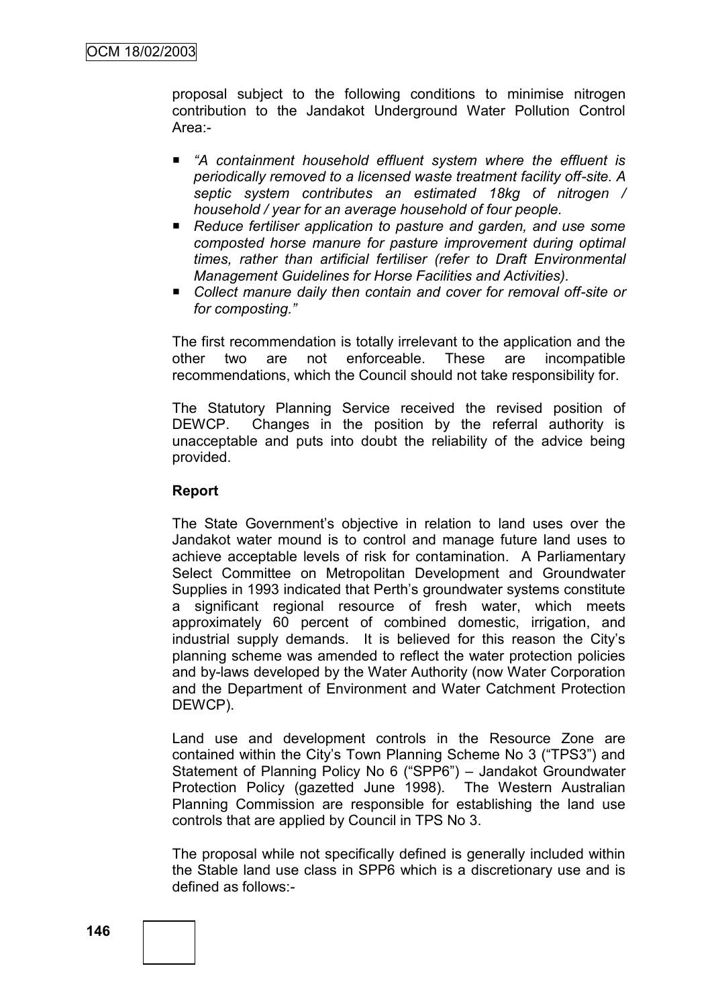proposal subject to the following conditions to minimise nitrogen contribution to the Jandakot Underground Water Pollution Control Area:-

- "A containment household effluent system where the effluent is *periodically removed to a licensed waste treatment facility off-site. A septic system contributes an estimated 18kg of nitrogen / household / year for an average household of four people.*
- *Reduce fertiliser application to pasture and garden, and use some composted horse manure for pasture improvement during optimal times, rather than artificial fertiliser (refer to Draft Environmental Management Guidelines for Horse Facilities and Activities).*
- *Collect manure daily then contain and cover for removal off-site or for composting.‖*

The first recommendation is totally irrelevant to the application and the other two are not enforceable. These are incompatible recommendations, which the Council should not take responsibility for.

The Statutory Planning Service received the revised position of DEWCP. Changes in the position by the referral authority is unacceptable and puts into doubt the reliability of the advice being provided.

### **Report**

The State Government"s objective in relation to land uses over the Jandakot water mound is to control and manage future land uses to achieve acceptable levels of risk for contamination. A Parliamentary Select Committee on Metropolitan Development and Groundwater Supplies in 1993 indicated that Perth"s groundwater systems constitute a significant regional resource of fresh water, which meets approximately 60 percent of combined domestic, irrigation, and industrial supply demands. It is believed for this reason the City"s planning scheme was amended to reflect the water protection policies and by-laws developed by the Water Authority (now Water Corporation and the Department of Environment and Water Catchment Protection DEWCP).

Land use and development controls in the Resource Zone are contained within the City"s Town Planning Scheme No 3 ("TPS3") and Statement of Planning Policy No 6 ("SPP6") – Jandakot Groundwater Protection Policy (gazetted June 1998). The Western Australian Planning Commission are responsible for establishing the land use controls that are applied by Council in TPS No 3.

The proposal while not specifically defined is generally included within the Stable land use class in SPP6 which is a discretionary use and is defined as follows:-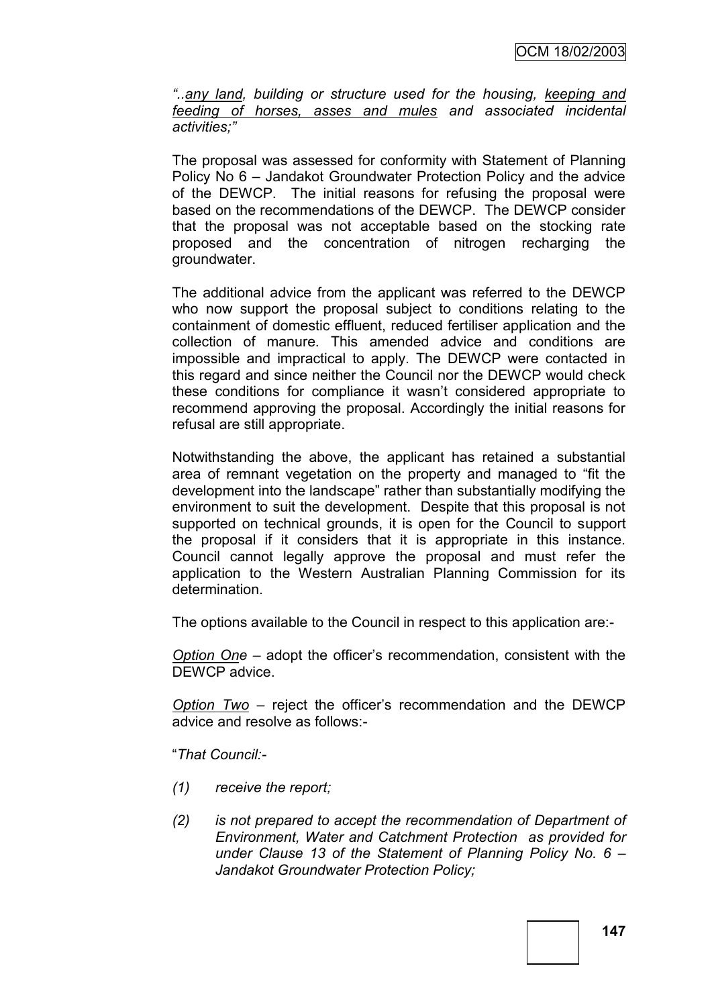*―..any land, building or structure used for the housing, keeping and feeding of horses, asses and mules and associated incidental activities;‖*

The proposal was assessed for conformity with Statement of Planning Policy No 6 – Jandakot Groundwater Protection Policy and the advice of the DEWCP. The initial reasons for refusing the proposal were based on the recommendations of the DEWCP. The DEWCP consider that the proposal was not acceptable based on the stocking rate proposed and the concentration of nitrogen recharging the groundwater.

The additional advice from the applicant was referred to the DEWCP who now support the proposal subject to conditions relating to the containment of domestic effluent, reduced fertiliser application and the collection of manure. This amended advice and conditions are impossible and impractical to apply. The DEWCP were contacted in this regard and since neither the Council nor the DEWCP would check these conditions for compliance it wasn"t considered appropriate to recommend approving the proposal. Accordingly the initial reasons for refusal are still appropriate.

Notwithstanding the above, the applicant has retained a substantial area of remnant vegetation on the property and managed to "fit the development into the landscape" rather than substantially modifying the environment to suit the development. Despite that this proposal is not supported on technical grounds, it is open for the Council to support the proposal if it considers that it is appropriate in this instance. Council cannot legally approve the proposal and must refer the application to the Western Australian Planning Commission for its determination.

The options available to the Council in respect to this application are:-

*Option One* – adopt the officer"s recommendation, consistent with the DEWCP advice.

*Option Two* – reject the officer"s recommendation and the DEWCP advice and resolve as follows:-

"*That Council:-*

- *(1) receive the report;*
- *(2) is not prepared to accept the recommendation of Department of Environment, Water and Catchment Protection as provided for under Clause 13 of the Statement of Planning Policy No. 6 – Jandakot Groundwater Protection Policy;*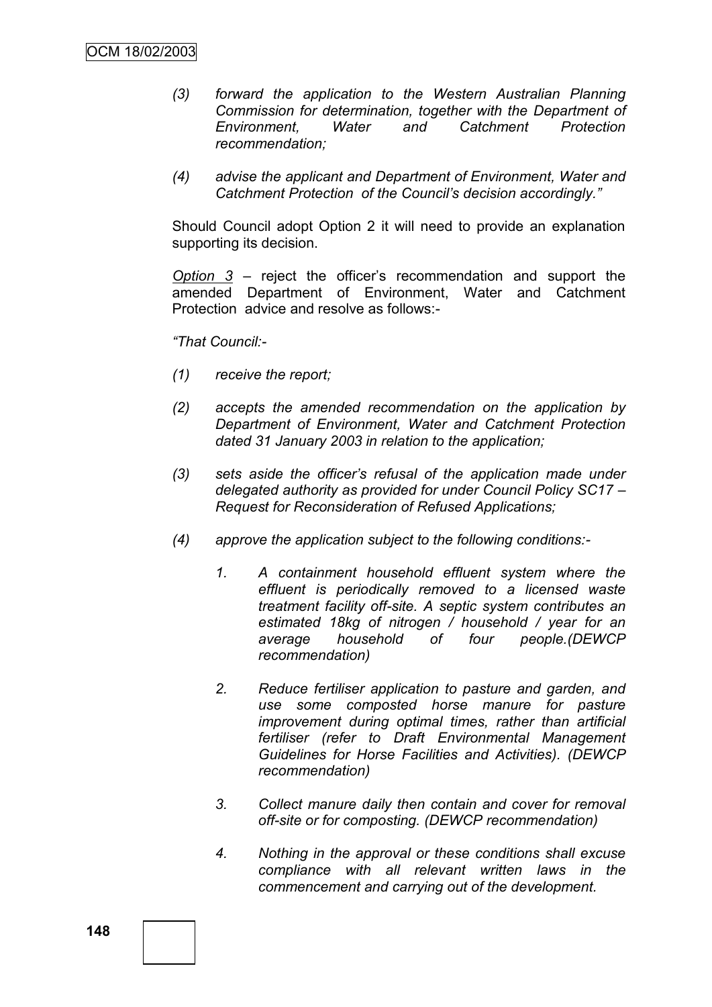- *(3) forward the application to the Western Australian Planning Commission for determination, together with the Department of Environment, Water and Catchment Protection recommendation;*
- *(4) advise the applicant and Department of Environment, Water and Catchment Protection of the Council's decision accordingly.‖*

Should Council adopt Option 2 it will need to provide an explanation supporting its decision.

*Option 3* – reject the officer"s recommendation and support the amended Department of Environment, Water and Catchment Protection advice and resolve as follows:-

*―That Council:-*

- *(1) receive the report;*
- *(2) accepts the amended recommendation on the application by Department of Environment, Water and Catchment Protection dated 31 January 2003 in relation to the application;*
- *(3) sets aside the officer's refusal of the application made under delegated authority as provided for under Council Policy SC17 – Request for Reconsideration of Refused Applications;*
- *(4) approve the application subject to the following conditions:-*
	- *1. A containment household effluent system where the effluent is periodically removed to a licensed waste treatment facility off-site. A septic system contributes an estimated 18kg of nitrogen / household / year for an average household of four people.(DEWCP recommendation)*
	- *2. Reduce fertiliser application to pasture and garden, and use some composted horse manure for pasture improvement during optimal times, rather than artificial fertiliser (refer to Draft Environmental Management Guidelines for Horse Facilities and Activities). (DEWCP recommendation)*
	- *3. Collect manure daily then contain and cover for removal off-site or for composting. (DEWCP recommendation)*
	- *4. Nothing in the approval or these conditions shall excuse compliance with all relevant written laws in the commencement and carrying out of the development.*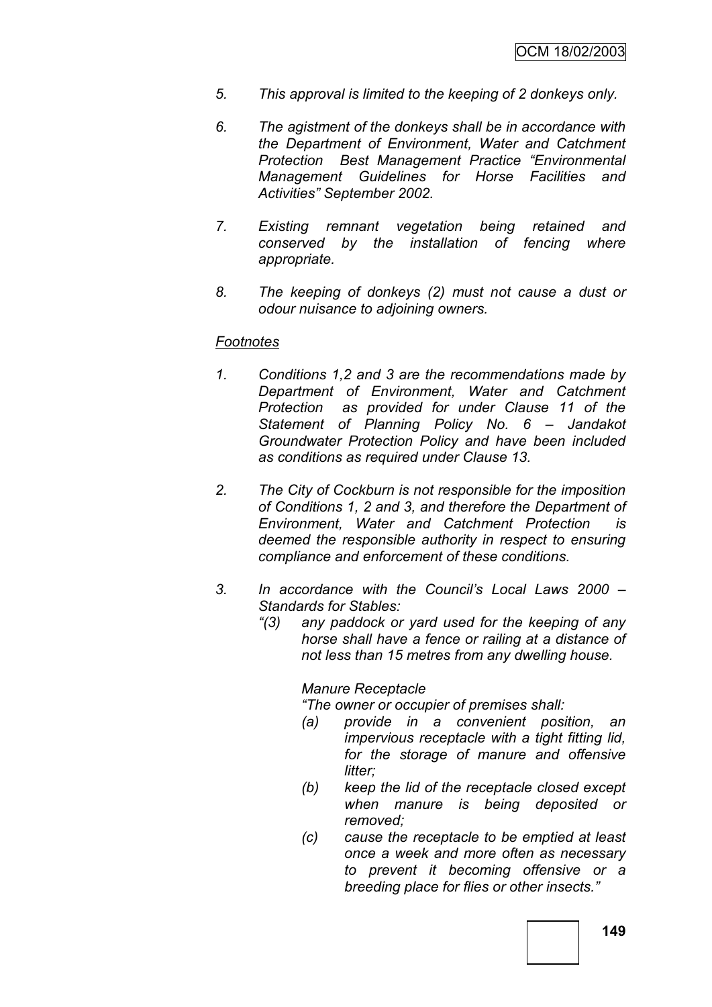- *5. This approval is limited to the keeping of 2 donkeys only.*
- *6. The agistment of the donkeys shall be in accordance with the Department of Environment, Water and Catchment Protection Best Management Practice ―Environmental Management Guidelines for Horse Facilities and Activities‖ September 2002.*
- *7. Existing remnant vegetation being retained and conserved by the installation of fencing where appropriate.*
- *8. The keeping of donkeys (2) must not cause a dust or odour nuisance to adjoining owners.*

### *Footnotes*

- *1. Conditions 1,2 and 3 are the recommendations made by Department of Environment, Water and Catchment Protection as provided for under Clause 11 of the Statement of Planning Policy No. 6 – Jandakot Groundwater Protection Policy and have been included as conditions as required under Clause 13.*
- *2. The City of Cockburn is not responsible for the imposition of Conditions 1, 2 and 3, and therefore the Department of Environment, Water and Catchment Protection is deemed the responsible authority in respect to ensuring compliance and enforcement of these conditions.*
- *3. In accordance with the Council's Local Laws 2000 – Standards for Stables:*
	- *―(3) any paddock or yard used for the keeping of any horse shall have a fence or railing at a distance of not less than 15 metres from any dwelling house.*

### *Manure Receptacle*

*―The owner or occupier of premises shall:*

- *(a) provide in a convenient position, an impervious receptacle with a tight fitting lid, for the storage of manure and offensive litter;*
- *(b) keep the lid of the receptacle closed except when manure is being deposited or removed;*
- *(c) cause the receptacle to be emptied at least once a week and more often as necessary to prevent it becoming offensive or a breeding place for flies or other insects.‖*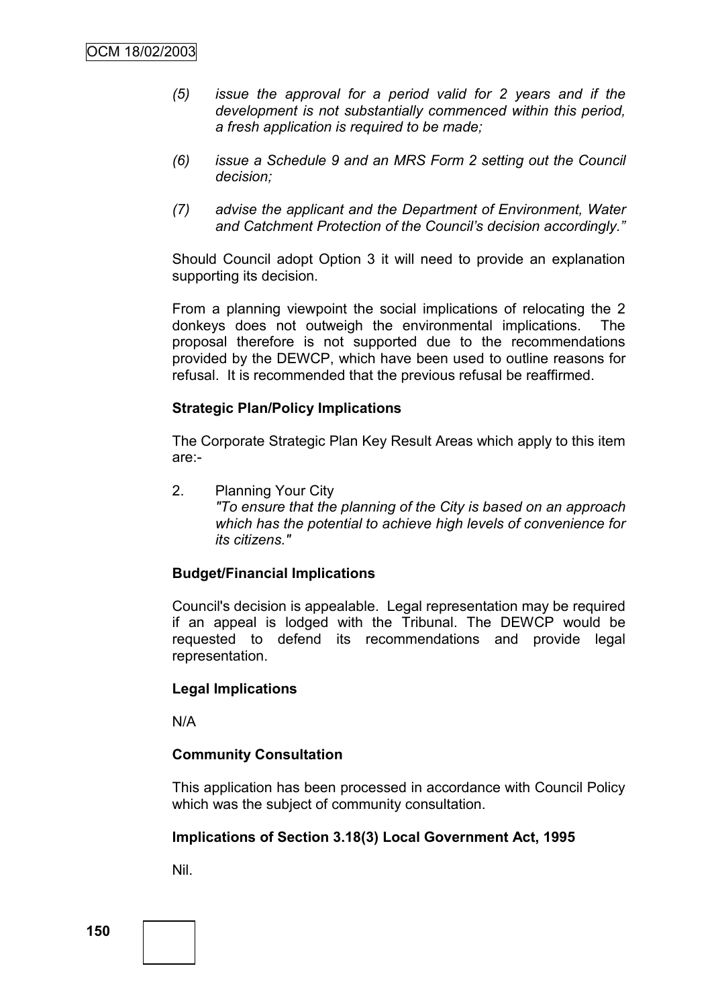- *(5) issue the approval for a period valid for 2 years and if the development is not substantially commenced within this period, a fresh application is required to be made;*
- *(6) issue a Schedule 9 and an MRS Form 2 setting out the Council decision;*
- *(7) advise the applicant and the Department of Environment, Water and Catchment Protection of the Council's decision accordingly.‖*

Should Council adopt Option 3 it will need to provide an explanation supporting its decision.

From a planning viewpoint the social implications of relocating the 2 donkeys does not outweigh the environmental implications. The proposal therefore is not supported due to the recommendations provided by the DEWCP, which have been used to outline reasons for refusal. It is recommended that the previous refusal be reaffirmed.

### **Strategic Plan/Policy Implications**

The Corporate Strategic Plan Key Result Areas which apply to this item are:-

2. Planning Your City *"To ensure that the planning of the City is based on an approach which has the potential to achieve high levels of convenience for its citizens."*

# **Budget/Financial Implications**

Council's decision is appealable. Legal representation may be required if an appeal is lodged with the Tribunal. The DEWCP would be requested to defend its recommendations and provide legal representation.

#### **Legal Implications**

N/A

# **Community Consultation**

This application has been processed in accordance with Council Policy which was the subject of community consultation.

#### **Implications of Section 3.18(3) Local Government Act, 1995**

Nil.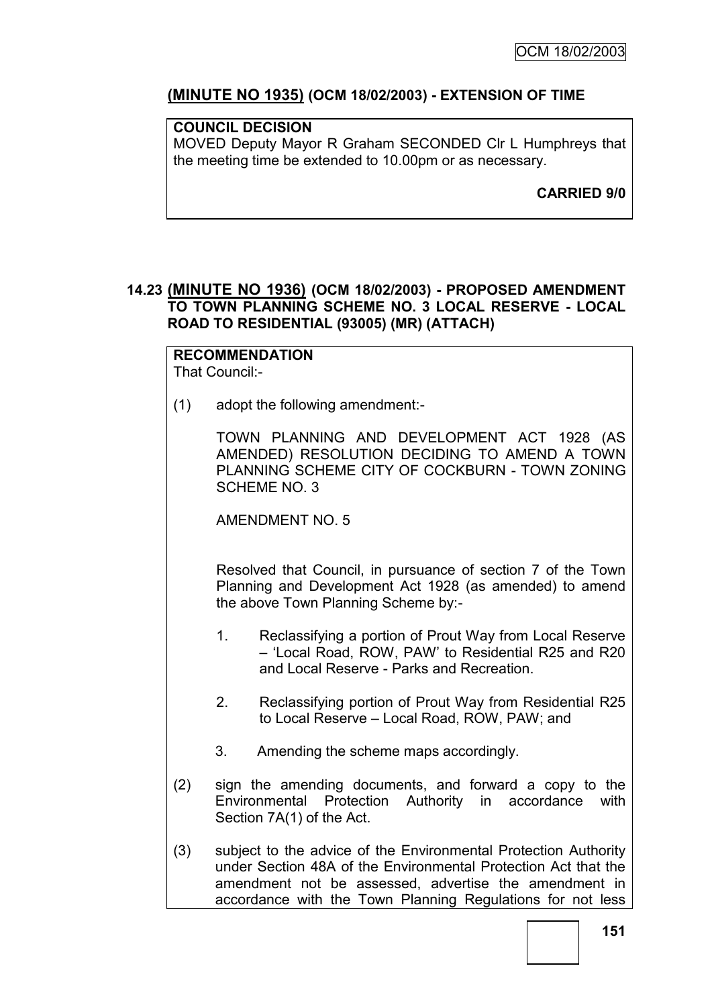# **(MINUTE NO 1935) (OCM 18/02/2003) - EXTENSION OF TIME**

# **COUNCIL DECISION**

MOVED Deputy Mayor R Graham SECONDED Clr L Humphreys that the meeting time be extended to 10.00pm or as necessary.

**CARRIED 9/0**

# **14.23 (MINUTE NO 1936) (OCM 18/02/2003) - PROPOSED AMENDMENT TO TOWN PLANNING SCHEME NO. 3 LOCAL RESERVE - LOCAL ROAD TO RESIDENTIAL (93005) (MR) (ATTACH)**

#### **RECOMMENDATION** That Council:-

(1) adopt the following amendment:-

TOWN PLANNING AND DEVELOPMENT ACT 1928 (AS AMENDED) RESOLUTION DECIDING TO AMEND A TOWN PLANNING SCHEME CITY OF COCKBURN - TOWN ZONING SCHEME NO. 3

AMENDMENT NO. 5

Resolved that Council, in pursuance of section 7 of the Town Planning and Development Act 1928 (as amended) to amend the above Town Planning Scheme by:-

- 1. Reclassifying a portion of Prout Way from Local Reserve – "Local Road, ROW, PAW" to Residential R25 and R20 and Local Reserve - Parks and Recreation.
- 2. Reclassifying portion of Prout Way from Residential R25 to Local Reserve – Local Road, ROW, PAW; and
- 3. Amending the scheme maps accordingly.
- (2) sign the amending documents, and forward a copy to the Environmental Protection Authority in accordance with Section 7A(1) of the Act.
- (3) subject to the advice of the Environmental Protection Authority under Section 48A of the Environmental Protection Act that the amendment not be assessed, advertise the amendment in accordance with the Town Planning Regulations for not less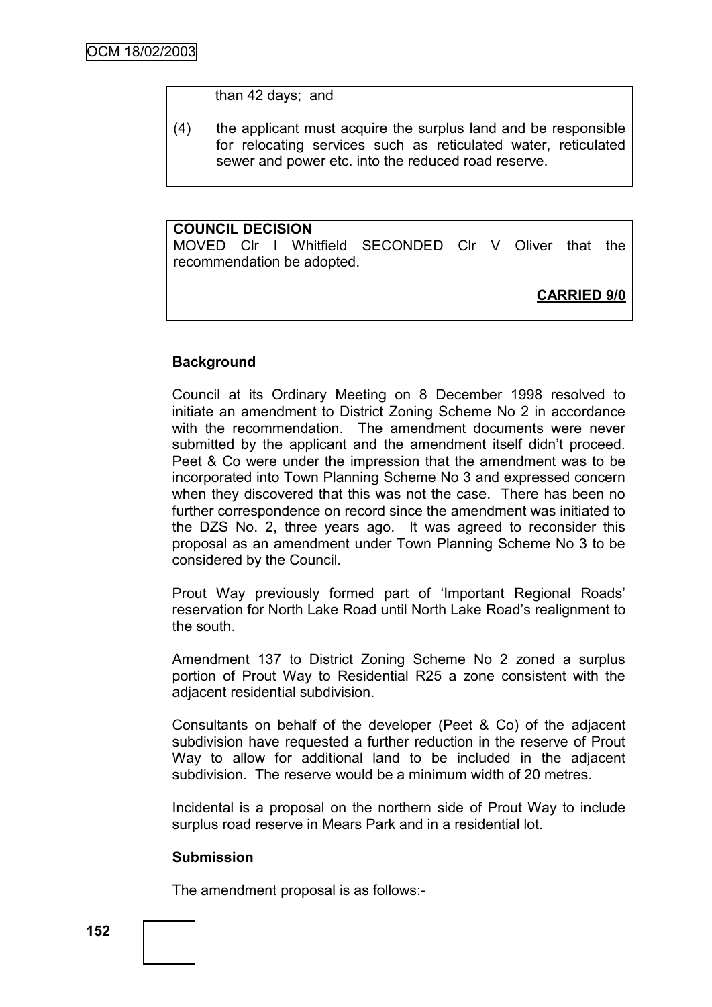than 42 days; and

(4) the applicant must acquire the surplus land and be responsible for relocating services such as reticulated water, reticulated sewer and power etc. into the reduced road reserve.

# **COUNCIL DECISION**

MOVED Clr I Whitfield SECONDED Clr V Oliver that the recommendation be adopted.

**CARRIED 9/0**

# **Background**

Council at its Ordinary Meeting on 8 December 1998 resolved to initiate an amendment to District Zoning Scheme No 2 in accordance with the recommendation. The amendment documents were never submitted by the applicant and the amendment itself didn't proceed. Peet & Co were under the impression that the amendment was to be incorporated into Town Planning Scheme No 3 and expressed concern when they discovered that this was not the case. There has been no further correspondence on record since the amendment was initiated to the DZS No. 2, three years ago. It was agreed to reconsider this proposal as an amendment under Town Planning Scheme No 3 to be considered by the Council.

Prout Way previously formed part of "Important Regional Roads" reservation for North Lake Road until North Lake Road"s realignment to the south.

Amendment 137 to District Zoning Scheme No 2 zoned a surplus portion of Prout Way to Residential R25 a zone consistent with the adjacent residential subdivision.

Consultants on behalf of the developer (Peet & Co) of the adjacent subdivision have requested a further reduction in the reserve of Prout Way to allow for additional land to be included in the adjacent subdivision. The reserve would be a minimum width of 20 metres.

Incidental is a proposal on the northern side of Prout Way to include surplus road reserve in Mears Park and in a residential lot.

#### **Submission**

The amendment proposal is as follows:-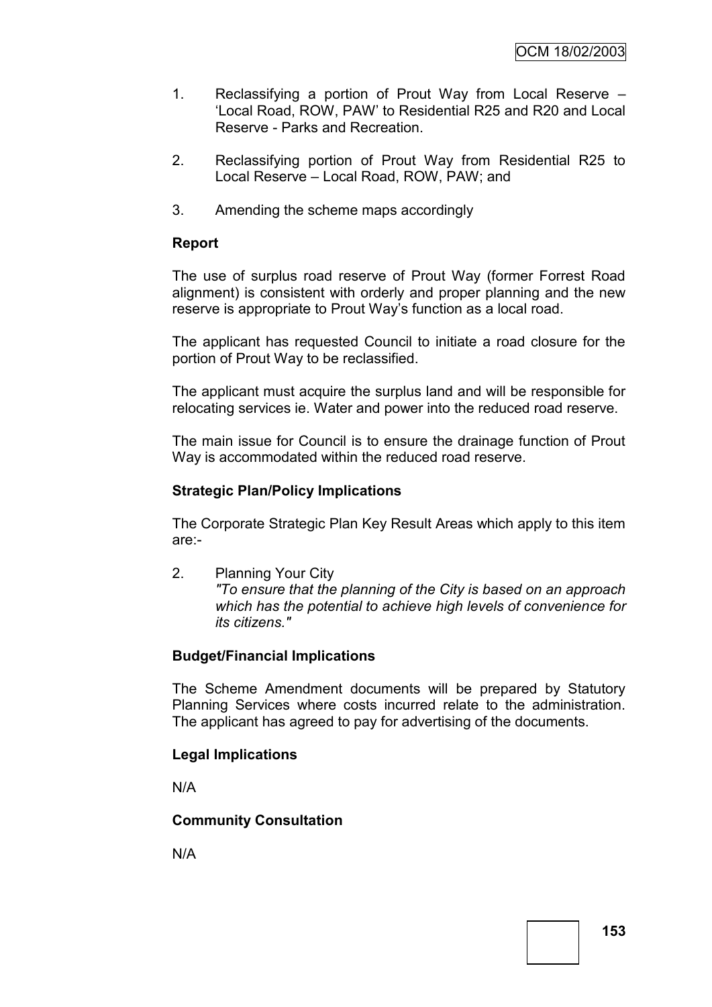- 1. Reclassifying a portion of Prout Way from Local Reserve "Local Road, ROW, PAW" to Residential R25 and R20 and Local Reserve - Parks and Recreation.
- 2. Reclassifying portion of Prout Way from Residential R25 to Local Reserve – Local Road, ROW, PAW; and
- 3. Amending the scheme maps accordingly

# **Report**

The use of surplus road reserve of Prout Way (former Forrest Road alignment) is consistent with orderly and proper planning and the new reserve is appropriate to Prout Way"s function as a local road.

The applicant has requested Council to initiate a road closure for the portion of Prout Way to be reclassified.

The applicant must acquire the surplus land and will be responsible for relocating services ie. Water and power into the reduced road reserve.

The main issue for Council is to ensure the drainage function of Prout Way is accommodated within the reduced road reserve.

### **Strategic Plan/Policy Implications**

The Corporate Strategic Plan Key Result Areas which apply to this item are:-

2. Planning Your City *"To ensure that the planning of the City is based on an approach which has the potential to achieve high levels of convenience for its citizens."*

# **Budget/Financial Implications**

The Scheme Amendment documents will be prepared by Statutory Planning Services where costs incurred relate to the administration. The applicant has agreed to pay for advertising of the documents.

#### **Legal Implications**

N/A

# **Community Consultation**

N/A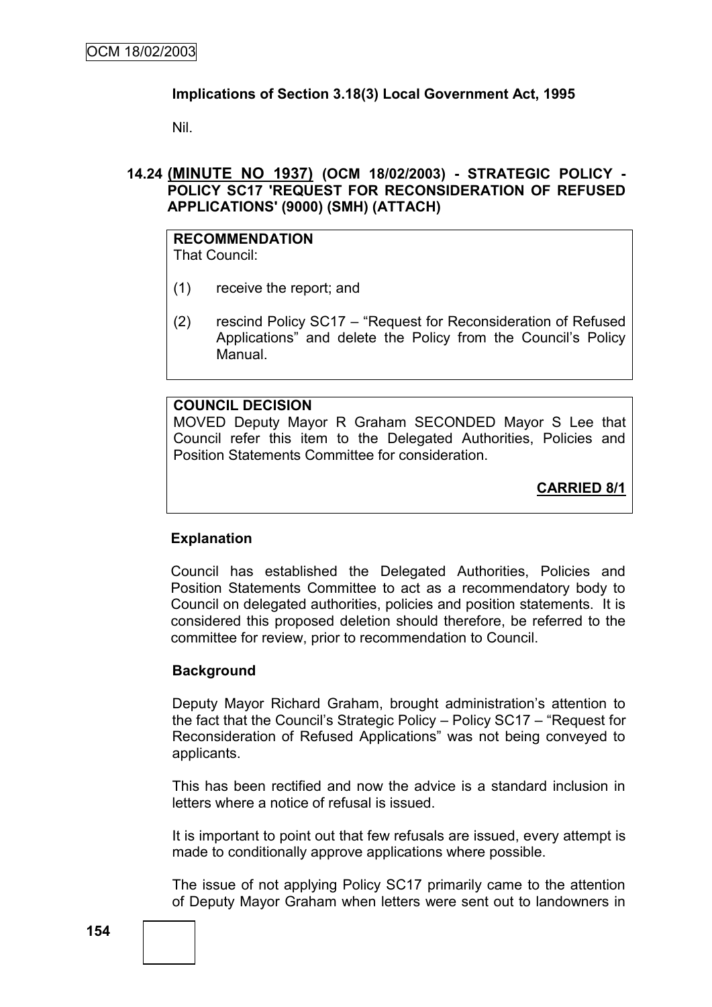# **Implications of Section 3.18(3) Local Government Act, 1995**

Nil.

# **14.24 (MINUTE NO 1937) (OCM 18/02/2003) - STRATEGIC POLICY - POLICY SC17 'REQUEST FOR RECONSIDERATION OF REFUSED APPLICATIONS' (9000) (SMH) (ATTACH)**

#### **RECOMMENDATION** That Council:

- (1) receive the report; and
- (2) rescind Policy SC17 "Request for Reconsideration of Refused Applications" and delete the Policy from the Council"s Policy Manual.

### **COUNCIL DECISION**

MOVED Deputy Mayor R Graham SECONDED Mayor S Lee that Council refer this item to the Delegated Authorities, Policies and Position Statements Committee for consideration.

**CARRIED 8/1**

# **Explanation**

Council has established the Delegated Authorities, Policies and Position Statements Committee to act as a recommendatory body to Council on delegated authorities, policies and position statements. It is considered this proposed deletion should therefore, be referred to the committee for review, prior to recommendation to Council.

#### **Background**

Deputy Mayor Richard Graham, brought administration's attention to the fact that the Council"s Strategic Policy – Policy SC17 – "Request for Reconsideration of Refused Applications" was not being conveyed to applicants.

This has been rectified and now the advice is a standard inclusion in letters where a notice of refusal is issued.

It is important to point out that few refusals are issued, every attempt is made to conditionally approve applications where possible.

The issue of not applying Policy SC17 primarily came to the attention of Deputy Mayor Graham when letters were sent out to landowners in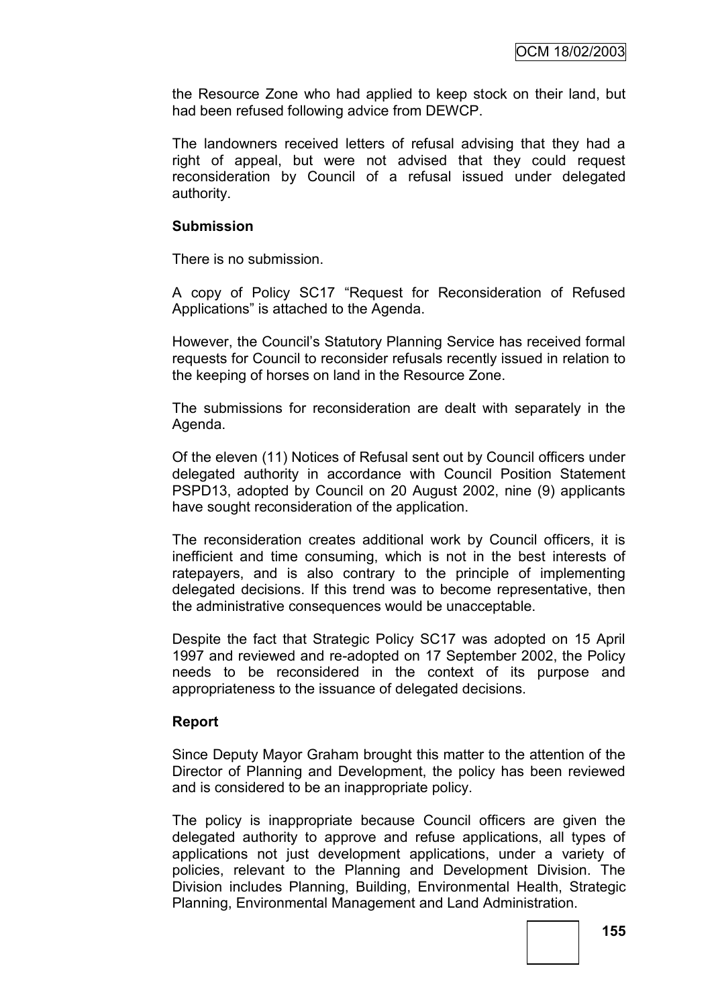the Resource Zone who had applied to keep stock on their land, but had been refused following advice from DEWCP.

The landowners received letters of refusal advising that they had a right of appeal, but were not advised that they could request reconsideration by Council of a refusal issued under delegated authority.

# **Submission**

There is no submission.

A copy of Policy SC17 "Request for Reconsideration of Refused Applications" is attached to the Agenda.

However, the Council"s Statutory Planning Service has received formal requests for Council to reconsider refusals recently issued in relation to the keeping of horses on land in the Resource Zone.

The submissions for reconsideration are dealt with separately in the Agenda.

Of the eleven (11) Notices of Refusal sent out by Council officers under delegated authority in accordance with Council Position Statement PSPD13, adopted by Council on 20 August 2002, nine (9) applicants have sought reconsideration of the application.

The reconsideration creates additional work by Council officers, it is inefficient and time consuming, which is not in the best interests of ratepayers, and is also contrary to the principle of implementing delegated decisions. If this trend was to become representative, then the administrative consequences would be unacceptable.

Despite the fact that Strategic Policy SC17 was adopted on 15 April 1997 and reviewed and re-adopted on 17 September 2002, the Policy needs to be reconsidered in the context of its purpose and appropriateness to the issuance of delegated decisions.

# **Report**

Since Deputy Mayor Graham brought this matter to the attention of the Director of Planning and Development, the policy has been reviewed and is considered to be an inappropriate policy.

The policy is inappropriate because Council officers are given the delegated authority to approve and refuse applications, all types of applications not just development applications, under a variety of policies, relevant to the Planning and Development Division. The Division includes Planning, Building, Environmental Health, Strategic Planning, Environmental Management and Land Administration.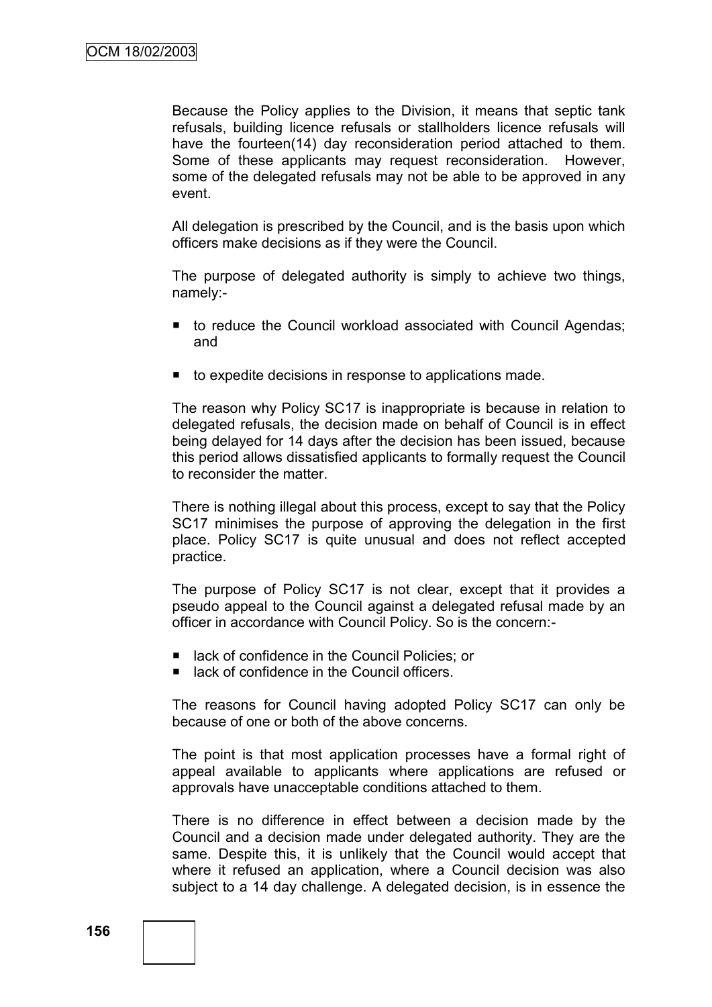Because the Policy applies to the Division, it means that septic tank refusals, building licence refusals or stallholders licence refusals will have the fourteen(14) day reconsideration period attached to them. Some of these applicants may request reconsideration. However, some of the delegated refusals may not be able to be approved in any event.

All delegation is prescribed by the Council, and is the basis upon which officers make decisions as if they were the Council.

The purpose of delegated authority is simply to achieve two things, namely:-

- to reduce the Council workload associated with Council Agendas; and
- to expedite decisions in response to applications made.

The reason why Policy SC17 is inappropriate is because in relation to delegated refusals, the decision made on behalf of Council is in effect being delayed for 14 days after the decision has been issued, because this period allows dissatisfied applicants to formally request the Council to reconsider the matter.

There is nothing illegal about this process, except to say that the Policy SC17 minimises the purpose of approving the delegation in the first place. Policy SC17 is quite unusual and does not reflect accepted practice.

The purpose of Policy SC17 is not clear, except that it provides a pseudo appeal to the Council against a delegated refusal made by an officer in accordance with Council Policy. So is the concern:-

- lack of confidence in the Council Policies; or
- lack of confidence in the Council officers.

The reasons for Council having adopted Policy SC17 can only be because of one or both of the above concerns.

The point is that most application processes have a formal right of appeal available to applicants where applications are refused or approvals have unacceptable conditions attached to them.

There is no difference in effect between a decision made by the Council and a decision made under delegated authority. They are the same. Despite this, it is unlikely that the Council would accept that where it refused an application, where a Council decision was also subject to a 14 day challenge. A delegated decision, is in essence the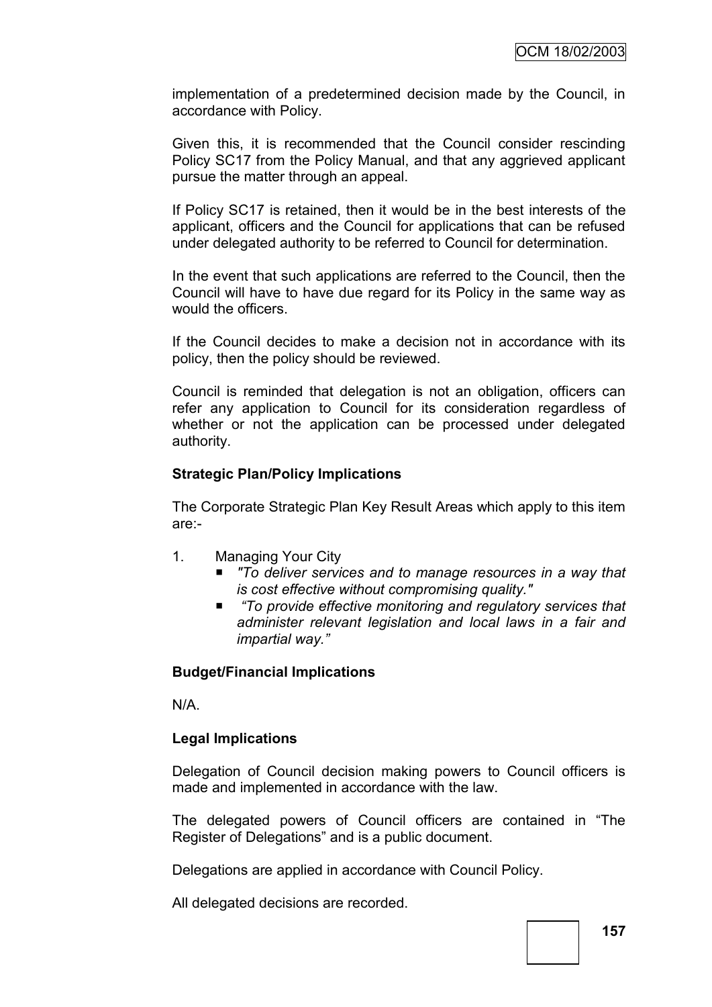implementation of a predetermined decision made by the Council, in accordance with Policy.

Given this, it is recommended that the Council consider rescinding Policy SC17 from the Policy Manual, and that any aggrieved applicant pursue the matter through an appeal.

If Policy SC17 is retained, then it would be in the best interests of the applicant, officers and the Council for applications that can be refused under delegated authority to be referred to Council for determination.

In the event that such applications are referred to the Council, then the Council will have to have due regard for its Policy in the same way as would the officers.

If the Council decides to make a decision not in accordance with its policy, then the policy should be reviewed.

Council is reminded that delegation is not an obligation, officers can refer any application to Council for its consideration regardless of whether or not the application can be processed under delegated authority.

### **Strategic Plan/Policy Implications**

The Corporate Strategic Plan Key Result Areas which apply to this item are:-

- 1. Managing Your City
	- *"To deliver services and to manage resources in a way that is cost effective without compromising quality."*
	- "To provide effective monitoring and regulatory services that *administer relevant legislation and local laws in a fair and impartial way.‖*

# **Budget/Financial Implications**

N/A.

# **Legal Implications**

Delegation of Council decision making powers to Council officers is made and implemented in accordance with the law.

The delegated powers of Council officers are contained in "The Register of Delegations" and is a public document.

Delegations are applied in accordance with Council Policy.

All delegated decisions are recorded.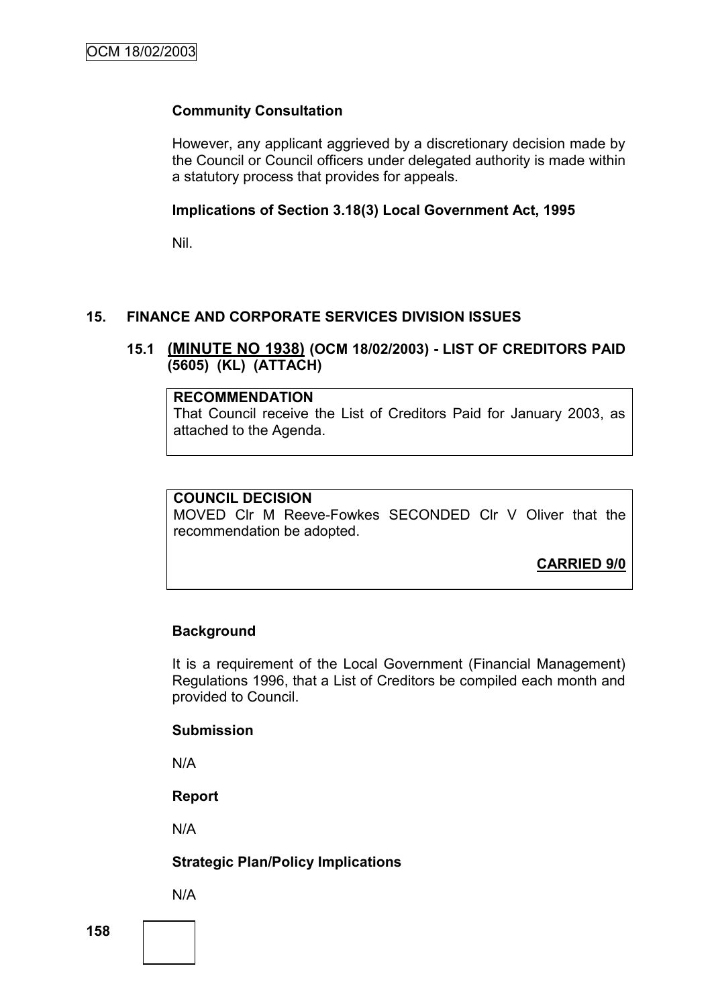# **Community Consultation**

However, any applicant aggrieved by a discretionary decision made by the Council or Council officers under delegated authority is made within a statutory process that provides for appeals.

# **Implications of Section 3.18(3) Local Government Act, 1995**

Nil.

# **15. FINANCE AND CORPORATE SERVICES DIVISION ISSUES**

# **15.1 (MINUTE NO 1938) (OCM 18/02/2003) - LIST OF CREDITORS PAID (5605) (KL) (ATTACH)**

### **RECOMMENDATION**

That Council receive the List of Creditors Paid for January 2003, as attached to the Agenda.

# **COUNCIL DECISION**

MOVED Clr M Reeve-Fowkes SECONDED Clr V Oliver that the recommendation be adopted.

**CARRIED 9/0**

# **Background**

It is a requirement of the Local Government (Financial Management) Regulations 1996, that a List of Creditors be compiled each month and provided to Council.

#### **Submission**

N/A

**Report**

N/A

# **Strategic Plan/Policy Implications**

N/A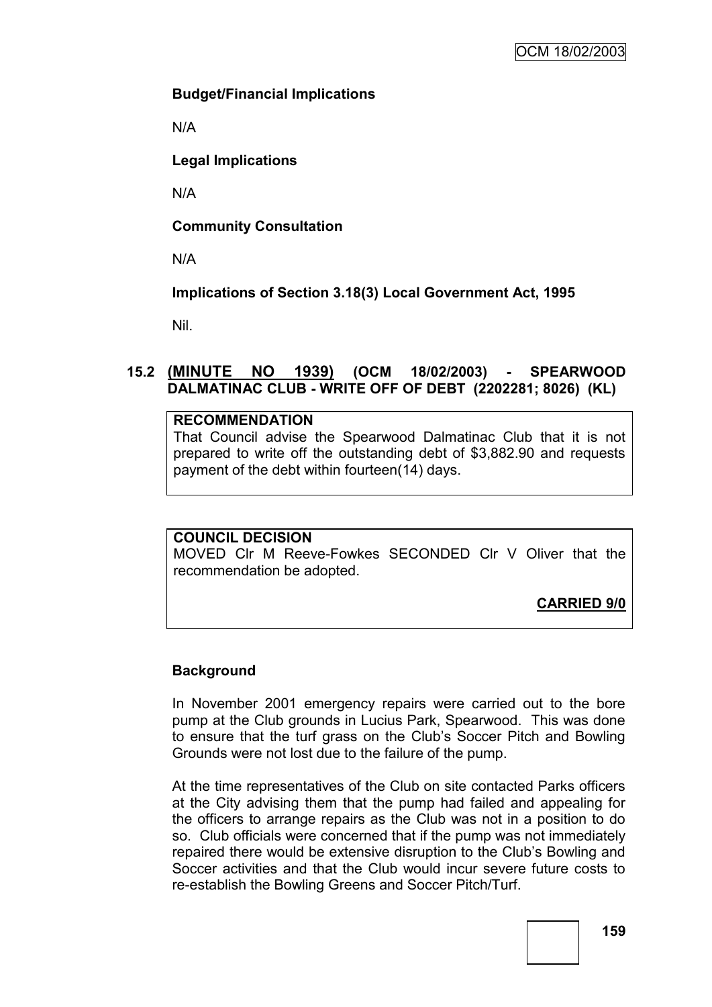# **Budget/Financial Implications**

N/A

**Legal Implications**

N/A

**Community Consultation**

N/A

**Implications of Section 3.18(3) Local Government Act, 1995**

Nil.

# **15.2 (MINUTE NO 1939) (OCM 18/02/2003) - SPEARWOOD DALMATINAC CLUB - WRITE OFF OF DEBT (2202281; 8026) (KL)**

# **RECOMMENDATION**

That Council advise the Spearwood Dalmatinac Club that it is not prepared to write off the outstanding debt of \$3,882.90 and requests payment of the debt within fourteen(14) days.

# **COUNCIL DECISION**

MOVED Clr M Reeve-Fowkes SECONDED Clr V Oliver that the recommendation be adopted.

**CARRIED 9/0**

# **Background**

In November 2001 emergency repairs were carried out to the bore pump at the Club grounds in Lucius Park, Spearwood. This was done to ensure that the turf grass on the Club"s Soccer Pitch and Bowling Grounds were not lost due to the failure of the pump.

At the time representatives of the Club on site contacted Parks officers at the City advising them that the pump had failed and appealing for the officers to arrange repairs as the Club was not in a position to do so. Club officials were concerned that if the pump was not immediately repaired there would be extensive disruption to the Club"s Bowling and Soccer activities and that the Club would incur severe future costs to re-establish the Bowling Greens and Soccer Pitch/Turf.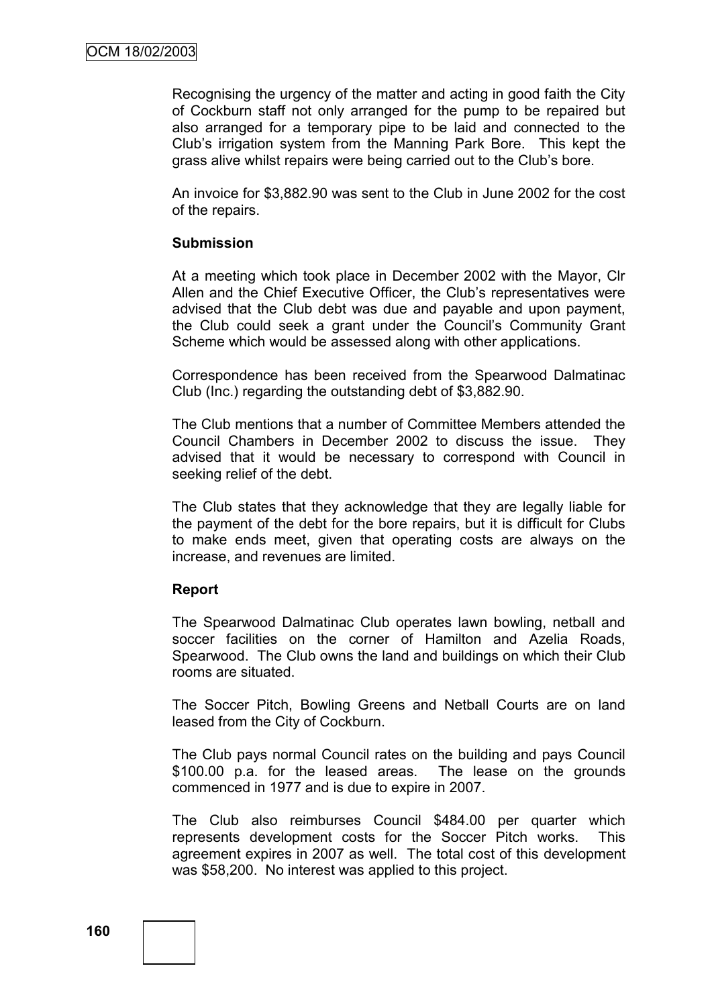Recognising the urgency of the matter and acting in good faith the City of Cockburn staff not only arranged for the pump to be repaired but also arranged for a temporary pipe to be laid and connected to the Club"s irrigation system from the Manning Park Bore. This kept the grass alive whilst repairs were being carried out to the Club"s bore.

An invoice for \$3,882.90 was sent to the Club in June 2002 for the cost of the repairs.

#### **Submission**

At a meeting which took place in December 2002 with the Mayor, Clr Allen and the Chief Executive Officer, the Club"s representatives were advised that the Club debt was due and payable and upon payment, the Club could seek a grant under the Council"s Community Grant Scheme which would be assessed along with other applications.

Correspondence has been received from the Spearwood Dalmatinac Club (Inc.) regarding the outstanding debt of \$3,882.90.

The Club mentions that a number of Committee Members attended the Council Chambers in December 2002 to discuss the issue. They advised that it would be necessary to correspond with Council in seeking relief of the debt.

The Club states that they acknowledge that they are legally liable for the payment of the debt for the bore repairs, but it is difficult for Clubs to make ends meet, given that operating costs are always on the increase, and revenues are limited.

#### **Report**

The Spearwood Dalmatinac Club operates lawn bowling, netball and soccer facilities on the corner of Hamilton and Azelia Roads, Spearwood. The Club owns the land and buildings on which their Club rooms are situated.

The Soccer Pitch, Bowling Greens and Netball Courts are on land leased from the City of Cockburn.

The Club pays normal Council rates on the building and pays Council \$100.00 p.a. for the leased areas. The lease on the grounds commenced in 1977 and is due to expire in 2007.

The Club also reimburses Council \$484.00 per quarter which represents development costs for the Soccer Pitch works. This agreement expires in 2007 as well. The total cost of this development was \$58,200. No interest was applied to this project.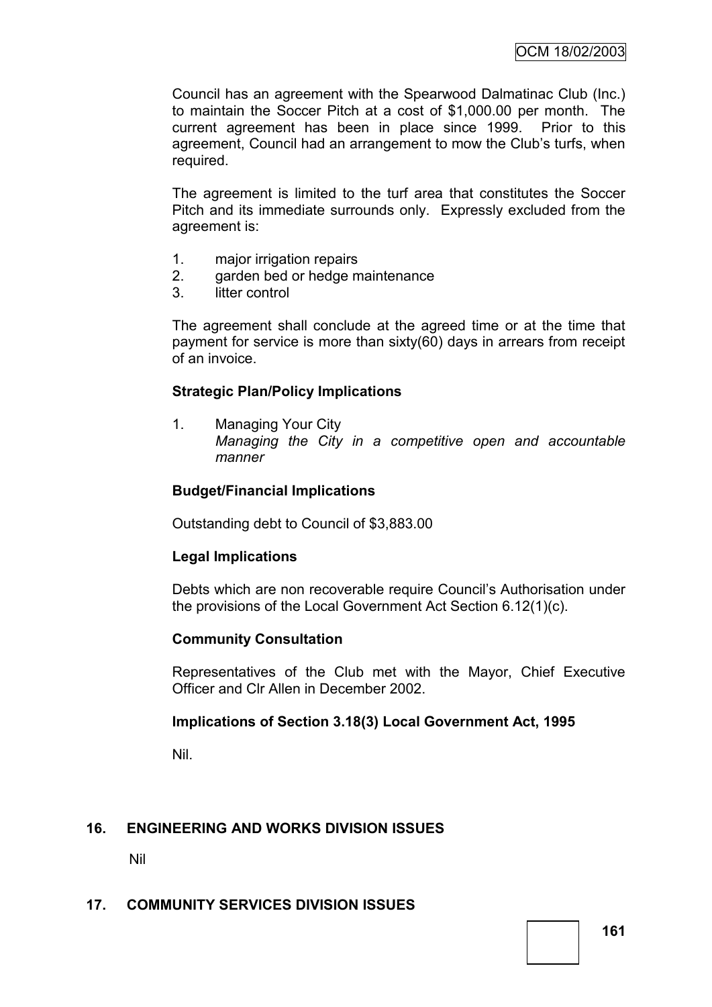Council has an agreement with the Spearwood Dalmatinac Club (Inc.) to maintain the Soccer Pitch at a cost of \$1,000.00 per month. The current agreement has been in place since 1999. Prior to this agreement, Council had an arrangement to mow the Club"s turfs, when required.

The agreement is limited to the turf area that constitutes the Soccer Pitch and its immediate surrounds only. Expressly excluded from the agreement is:

- 1. major irrigation repairs
- 2. garden bed or hedge maintenance
- 3. litter control

The agreement shall conclude at the agreed time or at the time that payment for service is more than sixty(60) days in arrears from receipt of an invoice.

# **Strategic Plan/Policy Implications**

1. Managing Your City *Managing the City in a competitive open and accountable manner*

# **Budget/Financial Implications**

Outstanding debt to Council of \$3,883.00

# **Legal Implications**

Debts which are non recoverable require Council"s Authorisation under the provisions of the Local Government Act Section 6.12(1)(c).

# **Community Consultation**

Representatives of the Club met with the Mayor, Chief Executive Officer and Clr Allen in December 2002.

# **Implications of Section 3.18(3) Local Government Act, 1995**

Nil.

# **16. ENGINEERING AND WORKS DIVISION ISSUES**

Nil

# **17. COMMUNITY SERVICES DIVISION ISSUES**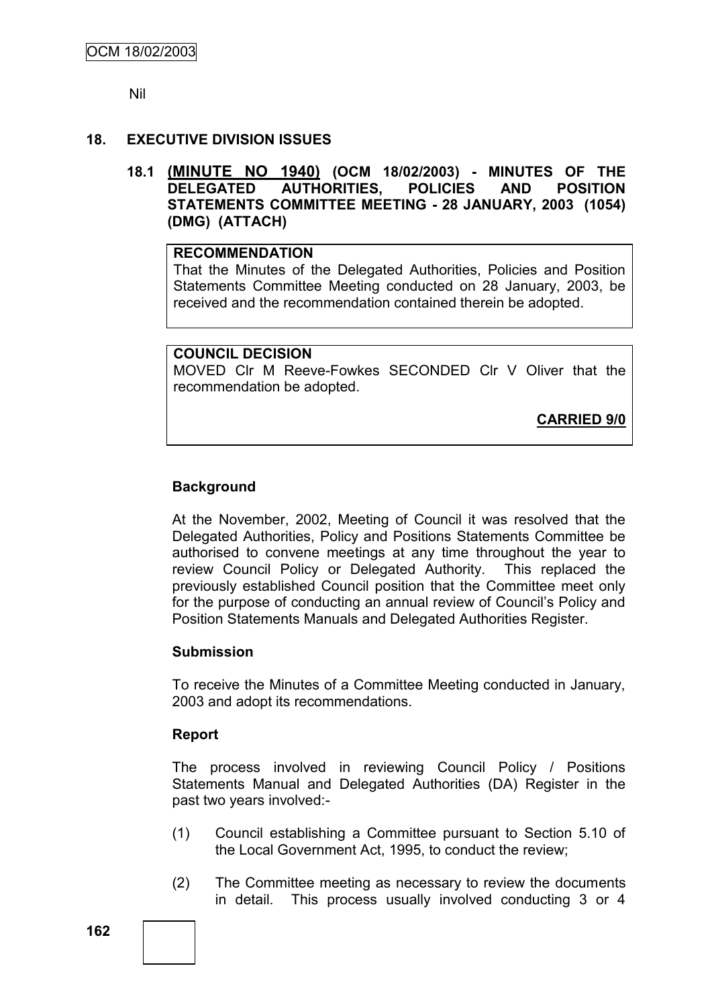Nil

# **18. EXECUTIVE DIVISION ISSUES**

**18.1 (MINUTE NO 1940) (OCM 18/02/2003) - MINUTES OF THE DELEGATED AUTHORITIES, POLICIES AND POSITION STATEMENTS COMMITTEE MEETING - 28 JANUARY, 2003 (1054) (DMG) (ATTACH)**

### **RECOMMENDATION**

That the Minutes of the Delegated Authorities, Policies and Position Statements Committee Meeting conducted on 28 January, 2003, be received and the recommendation contained therein be adopted.

# **COUNCIL DECISION**

MOVED Clr M Reeve-Fowkes SECONDED Clr V Oliver that the recommendation be adopted.

**CARRIED 9/0**

# **Background**

At the November, 2002, Meeting of Council it was resolved that the Delegated Authorities, Policy and Positions Statements Committee be authorised to convene meetings at any time throughout the year to review Council Policy or Delegated Authority. This replaced the previously established Council position that the Committee meet only for the purpose of conducting an annual review of Council"s Policy and Position Statements Manuals and Delegated Authorities Register.

# **Submission**

To receive the Minutes of a Committee Meeting conducted in January, 2003 and adopt its recommendations.

# **Report**

The process involved in reviewing Council Policy / Positions Statements Manual and Delegated Authorities (DA) Register in the past two years involved:-

- (1) Council establishing a Committee pursuant to Section 5.10 of the Local Government Act, 1995, to conduct the review;
- (2) The Committee meeting as necessary to review the documents in detail. This process usually involved conducting 3 or 4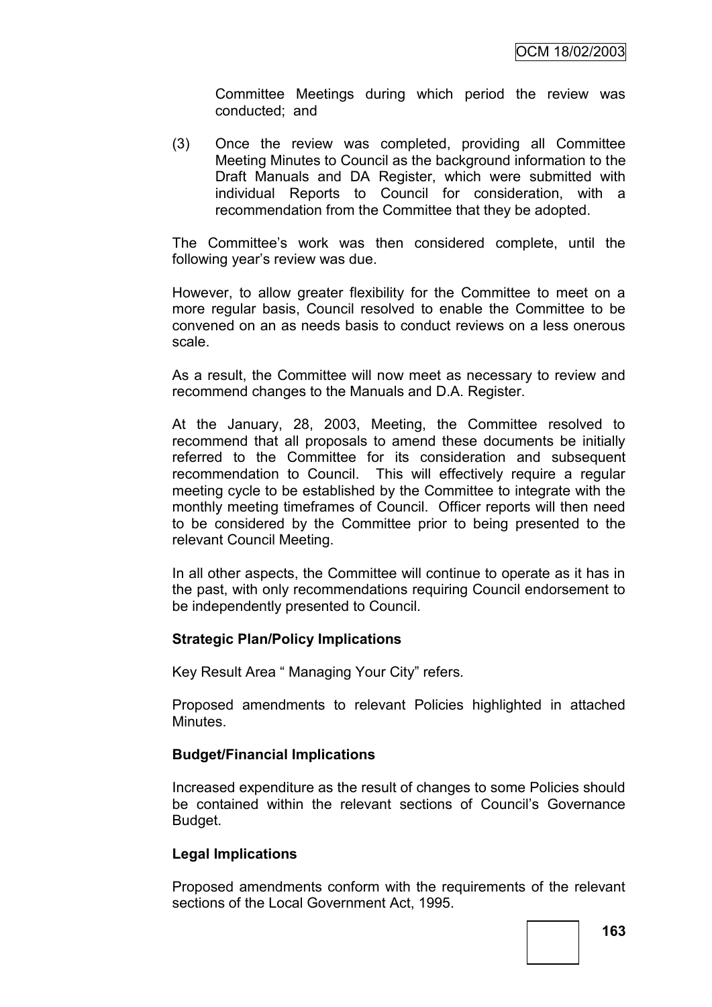Committee Meetings during which period the review was conducted; and

(3) Once the review was completed, providing all Committee Meeting Minutes to Council as the background information to the Draft Manuals and DA Register, which were submitted with individual Reports to Council for consideration, with a recommendation from the Committee that they be adopted.

The Committee"s work was then considered complete, until the following year"s review was due.

However, to allow greater flexibility for the Committee to meet on a more regular basis, Council resolved to enable the Committee to be convened on an as needs basis to conduct reviews on a less onerous scale.

As a result, the Committee will now meet as necessary to review and recommend changes to the Manuals and D.A. Register.

At the January, 28, 2003, Meeting, the Committee resolved to recommend that all proposals to amend these documents be initially referred to the Committee for its consideration and subsequent recommendation to Council. This will effectively require a regular meeting cycle to be established by the Committee to integrate with the monthly meeting timeframes of Council. Officer reports will then need to be considered by the Committee prior to being presented to the relevant Council Meeting.

In all other aspects, the Committee will continue to operate as it has in the past, with only recommendations requiring Council endorsement to be independently presented to Council.

#### **Strategic Plan/Policy Implications**

Key Result Area " Managing Your City" refers.

Proposed amendments to relevant Policies highlighted in attached **Minutes** 

#### **Budget/Financial Implications**

Increased expenditure as the result of changes to some Policies should be contained within the relevant sections of Council's Governance Budget.

#### **Legal Implications**

Proposed amendments conform with the requirements of the relevant sections of the Local Government Act, 1995.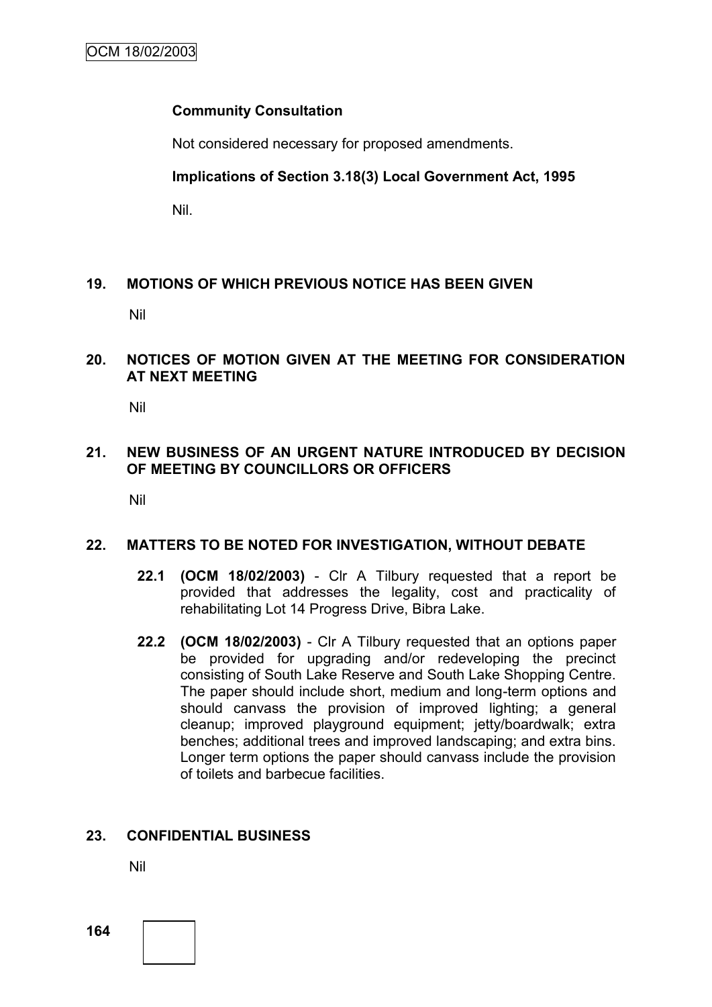# **Community Consultation**

Not considered necessary for proposed amendments.

**Implications of Section 3.18(3) Local Government Act, 1995**

Nil.

# **19. MOTIONS OF WHICH PREVIOUS NOTICE HAS BEEN GIVEN**

Nil

# **20. NOTICES OF MOTION GIVEN AT THE MEETING FOR CONSIDERATION AT NEXT MEETING**

Nil

# **21. NEW BUSINESS OF AN URGENT NATURE INTRODUCED BY DECISION OF MEETING BY COUNCILLORS OR OFFICERS**

Nil

# **22. MATTERS TO BE NOTED FOR INVESTIGATION, WITHOUT DEBATE**

- **22.1 (OCM 18/02/2003)** Clr A Tilbury requested that a report be provided that addresses the legality, cost and practicality of rehabilitating Lot 14 Progress Drive, Bibra Lake.
- **22.2 (OCM 18/02/2003)** Clr A Tilbury requested that an options paper be provided for upgrading and/or redeveloping the precinct consisting of South Lake Reserve and South Lake Shopping Centre. The paper should include short, medium and long-term options and should canvass the provision of improved lighting; a general cleanup; improved playground equipment; jetty/boardwalk; extra benches; additional trees and improved landscaping; and extra bins. Longer term options the paper should canvass include the provision of toilets and barbecue facilities.

# **23. CONFIDENTIAL BUSINESS**

Nil